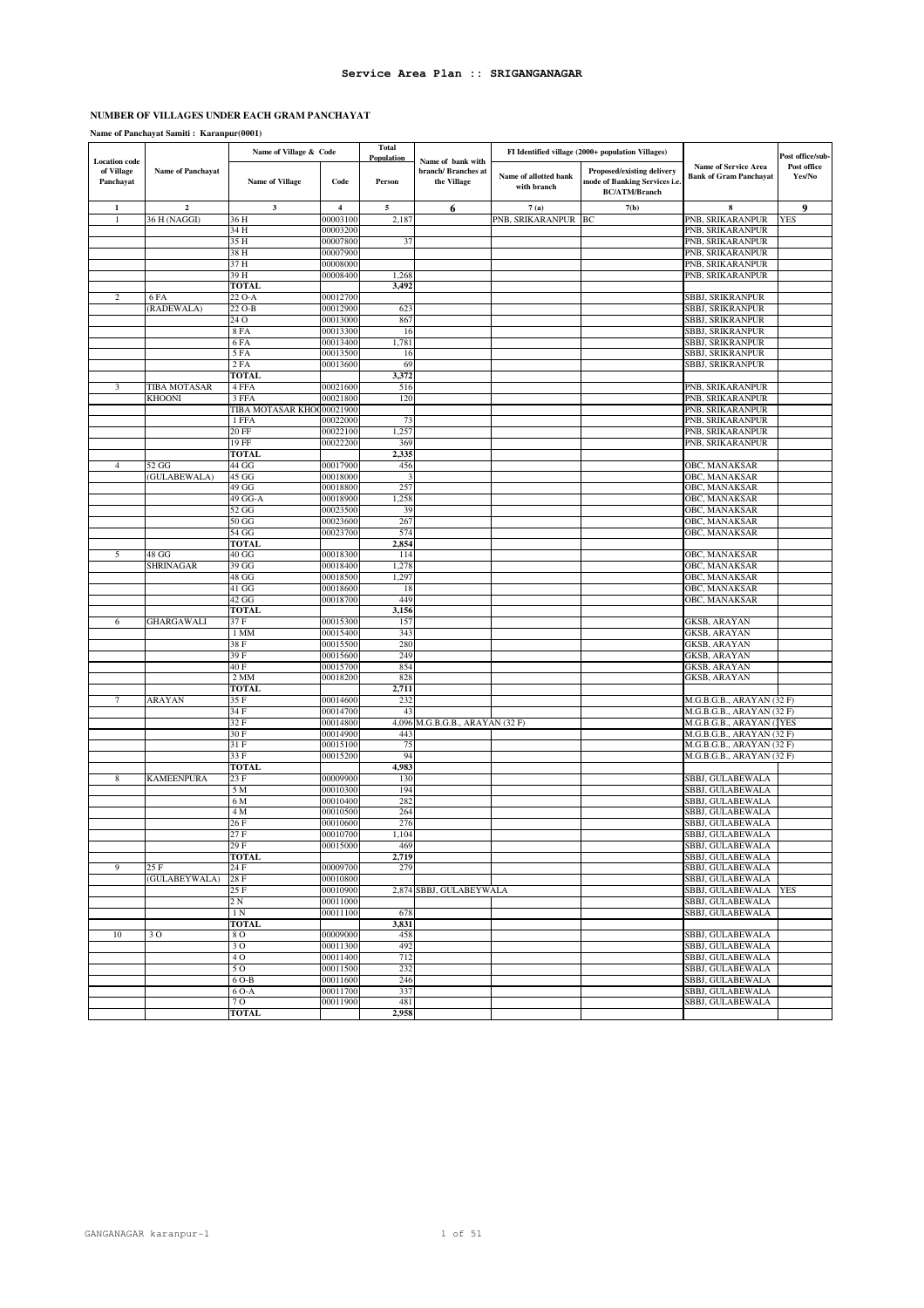# **NUMBER OF VILLAGES UNDER EACH GRAM PANCHAYAT**

|                                                 |                          | Name of Village & Code    |                      | <b>Total</b><br>Population |                                                         |                                      | FI Identified village (2000+ population Villages)                                   |                                                              | Post office/sub-      |
|-------------------------------------------------|--------------------------|---------------------------|----------------------|----------------------------|---------------------------------------------------------|--------------------------------------|-------------------------------------------------------------------------------------|--------------------------------------------------------------|-----------------------|
| <b>Location</b> code<br>of Village<br>Panchayat | <b>Name of Panchayat</b> | Name of Village           | Code                 | Person                     | Name of bank with<br>branch/ Branches at<br>the Village | Name of allotted bank<br>with branch | Proposed/existing delivery<br>mode of Banking Services i.e.<br><b>BC/ATM/Branch</b> | <b>Name of Service Area</b><br><b>Bank of Gram Panchayat</b> | Post office<br>Yes/No |
| $\mathbf{1}$                                    | $\overline{2}$           | $\mathbf{3}$              | $\overline{\bf 4}$   | 5                          | 6                                                       | 7(a)                                 | 7(b)                                                                                | 8                                                            | 9                     |
|                                                 | 36 H (NAGGI)             | 36 H                      | 00003100             | 2,187                      |                                                         | PNB, SRIKARANPUR BC                  |                                                                                     | PNB, SRIKARANPUR                                             | <b>YES</b>            |
|                                                 |                          | 34 H<br>35 H              | 00003200<br>00007800 |                            |                                                         |                                      |                                                                                     | PNB, SRIKARANPUR<br>PNB, SRIKARANPUR                         |                       |
|                                                 |                          | 38 H                      | 00007900             | 37                         |                                                         |                                      |                                                                                     | PNB, SRIKARANPUR                                             |                       |
|                                                 |                          | 37 H                      | 00008000             |                            |                                                         |                                      |                                                                                     | PNB, SRIKARANPUR                                             |                       |
|                                                 |                          | 39 H                      | 00008400             | 1,268                      |                                                         |                                      |                                                                                     | PNB, SRIKARANPUR                                             |                       |
|                                                 |                          | <b>TOTAL</b>              |                      | 3,492                      |                                                         |                                      |                                                                                     |                                                              |                       |
| 2                                               | 6 FA                     | 22 O-A                    | 00012700             |                            |                                                         |                                      |                                                                                     | SBBJ, SRIKRANPUR                                             |                       |
|                                                 | (RADEWALA)               | 22 O-B                    | 00012900             | 623                        |                                                         |                                      |                                                                                     | <b>SBBJ, SRIKRANPUR</b>                                      |                       |
|                                                 |                          | 24 O                      | 00013000             | 867                        |                                                         |                                      |                                                                                     | SBBJ, SRIKRANPUR                                             |                       |
|                                                 |                          | <b>8 FA</b><br>6FA        | 00013300<br>00013400 | 16<br>1,781                |                                                         |                                      |                                                                                     | SBBJ, SRIKRANPUR<br>SBBJ, SRIKRANPUR                         |                       |
|                                                 |                          | 5 FA                      | 00013500             | 16                         |                                                         |                                      |                                                                                     | SBBJ, SRIKRANPUR                                             |                       |
|                                                 |                          | 2 FA                      | 00013600             | 69                         |                                                         |                                      |                                                                                     | SBBJ, SRIKRANPUR                                             |                       |
|                                                 |                          | TOTAL                     |                      | 3,372                      |                                                         |                                      |                                                                                     |                                                              |                       |
| 3                                               | TIBA MOTASAR             | 4 FFA                     | 00021600             | 516                        |                                                         |                                      |                                                                                     | PNB, SRIKARANPUR                                             |                       |
|                                                 | <b>KHOONI</b>            | 3 FFA                     | 00021800             | 120                        |                                                         |                                      |                                                                                     | PNB, SRIKARANPUR                                             |                       |
|                                                 |                          | TIBA MOTASAR KHO(00021900 |                      |                            |                                                         |                                      |                                                                                     | PNB, SRIKARANPUR                                             |                       |
|                                                 |                          | 1 FFA                     | 00022000             | 73                         |                                                         |                                      |                                                                                     | PNB, SRIKARANPUR                                             |                       |
|                                                 |                          | 20 FF<br>19 FF            | 00022100<br>00022200 | 1,257<br>369               |                                                         |                                      |                                                                                     | PNB, SRIKARANPUR<br>PNB, SRIKARANPUR                         |                       |
|                                                 |                          | <b>TOTAL</b>              |                      | 2,335                      |                                                         |                                      |                                                                                     |                                                              |                       |
| $\overline{4}$                                  | 52 GG                    | 44 GG                     | 00017900             | 456                        |                                                         |                                      |                                                                                     | OBC, MANAKSAR                                                |                       |
|                                                 | (GULABEWALA)             | 45 <sub>GG</sub>          | 00018000             |                            |                                                         |                                      |                                                                                     | OBC, MANAKSAR                                                |                       |
|                                                 |                          | 49 GG                     | 00018800             | 257                        |                                                         |                                      |                                                                                     | OBC, MANAKSAR                                                |                       |
|                                                 |                          | 49 GG-A                   | 00018900             | 1,258                      |                                                         |                                      |                                                                                     | OBC, MANAKSAR                                                |                       |
|                                                 |                          | 52 GG                     | 00023500             | 39                         |                                                         |                                      |                                                                                     | OBC, MANAKSAR                                                |                       |
|                                                 |                          | 50 GG                     | 00023600             | 267                        |                                                         |                                      |                                                                                     | OBC, MANAKSAR                                                |                       |
|                                                 |                          | 54 GG                     | 00023700             | 574                        |                                                         |                                      |                                                                                     | OBC, MANAKSAR                                                |                       |
| 5                                               | 48 GG                    | <b>TOTAI</b><br>40 GG     | 00018300             | 2,854<br>114               |                                                         |                                      |                                                                                     | OBC, MANAKSAR                                                |                       |
|                                                 | SHRINAGAR                | 39 GG                     | 00018400             | 1,278                      |                                                         |                                      |                                                                                     | OBC, MANAKSAR                                                |                       |
|                                                 |                          | 48 GG                     | 00018500             | 1,297                      |                                                         |                                      |                                                                                     | OBC, MANAKSAR                                                |                       |
|                                                 |                          | 41 <sub>G</sub>           | 00018600             | 18                         |                                                         |                                      |                                                                                     | OBC, MANAKSAR                                                |                       |
|                                                 |                          | 42 GG                     | 00018700             | 449                        |                                                         |                                      |                                                                                     | OBC, MANAKSAR                                                |                       |
|                                                 |                          | <b>TOTAL</b>              |                      | 3,156                      |                                                         |                                      |                                                                                     |                                                              |                       |
| 6                                               | GHARGAWALI               | 37 F                      | 00015300             | 157                        |                                                         |                                      |                                                                                     | GKSB, ARAYAN                                                 |                       |
|                                                 |                          | 1 MM                      | 00015400             | 343                        |                                                         |                                      |                                                                                     | GKSB, ARAYAN                                                 |                       |
|                                                 |                          | 38 F<br>39 F              | 00015500<br>00015600 | 280<br>249                 |                                                         |                                      |                                                                                     | GKSB, ARAYAN<br>GKSB, ARAYAN                                 |                       |
|                                                 |                          | 40 F                      | 00015700             | 854                        |                                                         |                                      |                                                                                     | GKSB, ARAYAN                                                 |                       |
|                                                 |                          | 2 <sub>MM</sub>           | 00018200             | 828                        |                                                         |                                      |                                                                                     | GKSB, ARAYAN                                                 |                       |
|                                                 |                          | <b>TOTAL</b>              |                      | 2,711                      |                                                         |                                      |                                                                                     |                                                              |                       |
|                                                 | ARAYAN                   | 35 F                      | 00014600             | 232                        |                                                         |                                      |                                                                                     | M.G.B.G.B., ARAYAN (32 F)                                    |                       |
|                                                 |                          | 34 F                      | 00014700             | 43                         |                                                         |                                      |                                                                                     | M.G.B.G.B., ARAYAN (32 F)                                    |                       |
|                                                 |                          | 32 F                      | 00014800             | 4,096                      | M.G.B.G.B., ARAYAN (32 F)                               |                                      |                                                                                     | M.G.B.G.B., ARAYAN (TES                                      |                       |
|                                                 |                          | 30 F                      | 00014900             | 443                        |                                                         |                                      |                                                                                     | M.G.B.G.B., ARAYAN (32 F)<br>M.G.B.G.B., ARAYAN (32 F)       |                       |
|                                                 |                          | 31 F<br>33 F              | 00015100<br>00015200 | 75<br>94                   |                                                         |                                      |                                                                                     | M.G.B.G.B., ARAYAN (32 F)                                    |                       |
|                                                 |                          | <b>TOTAL</b>              |                      | 4,983                      |                                                         |                                      |                                                                                     |                                                              |                       |
| 8                                               | <b>KAMEENPURA</b>        | 23 F                      | 00009900             | 130                        |                                                         |                                      |                                                                                     | SBBJ, GULABEWALA                                             |                       |
|                                                 |                          | 5 M                       | 00010300             | 194                        |                                                         |                                      |                                                                                     | SBBJ, GULABEWALA                                             |                       |
|                                                 |                          | 6 M                       | 00010400             | 282                        |                                                         |                                      |                                                                                     | SBBJ, GULABEWALA                                             |                       |
|                                                 |                          | 4 M                       | 00010500             | 264                        |                                                         |                                      |                                                                                     | <b>SBBJ, GULABEWALA</b>                                      |                       |
|                                                 |                          | 26 F                      | 00010600             | 276                        |                                                         |                                      |                                                                                     | SBBJ, GULABEWALA                                             |                       |
|                                                 |                          | 27F<br>29 F               | 00010700<br>00015000 | 1,104<br>469               |                                                         |                                      |                                                                                     | SBBJ, GULABEWALA<br>SBBJ, GULABEWALA                         |                       |
|                                                 |                          | <b>TOTAL</b>              |                      | 2,719                      |                                                         |                                      |                                                                                     | SBBJ, GULABEWALA                                             |                       |
| 9                                               | 25 F                     | 24 F                      | 00009700             | 279                        |                                                         |                                      |                                                                                     | SBBJ, GULABEWALA                                             |                       |
|                                                 | (GULABEYWALA)            | 28 F                      | 00010800             |                            |                                                         |                                      |                                                                                     | SBBJ, GULABEWALA                                             |                       |
|                                                 |                          | 25 F                      | 00010900             |                            | 2,874 SBBJ, GULABEYWALA                                 |                                      |                                                                                     | SBBJ, GULABEWALA                                             | <b>YES</b>            |
|                                                 |                          | 2 N                       | 00011000             |                            |                                                         |                                      |                                                                                     | SBBJ, GULABEWALA                                             |                       |
|                                                 |                          | 1 N                       | 00011100             | 678                        |                                                         |                                      |                                                                                     | SBBJ, GULABEWALA                                             |                       |
|                                                 |                          | <b>TOTAL</b>              |                      | 3,831                      |                                                         |                                      |                                                                                     |                                                              |                       |
| 10                                              | 30                       | 8 O<br>30                 | 00009000<br>00011300 | 458<br>492                 |                                                         |                                      |                                                                                     | SBBJ, GULABEWALA<br>SBBJ, GULABEWALA                         |                       |
|                                                 |                          | 40                        | 00011400             | 712                        |                                                         |                                      |                                                                                     | SBBJ, GULABEWALA                                             |                       |
|                                                 |                          | 50                        | 00011500             | 232                        |                                                         |                                      |                                                                                     | SBBJ, GULABEWALA                                             |                       |
|                                                 |                          | 6 O-B                     | 00011600             | 246                        |                                                         |                                      |                                                                                     | SBBJ, GULABEWALA                                             |                       |
|                                                 |                          | 6 O-A                     | 00011700             | 337                        |                                                         |                                      |                                                                                     | SBBJ, GULABEWALA                                             |                       |
|                                                 |                          | 70                        | 00011900             | 481                        |                                                         |                                      |                                                                                     | SBBJ, GULABEWALA                                             |                       |
|                                                 |                          | <b>TOTAL</b>              |                      | 2,958                      |                                                         |                                      |                                                                                     |                                                              |                       |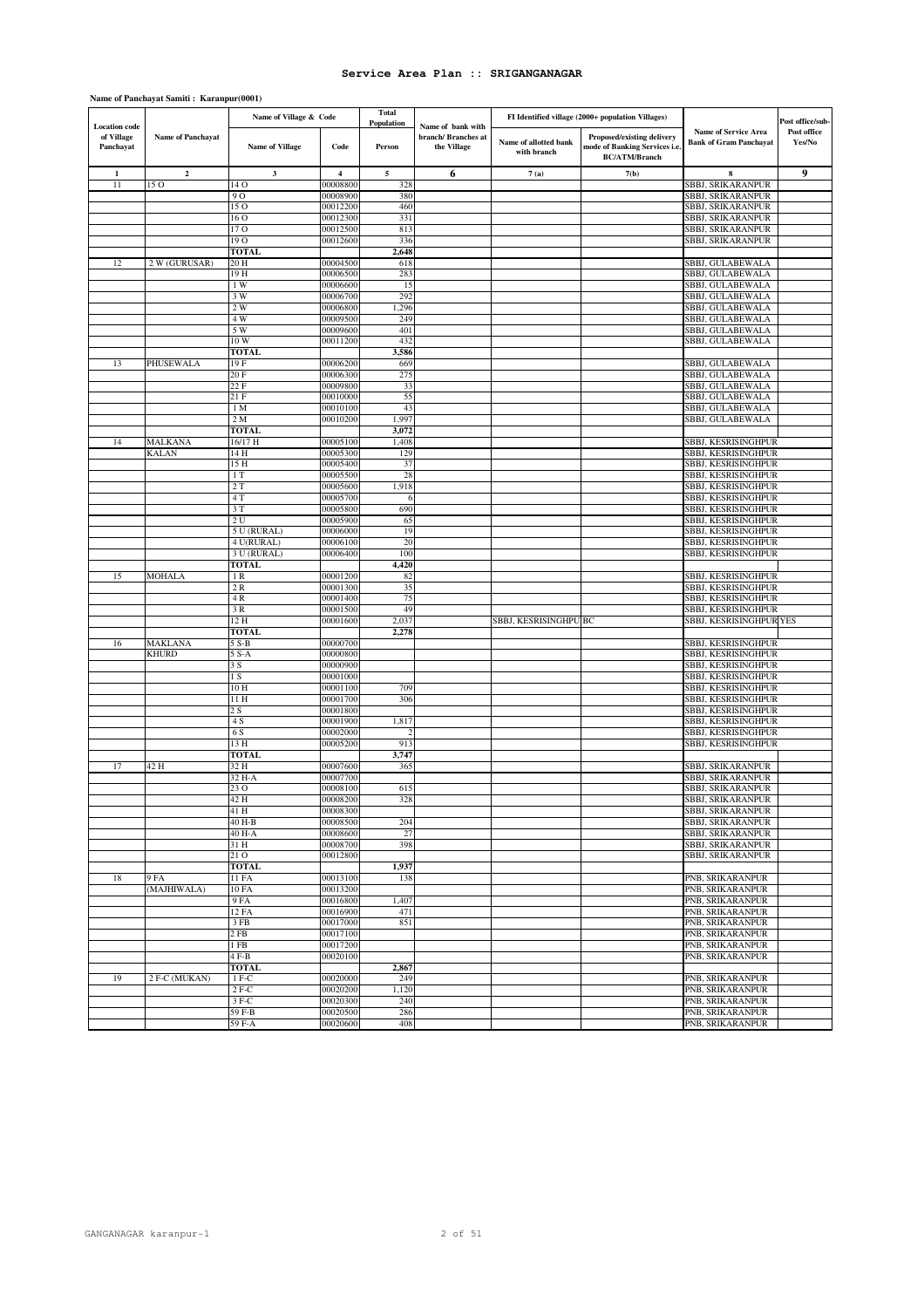|                                                 |                   | Name of Village & Code    |                      | <b>Total</b><br>Population |                                                         |                                      | FI Identified village (2000+ population Villages)                                   |                                                              | Post office/sub-      |
|-------------------------------------------------|-------------------|---------------------------|----------------------|----------------------------|---------------------------------------------------------|--------------------------------------|-------------------------------------------------------------------------------------|--------------------------------------------------------------|-----------------------|
| <b>Location</b> code<br>of Village<br>Panchayat | Name of Panchayat | <b>Name of Village</b>    | Code                 | Person                     | Name of bank with<br>branch/ Branches at<br>the Village | Name of allotted bank<br>with branch | Proposed/existing delivery<br>mode of Banking Services i.e.<br><b>BC/ATM/Branch</b> | <b>Name of Service Area</b><br><b>Bank of Gram Panchayat</b> | Post office<br>Yes/No |
| $\mathbf{1}$                                    | $\mathbf 2$       | 3                         | $\overline{4}$       | 5                          | 6                                                       | 7(a)                                 | 7(b)                                                                                | 8                                                            | 9                     |
| 11                                              | 150               | 14 O                      | 00008800             | 328                        |                                                         |                                      |                                                                                     | SBBJ, SRIKARANPUR                                            |                       |
|                                                 |                   | 9 <sub>O</sub>            | 00008900             | 380                        |                                                         |                                      |                                                                                     | <b>SBBJ, SRIKARANPUR</b>                                     |                       |
|                                                 |                   | 150                       | 00012200             | 460                        |                                                         |                                      |                                                                                     | SBBJ, SRIKARANPUR                                            |                       |
|                                                 |                   | 16 O                      | 00012300             | 331                        |                                                         |                                      |                                                                                     | SBBJ, SRIKARANPUR                                            |                       |
|                                                 |                   | 17 <sub>0</sub>           | 00012500             | 813                        |                                                         |                                      |                                                                                     | SBBJ, SRIKARANPUR                                            |                       |
|                                                 |                   | 19 O                      | 00012600             | 336                        |                                                         |                                      |                                                                                     | SBBJ, SRIKARANPUR                                            |                       |
|                                                 |                   | <b>TOTAL</b>              |                      | 2,648                      |                                                         |                                      |                                                                                     |                                                              |                       |
| 12                                              | 2 W (GURUSAR)     | 20 H                      | 00004500             | 618                        |                                                         |                                      |                                                                                     | SBBJ, GULABEWALA                                             |                       |
|                                                 |                   | 19 H                      | 00006500             | 283                        |                                                         |                                      |                                                                                     | SBBJ, GULABEWALA                                             |                       |
|                                                 |                   | 1W<br>3W                  | 00006600<br>00006700 | 15<br>292                  |                                                         |                                      |                                                                                     | SBBJ, GULABEWALA<br>SBBJ, GULABEWALA                         |                       |
|                                                 |                   | 2 W                       | 00006800             | 1,296                      |                                                         |                                      |                                                                                     | SBBJ, GULABEWALA                                             |                       |
|                                                 |                   | 4 W                       | 00009500             | 249                        |                                                         |                                      |                                                                                     | SBBJ, GULABEWALA                                             |                       |
|                                                 |                   | 5 W                       | 00009600             | 401                        |                                                         |                                      |                                                                                     | SBBJ, GULABEWALA                                             |                       |
|                                                 |                   | 10 W                      | 00011200             | 432                        |                                                         |                                      |                                                                                     | SBBJ, GULABEWALA                                             |                       |
|                                                 |                   | <b>TOTAL</b>              |                      | 3,586                      |                                                         |                                      |                                                                                     |                                                              |                       |
| 13                                              | PHUSEWALA         | 19F                       | 00006200             | 669                        |                                                         |                                      |                                                                                     | SBBJ, GULABEWALA                                             |                       |
|                                                 |                   | 20 F                      | 00006300             | 275                        |                                                         |                                      |                                                                                     | SBBJ, GULABEWALA                                             |                       |
|                                                 |                   | 22 F                      | 00009800             | 33                         |                                                         |                                      |                                                                                     | SBBJ, GULABEWALA                                             |                       |
|                                                 |                   | 21 F                      | 00010000             | 55                         |                                                         |                                      |                                                                                     | SBBJ, GULABEWALA                                             |                       |
|                                                 |                   | 1 <sub>M</sub>            | 00010100             | 43                         |                                                         |                                      |                                                                                     | SBBJ, GULABEWALA                                             |                       |
|                                                 |                   | 2 M                       | 00010200             | 1,997                      |                                                         |                                      |                                                                                     | SBBJ, GULABEWALA                                             |                       |
|                                                 |                   | <b>TOTAL</b>              |                      | 3,072                      |                                                         |                                      |                                                                                     |                                                              |                       |
| 14                                              | MALKANA           | 16/17 H                   | 00005100             | 1,408                      |                                                         |                                      |                                                                                     | SBBJ, KESRISINGHPUR                                          |                       |
|                                                 | <b>KALAN</b>      | 14 H                      | 00005300             | 129                        |                                                         |                                      |                                                                                     | SBBJ, KESRISINGHPUR                                          |                       |
|                                                 |                   | 15 H                      | 00005400             | 37                         |                                                         |                                      |                                                                                     | SBBJ, KESRISINGHPUR                                          |                       |
|                                                 |                   | 1T                        | 00005500             | 28                         |                                                         |                                      |                                                                                     | SBBJ, KESRISINGHPUR                                          |                       |
|                                                 |                   | 2T                        | 00005600             | 1,918                      |                                                         |                                      |                                                                                     | SBBJ, KESRISINGHPUR                                          |                       |
|                                                 |                   | 4 T                       | 00005700             | -6                         |                                                         |                                      |                                                                                     | SBBJ, KESRISINGHPUR                                          |                       |
|                                                 |                   | 3T                        | 00005800             | 690                        |                                                         |                                      |                                                                                     | SBBJ, KESRISINGHPUR                                          |                       |
|                                                 |                   | 2U                        | 00005900             | 65                         |                                                         |                                      |                                                                                     | SBBJ, KESRISINGHPUR                                          |                       |
|                                                 |                   | 5 U (RURAL)<br>4 U(RURAL) | 00006000<br>00006100 | 19<br>20                   |                                                         |                                      |                                                                                     | SBBJ, KESRISINGHPUR<br>SBBJ, KESRISINGHPUR                   |                       |
|                                                 |                   | 3 U (RURAL)               | 00006400             | 100                        |                                                         |                                      |                                                                                     | SBBJ, KESRISINGHPUR                                          |                       |
|                                                 |                   | <b>TOTAL</b>              |                      | 4,420                      |                                                         |                                      |                                                                                     |                                                              |                       |
| 15                                              | <b>MOHALA</b>     | 1R                        | 00001200             | 82                         |                                                         |                                      |                                                                                     | SBBJ, KESRISINGHPUR                                          |                       |
|                                                 |                   | 2R                        | 00001300             | 35                         |                                                         |                                      |                                                                                     | SBBJ, KESRISINGHPUR                                          |                       |
|                                                 |                   | 4R                        | 00001400             | 75                         |                                                         |                                      |                                                                                     | SBBJ, KESRISINGHPUR                                          |                       |
|                                                 |                   | 3 R                       | 00001500             | 49                         |                                                         |                                      |                                                                                     | SBBJ, KESRISINGHPUR                                          |                       |
|                                                 |                   | 12 H                      | 00001600             | 2,037                      |                                                         | SBBJ, KESRISINGHPU BC                |                                                                                     | SBBJ, KESRISINGHPUR YES                                      |                       |
|                                                 |                   | <b>TOTAL</b>              |                      | 2,278                      |                                                         |                                      |                                                                                     |                                                              |                       |
| 16                                              | MAKLANA           | 5 S-B                     | 00000700             |                            |                                                         |                                      |                                                                                     | SBBJ, KESRISINGHPUR                                          |                       |
|                                                 | KHURD             | 5 S-A                     | 00000800             |                            |                                                         |                                      |                                                                                     | SBBJ, KESRISINGHPUR                                          |                       |
|                                                 |                   | 3 S                       | 00000900             |                            |                                                         |                                      |                                                                                     | SBBJ, KESRISINGHPUR                                          |                       |
|                                                 |                   | 1 S                       | 00001000             |                            |                                                         |                                      |                                                                                     | SBBJ, KESRISINGHPUR                                          |                       |
|                                                 |                   | 10 H                      | 00001100             | 709                        |                                                         |                                      |                                                                                     | SBBJ, KESRISINGHPUR                                          |                       |
|                                                 |                   | 11 H                      | 00001700             | 306                        |                                                         |                                      |                                                                                     | SBBJ, KESRISINGHPUR                                          |                       |
|                                                 |                   | 2 S                       | 00001800             |                            |                                                         |                                      |                                                                                     | SBBJ, KESRISINGHPUR                                          |                       |
|                                                 |                   | 4 S                       | 00001900             | 1,817                      |                                                         |                                      |                                                                                     | SBBJ, KESRISINGHPUR                                          |                       |
|                                                 |                   | 6 S                       | 00002000             | 2                          |                                                         |                                      |                                                                                     | SBBJ, KESRISINGHPUR                                          |                       |
|                                                 |                   | 13 H                      | 00005200             | 913                        |                                                         |                                      |                                                                                     | SBBJ, KESRISINGHPUR                                          |                       |
|                                                 |                   | <b>TOTAL</b>              |                      | 3,747                      |                                                         |                                      |                                                                                     |                                                              |                       |
| 17                                              | 42 H              | 32 H<br>32 H-A            | 00007600<br>00007700 | 365                        |                                                         |                                      |                                                                                     | SBBJ, SRIKARANPUR<br>SBBJ, SRIKARANPUR                       |                       |
|                                                 |                   | 23 O                      | 00008100             | 615                        |                                                         |                                      |                                                                                     | SBBJ, SRIKARANPUR                                            |                       |
|                                                 |                   | 42 H                      | 00008200             | 328                        |                                                         |                                      |                                                                                     | SBBJ, SRIKARANPUR                                            |                       |
|                                                 |                   | 41 H                      | 00008300             |                            |                                                         |                                      |                                                                                     | SBBJ, SRIKARANPUR                                            |                       |
|                                                 |                   | 40 H-B                    | 00008500             | 204                        |                                                         |                                      |                                                                                     | <b>SBBJ, SRIKARANPUR</b>                                     |                       |
|                                                 |                   | 40 H-A                    | 00008600             | 27                         |                                                         |                                      |                                                                                     | SBBJ, SRIKARANPUR                                            |                       |
|                                                 |                   | 31 H                      | 00008700             | 398                        |                                                         |                                      |                                                                                     | SBBJ, SRIKARANPUR                                            |                       |
|                                                 |                   | 21 O                      | 00012800             |                            |                                                         |                                      |                                                                                     | SBBJ, SRIKARANPUR                                            |                       |
|                                                 |                   | <b>TOTAL</b>              |                      | 1,937                      |                                                         |                                      |                                                                                     |                                                              |                       |
| 18                                              | 9 FA              | 11 FA                     | 00013100             | 138                        |                                                         |                                      |                                                                                     | PNB, SRIKARANPUR                                             |                       |
|                                                 | (MAJHIWALA)       | 10 FA                     | 00013200             |                            |                                                         |                                      |                                                                                     | PNB, SRIKARANPUR                                             |                       |
|                                                 |                   | 9 FA                      | 00016800             | 1,407                      |                                                         |                                      |                                                                                     | PNB, SRIKARANPUR                                             |                       |
|                                                 |                   | 12 FA                     | 00016900             | 471                        |                                                         |                                      |                                                                                     | PNB, SRIKARANPUR                                             |                       |
|                                                 |                   | 3 FB                      | 00017000             | 851                        |                                                         |                                      |                                                                                     | PNB, SRIKARANPUR                                             |                       |
|                                                 |                   | 2 FB                      | 00017100             |                            |                                                         |                                      |                                                                                     | PNB, SRIKARANPUR                                             |                       |
|                                                 |                   | 1 FB                      | 00017200             |                            |                                                         |                                      |                                                                                     | PNB, SRIKARANPUR                                             |                       |
|                                                 |                   | $4F-B$                    | 00020100             |                            |                                                         |                                      |                                                                                     | PNB, SRIKARANPUR                                             |                       |
|                                                 |                   | <b>TOTAL</b>              |                      | 2,867                      |                                                         |                                      |                                                                                     |                                                              |                       |
| 19                                              | 2 F-C (MUKAN)     | 1 F-C                     | 00020000             | 249                        |                                                         |                                      |                                                                                     | PNB, SRIKARANPUR                                             |                       |
|                                                 |                   | $2F-C$                    | 00020200             | 1,120                      |                                                         |                                      |                                                                                     | PNB. SRIKARANPUR                                             |                       |
|                                                 |                   | $3F-C$                    | 00020300             | 240                        |                                                         |                                      |                                                                                     | PNB, SRIKARANPUR                                             |                       |
|                                                 |                   | 59 F-B                    | 00020500             | 286                        |                                                         |                                      |                                                                                     | PNB, SRIKARANPUR                                             |                       |
|                                                 |                   | 59 F-A                    | 00020600             | 408                        |                                                         |                                      |                                                                                     | PNB, SRIKARANPUR                                             |                       |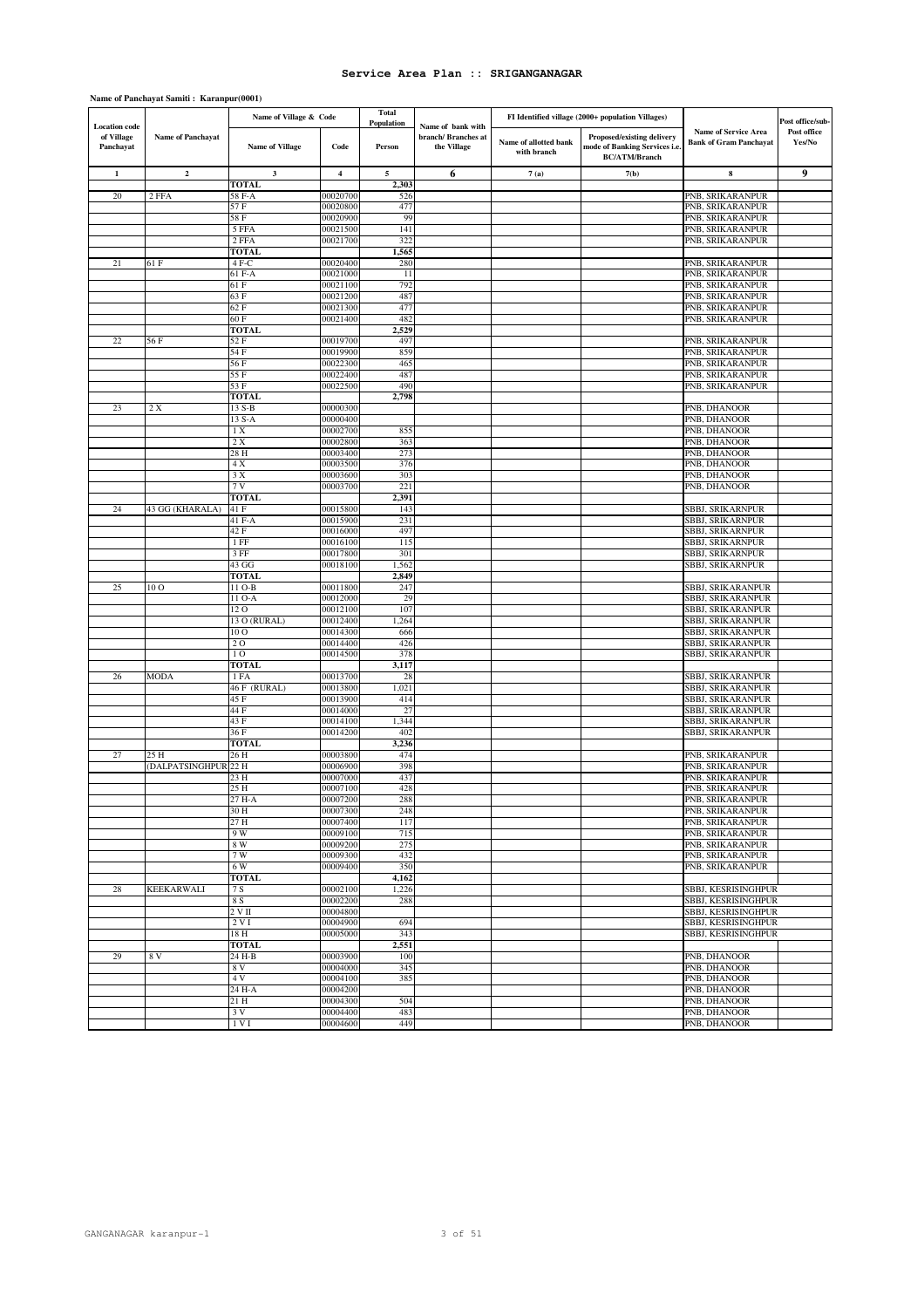| <b>Location</b> code    |                         | Name of Village & Code         |                      | <b>Total</b><br>Population | Name of bank with                  |                                      | FI Identified village (2000+ population Villages)                                   |                                                              | Post office/sub-      |
|-------------------------|-------------------------|--------------------------------|----------------------|----------------------------|------------------------------------|--------------------------------------|-------------------------------------------------------------------------------------|--------------------------------------------------------------|-----------------------|
| of Village<br>Panchayat | Name of Panchayat       | Name of Village                | Code                 | Person                     | branch/ Branches at<br>the Village | Name of allotted bank<br>with branch | Proposed/existing delivery<br>mode of Banking Services i.e.<br><b>BC/ATM/Branch</b> | <b>Name of Service Area</b><br><b>Bank of Gram Panchayat</b> | Post office<br>Yes/No |
| $\mathbf{1}$            | $\mathbf{2}$            | $\mathbf{3}$                   | $\boldsymbol{4}$     | 5                          | 6                                  | 7(a)                                 | 7(b)                                                                                | 8                                                            | 9                     |
|                         |                         | <b>TOTAL</b>                   |                      | 2,303                      |                                    |                                      |                                                                                     |                                                              |                       |
| 20                      | 2 FFA                   | 58 F-A                         | 00020700             | 526                        |                                    |                                      |                                                                                     | PNB, SRIKARANPUR                                             |                       |
|                         |                         | 57 F                           | 00020800             | 477                        |                                    |                                      |                                                                                     | PNB, SRIKARANPUR                                             |                       |
|                         |                         | 58 F<br>5 FFA                  | 00020900<br>00021500 | 99<br>141                  |                                    |                                      |                                                                                     | PNB, SRIKARANPUR<br>PNB, SRIKARANPUR                         |                       |
|                         |                         | 2 FFA                          | 00021700             | 322                        |                                    |                                      |                                                                                     | PNB, SRIKARANPUR                                             |                       |
|                         |                         | <b>TOTAL</b>                   |                      | 1,565                      |                                    |                                      |                                                                                     |                                                              |                       |
| 21                      | 61 F                    | 4 F-C                          | 00020400             | 280                        |                                    |                                      |                                                                                     | PNB, SRIKARANPUR                                             |                       |
|                         |                         | 61 F-A                         | 00021000             | 11                         |                                    |                                      |                                                                                     | PNB, SRIKARANPUR                                             |                       |
|                         |                         | 61 F                           | 00021100             | 792                        |                                    |                                      |                                                                                     | PNB, SRIKARANPUR                                             |                       |
|                         |                         | 63 F                           | 00021200             | 487                        |                                    |                                      |                                                                                     | PNB, SRIKARANPUR                                             |                       |
|                         |                         | 62 F                           | 00021300             | 477<br>482                 |                                    |                                      |                                                                                     | PNB, SRIKARANPUR                                             |                       |
|                         |                         | 60 F<br><b>TOTAL</b>           | 00021400             | 2,529                      |                                    |                                      |                                                                                     | PNB, SRIKARANPUR                                             |                       |
| 22                      | 56 F                    | 52 F                           | 00019700             | 497                        |                                    |                                      |                                                                                     | PNB, SRIKARANPUR                                             |                       |
|                         |                         | 54 F                           | 00019900             | 859                        |                                    |                                      |                                                                                     | PNB, SRIKARANPUR                                             |                       |
|                         |                         | 56 F                           | 00022300             | 465                        |                                    |                                      |                                                                                     | PNB, SRIKARANPUR                                             |                       |
|                         |                         | 55 F                           | 00022400             | 487                        |                                    |                                      |                                                                                     | PNB, SRIKARANPUR                                             |                       |
|                         |                         | 53 F                           | 00022500             | 490                        |                                    |                                      |                                                                                     | PNB, SRIKARANPUR                                             |                       |
|                         |                         | <b>TOTAL</b>                   |                      | 2,798                      |                                    |                                      |                                                                                     |                                                              |                       |
| 23                      | 2 X                     | 13 S-B                         | 00000300             |                            |                                    |                                      |                                                                                     | PNB, DHANOOR                                                 |                       |
|                         |                         | 13 S-A                         | 00000400             |                            |                                    |                                      |                                                                                     | PNB, DHANOOR                                                 |                       |
|                         |                         | 1 X<br>2 X                     | 00002700<br>00002800 | 855<br>363                 |                                    |                                      |                                                                                     | PNB, DHANOOR<br>PNB, DHANOOR                                 |                       |
|                         |                         | 28 H                           | 00003400             | 273                        |                                    |                                      |                                                                                     | PNB, DHANOOR                                                 |                       |
|                         |                         | 4 X                            | 00003500             | 376                        |                                    |                                      |                                                                                     | PNB, DHANOOR                                                 |                       |
|                         |                         | 3X                             | 00003600             | 303                        |                                    |                                      |                                                                                     | PNB, DHANOOR                                                 |                       |
|                         |                         | 7V                             | 00003700             | 221                        |                                    |                                      |                                                                                     | PNB, DHANOOR                                                 |                       |
|                         |                         | <b>TOTAL</b>                   |                      | 2,391                      |                                    |                                      |                                                                                     |                                                              |                       |
| 24                      | 43 GG (KHARALA)         | 41 F                           | 00015800             | 143                        |                                    |                                      |                                                                                     | SBBJ, SRIKARNPUR                                             |                       |
|                         |                         | 41 F-A                         | 00015900             | 231                        |                                    |                                      |                                                                                     | SBBJ, SRIKARNPUR                                             |                       |
|                         |                         | 42 F                           | 00016000             | 497                        |                                    |                                      |                                                                                     | SBBJ, SRIKARNPUR                                             |                       |
|                         |                         | $1$ FF<br>3 FF                 | 00016100<br>00017800 | 115<br>301                 |                                    |                                      |                                                                                     | SBBJ, SRIKARNPUR<br>SBBJ, SRIKARNPUR                         |                       |
|                         |                         | 43 GG                          | 00018100             | 1,562                      |                                    |                                      |                                                                                     | SBBJ, SRIKARNPUR                                             |                       |
|                         |                         | <b>TOTAL</b>                   |                      | 2,849                      |                                    |                                      |                                                                                     |                                                              |                       |
| 25                      | 10 O                    | 11 O-B                         | 00011800             | 247                        |                                    |                                      |                                                                                     | SBBJ, SRIKARANPUR                                            |                       |
|                         |                         | 11 O-A                         | 00012000             | 29                         |                                    |                                      |                                                                                     | SBBJ, SRIKARANPUR                                            |                       |
|                         |                         | 12 O                           | 00012100             | 107                        |                                    |                                      |                                                                                     | SBBJ, SRIKARANPUR                                            |                       |
|                         |                         | 13 O (RURAL)                   | 00012400             | 1,264                      |                                    |                                      |                                                                                     | SBBJ, SRIKARANPUR                                            |                       |
|                         |                         | 10 <sub>O</sub>                | 00014300             | 666                        |                                    |                                      |                                                                                     | SBBJ, SRIKARANPUR                                            |                       |
|                         |                         | 20                             | 00014400             | 426                        |                                    |                                      |                                                                                     | SBBJ, SRIKARANPUR                                            |                       |
|                         |                         | 1 <sub>O</sub><br><b>TOTAL</b> | 00014500             | 378<br>3,117               |                                    |                                      |                                                                                     | SBBJ, SRIKARANPUR                                            |                       |
| 26                      | MODA                    | 1 FA                           | 00013700             | 28                         |                                    |                                      |                                                                                     | SBBJ, SRIKARANPUR                                            |                       |
|                         |                         | 46 F (RURAL)                   | 00013800             | 1,021                      |                                    |                                      |                                                                                     | SBBJ, SRIKARANPUR                                            |                       |
|                         |                         | 45 F                           | 00013900             | 414                        |                                    |                                      |                                                                                     | SBBJ, SRIKARANPUR                                            |                       |
|                         |                         | 44 F                           | 00014000             | 27                         |                                    |                                      |                                                                                     | SBBJ, SRIKARANPUR                                            |                       |
|                         |                         | 43 F                           | 00014100             | 1,344                      |                                    |                                      |                                                                                     | SBBJ, SRIKARANPUR                                            |                       |
|                         |                         | 36 F                           | 00014200             | 402                        |                                    |                                      |                                                                                     | SBBJ, SRIKARANPUR                                            |                       |
|                         |                         | <b>TOTAL</b>                   |                      | 3,236                      |                                    |                                      |                                                                                     |                                                              |                       |
| 27                      | 25 H<br>(DALPATSINGHPUR | 26 H<br>22 H                   | 00003800<br>00006900 | 474<br>398                 |                                    |                                      |                                                                                     | PNB, SRIKARANPUR<br>PNB, SRIKARANPUR                         |                       |
|                         |                         | 23 H                           | 00007000             | 437                        |                                    |                                      |                                                                                     | PNB, SRIKARANPUR                                             |                       |
|                         |                         | 25 H                           | 00007100             | 428                        |                                    |                                      |                                                                                     | PNB, SRIKARANPUR                                             |                       |
|                         |                         | 27 H-A                         | 00007200             | 288                        |                                    |                                      |                                                                                     | PNB, SRIKARANPUR                                             |                       |
|                         |                         | 30 H                           | 00007300             | 248                        |                                    |                                      |                                                                                     | PNB, SRIKARANPUR                                             |                       |
|                         |                         | 27H                            | 00007400             | 117                        |                                    |                                      |                                                                                     | PNB, SRIKARANPUR                                             |                       |
|                         |                         | 9 W                            | 00009100             | 715                        |                                    |                                      |                                                                                     | PNB, SRIKARANPUR                                             |                       |
|                         |                         | 8 W                            | 00009200             | 275                        |                                    |                                      |                                                                                     | PNB, SRIKARANPUR                                             |                       |
|                         |                         | 7W<br>6 W                      | 00009300<br>00009400 | 432<br>350                 |                                    |                                      |                                                                                     | PNB, SRIKARANPUR<br>PNB, SRIKARANPUR                         |                       |
|                         |                         | <b>TOTAL</b>                   |                      | 4,162                      |                                    |                                      |                                                                                     |                                                              |                       |
| 28                      | <b>KEEKARWALI</b>       | 7 S                            | 00002100             | 1,226                      |                                    |                                      |                                                                                     | SBBJ, KESRISINGHPUR                                          |                       |
|                         |                         | 8 S                            | 00002200             | 288                        |                                    |                                      |                                                                                     | SBBJ, KESRISINGHPUR                                          |                       |
|                         |                         | $2 \mathrm{V} \Pi$             | 00004800             |                            |                                    |                                      |                                                                                     | SBBJ, KESRISINGHPUR                                          |                       |
|                         |                         | 2 V I                          | 00004900             | 694                        |                                    |                                      |                                                                                     | SBBJ, KESRISINGHPUR                                          |                       |
|                         |                         | 18 H                           | 00005000             | 343                        |                                    |                                      |                                                                                     | SBBJ, KESRISINGHPUR                                          |                       |
|                         |                         | <b>TOTAL</b>                   |                      | 2,551                      |                                    |                                      |                                                                                     |                                                              |                       |
| 29                      | 8V                      | 24 H-B                         | 00003900             | 100                        |                                    |                                      |                                                                                     | PNB, DHANOOR                                                 |                       |
|                         |                         | 8 V<br>4 V                     | 00004000<br>00004100 | 345<br>385                 |                                    |                                      |                                                                                     | PNB, DHANOOR<br>PNB, DHANOOR                                 |                       |
|                         |                         | 24 H-A                         | 00004200             |                            |                                    |                                      |                                                                                     | PNB, DHANOOR                                                 |                       |
|                         |                         | 21 H                           | 00004300             | 504                        |                                    |                                      |                                                                                     | PNB, DHANOOR                                                 |                       |
|                         |                         | 3V                             | 00004400             | 483                        |                                    |                                      |                                                                                     | PNB, DHANOOR                                                 |                       |
|                         |                         | 1VI                            | 00004600             | 449                        |                                    |                                      |                                                                                     | PNB, DHANOOR                                                 |                       |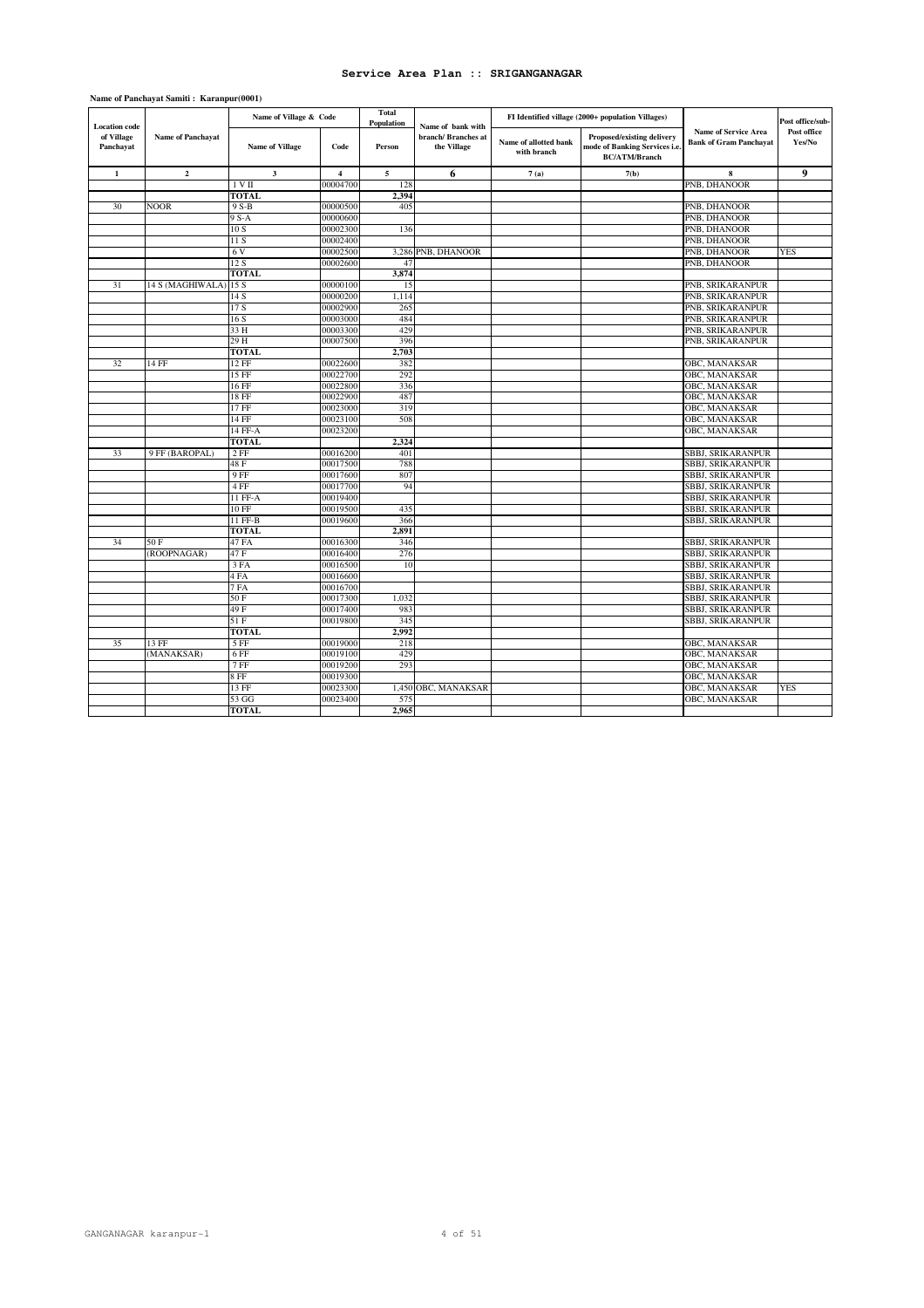| Population<br><b>Location</b> code<br>Name of bank with<br><b>Name of Service Area</b><br>of Village<br>Name of Panchayat<br>branch/ Branches at<br>Proposed/existing delivery<br>Name of allotted bank<br><b>Bank of Gram Panchayat</b><br>mode of Banking Services i.e.<br>Panchayat<br><b>Name of Village</b><br>Code<br>the Village<br>Person<br>with branch<br><b>BC/ATM/Branch</b><br>5<br>$\bf8$<br>$\mathbf{1}$<br>$\mathbf 2$<br>$\mathbf{3}$<br>$\overline{\mathbf{4}}$<br>7(a)<br>7(b)<br>6<br>00004700<br>PNB, DHANOOR<br>1VII<br>128<br><b>TOTAL</b><br>2.394<br>PNB, DHANOOR<br>30<br><b>NOOR</b><br>9 S-B<br>00000500<br>405<br>9 S-A<br>00000600<br>PNB, DHANOOR<br>10 S<br>PNB, DHANOOR<br>00002300<br>136<br>PNB, DHANOOR<br>00002400<br>11 S<br>6V<br>00002500<br>3,286 PNB, DHANOOR<br>PNB, DHANOOR<br>12S<br>00002600<br>47<br>PNB, DHANOOR<br><b>TOTAL</b><br>3,874<br>PNB, SRIKARANPUR<br>31<br>14 S (MAGHIWALA)<br>15S<br>00000100<br>15<br>1,114<br>PNB, SRIKARANPUR<br>14 S<br>00000200<br>17 S<br>00002900<br>265<br>PNB, SRIKARANPUR<br>PNB, SRIKARANPUR<br>16 S<br>00003000<br>484<br>33 H<br>429<br>PNB, SRIKARANPUR<br>00003300<br>00007500<br>396<br>PNB, SRIKARANPUR<br>29 H<br><b>TOTAL</b><br>2,703<br>32<br>14 FF<br>$12$ FF<br>382<br>OBC, MANAKSAR<br>00022600<br>00022700<br>292<br>15 FF<br>OBC, MANAKSAR<br>336<br>OBC, MANAKSAR<br>16 FF<br>00022800<br>487<br>18 FF<br>OBC, MANAKSAR<br>00022900<br>17 FF<br>319<br>OBC, MANAKSAR<br>00023000<br>$14$ FF<br>00023100<br>508<br>OBC, MANAKSAR<br>OBC, MANAKSAR<br>14 FF-A<br>00023200<br><b>TOTAL</b><br>2,324<br>33<br>9 FF (BAROPAL)<br>$2$ FF<br>00016200<br>401<br>SBBJ, SRIKARANPUR<br>788<br>48 F<br>00017500<br>SBBJ, SRIKARANPUR<br>9 FF<br>00017600<br>807<br>SBBJ, SRIKARANPUR<br>4 FF<br>00017700<br>94<br>SBBJ, SRIKARANPUR<br>SBBJ, SRIKARANPUR<br>11 FF-A<br>00019400<br><b>SBBJ, SRIKARANPUR</b><br>$10$ FF<br>00019500<br>435<br>11 FF-B<br>366<br>SBBJ, SRIKARANPUR<br>00019600 | Post office/sub-<br>Post office<br>Yes/No<br>9<br><b>YES</b> |
|--------------------------------------------------------------------------------------------------------------------------------------------------------------------------------------------------------------------------------------------------------------------------------------------------------------------------------------------------------------------------------------------------------------------------------------------------------------------------------------------------------------------------------------------------------------------------------------------------------------------------------------------------------------------------------------------------------------------------------------------------------------------------------------------------------------------------------------------------------------------------------------------------------------------------------------------------------------------------------------------------------------------------------------------------------------------------------------------------------------------------------------------------------------------------------------------------------------------------------------------------------------------------------------------------------------------------------------------------------------------------------------------------------------------------------------------------------------------------------------------------------------------------------------------------------------------------------------------------------------------------------------------------------------------------------------------------------------------------------------------------------------------------------------------------------------------------------------------------------------------------------------------------------------------------------------------------------------------------------------------|--------------------------------------------------------------|
|                                                                                                                                                                                                                                                                                                                                                                                                                                                                                                                                                                                                                                                                                                                                                                                                                                                                                                                                                                                                                                                                                                                                                                                                                                                                                                                                                                                                                                                                                                                                                                                                                                                                                                                                                                                                                                                                                                                                                                                            |                                                              |
|                                                                                                                                                                                                                                                                                                                                                                                                                                                                                                                                                                                                                                                                                                                                                                                                                                                                                                                                                                                                                                                                                                                                                                                                                                                                                                                                                                                                                                                                                                                                                                                                                                                                                                                                                                                                                                                                                                                                                                                            |                                                              |
|                                                                                                                                                                                                                                                                                                                                                                                                                                                                                                                                                                                                                                                                                                                                                                                                                                                                                                                                                                                                                                                                                                                                                                                                                                                                                                                                                                                                                                                                                                                                                                                                                                                                                                                                                                                                                                                                                                                                                                                            |                                                              |
|                                                                                                                                                                                                                                                                                                                                                                                                                                                                                                                                                                                                                                                                                                                                                                                                                                                                                                                                                                                                                                                                                                                                                                                                                                                                                                                                                                                                                                                                                                                                                                                                                                                                                                                                                                                                                                                                                                                                                                                            |                                                              |
|                                                                                                                                                                                                                                                                                                                                                                                                                                                                                                                                                                                                                                                                                                                                                                                                                                                                                                                                                                                                                                                                                                                                                                                                                                                                                                                                                                                                                                                                                                                                                                                                                                                                                                                                                                                                                                                                                                                                                                                            |                                                              |
|                                                                                                                                                                                                                                                                                                                                                                                                                                                                                                                                                                                                                                                                                                                                                                                                                                                                                                                                                                                                                                                                                                                                                                                                                                                                                                                                                                                                                                                                                                                                                                                                                                                                                                                                                                                                                                                                                                                                                                                            |                                                              |
|                                                                                                                                                                                                                                                                                                                                                                                                                                                                                                                                                                                                                                                                                                                                                                                                                                                                                                                                                                                                                                                                                                                                                                                                                                                                                                                                                                                                                                                                                                                                                                                                                                                                                                                                                                                                                                                                                                                                                                                            |                                                              |
|                                                                                                                                                                                                                                                                                                                                                                                                                                                                                                                                                                                                                                                                                                                                                                                                                                                                                                                                                                                                                                                                                                                                                                                                                                                                                                                                                                                                                                                                                                                                                                                                                                                                                                                                                                                                                                                                                                                                                                                            |                                                              |
|                                                                                                                                                                                                                                                                                                                                                                                                                                                                                                                                                                                                                                                                                                                                                                                                                                                                                                                                                                                                                                                                                                                                                                                                                                                                                                                                                                                                                                                                                                                                                                                                                                                                                                                                                                                                                                                                                                                                                                                            |                                                              |
|                                                                                                                                                                                                                                                                                                                                                                                                                                                                                                                                                                                                                                                                                                                                                                                                                                                                                                                                                                                                                                                                                                                                                                                                                                                                                                                                                                                                                                                                                                                                                                                                                                                                                                                                                                                                                                                                                                                                                                                            |                                                              |
|                                                                                                                                                                                                                                                                                                                                                                                                                                                                                                                                                                                                                                                                                                                                                                                                                                                                                                                                                                                                                                                                                                                                                                                                                                                                                                                                                                                                                                                                                                                                                                                                                                                                                                                                                                                                                                                                                                                                                                                            |                                                              |
|                                                                                                                                                                                                                                                                                                                                                                                                                                                                                                                                                                                                                                                                                                                                                                                                                                                                                                                                                                                                                                                                                                                                                                                                                                                                                                                                                                                                                                                                                                                                                                                                                                                                                                                                                                                                                                                                                                                                                                                            |                                                              |
|                                                                                                                                                                                                                                                                                                                                                                                                                                                                                                                                                                                                                                                                                                                                                                                                                                                                                                                                                                                                                                                                                                                                                                                                                                                                                                                                                                                                                                                                                                                                                                                                                                                                                                                                                                                                                                                                                                                                                                                            |                                                              |
|                                                                                                                                                                                                                                                                                                                                                                                                                                                                                                                                                                                                                                                                                                                                                                                                                                                                                                                                                                                                                                                                                                                                                                                                                                                                                                                                                                                                                                                                                                                                                                                                                                                                                                                                                                                                                                                                                                                                                                                            |                                                              |
|                                                                                                                                                                                                                                                                                                                                                                                                                                                                                                                                                                                                                                                                                                                                                                                                                                                                                                                                                                                                                                                                                                                                                                                                                                                                                                                                                                                                                                                                                                                                                                                                                                                                                                                                                                                                                                                                                                                                                                                            |                                                              |
|                                                                                                                                                                                                                                                                                                                                                                                                                                                                                                                                                                                                                                                                                                                                                                                                                                                                                                                                                                                                                                                                                                                                                                                                                                                                                                                                                                                                                                                                                                                                                                                                                                                                                                                                                                                                                                                                                                                                                                                            |                                                              |
|                                                                                                                                                                                                                                                                                                                                                                                                                                                                                                                                                                                                                                                                                                                                                                                                                                                                                                                                                                                                                                                                                                                                                                                                                                                                                                                                                                                                                                                                                                                                                                                                                                                                                                                                                                                                                                                                                                                                                                                            |                                                              |
|                                                                                                                                                                                                                                                                                                                                                                                                                                                                                                                                                                                                                                                                                                                                                                                                                                                                                                                                                                                                                                                                                                                                                                                                                                                                                                                                                                                                                                                                                                                                                                                                                                                                                                                                                                                                                                                                                                                                                                                            |                                                              |
|                                                                                                                                                                                                                                                                                                                                                                                                                                                                                                                                                                                                                                                                                                                                                                                                                                                                                                                                                                                                                                                                                                                                                                                                                                                                                                                                                                                                                                                                                                                                                                                                                                                                                                                                                                                                                                                                                                                                                                                            |                                                              |
|                                                                                                                                                                                                                                                                                                                                                                                                                                                                                                                                                                                                                                                                                                                                                                                                                                                                                                                                                                                                                                                                                                                                                                                                                                                                                                                                                                                                                                                                                                                                                                                                                                                                                                                                                                                                                                                                                                                                                                                            |                                                              |
|                                                                                                                                                                                                                                                                                                                                                                                                                                                                                                                                                                                                                                                                                                                                                                                                                                                                                                                                                                                                                                                                                                                                                                                                                                                                                                                                                                                                                                                                                                                                                                                                                                                                                                                                                                                                                                                                                                                                                                                            |                                                              |
|                                                                                                                                                                                                                                                                                                                                                                                                                                                                                                                                                                                                                                                                                                                                                                                                                                                                                                                                                                                                                                                                                                                                                                                                                                                                                                                                                                                                                                                                                                                                                                                                                                                                                                                                                                                                                                                                                                                                                                                            |                                                              |
|                                                                                                                                                                                                                                                                                                                                                                                                                                                                                                                                                                                                                                                                                                                                                                                                                                                                                                                                                                                                                                                                                                                                                                                                                                                                                                                                                                                                                                                                                                                                                                                                                                                                                                                                                                                                                                                                                                                                                                                            |                                                              |
|                                                                                                                                                                                                                                                                                                                                                                                                                                                                                                                                                                                                                                                                                                                                                                                                                                                                                                                                                                                                                                                                                                                                                                                                                                                                                                                                                                                                                                                                                                                                                                                                                                                                                                                                                                                                                                                                                                                                                                                            |                                                              |
|                                                                                                                                                                                                                                                                                                                                                                                                                                                                                                                                                                                                                                                                                                                                                                                                                                                                                                                                                                                                                                                                                                                                                                                                                                                                                                                                                                                                                                                                                                                                                                                                                                                                                                                                                                                                                                                                                                                                                                                            |                                                              |
|                                                                                                                                                                                                                                                                                                                                                                                                                                                                                                                                                                                                                                                                                                                                                                                                                                                                                                                                                                                                                                                                                                                                                                                                                                                                                                                                                                                                                                                                                                                                                                                                                                                                                                                                                                                                                                                                                                                                                                                            |                                                              |
|                                                                                                                                                                                                                                                                                                                                                                                                                                                                                                                                                                                                                                                                                                                                                                                                                                                                                                                                                                                                                                                                                                                                                                                                                                                                                                                                                                                                                                                                                                                                                                                                                                                                                                                                                                                                                                                                                                                                                                                            |                                                              |
|                                                                                                                                                                                                                                                                                                                                                                                                                                                                                                                                                                                                                                                                                                                                                                                                                                                                                                                                                                                                                                                                                                                                                                                                                                                                                                                                                                                                                                                                                                                                                                                                                                                                                                                                                                                                                                                                                                                                                                                            |                                                              |
|                                                                                                                                                                                                                                                                                                                                                                                                                                                                                                                                                                                                                                                                                                                                                                                                                                                                                                                                                                                                                                                                                                                                                                                                                                                                                                                                                                                                                                                                                                                                                                                                                                                                                                                                                                                                                                                                                                                                                                                            |                                                              |
|                                                                                                                                                                                                                                                                                                                                                                                                                                                                                                                                                                                                                                                                                                                                                                                                                                                                                                                                                                                                                                                                                                                                                                                                                                                                                                                                                                                                                                                                                                                                                                                                                                                                                                                                                                                                                                                                                                                                                                                            |                                                              |
|                                                                                                                                                                                                                                                                                                                                                                                                                                                                                                                                                                                                                                                                                                                                                                                                                                                                                                                                                                                                                                                                                                                                                                                                                                                                                                                                                                                                                                                                                                                                                                                                                                                                                                                                                                                                                                                                                                                                                                                            |                                                              |
|                                                                                                                                                                                                                                                                                                                                                                                                                                                                                                                                                                                                                                                                                                                                                                                                                                                                                                                                                                                                                                                                                                                                                                                                                                                                                                                                                                                                                                                                                                                                                                                                                                                                                                                                                                                                                                                                                                                                                                                            |                                                              |
|                                                                                                                                                                                                                                                                                                                                                                                                                                                                                                                                                                                                                                                                                                                                                                                                                                                                                                                                                                                                                                                                                                                                                                                                                                                                                                                                                                                                                                                                                                                                                                                                                                                                                                                                                                                                                                                                                                                                                                                            |                                                              |
| 2,891<br><b>TOTAL</b>                                                                                                                                                                                                                                                                                                                                                                                                                                                                                                                                                                                                                                                                                                                                                                                                                                                                                                                                                                                                                                                                                                                                                                                                                                                                                                                                                                                                                                                                                                                                                                                                                                                                                                                                                                                                                                                                                                                                                                      |                                                              |
| 34<br>50 F<br>47 FA<br>00016300<br>346<br>SBBJ, SRIKARANPUR                                                                                                                                                                                                                                                                                                                                                                                                                                                                                                                                                                                                                                                                                                                                                                                                                                                                                                                                                                                                                                                                                                                                                                                                                                                                                                                                                                                                                                                                                                                                                                                                                                                                                                                                                                                                                                                                                                                                |                                                              |
| (ROOPNAGAR)<br>47 F<br>00016400<br>276<br>SBBJ, SRIKARANPUR                                                                                                                                                                                                                                                                                                                                                                                                                                                                                                                                                                                                                                                                                                                                                                                                                                                                                                                                                                                                                                                                                                                                                                                                                                                                                                                                                                                                                                                                                                                                                                                                                                                                                                                                                                                                                                                                                                                                |                                                              |
| SBBJ, SRIKARANPUR<br>3 FA<br>00016500<br>10                                                                                                                                                                                                                                                                                                                                                                                                                                                                                                                                                                                                                                                                                                                                                                                                                                                                                                                                                                                                                                                                                                                                                                                                                                                                                                                                                                                                                                                                                                                                                                                                                                                                                                                                                                                                                                                                                                                                                |                                                              |
| 00016600<br>SBBJ, SRIKARANPUR<br>4 FA                                                                                                                                                                                                                                                                                                                                                                                                                                                                                                                                                                                                                                                                                                                                                                                                                                                                                                                                                                                                                                                                                                                                                                                                                                                                                                                                                                                                                                                                                                                                                                                                                                                                                                                                                                                                                                                                                                                                                      |                                                              |
| 7 FA<br>SBBJ, SRIKARANPUR<br>00016700                                                                                                                                                                                                                                                                                                                                                                                                                                                                                                                                                                                                                                                                                                                                                                                                                                                                                                                                                                                                                                                                                                                                                                                                                                                                                                                                                                                                                                                                                                                                                                                                                                                                                                                                                                                                                                                                                                                                                      |                                                              |
| 50 F<br>00017300<br>1,032<br>SBBJ, SRIKARANPUR                                                                                                                                                                                                                                                                                                                                                                                                                                                                                                                                                                                                                                                                                                                                                                                                                                                                                                                                                                                                                                                                                                                                                                                                                                                                                                                                                                                                                                                                                                                                                                                                                                                                                                                                                                                                                                                                                                                                             |                                                              |
| 49 F<br>00017400<br>983<br>SBBJ, SRIKARANPUR                                                                                                                                                                                                                                                                                                                                                                                                                                                                                                                                                                                                                                                                                                                                                                                                                                                                                                                                                                                                                                                                                                                                                                                                                                                                                                                                                                                                                                                                                                                                                                                                                                                                                                                                                                                                                                                                                                                                               |                                                              |
| 51 F<br>00019800<br>345<br>SBBJ, SRIKARANPUR                                                                                                                                                                                                                                                                                                                                                                                                                                                                                                                                                                                                                                                                                                                                                                                                                                                                                                                                                                                                                                                                                                                                                                                                                                                                                                                                                                                                                                                                                                                                                                                                                                                                                                                                                                                                                                                                                                                                               |                                                              |
| 2.992<br><b>TOTAL</b>                                                                                                                                                                                                                                                                                                                                                                                                                                                                                                                                                                                                                                                                                                                                                                                                                                                                                                                                                                                                                                                                                                                                                                                                                                                                                                                                                                                                                                                                                                                                                                                                                                                                                                                                                                                                                                                                                                                                                                      |                                                              |
| 35<br>13 FF<br>00019000<br>218<br>OBC, MANAKSAR<br>5 FF                                                                                                                                                                                                                                                                                                                                                                                                                                                                                                                                                                                                                                                                                                                                                                                                                                                                                                                                                                                                                                                                                                                                                                                                                                                                                                                                                                                                                                                                                                                                                                                                                                                                                                                                                                                                                                                                                                                                    |                                                              |
| (MANAKSAR)<br>6 FF<br>429<br>OBC, MANAKSAR<br>00019100                                                                                                                                                                                                                                                                                                                                                                                                                                                                                                                                                                                                                                                                                                                                                                                                                                                                                                                                                                                                                                                                                                                                                                                                                                                                                                                                                                                                                                                                                                                                                                                                                                                                                                                                                                                                                                                                                                                                     |                                                              |
| 293<br>$7$ FF<br>OBC, MANAKSAR<br>00019200                                                                                                                                                                                                                                                                                                                                                                                                                                                                                                                                                                                                                                                                                                                                                                                                                                                                                                                                                                                                                                                                                                                                                                                                                                                                                                                                                                                                                                                                                                                                                                                                                                                                                                                                                                                                                                                                                                                                                 |                                                              |
| 8 FF<br>00019300<br>OBC, MANAKSAR                                                                                                                                                                                                                                                                                                                                                                                                                                                                                                                                                                                                                                                                                                                                                                                                                                                                                                                                                                                                                                                                                                                                                                                                                                                                                                                                                                                                                                                                                                                                                                                                                                                                                                                                                                                                                                                                                                                                                          |                                                              |
| 13 FF<br>00023300<br>1,450 OBC, MANAKSAR<br>OBC, MANAKSAR                                                                                                                                                                                                                                                                                                                                                                                                                                                                                                                                                                                                                                                                                                                                                                                                                                                                                                                                                                                                                                                                                                                                                                                                                                                                                                                                                                                                                                                                                                                                                                                                                                                                                                                                                                                                                                                                                                                                  | <b>YES</b>                                                   |
| 53 GG<br>575<br>00023400<br>OBC, MANAKSAR                                                                                                                                                                                                                                                                                                                                                                                                                                                                                                                                                                                                                                                                                                                                                                                                                                                                                                                                                                                                                                                                                                                                                                                                                                                                                                                                                                                                                                                                                                                                                                                                                                                                                                                                                                                                                                                                                                                                                  |                                                              |
| <b>TOTAL</b><br>2,965                                                                                                                                                                                                                                                                                                                                                                                                                                                                                                                                                                                                                                                                                                                                                                                                                                                                                                                                                                                                                                                                                                                                                                                                                                                                                                                                                                                                                                                                                                                                                                                                                                                                                                                                                                                                                                                                                                                                                                      |                                                              |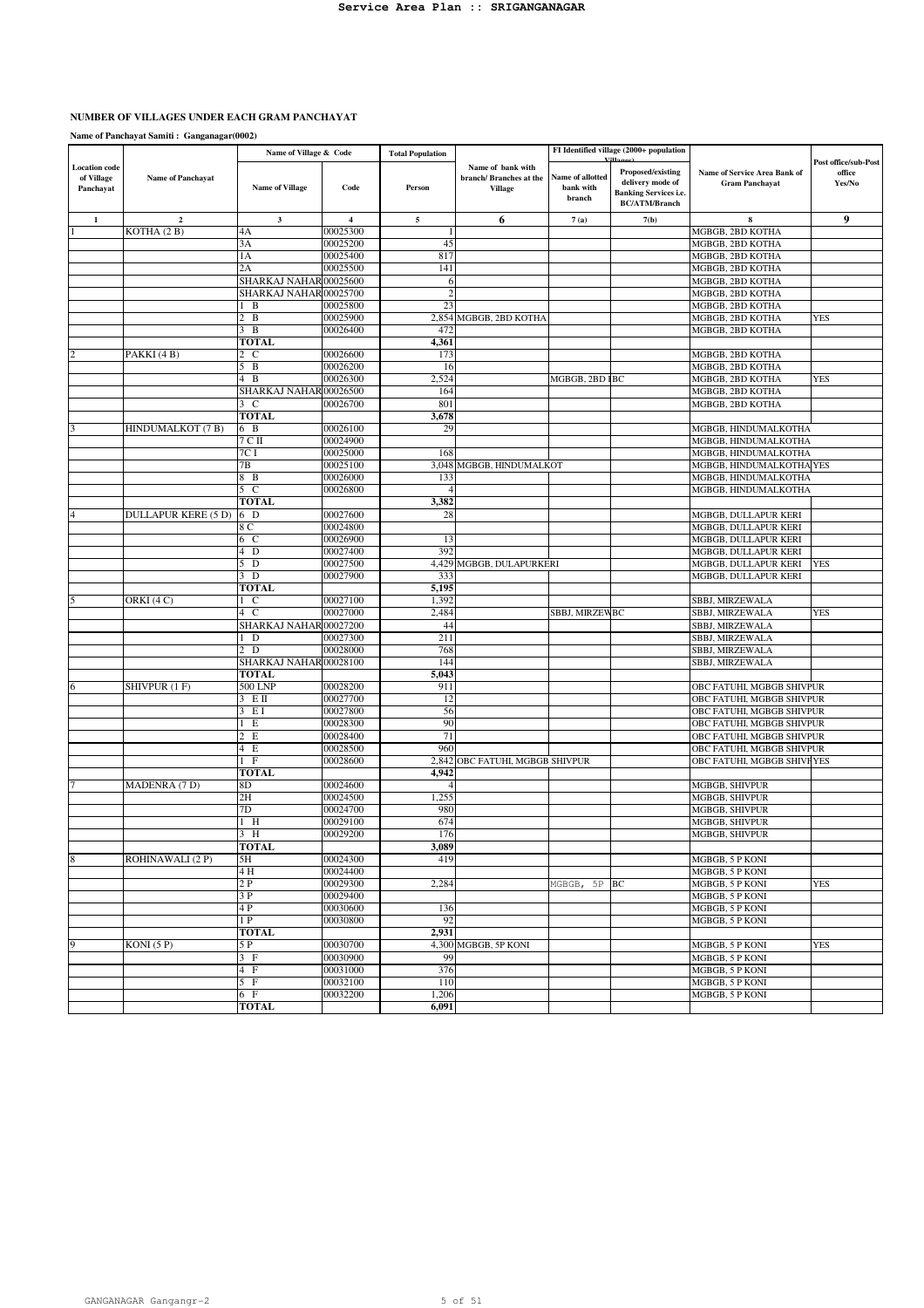#### **NUMBER OF VILLAGES UNDER EACH GRAM PANCHAYAT**

|                                                 |                                | Name of Village & Code |                      | <b>Total Population</b> |                                                                |                                         | FI Identified village (2000+ population                                                       |                                                       |                                          |
|-------------------------------------------------|--------------------------------|------------------------|----------------------|-------------------------|----------------------------------------------------------------|-----------------------------------------|-----------------------------------------------------------------------------------------------|-------------------------------------------------------|------------------------------------------|
| <b>Location</b> code<br>of Village<br>Panchayat | <b>Name of Panchayat</b>       | <b>Name of Village</b> | Code                 | Person                  | Name of bank with<br>branch/ Branches at the<br><b>Village</b> | Name of allotted<br>bank with<br>branch | Proposed/existing<br>delivery mode of<br><b>Banking Services i.e.</b><br><b>BC/ATM/Branch</b> | Name of Service Area Bank of<br><b>Gram Panchayat</b> | Post office/sub-Post<br>office<br>Yes/No |
| $\mathbf{1}$                                    | $\overline{\mathbf{c}}$        | $\mathbf{3}$           | $\overline{4}$       | 5                       | 6                                                              | 7(a)                                    | 7(b)                                                                                          | $\bf8$                                                | 9                                        |
|                                                 | KOTHA (2 B)                    | 4A                     | 00025300             |                         |                                                                |                                         |                                                                                               | MGBGB, 2BD KOTHA                                      |                                          |
|                                                 |                                | 3A                     | 00025200             | 45                      |                                                                |                                         |                                                                                               | MGBGB, 2BD KOTHA                                      |                                          |
|                                                 |                                | 1A                     | 00025400             | 817                     |                                                                |                                         |                                                                                               | MGBGB, 2BD KOTHA                                      |                                          |
|                                                 |                                | 2A                     | 00025500             | 141                     |                                                                |                                         |                                                                                               | MGBGB, 2BD KOTHA                                      |                                          |
|                                                 |                                | SHARKAJ NAHAR00025600  |                      | 6                       |                                                                |                                         |                                                                                               | MGBGB, 2BD KOTHA                                      |                                          |
|                                                 |                                | SHARKAJ NAHAR 00025700 |                      | $\overline{c}$          |                                                                |                                         |                                                                                               | MGBGB, 2BD KOTHA                                      |                                          |
|                                                 |                                | B<br>$\, {\bf B}$<br>2 | 00025800<br>00025900 | 23<br>2,854             |                                                                |                                         |                                                                                               | MGBGB, 2BD KOTHA                                      | <b>YES</b>                               |
|                                                 |                                | 3 B                    | 00026400             | 472                     | MGBGB, 2BD KOTHA                                               |                                         |                                                                                               | MGBGB, 2BD KOTHA<br>MGBGB, 2BD KOTHA                  |                                          |
|                                                 |                                | TOTAL                  |                      | 4,361                   |                                                                |                                         |                                                                                               |                                                       |                                          |
|                                                 | PAKKI (4B)                     | $\mathfrak{D}$<br>C    | 00026600             | 173                     |                                                                |                                         |                                                                                               | MGBGB, 2BD KOTHA                                      |                                          |
|                                                 |                                | 5 B                    | 00026200             | 16                      |                                                                |                                         |                                                                                               | MGBGB, 2BD KOTHA                                      |                                          |
|                                                 |                                | 4 B                    | 00026300             | 2,524                   |                                                                | MGBGB, 2BD IBC                          |                                                                                               | MGBGB, 2BD KOTHA                                      | <b>YES</b>                               |
|                                                 |                                | SHARKAJ NAHAR00026500  |                      | 164                     |                                                                |                                         |                                                                                               | MGBGB, 2BD KOTHA                                      |                                          |
|                                                 |                                | 3 C                    | 00026700             | 801                     |                                                                |                                         |                                                                                               | MGBGB, 2BD KOTHA                                      |                                          |
|                                                 |                                | <b>TOTAL</b>           |                      | 3,678                   |                                                                |                                         |                                                                                               |                                                       |                                          |
|                                                 | HINDUMALKOT (7 B)              | 6 B                    | 00026100             | 29                      |                                                                |                                         |                                                                                               | MGBGB, HINDUMALKOTHA                                  |                                          |
|                                                 |                                | 7 С П                  | 00024900             |                         |                                                                |                                         |                                                                                               | MGBGB, HINDUMALKOTHA                                  |                                          |
|                                                 |                                | 7C I                   | 00025000             | 168                     |                                                                |                                         |                                                                                               | MGBGB, HINDUMALKOTHA                                  |                                          |
|                                                 |                                | 7В                     | 00025100             |                         | 3,048 MGBGB, HINDUMALKOT                                       |                                         |                                                                                               | MGBGB, HINDUMALKOTHA YES                              |                                          |
|                                                 |                                | 8 B<br>$5\,C$          | 00026000             | 133                     |                                                                |                                         |                                                                                               | MGBGB, HINDUMALKOTHA<br>MGBGB, HINDUMALKOTHA          |                                          |
|                                                 |                                | <b>TOTAL</b>           | 00026800             | 3,382                   |                                                                |                                         |                                                                                               |                                                       |                                          |
|                                                 | <b>DULLAPUR KERE (5 D)</b>     | 6 D                    | 00027600             | 28                      |                                                                |                                         |                                                                                               | MGBGB, DULLAPUR KERI                                  |                                          |
|                                                 |                                | 8 C                    | 00024800             |                         |                                                                |                                         |                                                                                               | MGBGB, DULLAPUR KERI                                  |                                          |
|                                                 |                                | 6 C                    | 00026900             | 13                      |                                                                |                                         |                                                                                               | MGBGB, DULLAPUR KERI                                  |                                          |
|                                                 |                                | D<br>4                 | 00027400             | 392                     |                                                                |                                         |                                                                                               | MGBGB, DULLAPUR KERI                                  |                                          |
|                                                 |                                | 5 D                    | 00027500             |                         | 4,429 MGBGB, DULAPURKERI                                       |                                         |                                                                                               | MGBGB, DULLAPUR KERI                                  | <b>YES</b>                               |
|                                                 |                                | $3\bar{D}$             | 00027900             | 333                     |                                                                |                                         |                                                                                               | MGBGB, DULLAPUR KERI                                  |                                          |
|                                                 |                                | <b>TOTAL</b>           |                      | 5,195                   |                                                                |                                         |                                                                                               |                                                       |                                          |
|                                                 | $\overline{\text{ORKI}}$ (4 C) | <sup>-</sup> C         | 00027100             | 1,392                   |                                                                |                                         |                                                                                               | SBBJ, MIRZEWALA                                       |                                          |
|                                                 |                                | $4\text{ C}$           | 00027000             | 2,484                   |                                                                | SBBJ, MIRZEWBC                          |                                                                                               | SBBJ, MIRZEWALA                                       | YES                                      |
|                                                 |                                | SHARKAJ NAHAR00027200  |                      | 44                      |                                                                |                                         |                                                                                               | SBBJ, MIRZEWALA                                       |                                          |
|                                                 |                                | D<br>2 D               | 00027300<br>00028000 | 211<br>768              |                                                                |                                         |                                                                                               | SBBJ, MIRZEWALA<br>SBBJ, MIRZEWALA                    |                                          |
|                                                 |                                | SHARKAJ NAHAR00028100  |                      | 144                     |                                                                |                                         |                                                                                               | SBBJ, MIRZEWALA                                       |                                          |
|                                                 |                                | TOTAL                  |                      | 5,043                   |                                                                |                                         |                                                                                               |                                                       |                                          |
|                                                 | SHIVPUR (1 F)                  | 500 LNP                | 00028200             | 911                     |                                                                |                                         |                                                                                               | OBC FATUHI, MGBGB SHIVPUR                             |                                          |
|                                                 |                                | EП                     | 00027700             | 12                      |                                                                |                                         |                                                                                               | OBC FATUHI, MGBGB SHIVPUR                             |                                          |
|                                                 |                                | E I<br>3               | 00027800             | 56                      |                                                                |                                         |                                                                                               | OBC FATUHI, MGBGB SHIVPUR                             |                                          |
|                                                 |                                | E                      | 00028300             | 90                      |                                                                |                                         |                                                                                               | OBC FATUHI, MGBGB SHIVPUR                             |                                          |
|                                                 |                                | E<br>$\overline{2}$    | 00028400             | 71                      |                                                                |                                         |                                                                                               | OBC FATUHI, MGBGB SHIVPUR                             |                                          |
|                                                 |                                | 4 E                    | 00028500             | 960                     |                                                                |                                         |                                                                                               | OBC FATUHI, MGBGB SHIVPUR                             |                                          |
|                                                 |                                | 1 F                    | 00028600             | 2,842                   | OBC FATUHI, MGBGB SHIVPUR                                      |                                         |                                                                                               | OBC FATUHI, MGBGB SHIVFYES                            |                                          |
|                                                 |                                | TOTAL                  |                      | 4,942                   |                                                                |                                         |                                                                                               |                                                       |                                          |
|                                                 | MADENRA (7 D)                  | 8D<br>2H               | 00024600<br>00024500 | 1,255                   |                                                                |                                         |                                                                                               | MGBGB, SHIVPUR<br>MGBGB, SHIVPUR                      |                                          |
|                                                 |                                | 7D                     | 00024700             | 980                     |                                                                |                                         |                                                                                               | MGBGB, SHIVPUR                                        |                                          |
|                                                 |                                | 1 H                    | 00029100             | 674                     |                                                                |                                         |                                                                                               | MGBGB, SHIVPUR                                        |                                          |
|                                                 |                                | 3H                     | 00029200             | 176                     |                                                                |                                         |                                                                                               | MGBGB, SHIVPUR                                        |                                          |
|                                                 |                                | <b>TOTAL</b>           |                      | 3,089                   |                                                                |                                         |                                                                                               |                                                       |                                          |
| 8                                               | ROHINAWALI (2P)                | 5H                     | 00024300             | 419                     |                                                                |                                         |                                                                                               | MGBGB, 5 P KONI                                       |                                          |
|                                                 |                                | 4 H                    | 00024400             |                         |                                                                |                                         |                                                                                               | MGBGB, 5 P KONI                                       |                                          |
|                                                 |                                | 2P                     | 00029300             | 2,284                   |                                                                | MGBGB,<br>5P                            | $_{\rm BC}$                                                                                   | MGBGB, 5 P KONI                                       | <b>YES</b>                               |
|                                                 |                                | 3P                     | 00029400             |                         |                                                                |                                         |                                                                                               | MGBGB, 5 P KONI                                       |                                          |
|                                                 |                                | 4P                     | 00030600             | 136                     |                                                                |                                         |                                                                                               | MGBGB, 5 P KONI                                       |                                          |
|                                                 |                                | 1 P                    | 00030800             | 92                      |                                                                |                                         |                                                                                               | MGBGB, 5 P KONI                                       |                                          |
|                                                 |                                | <b>TOTAL</b>           |                      | 2,931                   |                                                                |                                         |                                                                                               |                                                       |                                          |
| 9                                               | KONI (5 P)                     | 5 P                    | 00030700             |                         | 4,300 MGBGB, 5P KONI                                           |                                         |                                                                                               | MGBGB, 5 P KONI                                       | <b>YES</b>                               |
|                                                 |                                | 3 F                    | 00030900             | 99                      |                                                                |                                         |                                                                                               | MGBGB, 5 P KONI                                       |                                          |
|                                                 |                                | 4 F<br>5 F             | 00031000<br>00032100 | 376<br>110              |                                                                |                                         |                                                                                               | MGBGB, 5 P KONI<br>MGBGB, 5 P KONI                    |                                          |
|                                                 |                                | 6 F                    | 00032200             | 1,206                   |                                                                |                                         |                                                                                               | MGBGB, 5 P KONI                                       |                                          |
|                                                 |                                | <b>TOTAL</b>           |                      | 6,091                   |                                                                |                                         |                                                                                               |                                                       |                                          |
|                                                 |                                |                        |                      |                         |                                                                |                                         |                                                                                               |                                                       |                                          |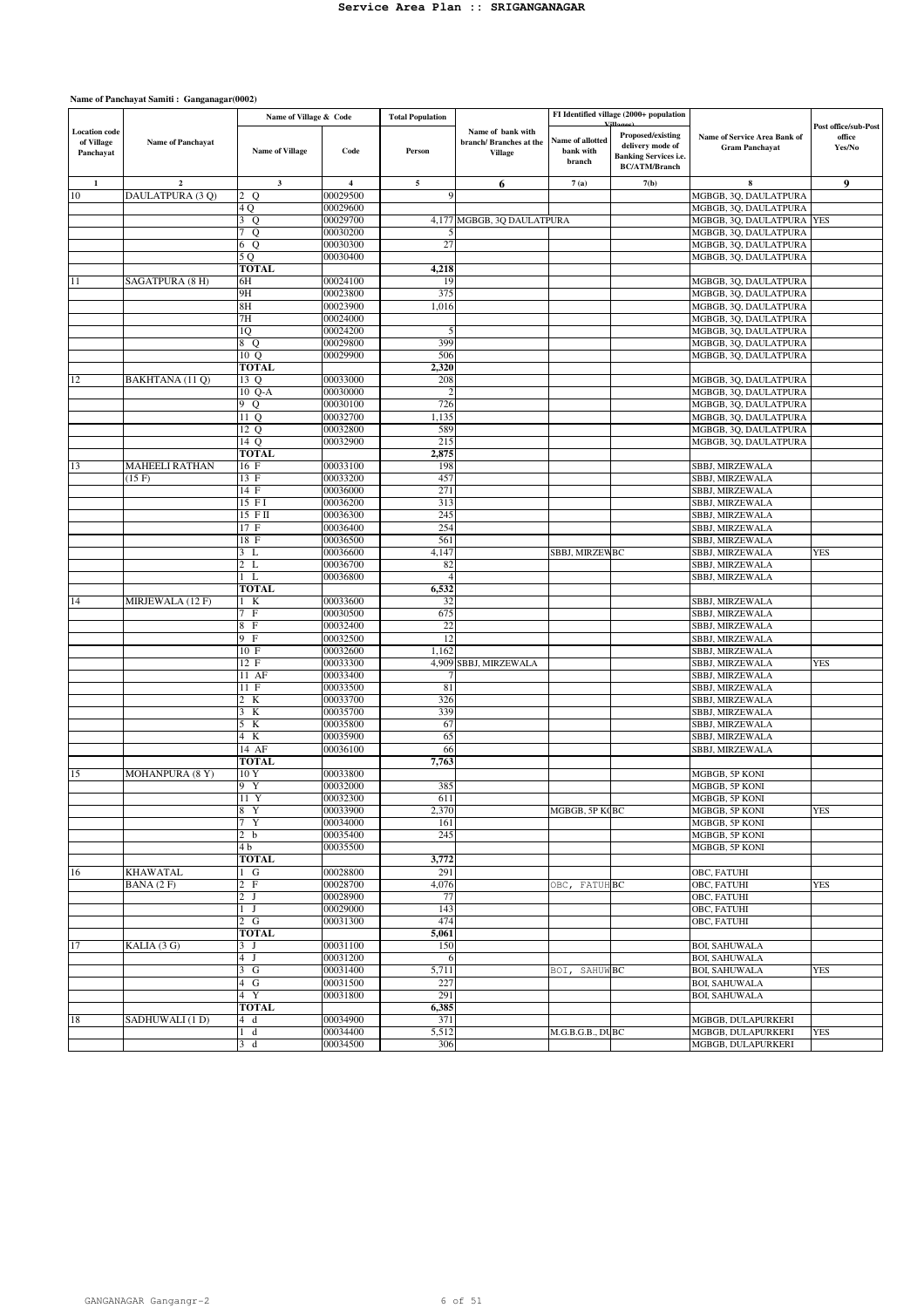|                                                 |                       | Name of Village & Code     |                      | <b>Total Population</b> |                                                               |                                         | FI Identified village (2000+ population                                                       |                                                       |                                          |
|-------------------------------------------------|-----------------------|----------------------------|----------------------|-------------------------|---------------------------------------------------------------|-----------------------------------------|-----------------------------------------------------------------------------------------------|-------------------------------------------------------|------------------------------------------|
| <b>Location</b> code<br>of Village<br>Panchayat | Name of Panchayat     | <b>Name of Village</b>     | Code                 | Person                  | Name of bank with<br>branch/Branches at the<br><b>Village</b> | Name of allotted<br>bank with<br>branch | Proposed/existing<br>delivery mode of<br><b>Banking Services i.e.</b><br><b>BC/ATM/Branch</b> | Name of Service Area Bank of<br><b>Gram Panchayat</b> | Post office/sub-Post<br>office<br>Yes/No |
| 1                                               | $\mathbf{2}$          | $\mathbf{3}$               | 4                    | 5                       | 6                                                             | 7(a)                                    | 7(b)                                                                                          | 8                                                     | 9                                        |
| 10                                              | DAULATPURA (3 Q)      | Q<br>$\overline{2}$        | 00029500             | $\mathbf Q$             |                                                               |                                         |                                                                                               | MGBGB, 3Q, DAULATPURA                                 |                                          |
|                                                 |                       | 4 Q                        | 00029600             |                         |                                                               |                                         |                                                                                               | MGBGB, 3Q, DAULATPURA                                 |                                          |
|                                                 |                       | 3Q                         | 00029700             |                         | 4,177 MGBGB, 30 DAULATPURA                                    |                                         |                                                                                               | MGBGB, 3Q, DAULATPURA                                 | <b>YES</b>                               |
|                                                 |                       | 7 Q                        | 00030200             |                         |                                                               |                                         |                                                                                               | MGBGB, 3Q, DAULATPURA                                 |                                          |
|                                                 |                       | 6 Q                        | 00030300             | 27                      |                                                               |                                         |                                                                                               | MGBGB, 3Q, DAULATPURA                                 |                                          |
|                                                 |                       | 5 Q<br>TOTAL               | 00030400             | 4,218                   |                                                               |                                         |                                                                                               | MGBGB, 3Q, DAULATPURA                                 |                                          |
| 11                                              | SAGATPURA (8 H)       | 6Н                         | 00024100             | 19                      |                                                               |                                         |                                                                                               | MGBGB, 3Q, DAULATPURA                                 |                                          |
|                                                 |                       | 9H                         | 00023800             | 375                     |                                                               |                                         |                                                                                               | MGBGB, 3Q, DAULATPURA                                 |                                          |
|                                                 |                       | 8H                         | 00023900             | 1,016                   |                                                               |                                         |                                                                                               | MGBGB, 3Q, DAULATPURA                                 |                                          |
|                                                 |                       | 7Н                         | 00024000             |                         |                                                               |                                         |                                                                                               | MGBGB, 3Q, DAULATPURA                                 |                                          |
|                                                 |                       | 1Q                         | 00024200             | 5                       |                                                               |                                         |                                                                                               | MGBGB, 3Q, DAULATPURA                                 |                                          |
|                                                 |                       | 8 Q                        | 00029800             | 399                     |                                                               |                                         |                                                                                               | MGBGB, 3Q, DAULATPURA                                 |                                          |
|                                                 |                       | 10 Q                       | 00029900             | 506                     |                                                               |                                         |                                                                                               | MGBGB, 3Q, DAULATPURA                                 |                                          |
| 12                                              | BAKHTANA (11 Q)       | <b>TOTAL</b><br>13 Q       | 00033000             | 2,320<br>208            |                                                               |                                         |                                                                                               | MGBGB, 3Q, DAULATPURA                                 |                                          |
|                                                 |                       | 10 Q-A                     | 00030000             |                         |                                                               |                                         |                                                                                               | MGBGB, 3Q, DAULATPURA                                 |                                          |
|                                                 |                       | 9 Q                        | 00030100             | 726                     |                                                               |                                         |                                                                                               | MGBGB, 3Q, DAULATPURA                                 |                                          |
|                                                 |                       | 11 Q                       | 00032700             | 1,135                   |                                                               |                                         |                                                                                               | MGBGB, 3Q, DAULATPURA                                 |                                          |
|                                                 |                       | 12 Q                       | 00032800             | 589                     |                                                               |                                         |                                                                                               | MGBGB, 3Q, DAULATPURA                                 |                                          |
|                                                 |                       | 14 Q                       | 00032900             | 215                     |                                                               |                                         |                                                                                               | MGBGB, 3Q, DAULATPURA                                 |                                          |
|                                                 |                       | <b>TOTAL</b>               |                      | 2,875                   |                                                               |                                         |                                                                                               |                                                       |                                          |
| 13                                              | <b>MAHEELI RATHAN</b> | 16 F                       | 00033100             | 198                     |                                                               |                                         |                                                                                               | <b>SBBJ, MIRZEWALA</b>                                |                                          |
|                                                 | (15 F)                | 13 F<br>14 F               | 00033200<br>00036000 | 457<br>271              |                                                               |                                         |                                                                                               | SBBJ, MIRZEWALA                                       |                                          |
|                                                 |                       | 15 FI                      | 00036200             | 313                     |                                                               |                                         |                                                                                               | SBBJ, MIRZEWALA<br>SBBJ, MIRZEWALA                    |                                          |
|                                                 |                       | $15$ FII                   | 00036300             | 245                     |                                                               |                                         |                                                                                               | <b>SBBJ, MIRZEWALA</b>                                |                                          |
|                                                 |                       | 17 F                       | 00036400             | 254                     |                                                               |                                         |                                                                                               | SBBJ, MIRZEWALA                                       |                                          |
|                                                 |                       | 18 F                       | 00036500             | 561                     |                                                               |                                         |                                                                                               | SBBJ, MIRZEWALA                                       |                                          |
|                                                 |                       | 3 L                        | 00036600             | 4,147                   |                                                               | SBBJ, MIRZEWBC                          |                                                                                               | SBBJ, MIRZEWALA                                       | <b>YES</b>                               |
|                                                 |                       | 2 L                        | 00036700             | 82                      |                                                               |                                         |                                                                                               | SBBJ, MIRZEWALA                                       |                                          |
|                                                 |                       | $1 \mathrm{L}$             | 00036800             | $\overline{4}$          |                                                               |                                         |                                                                                               | SBBJ, MIRZEWALA                                       |                                          |
|                                                 |                       | <b>TOTAL</b>               |                      | 6,532                   |                                                               |                                         |                                                                                               |                                                       |                                          |
| 14                                              | MIRJEWALA (12 F)      | 1 K<br>7 F                 | 00033600<br>00030500 | 32<br>675               |                                                               |                                         |                                                                                               | SBBJ, MIRZEWALA                                       |                                          |
|                                                 |                       | 8 F                        | 00032400             | 22                      |                                                               |                                         |                                                                                               | SBBJ, MIRZEWALA<br>SBBJ, MIRZEWALA                    |                                          |
|                                                 |                       | 9 F                        | 00032500             | 12                      |                                                               |                                         |                                                                                               | SBBJ, MIRZEWALA                                       |                                          |
|                                                 |                       | 10 F                       | 00032600             | 1,162                   |                                                               |                                         |                                                                                               | SBBJ, MIRZEWALA                                       |                                          |
|                                                 |                       | 12 F                       | 00033300             |                         | 4,909 SBBJ, MIRZEWALA                                         |                                         |                                                                                               | SBBJ, MIRZEWALA                                       | <b>YES</b>                               |
|                                                 |                       | 11 AF                      | 00033400             |                         |                                                               |                                         |                                                                                               | SBBJ, MIRZEWALA                                       |                                          |
|                                                 |                       | 11 F                       | 00033500             | 81                      |                                                               |                                         |                                                                                               | SBBJ, MIRZEWALA                                       |                                          |
|                                                 |                       | 2 K                        | 00033700             | 326                     |                                                               |                                         |                                                                                               | SBBJ, MIRZEWALA                                       |                                          |
|                                                 |                       | 3 K                        | 00035700             | 339                     |                                                               |                                         |                                                                                               | SBBJ, MIRZEWALA                                       |                                          |
|                                                 |                       | 5 K<br>$\overline{4}$<br>K | 00035800<br>00035900 | 67<br>65                |                                                               |                                         |                                                                                               | SBBJ, MIRZEWALA<br>SBBJ, MIRZEWALA                    |                                          |
|                                                 |                       | 14 AF                      | 00036100             | 66                      |                                                               |                                         |                                                                                               | SBBJ, MIRZEWALA                                       |                                          |
|                                                 |                       | TOTAL                      |                      | 7,763                   |                                                               |                                         |                                                                                               |                                                       |                                          |
| 15                                              | MOHANPURA (8 Y)       | 10Y                        | 00033800             |                         |                                                               |                                         |                                                                                               | MGBGB, 5P KONI                                        |                                          |
|                                                 |                       | 9 Y                        | 00032000             | 385                     |                                                               |                                         |                                                                                               | MGBGB, 5P KONI                                        |                                          |
|                                                 |                       | 11 Y                       | 00032300             | 611                     |                                                               |                                         |                                                                                               | MGBGB, 5P KONI                                        |                                          |
|                                                 |                       | 8 Y                        | 00033900             | 2,370                   |                                                               | MGBGB, 5P K(BC                          |                                                                                               | MGBGB, 5P KONI                                        | <b>YES</b>                               |
|                                                 |                       | 7 Y<br>2 <sub>b</sub>      | 00034000<br>00035400 | 161<br>245              |                                                               |                                         |                                                                                               | MGBGB, 5P KONI<br>MGBGB, 5P KONI                      |                                          |
|                                                 |                       | 4 b                        | 00035500             |                         |                                                               |                                         |                                                                                               | MGBGB, 5P KONI                                        |                                          |
|                                                 |                       | TOTAL                      |                      | 3,772                   |                                                               |                                         |                                                                                               |                                                       |                                          |
| 16                                              | <b>KHAWATAL</b>       | $1\quad G$                 | 00028800             | 291                     |                                                               |                                         |                                                                                               | OBC, FATUHI                                           |                                          |
|                                                 | BANA (2F)             | 2 F                        | 00028700             | 4,076                   |                                                               | OBC, FATUH BC                           |                                                                                               | OBC, FATUHI                                           | <b>YES</b>                               |
|                                                 |                       | 2 J                        | 00028900             | 77                      |                                                               |                                         |                                                                                               | OBC, FATUHI                                           |                                          |
|                                                 |                       | $1\quad J$                 | 00029000             | 143                     |                                                               |                                         |                                                                                               | OBC, FATUHI                                           |                                          |
|                                                 |                       | 2 G                        | 00031300             | 474                     |                                                               |                                         |                                                                                               | OBC, FATUHI                                           |                                          |
|                                                 |                       | <b>TOTAL</b>               |                      | 5,061                   |                                                               |                                         |                                                                                               |                                                       |                                          |
| 17                                              | KALIA (3 G)           | 3 J<br>4J                  | 00031100<br>00031200 | 150<br>6                |                                                               |                                         |                                                                                               | <b>BOI, SAHUWALA</b><br><b>BOI, SAHUWALA</b>          |                                          |
|                                                 |                       | 3 <sub>G</sub>             | 00031400             | 5,711                   |                                                               | BOI, SAHUW BC                           |                                                                                               | <b>BOI, SAHUWALA</b>                                  | <b>YES</b>                               |
|                                                 |                       | 4 G                        | 00031500             | 227                     |                                                               |                                         |                                                                                               | <b>BOI, SAHUWALA</b>                                  |                                          |
|                                                 |                       | 4 Y                        | 00031800             | 291                     |                                                               |                                         |                                                                                               | <b>BOI, SAHUWALA</b>                                  |                                          |
|                                                 |                       | <b>TOTAL</b>               |                      | 6,385                   |                                                               |                                         |                                                                                               |                                                       |                                          |
| 18                                              | SADHUWALI (1 D)       | 4d                         | 00034900             | 371                     |                                                               |                                         |                                                                                               | MGBGB, DULAPURKERI                                    |                                          |
|                                                 |                       | d<br>1                     | 00034400             | 5,512                   |                                                               | M.G.B.G.B., DUBC                        |                                                                                               | MGBGB, DULAPURKERI                                    | <b>YES</b>                               |
|                                                 |                       | $\mathbf d$<br>3           | 00034500             | 306                     |                                                               |                                         |                                                                                               | MGBGB, DULAPURKERI                                    |                                          |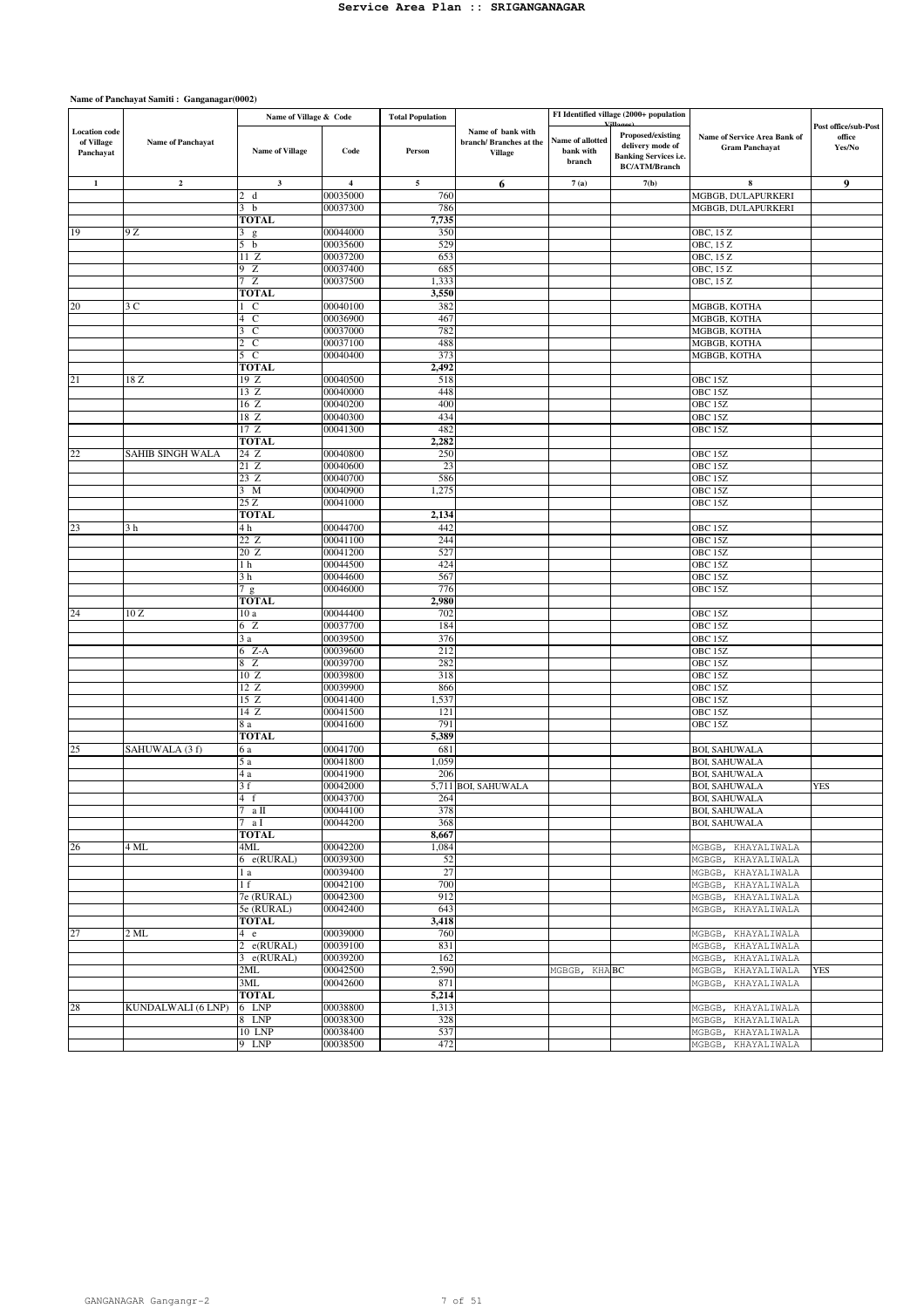|                                                 |                          | Name of Village & Code       |                         | <b>Total Population</b> |                                                               |                                         | FI Identified village (2000+ population                                                       |                                                       |                                          |
|-------------------------------------------------|--------------------------|------------------------------|-------------------------|-------------------------|---------------------------------------------------------------|-----------------------------------------|-----------------------------------------------------------------------------------------------|-------------------------------------------------------|------------------------------------------|
| <b>Location</b> code<br>of Village<br>Panchayat | <b>Name of Panchayat</b> | <b>Name of Village</b>       | Code                    | Person                  | Name of bank with<br>branch/Branches at the<br><b>Village</b> | Name of allotted<br>bank with<br>branch | Proposed/existing<br>delivery mode of<br><b>Banking Services i.e.</b><br><b>BC/ATM/Branch</b> | Name of Service Area Bank of<br><b>Gram Panchayat</b> | Post office/sub-Post<br>office<br>Yes/No |
| $\mathbf 1$                                     | $\mathbf{2}$             | $\mathbf 3$                  | $\overline{\mathbf{4}}$ | 5                       | 6                                                             | 7(a)                                    | 7(b)                                                                                          | $\bf8$                                                | 9                                        |
|                                                 |                          | $\mathcal{L}$<br>d           | 00035000                | 760                     |                                                               |                                         |                                                                                               | MGBGB, DULAPURKERI                                    |                                          |
|                                                 |                          | 3 <sub>b</sub>               | 00037300                | 786                     |                                                               |                                         |                                                                                               | MGBGB, DULAPURKERI                                    |                                          |
|                                                 |                          | <b>TOTAL</b>                 |                         | 7,735                   |                                                               |                                         |                                                                                               |                                                       |                                          |
| 19                                              | 9 Z                      | 3<br>g<br>5 <sub>b</sub>     | 00044000<br>00035600    | 350<br>529              |                                                               |                                         |                                                                                               | OBC, 15 Z<br>OBC, 15 Z                                |                                          |
|                                                 |                          | 11Z                          | 00037200                | 653                     |                                                               |                                         |                                                                                               | OBC, 15 Z                                             |                                          |
|                                                 |                          | 9 Z                          | 00037400                | 685                     |                                                               |                                         |                                                                                               | OBC, 15 Z                                             |                                          |
|                                                 |                          | 7 Z                          | 00037500                | 1,333                   |                                                               |                                         |                                                                                               | OBC, 15 Z                                             |                                          |
|                                                 |                          | <b>TOTAL</b>                 |                         | 3,550                   |                                                               |                                         |                                                                                               |                                                       |                                          |
| 20                                              | 3 C                      | $1\,C$                       | 00040100                | 382                     |                                                               |                                         |                                                                                               | MGBGB, KOTHA                                          |                                          |
|                                                 |                          | $\mathcal{C}$<br>4           | 00036900                | 467                     |                                                               |                                         |                                                                                               | MGBGB, KOTHA                                          |                                          |
|                                                 |                          | $\overline{c}$<br>3          | 00037000                | 782                     |                                                               |                                         |                                                                                               | MGBGB, KOTHA                                          |                                          |
|                                                 |                          | $2\,c$                       | 00037100                | 488                     |                                                               |                                         |                                                                                               | MGBGB, KOTHA                                          |                                          |
|                                                 |                          | $5\,C$<br><b>TOTAL</b>       | 00040400                | 373<br>2,492            |                                                               |                                         |                                                                                               | MGBGB, KOTHA                                          |                                          |
| 21                                              | 18 Z                     | 19 Z                         | 00040500                | 518                     |                                                               |                                         |                                                                                               | OBC 15Z                                               |                                          |
|                                                 |                          | 13 Z                         | 00040000                | 448                     |                                                               |                                         |                                                                                               | OBC 15Z                                               |                                          |
|                                                 |                          | 16 Z                         | 00040200                | 400                     |                                                               |                                         |                                                                                               | OBC 15Z                                               |                                          |
|                                                 |                          | 18 Z                         | 00040300                | 434                     |                                                               |                                         |                                                                                               | OBC 15Z                                               |                                          |
|                                                 |                          | 17Z                          | 00041300                | 482                     |                                                               |                                         |                                                                                               | OBC 15Z                                               |                                          |
|                                                 |                          | <b>TOTAL</b>                 |                         | 2,282                   |                                                               |                                         |                                                                                               |                                                       |                                          |
| 22                                              | SAHIB SINGH WALA         | 24 Z                         | 00040800                | 250                     |                                                               |                                         |                                                                                               | OBC <sub>15Z</sub>                                    |                                          |
|                                                 |                          | 21 Z                         | 00040600                | 23<br>586               |                                                               |                                         |                                                                                               | OBC <sub>15Z</sub>                                    |                                          |
|                                                 |                          | 23 Z<br>$3 \, M$             | 00040700<br>00040900    | 1,275                   |                                                               |                                         |                                                                                               | OBC <sub>15Z</sub><br>OBC 15Z                         |                                          |
|                                                 |                          | 25Z                          | 00041000                |                         |                                                               |                                         |                                                                                               | OBC <sub>15</sub> Z                                   |                                          |
|                                                 |                          | <b>TOTAL</b>                 |                         | 2,134                   |                                                               |                                         |                                                                                               |                                                       |                                          |
| 23                                              | 3 h                      | 4 h                          | 00044700                | 442                     |                                                               |                                         |                                                                                               | OBC 15Z                                               |                                          |
|                                                 |                          | 22 Z                         | 00041100                | 244                     |                                                               |                                         |                                                                                               | OBC <sub>15Z</sub>                                    |                                          |
|                                                 |                          | 20 Z                         | 00041200                | 527                     |                                                               |                                         |                                                                                               | OBC 15Z                                               |                                          |
|                                                 |                          | 1 <sub>h</sub>               | 00044500                | 424                     |                                                               |                                         |                                                                                               | OBC 15Z                                               |                                          |
|                                                 |                          | 3 h                          | 00044600                | 567                     |                                                               |                                         |                                                                                               | OBC 15Z                                               |                                          |
|                                                 |                          | 7 g<br><b>TOTAL</b>          | 00046000                | 776<br>2,980            |                                                               |                                         |                                                                                               | OBC <sub>15Z</sub>                                    |                                          |
| 24                                              | 10Z                      | 10a                          | 00044400                | 702                     |                                                               |                                         |                                                                                               | OBC 15Z                                               |                                          |
|                                                 |                          | 6 Z                          | 00037700                | 184                     |                                                               |                                         |                                                                                               | OBC 15Z                                               |                                          |
|                                                 |                          | 3 a                          | 00039500                | 376                     |                                                               |                                         |                                                                                               | OBC <sub>15</sub> Z                                   |                                          |
|                                                 |                          | 6 Z-A                        | 00039600                | 212                     |                                                               |                                         |                                                                                               | OBC 15Z                                               |                                          |
|                                                 |                          | 8 Z                          | 00039700                | 282                     |                                                               |                                         |                                                                                               | OBC <sub>15</sub> Z                                   |                                          |
|                                                 |                          | 10Z                          | 00039800                | 318                     |                                                               |                                         |                                                                                               | OBC 15Z                                               |                                          |
|                                                 |                          | 12 Z<br>15Z                  | 00039900                | 866                     |                                                               |                                         |                                                                                               | OBC 15Z                                               |                                          |
|                                                 |                          | 14 Z                         | 00041400<br>00041500    | 1,537<br>121            |                                                               |                                         |                                                                                               | OBC <sub>15</sub> Z<br>OBC <sub>15Z</sub>             |                                          |
|                                                 |                          | 8 a                          | 00041600                | 791                     |                                                               |                                         |                                                                                               | OBC 15Z                                               |                                          |
|                                                 |                          | <b>TOTAL</b>                 |                         | 5,389                   |                                                               |                                         |                                                                                               |                                                       |                                          |
| 25                                              | SAHUWALA (3 f)           | 6 a                          | 00041700                | 681                     |                                                               |                                         |                                                                                               | <b>BOI, SAHUWALA</b>                                  |                                          |
|                                                 |                          | 5 a                          | 00041800                | 1,059                   |                                                               |                                         |                                                                                               | <b>BOI, SAHUWALA</b>                                  |                                          |
|                                                 |                          | 4 a                          | 00041900                | 206                     |                                                               |                                         |                                                                                               | <b>BOI, SAHUWALA</b>                                  |                                          |
|                                                 |                          | 3f                           | 00042000                |                         | 5,711 BOI, SAHUWALA                                           |                                         |                                                                                               | <b>BOI, SAHUWALA</b>                                  | <b>YES</b>                               |
|                                                 |                          | $\overline{4}$<br>a $\rm II$ | 00043700<br>00044100    | 264<br>378              |                                                               |                                         |                                                                                               | <b>BOI, SAHUWALA</b><br><b>BOI, SAHUWALA</b>          |                                          |
|                                                 |                          | 7 a I                        | 00044200                | 368                     |                                                               |                                         |                                                                                               | <b>BOI, SAHUWALA</b>                                  |                                          |
|                                                 |                          | <b>TOTAL</b>                 |                         | 8,667                   |                                                               |                                         |                                                                                               |                                                       |                                          |
| 26                                              | 4 ML                     | 4ML                          | 00042200                | 1,084                   |                                                               |                                         |                                                                                               | KHAYALIWALA<br>MGBGB,                                 |                                          |
|                                                 |                          | $6$ e(RURAL)                 | 00039300                | 52                      |                                                               |                                         |                                                                                               | KHAYALIWALA<br>MGBGB,                                 |                                          |
|                                                 |                          | 1 a                          | 00039400                | 27                      |                                                               |                                         |                                                                                               | MGBGB, KHAYALIWALA                                    |                                          |
|                                                 |                          | 1 f                          | 00042100                | 700                     |                                                               |                                         |                                                                                               | MGBGB,<br>KHAYALIWALA                                 |                                          |
|                                                 |                          | 7e (RURAL)                   | 00042300                | 912                     |                                                               |                                         |                                                                                               | KHAYALIWALA<br>MGBGB,                                 |                                          |
|                                                 |                          | 5e (RURAL)<br><b>TOTAL</b>   | 00042400                | 643<br>3,418            |                                                               |                                         |                                                                                               | KHAYALIWALA<br>MGBGB,                                 |                                          |
| 27                                              | 2 ML                     | 4 e                          | 00039000                | 760                     |                                                               |                                         |                                                                                               | KHAYALIWALA<br>MGBGB,                                 |                                          |
|                                                 |                          | 2<br>e(RURAL)                | 00039100                | 831                     |                                                               |                                         |                                                                                               | MGBGB,<br>KHAYALIWALA                                 |                                          |
|                                                 |                          | 3 e(RURAL)                   | 00039200                | 162                     |                                                               |                                         |                                                                                               | KHAYALIWALA<br>MGBGB,                                 |                                          |
|                                                 |                          | 2ML                          | 00042500                | 2,590                   |                                                               | MGBGB,<br>KHA BC                        |                                                                                               | KHAYALIWALA<br>MGBGB,                                 | <b>YES</b>                               |
|                                                 |                          | 3ML                          | 00042600                | 871                     |                                                               |                                         |                                                                                               | MGBGB,<br>KHAYALIWALA                                 |                                          |
|                                                 |                          | <b>TOTAL</b>                 |                         | 5,214                   |                                                               |                                         |                                                                                               |                                                       |                                          |
| 28                                              | KUNDALWALI (6 LNP)       | 6 LNP                        | 00038800                | 1,313                   |                                                               |                                         |                                                                                               | KHAYALIWALA<br>MGBGB,                                 |                                          |
|                                                 |                          | 8 LNP<br><b>10 LNP</b>       | 00038300<br>00038400    | 328<br>537              |                                                               |                                         |                                                                                               | KHAYALIWALA<br>MGBGB,<br>KHAYALIWALA<br>MGBGB,        |                                          |
|                                                 |                          | 9 LNP                        | 00038500                | 472                     |                                                               |                                         |                                                                                               | MGBGB,<br>KHAYALIWALA                                 |                                          |
|                                                 |                          |                              |                         |                         |                                                               |                                         |                                                                                               |                                                       |                                          |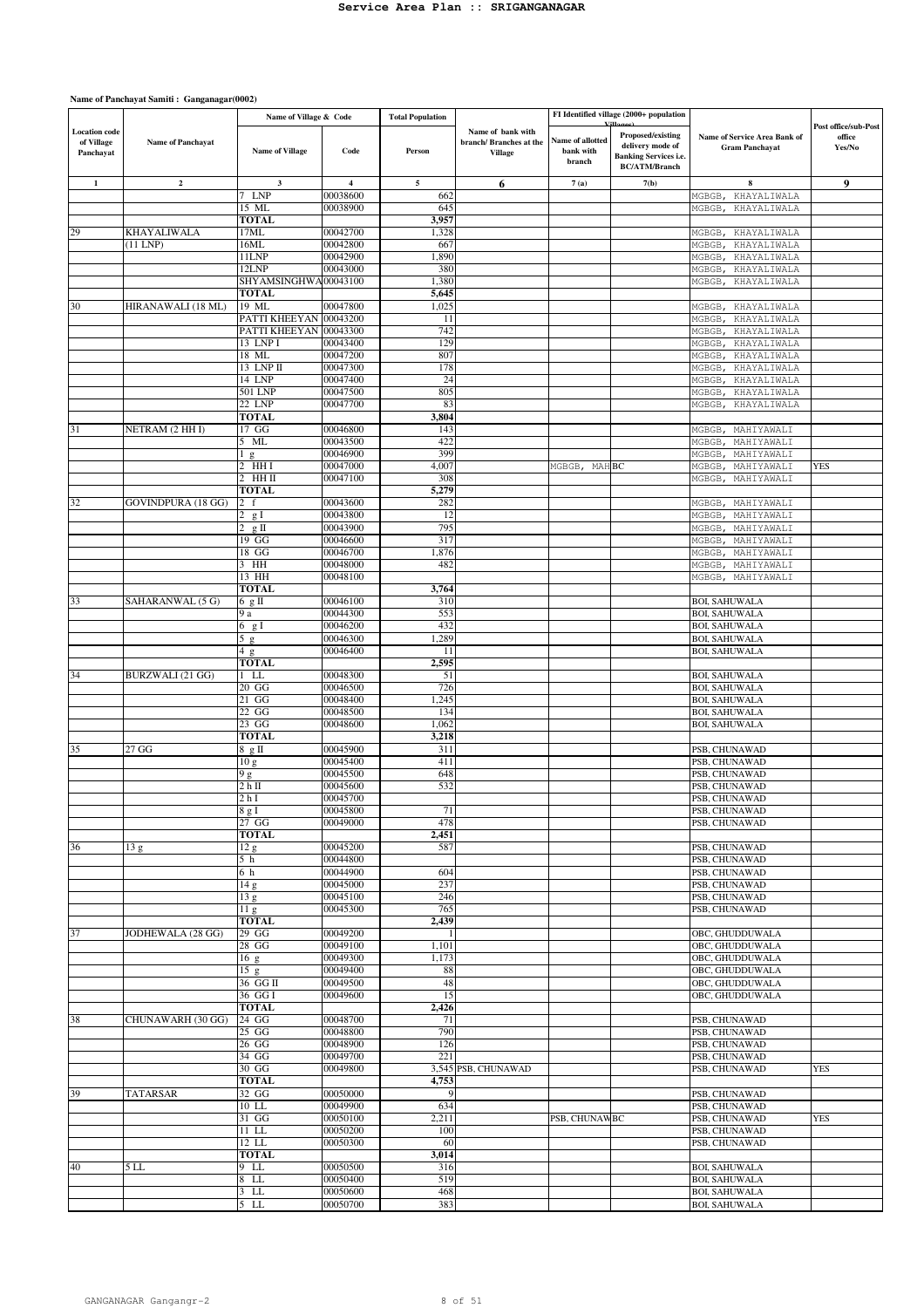|                                                 |                          | Name of Village & Code   |                      | <b>Total Population</b> |                                                                |                                         | FI Identified village (2000+ population                                                       |                                                       |                                          |
|-------------------------------------------------|--------------------------|--------------------------|----------------------|-------------------------|----------------------------------------------------------------|-----------------------------------------|-----------------------------------------------------------------------------------------------|-------------------------------------------------------|------------------------------------------|
| <b>Location</b> code<br>of Village<br>Panchayat | <b>Name of Panchayat</b> | <b>Name of Village</b>   | Code                 | Person                  | Name of bank with<br>branch/ Branches at the<br><b>Village</b> | Name of allotted<br>bank with<br>branch | Proposed/existing<br>delivery mode of<br><b>Banking Services i.e.</b><br><b>BC/ATM/Branch</b> | Name of Service Area Bank of<br><b>Gram Panchayat</b> | Post office/sub-Post<br>office<br>Yes/No |
| 1                                               | $\overline{2}$           | 3                        | $\overline{4}$       | 5                       | 6                                                              | 7(a)                                    | 7(b)                                                                                          | 8                                                     | 9                                        |
|                                                 |                          | <b>LNP</b><br>7          | 00038600             | 662                     |                                                                |                                         |                                                                                               | KHAYALIWALA<br>MGBGB                                  |                                          |
|                                                 |                          | 15 ML                    | 00038900             | 645                     |                                                                |                                         |                                                                                               | MGBGB<br>KHAYALIWALA                                  |                                          |
|                                                 |                          | TOTAL                    |                      | 3,957                   |                                                                |                                         |                                                                                               |                                                       |                                          |
| 29                                              | KHAYALIWALA              | 17ML                     | 00042700             | 1,328                   |                                                                |                                         |                                                                                               | MGBGB<br>KHAYALIWALA                                  |                                          |
|                                                 | $(11$ LNP)               | 16ML<br>11LNP            | 00042800<br>00042900 | 667<br>1,890            |                                                                |                                         |                                                                                               | MGBGB<br>KHAYALIWALA                                  |                                          |
|                                                 |                          | 12LNP                    | 00043000             | 380                     |                                                                |                                         |                                                                                               | KHAYALIWALA<br>MGBGB,<br>KHAYALIWALA<br>MGBGB,        |                                          |
|                                                 |                          | SHYAMSINGHWA             | 00043100             | 1,380                   |                                                                |                                         |                                                                                               | KHAYALIWALA<br>MGBGB,                                 |                                          |
|                                                 |                          | TOTAL                    |                      | 5,645                   |                                                                |                                         |                                                                                               |                                                       |                                          |
| 30                                              | HIRANAWALI (18 ML)       | 19 ML                    | 00047800             | 1,025                   |                                                                |                                         |                                                                                               | KHAYALIWALA<br>MGBGB,                                 |                                          |
|                                                 |                          | PATTI KHEEYAN            | 00043200             | 11                      |                                                                |                                         |                                                                                               | MGBGB<br>KHAYALIWALA                                  |                                          |
|                                                 |                          | PATTI KHEEYAN            | 00043300             | 742                     |                                                                |                                         |                                                                                               | KHAYALIWALA<br>MGBGB,                                 |                                          |
|                                                 |                          | 13 LNP I                 | 00043400             | 129<br>807              |                                                                |                                         |                                                                                               | KHAYALIWALA<br>MGBGB                                  |                                          |
|                                                 |                          | 18 ML<br>13 LNP II       | 00047200<br>00047300 | 178                     |                                                                |                                         |                                                                                               | KHAYALIWALA<br>MGBGB,<br>MGBGB,<br>KHAYALIWALA        |                                          |
|                                                 |                          | 14 LNP                   | 00047400             | 24                      |                                                                |                                         |                                                                                               | MGBGB<br>KHAYALIWALA                                  |                                          |
|                                                 |                          | 501 LNP                  | 00047500             | 805                     |                                                                |                                         |                                                                                               | MGBGB<br>KHAYALIWALA                                  |                                          |
|                                                 |                          | 22 LNP                   | 00047700             | 83                      |                                                                |                                         |                                                                                               | KHAYALIWALA<br>MGBGB,                                 |                                          |
|                                                 |                          | TOTAL                    |                      | 3,804                   |                                                                |                                         |                                                                                               |                                                       |                                          |
| 31                                              | NETRAM (2 HH I)          | 17 GG                    | 00046800             | 143                     |                                                                |                                         |                                                                                               | MAHIYAWALI<br>MGBGB                                   |                                          |
|                                                 |                          | 5 ML                     | 00043500             | 422                     |                                                                |                                         |                                                                                               | MAHIYAWALI<br>MGBGB,                                  |                                          |
|                                                 |                          | 1 <sub>g</sub>           | 00046900             | 399                     |                                                                |                                         |                                                                                               | MAHIYAWALI<br>MGBGB,                                  |                                          |
|                                                 |                          | 2 HH I<br>2              | 00047000             | 4,007                   |                                                                | <b>MAH BC</b><br>MGBGB,                 |                                                                                               | MGBGB<br>MAHIYAWALI                                   | YES                                      |
|                                                 |                          | НН ІІ<br><b>TOTAL</b>    | 00047100             | 308                     |                                                                |                                         |                                                                                               | MAHIYAWALI<br>MGBGB,                                  |                                          |
| 32                                              | GOVINDPURA (18 GG)       | $2-f$                    | 00043600             | 5,279<br>282            |                                                                |                                         |                                                                                               | MGBGB,<br>MAHIYAWALI                                  |                                          |
|                                                 |                          | 2<br>g I                 | 00043800             | 12                      |                                                                |                                         |                                                                                               | MGBGB,<br>MAHIYAWALI                                  |                                          |
|                                                 |                          | $2 \text{ g II}$         | 00043900             | 795                     |                                                                |                                         |                                                                                               | MGBGB,<br>MAHIYAWALI                                  |                                          |
|                                                 |                          | 19 GG                    | 00046600             | 317                     |                                                                |                                         |                                                                                               | MGBGB,<br>MAHIYAWALI                                  |                                          |
|                                                 |                          | 18 GG                    | 00046700             | 1,876                   |                                                                |                                         |                                                                                               | MGBGB,<br>MAHIYAWALI                                  |                                          |
|                                                 |                          | 3 HH                     | 00048000             | 482                     |                                                                |                                         |                                                                                               | MAHIYAWALI<br>MGBGB,                                  |                                          |
|                                                 |                          | 13 HH                    | 00048100             |                         |                                                                |                                         |                                                                                               | MAHIYAWALI<br>MGBGB,                                  |                                          |
|                                                 |                          | <b>TOTAL</b>             |                      | 3,764                   |                                                                |                                         |                                                                                               |                                                       |                                          |
| 33                                              | SAHARANWAL (5 G)         | 6 g II                   | 00046100             | 310                     |                                                                |                                         |                                                                                               | <b>BOI, SAHUWALA</b>                                  |                                          |
|                                                 |                          | 9 a                      | 00044300             | 553<br>432              |                                                                |                                         |                                                                                               | <b>BOI, SAHUWALA</b>                                  |                                          |
|                                                 |                          | 6 g I                    | 00046200<br>00046300 | 1,289                   |                                                                |                                         |                                                                                               | <b>BOI, SAHUWALA</b><br><b>BOI, SAHUWALA</b>          |                                          |
|                                                 |                          | 5 g<br>4g                | 00046400             | 11                      |                                                                |                                         |                                                                                               | <b>BOI, SAHUWALA</b>                                  |                                          |
|                                                 |                          | TOTAL                    |                      | 2,595                   |                                                                |                                         |                                                                                               |                                                       |                                          |
| 34                                              | BURZWALI (21 GG)         | $1$ LL                   | 00048300             | 51                      |                                                                |                                         |                                                                                               | <b>BOI, SAHUWALA</b>                                  |                                          |
|                                                 |                          | 20 GG                    | 00046500             | 726                     |                                                                |                                         |                                                                                               | <b>BOI, SAHUWALA</b>                                  |                                          |
|                                                 |                          | 21 GG                    | 00048400             | 1,245                   |                                                                |                                         |                                                                                               | <b>BOI, SAHUWALA</b>                                  |                                          |
|                                                 |                          | 22 GG                    | 00048500             | 134                     |                                                                |                                         |                                                                                               | <b>BOI, SAHUWALA</b>                                  |                                          |
|                                                 |                          | 23 GG                    | 00048600             | 1,062                   |                                                                |                                         |                                                                                               | <b>BOI, SAHUWALA</b>                                  |                                          |
|                                                 |                          | TOTAL                    |                      | 3,218                   |                                                                |                                         |                                                                                               |                                                       |                                          |
| 35                                              | 27 GG                    | 8 g II<br>10g            | 00045900<br>00045400 | 311<br>411              |                                                                |                                         |                                                                                               | PSB, CHUNAWAD<br>PSB, CHUNAWAD                        |                                          |
|                                                 |                          | 9 g                      | 00045500             | 648                     |                                                                |                                         |                                                                                               | PSB, CHUNAWAD                                         |                                          |
|                                                 |                          | 2 h II                   | 00045600             | 532                     |                                                                |                                         |                                                                                               | PSB, CHUNAWAD                                         |                                          |
|                                                 |                          | 2 h I                    | 00045700             |                         |                                                                |                                         |                                                                                               | PSB, CHUNAWAD                                         |                                          |
|                                                 |                          | 8gI                      | 00045800             | 71                      |                                                                |                                         |                                                                                               | PSB, CHUNAWAD                                         |                                          |
|                                                 |                          | $27$ GG                  | 00049000             | 478                     |                                                                |                                         |                                                                                               | PSB, CHUNAWAD                                         |                                          |
|                                                 |                          | <b>TOTAL</b>             |                      | 2,451                   |                                                                |                                         |                                                                                               |                                                       |                                          |
| 36                                              | 13 g                     | 12 <sub>g</sub>          | 00045200             | 587                     |                                                                |                                         |                                                                                               | PSB, CHUNAWAD                                         |                                          |
|                                                 |                          | 5 h                      | 00044800             |                         |                                                                |                                         |                                                                                               | PSB, CHUNAWAD                                         |                                          |
|                                                 |                          | 6 h<br>$\overline{1}4$ g | 00044900<br>00045000 | 604<br>237              |                                                                |                                         |                                                                                               | PSB, CHUNAWAD<br>PSB, CHUNAWAD                        |                                          |
|                                                 |                          | 13 <sub>g</sub>          | 00045100             | 246                     |                                                                |                                         |                                                                                               | PSB, CHUNAWAD                                         |                                          |
|                                                 |                          | $\overline{1}1$ g        | 00045300             | 765                     |                                                                |                                         |                                                                                               | PSB, CHUNAWAD                                         |                                          |
|                                                 |                          | <b>TOTAL</b>             |                      | 2,439                   |                                                                |                                         |                                                                                               |                                                       |                                          |
| 37                                              | JODHEWALA (28 GG)        | $29$ GG                  | 00049200             |                         |                                                                |                                         |                                                                                               | OBC, GHUDDUWALA                                       |                                          |
|                                                 |                          | 28 GG                    | 00049100             | 1,101                   |                                                                |                                         |                                                                                               | OBC, GHUDDUWALA                                       |                                          |
|                                                 |                          | 16 <sub>g</sub>          | 00049300             | 1,173                   |                                                                |                                         |                                                                                               | OBC, GHUDDUWALA                                       |                                          |
|                                                 |                          | 15 g                     | 00049400             | 88                      |                                                                |                                         |                                                                                               | OBC, GHUDDUWALA                                       |                                          |
|                                                 |                          | 36 GG II                 | 00049500             | 48                      |                                                                |                                         |                                                                                               | OBC, GHUDDUWALA                                       |                                          |
|                                                 |                          | 36 GG I<br><b>TOTAL</b>  | 00049600             | 15<br>2,426             |                                                                |                                         |                                                                                               | OBC, GHUDDUWALA                                       |                                          |
| 38                                              | CHUNAWARH (30 GG)        | 24 GG                    | 00048700             | 71                      |                                                                |                                         |                                                                                               | PSB, CHUNAWAD                                         |                                          |
|                                                 |                          | 25 GG                    | 00048800             | 790                     |                                                                |                                         |                                                                                               | PSB, CHUNAWAD                                         |                                          |
|                                                 |                          | 26 GG                    | 00048900             | 126                     |                                                                |                                         |                                                                                               | PSB, CHUNAWAD                                         |                                          |
|                                                 |                          | 34 GG                    | 00049700             | 221                     |                                                                |                                         |                                                                                               | PSB, CHUNAWAD                                         |                                          |
|                                                 |                          | 30 GG                    | 00049800             |                         | 3,545 PSB, CHUNAWAD                                            |                                         |                                                                                               | PSB, CHUNAWAD                                         | <b>YES</b>                               |
|                                                 |                          | <b>TOTAL</b>             |                      | 4,753                   |                                                                |                                         |                                                                                               |                                                       |                                          |
| 39                                              | <b>TATARSAR</b>          | 32 GG                    | 00050000             | 9                       |                                                                |                                         |                                                                                               | PSB, CHUNAWAD                                         |                                          |
|                                                 |                          | $10$ LL                  | 00049900             | 634                     |                                                                |                                         |                                                                                               | PSB, CHUNAWAD                                         |                                          |
|                                                 |                          | 31 GG<br>$11$ LL         | 00050100<br>00050200 | 2,211<br>100            |                                                                | PSB, CHUNAWBC                           |                                                                                               | PSB, CHUNAWAD<br>PSB, CHUNAWAD                        | <b>YES</b>                               |
|                                                 |                          | $12$ LL                  | 00050300             | 60                      |                                                                |                                         |                                                                                               | PSB, CHUNAWAD                                         |                                          |
|                                                 |                          | <b>TOTAL</b>             |                      | 3,014                   |                                                                |                                         |                                                                                               |                                                       |                                          |
| 40                                              | 5 LL                     | 9 LL                     | 00050500             | 316                     |                                                                |                                         |                                                                                               | <b>BOI, SAHUWALA</b>                                  |                                          |
|                                                 |                          | LL.<br>8                 | 00050400             | 519                     |                                                                |                                         |                                                                                               | <b>BOI, SAHUWALA</b>                                  |                                          |
|                                                 |                          | $3$ LL                   | 00050600             | 468                     |                                                                |                                         |                                                                                               | <b>BOI, SAHUWALA</b>                                  |                                          |
|                                                 |                          | LL<br>5.                 | 00050700             | 383                     |                                                                |                                         |                                                                                               | <b>BOI, SAHUWALA</b>                                  |                                          |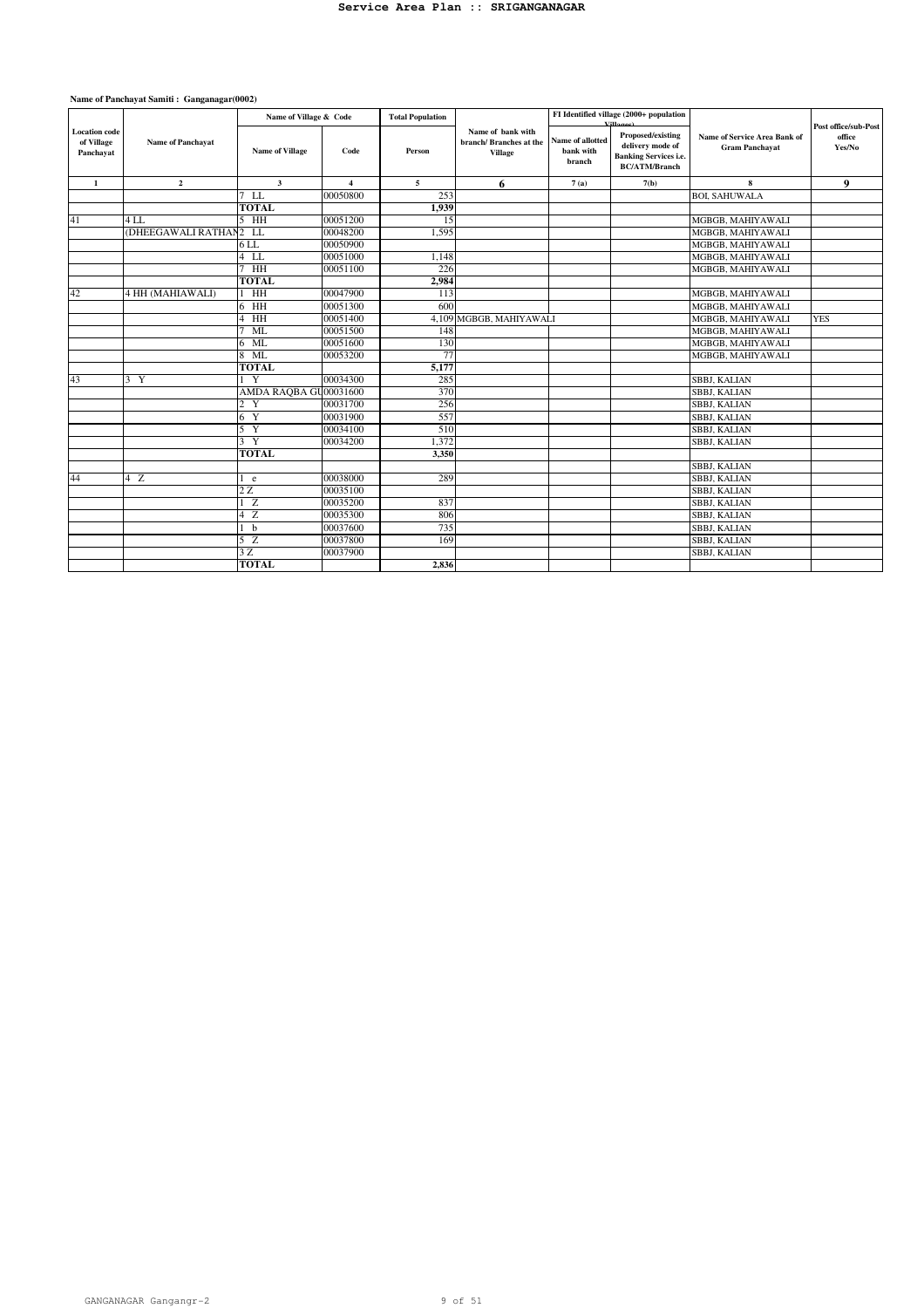|                                                 |                          | Name of Village & Code |                | <b>Total Population</b> |                                                               |                                         | FI Identified village (2000+ population                                                       | Name of Service Area Bank of<br><b>Gram Panchayat</b> | Post office/sub-Post |
|-------------------------------------------------|--------------------------|------------------------|----------------|-------------------------|---------------------------------------------------------------|-----------------------------------------|-----------------------------------------------------------------------------------------------|-------------------------------------------------------|----------------------|
| <b>Location</b> code<br>of Village<br>Panchayat | <b>Name of Panchavat</b> | <b>Name of Village</b> | Code           | Person                  | Name of bank with<br>branch/Branches at the<br><b>Village</b> | Name of allotted<br>bank with<br>branch | Proposed/existing<br>delivery mode of<br><b>Banking Services i.e.</b><br><b>BC/ATM/Branch</b> |                                                       | office<br>Yes/No     |
| 1                                               | $\mathbf{2}$             | $\mathbf{3}$           | $\overline{4}$ | 5                       | 6                                                             | 7(a)                                    | 7(b)                                                                                          | 8                                                     | 9                    |
|                                                 |                          | $7$ LL                 | 00050800       | 253                     |                                                               |                                         |                                                                                               | <b>BOL SAHUWALA</b>                                   |                      |
|                                                 |                          | <b>TOTAL</b>           |                | 1,939                   |                                                               |                                         |                                                                                               |                                                       |                      |
| 41                                              | 4LL                      | $5$ HH                 | 00051200       | 15                      |                                                               |                                         |                                                                                               | MGBGB, MAHIYAWALI                                     |                      |
|                                                 | (DHEEGAWALI RATHAN2 LL   |                        | 00048200       | 1.595                   |                                                               |                                         |                                                                                               | MGBGB, MAHIYAWALI                                     |                      |
|                                                 |                          | 6 LL                   | 00050900       |                         |                                                               |                                         |                                                                                               | MGBGB, MAHIYAWALI                                     |                      |
|                                                 |                          | $4$ LL                 | 00051000       | 1,148                   |                                                               |                                         |                                                                                               | MGBGB, MAHIYAWALI                                     |                      |
|                                                 |                          | $7$ HH                 | 00051100       | 226                     |                                                               |                                         |                                                                                               | MGBGB, MAHIYAWALI                                     |                      |
|                                                 |                          | <b>TOTAL</b>           |                | 2,984                   |                                                               |                                         |                                                                                               |                                                       |                      |
| 42                                              | 4 HH (MAHIAWALI)         | HH                     | 00047900       | 113                     |                                                               |                                         |                                                                                               | MGBGB, MAHIYAWALI                                     |                      |
|                                                 |                          | 6 HH                   | 00051300       | 600                     |                                                               |                                         |                                                                                               | MGBGB, MAHIYAWALI                                     |                      |
|                                                 |                          | H <sub>H</sub><br>4    | 00051400       | 4,109                   | MGBGB, MAHIYAWALI                                             |                                         |                                                                                               | MGBGB, MAHIYAWALI                                     | <b>YES</b>           |
|                                                 |                          | ML                     | 00051500       | 148                     |                                                               |                                         |                                                                                               | MGBGB, MAHIYAWALI                                     |                      |
|                                                 |                          | 6 ML                   | 00051600       | 130                     |                                                               |                                         |                                                                                               | MGBGB, MAHIYAWALI                                     |                      |
|                                                 |                          | 8 ML                   | 00053200       | 77                      |                                                               |                                         |                                                                                               | MGBGB, MAHIYAWALI                                     |                      |
|                                                 |                          | <b>TOTAL</b>           |                | 5,177                   |                                                               |                                         |                                                                                               |                                                       |                      |
| 43                                              | 3 Y                      | Y<br>L                 | 00034300       | 285                     |                                                               |                                         |                                                                                               | <b>SBBJ, KALIAN</b>                                   |                      |
|                                                 |                          | AMDA RAQBA GU00031600  |                | 370                     |                                                               |                                         |                                                                                               | SBBJ, KALIAN                                          |                      |
|                                                 |                          | $\overline{c}$<br>Y    | 00031700       | 256                     |                                                               |                                         |                                                                                               | SBBJ, KALIAN                                          |                      |
|                                                 |                          | 6 Y                    | 00031900       | 557                     |                                                               |                                         |                                                                                               | SBBJ, KALIAN                                          |                      |
|                                                 |                          | 5 Y                    | 00034100       | 510                     |                                                               |                                         |                                                                                               | SBBJ, KALIAN                                          |                      |
|                                                 |                          | 3 Y                    | 00034200       | 1,372                   |                                                               |                                         |                                                                                               | SBBJ, KALIAN                                          |                      |
|                                                 |                          | <b>TOTAL</b>           |                | 3,350                   |                                                               |                                         |                                                                                               |                                                       |                      |
|                                                 |                          |                        |                |                         |                                                               |                                         |                                                                                               | <b>SBBJ, KALIAN</b>                                   |                      |
| 44                                              | 4Z                       | 1 e                    | 00038000       | 289                     |                                                               |                                         |                                                                                               | <b>SBBJ, KALIAN</b>                                   |                      |
|                                                 |                          | 2Z                     | 00035100       |                         |                                                               |                                         |                                                                                               | SBBJ, KALIAN                                          |                      |
|                                                 |                          | 1Z                     | 00035200       | 837                     |                                                               |                                         |                                                                                               | SBBJ, KALIAN                                          |                      |
|                                                 |                          | 4 Z                    | 00035300       | 806                     |                                                               |                                         |                                                                                               | <b>SBBJ, KALIAN</b>                                   |                      |
|                                                 |                          | 1 <sub>b</sub>         | 00037600       | 735                     |                                                               |                                         |                                                                                               | SBBJ, KALIAN                                          |                      |
|                                                 |                          | 5Z                     | 00037800       | 169                     |                                                               |                                         |                                                                                               | SBBJ, KALIAN                                          |                      |
|                                                 |                          | 3Z                     | 00037900       |                         |                                                               |                                         |                                                                                               | SBBJ, KALIAN                                          |                      |
|                                                 |                          | <b>TOTAL</b>           |                | 2.836                   |                                                               |                                         |                                                                                               |                                                       |                      |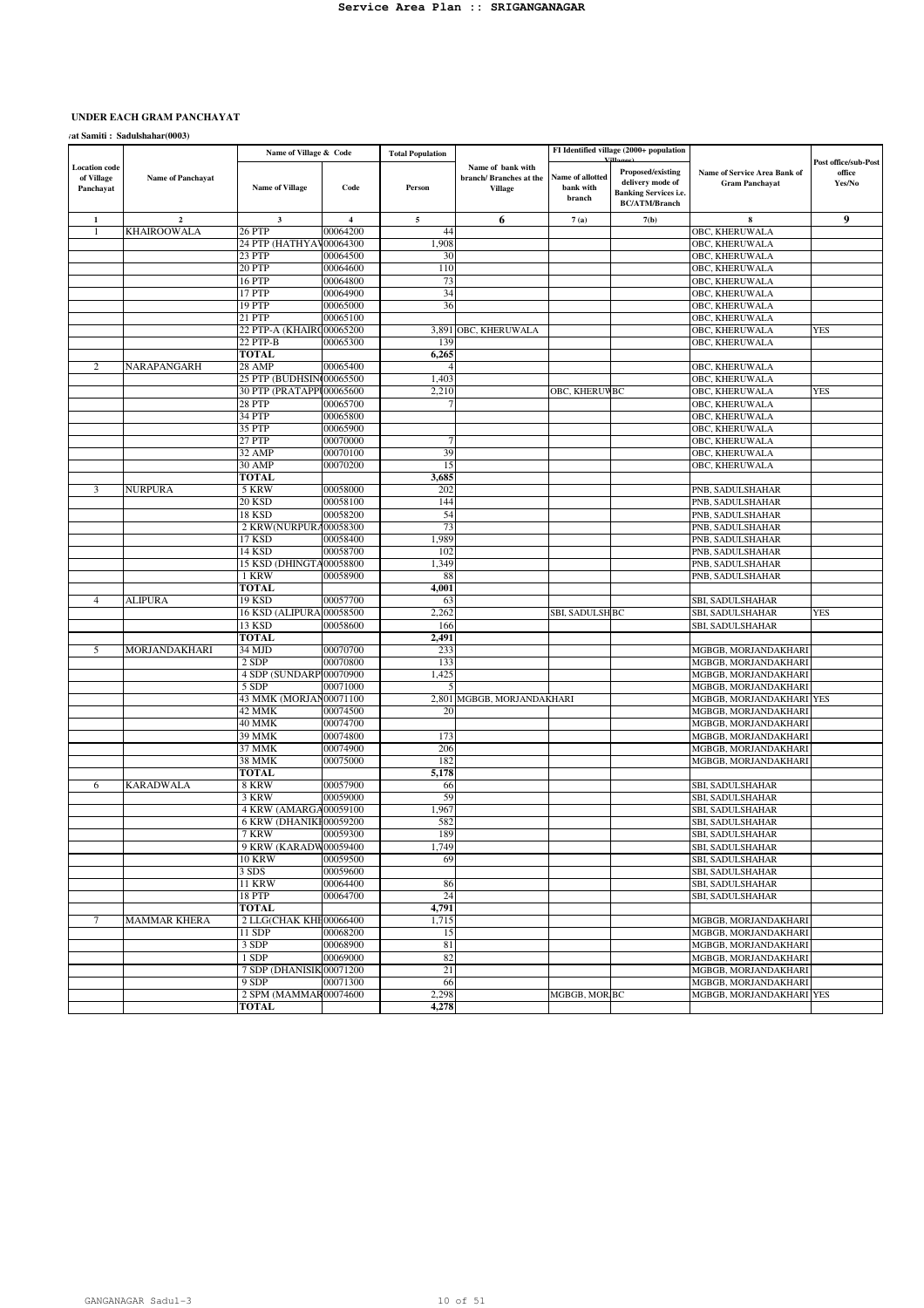# UNDER EACH GRAM PANCHAYAT

 $\sqrt{\mu}$  Samiti : Sadulshahar(0003)

|                                                 |                         | Name of Village & Code            |                      | <b>Total Population</b> |                                                                |                                         | FI Identified village (2000+ population                                                       |                                                       |                                          |
|-------------------------------------------------|-------------------------|-----------------------------------|----------------------|-------------------------|----------------------------------------------------------------|-----------------------------------------|-----------------------------------------------------------------------------------------------|-------------------------------------------------------|------------------------------------------|
| <b>Location code</b><br>of Village<br>Panchayat | Name of Panchayat       | <b>Name of Village</b>            | Code                 | Person                  | Name of bank with<br>branch/ Branches at the<br><b>Village</b> | Name of allotted<br>bank with<br>branch | Proposed/existing<br>delivery mode of<br><b>Banking Services i.e.</b><br><b>BC/ATM/Branch</b> | Name of Service Area Bank of<br><b>Gram Panchayat</b> | Post office/sub-Post<br>office<br>Yes/No |
| 1                                               | $\overline{\mathbf{2}}$ | 3                                 | $\overline{4}$       | 5                       | 6                                                              | 7(a)                                    | 7(b)                                                                                          | 8                                                     | 9                                        |
| 1                                               | <b>KHAIROOWALA</b>      | 26 PTP                            | 00064200             | 44                      |                                                                |                                         |                                                                                               | OBC, KHERUWALA                                        |                                          |
|                                                 |                         | 24 ΡΤΡ (ΗΑΤΗΥΑ'                   | 00064300             | 1,908                   |                                                                |                                         |                                                                                               | OBC, KHERUWALA                                        |                                          |
|                                                 |                         | 23 PTP                            | 00064500             | 30                      |                                                                |                                         |                                                                                               | OBC, KHERUWALA                                        |                                          |
|                                                 |                         | 20 PTP                            | 00064600             | 110                     |                                                                |                                         |                                                                                               | OBC, KHERUWALA                                        |                                          |
|                                                 |                         | 16 PTP<br>17 PTP                  | 00064800             | 73<br>34                |                                                                |                                         |                                                                                               | OBC, KHERUWALA                                        |                                          |
|                                                 |                         | 19 PTP                            | 00064900<br>00065000 | 36                      |                                                                |                                         |                                                                                               | OBC, KHERUWALA<br><b>OBC, KHERUWALA</b>               |                                          |
|                                                 |                         | 21 PTP                            | 00065100             |                         |                                                                |                                         |                                                                                               | OBC, KHERUWALA                                        |                                          |
|                                                 |                         | 22 PTP-A (KHAIRC00065200          |                      | 3,891                   | OBC, KHERUWALA                                                 |                                         |                                                                                               | OBC, KHERUWALA                                        | YES                                      |
|                                                 |                         | 22 PTP-B                          | 00065300             | 139                     |                                                                |                                         |                                                                                               | OBC, KHERUWALA                                        |                                          |
|                                                 |                         | TOTAL                             |                      | 6,265                   |                                                                |                                         |                                                                                               |                                                       |                                          |
| 2                                               | NARAPANGARH             | 28 AMP                            | 00065400             |                         |                                                                |                                         |                                                                                               | OBC, KHERUWALA                                        |                                          |
|                                                 |                         | 25 PTP (BUDHSIN 00065500          |                      | 1,403                   |                                                                |                                         |                                                                                               | OBC, KHERUWALA                                        |                                          |
|                                                 |                         | 30 PTP (PRATAPPI00065600          |                      | 2,210                   |                                                                | OBC, KHERUV BC                          |                                                                                               | OBC, KHERUWALA                                        | <b>YES</b>                               |
|                                                 |                         | 28 PTP                            | 00065700             |                         |                                                                |                                         |                                                                                               | OBC, KHERUWALA                                        |                                          |
|                                                 |                         | 34 PTP                            | 00065800             |                         |                                                                |                                         |                                                                                               | OBC, KHERUWALA                                        |                                          |
|                                                 |                         | 35 PTP<br>27 PTP                  | 00065900<br>00070000 |                         |                                                                |                                         |                                                                                               | OBC, KHERUWALA                                        |                                          |
|                                                 |                         | 32 AMP                            | 00070100             | 39                      |                                                                |                                         |                                                                                               | OBC, KHERUWALA<br>OBC, KHERUWALA                      |                                          |
|                                                 |                         | 30 AMP                            | 00070200             | 15                      |                                                                |                                         |                                                                                               | OBC, KHERUWALA                                        |                                          |
|                                                 |                         | <b>TOTAL</b>                      |                      | 3,685                   |                                                                |                                         |                                                                                               |                                                       |                                          |
| 3                                               | <b>NURPURA</b>          | 5 KRW                             | 00058000             | 202                     |                                                                |                                         |                                                                                               | PNB, SADULSHAHAR                                      |                                          |
|                                                 |                         | 20 KSD                            | 00058100             | 144                     |                                                                |                                         |                                                                                               | PNB, SADULSHAHAR                                      |                                          |
|                                                 |                         | 18 KSD                            | 00058200             | 54                      |                                                                |                                         |                                                                                               | PNB, SADULSHAHAR                                      |                                          |
|                                                 |                         | 2 KRW(NURPURA00058300             |                      | 73                      |                                                                |                                         |                                                                                               | PNB, SADULSHAHAR                                      |                                          |
|                                                 |                         | 17 KSD                            | 00058400             | 1,989                   |                                                                |                                         |                                                                                               | PNB, SADULSHAHAR                                      |                                          |
|                                                 |                         | 14 KSD                            | 00058700             | 102                     |                                                                |                                         |                                                                                               | PNB, SADULSHAHAR                                      |                                          |
|                                                 |                         | 15 KSD (DHINGTA00058800           |                      | 1,349                   |                                                                |                                         |                                                                                               | PNB, SADULSHAHAR                                      |                                          |
|                                                 |                         | 1 KRW<br>TOTAL                    | 00058900             | 88<br>4,001             |                                                                |                                         |                                                                                               | PNB, SADULSHAHAR                                      |                                          |
| $\overline{4}$                                  | <b>ALIPURA</b>          | 19 KSD                            | 00057700             | 63                      |                                                                |                                         |                                                                                               | SBI, SADULSHAHAR                                      |                                          |
|                                                 |                         | 16 KSD (ALIPURA 00058500          |                      | 2,262                   |                                                                | SBI, SADULSH BC                         |                                                                                               | SBI, SADULSHAHAR                                      | <b>YES</b>                               |
|                                                 |                         | 13 KSD                            | 00058600             | 166                     |                                                                |                                         |                                                                                               | SBI, SADULSHAHAR                                      |                                          |
|                                                 |                         | <b>TOTAL</b>                      |                      | 2,491                   |                                                                |                                         |                                                                                               |                                                       |                                          |
| 5                                               | MORJANDAKHARI           | 34 MJD                            | 00070700             | 233                     |                                                                |                                         |                                                                                               | MGBGB, MORJANDAKHARI                                  |                                          |
|                                                 |                         | 2 SDP                             | 00070800             | 133                     |                                                                |                                         |                                                                                               | MGBGB, MORJANDAKHARI                                  |                                          |
|                                                 |                         | 4 SDP (SUNDARP 00070900           |                      | 1,425                   |                                                                |                                         |                                                                                               | MGBGB, MORJANDAKHARI                                  |                                          |
|                                                 |                         | 5 SDP                             | 00071000             |                         |                                                                |                                         |                                                                                               | MGBGB, MORJANDAKHARI                                  |                                          |
|                                                 |                         | 43 MMK (MORJAN00071100<br>42 MMK  | 00074500             | 2,801<br>20             | MGBGB, MORJANDAKHARI                                           |                                         |                                                                                               | MGBGB, MORJANDAKHARI YES<br>MGBGB, MORJANDAKHARI      |                                          |
|                                                 |                         | 40 MMK                            | 00074700             |                         |                                                                |                                         |                                                                                               | MGBGB, MORJANDAKHARI                                  |                                          |
|                                                 |                         | 39 MMK                            | 00074800             | 173                     |                                                                |                                         |                                                                                               | MGBGB, MORJANDAKHARI                                  |                                          |
|                                                 |                         | 37 MMK                            | 00074900             | 206                     |                                                                |                                         |                                                                                               | MGBGB, MORJANDAKHARI                                  |                                          |
|                                                 |                         | 38 MMK                            | 00075000             | 182                     |                                                                |                                         |                                                                                               | MGBGB, MORJANDAKHARI                                  |                                          |
|                                                 |                         | TOTAL                             |                      | 5,178                   |                                                                |                                         |                                                                                               |                                                       |                                          |
| 6                                               | <b>KARADWALA</b>        | 8 KRW                             | 00057900             | 66                      |                                                                |                                         |                                                                                               | SBI, SADULSHAHAR                                      |                                          |
|                                                 |                         | 3 KRW                             | 00059000             | 59                      |                                                                |                                         |                                                                                               | SBI, SADULSHAHAR                                      |                                          |
|                                                 |                         | 4 KRW (AMARGA00059100             |                      | 1,967                   |                                                                |                                         |                                                                                               | SBI, SADULSHAHAR                                      |                                          |
|                                                 |                         | 6 KRW (DHANIKI00059200<br>7 KRW   | 00059300             | 582<br>189              |                                                                |                                         |                                                                                               | SBI, SADULSHAHAR<br>SBI, SADULSHAHAR                  |                                          |
|                                                 |                         | 9 KRW (KARADW00059400             |                      | 1,749                   |                                                                |                                         |                                                                                               | SBI, SADULSHAHAR                                      |                                          |
|                                                 |                         | <b>10 KRW</b>                     | 00059500             | 69                      |                                                                |                                         |                                                                                               | SBI, SADULSHAHAR                                      |                                          |
|                                                 |                         | 3 SDS                             | 00059600             |                         |                                                                |                                         |                                                                                               | SBI, SADULSHAHAR                                      |                                          |
|                                                 |                         | <b>11 KRW</b>                     | 00064400             | 86                      |                                                                |                                         |                                                                                               | SBI, SADULSHAHAR                                      |                                          |
|                                                 |                         | 18 PTP                            | 00064700             | 24                      |                                                                |                                         |                                                                                               | SBI, SADULSHAHAR                                      |                                          |
|                                                 |                         | <b>TOTAL</b>                      |                      | 4,791                   |                                                                |                                         |                                                                                               |                                                       |                                          |
| 7                                               | <b>MAMMAR KHERA</b>     | 2 LLG(CHAK KHI 00066400           |                      | 1,715                   |                                                                |                                         |                                                                                               | MGBGB, MORJANDAKHARI                                  |                                          |
|                                                 |                         | 11 SDP                            | 00068200             | 15                      |                                                                |                                         |                                                                                               | MGBGB, MORJANDAKHARI                                  |                                          |
|                                                 |                         | 3 SDP                             | 00068900             | 81                      |                                                                |                                         |                                                                                               | MGBGB, MORJANDAKHARI                                  |                                          |
|                                                 |                         | 1 SDP<br>7 SDP (DHANISIK 00071200 | 00069000             | 82<br>21                |                                                                |                                         |                                                                                               | MGBGB, MORJANDAKHARI<br>MGBGB, MORJANDAKHARI          |                                          |
|                                                 |                         | 9 SDP                             | 00071300             | 66                      |                                                                |                                         |                                                                                               | MGBGB, MORJANDAKHARI                                  |                                          |
|                                                 |                         | 2 SPM (MAMMAR00074600             |                      | 2,298                   |                                                                | MGBGB, MOR BC                           |                                                                                               | MGBGB, MORJANDAKHARI YES                              |                                          |
|                                                 |                         | TOTAL                             |                      | 4,278                   |                                                                |                                         |                                                                                               |                                                       |                                          |
|                                                 |                         |                                   |                      |                         |                                                                |                                         |                                                                                               |                                                       |                                          |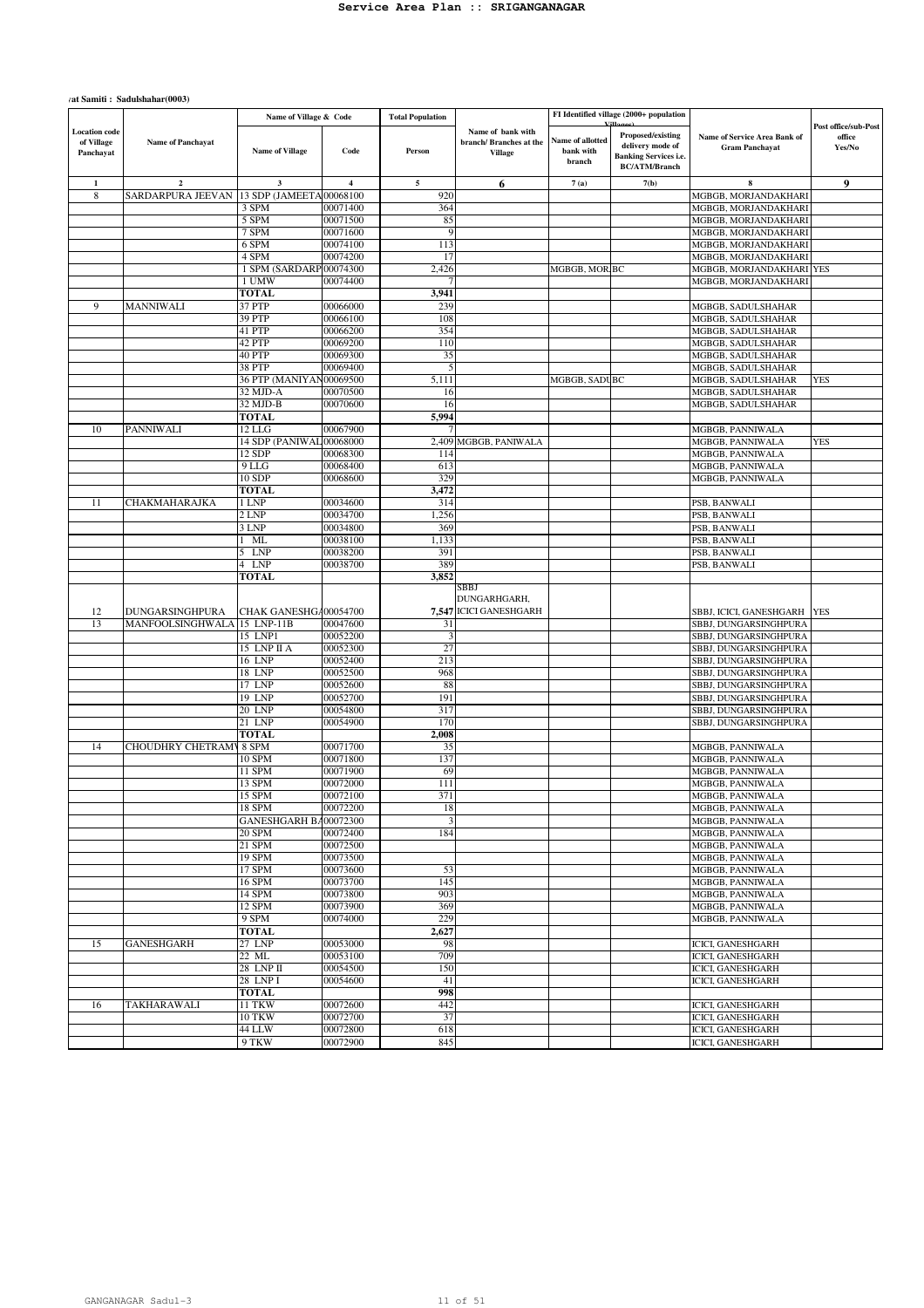#### $\gamma$ at Samiti : Sadulshahar(0003)

|                                                 |                          | Name of Village & Code   |                         | <b>Total Population</b> |                                                               |                                         | FI Identified village (2000+ population                                                       |                                                       |                                          |
|-------------------------------------------------|--------------------------|--------------------------|-------------------------|-------------------------|---------------------------------------------------------------|-----------------------------------------|-----------------------------------------------------------------------------------------------|-------------------------------------------------------|------------------------------------------|
| <b>Location</b> code<br>of Village<br>Panchayat | <b>Name of Panchayat</b> | <b>Name of Village</b>   | Code                    | Person                  | Name of bank with<br>branch/Branches at the<br><b>Village</b> | Name of allotted<br>bank with<br>branch | Proposed/existing<br>delivery mode of<br><b>Banking Services i.e.</b><br><b>BC/ATM/Branch</b> | Name of Service Area Bank of<br><b>Gram Panchavat</b> | Post office/sub-Post<br>office<br>Yes/No |
| $\mathbf{1}$                                    | $\mathbf 2$              | $\mathbf 3$              | $\overline{\mathbf{4}}$ | 5                       | 6                                                             | 7(a)                                    | 7(b)                                                                                          | 8                                                     | 9                                        |
| 8                                               | SARDARPURA JEEVAN        | 13 SDP (JAMEETA 00068100 |                         | 920                     |                                                               |                                         |                                                                                               | MGBGB, MORJANDAKHARI                                  |                                          |
|                                                 |                          | 3 SPM                    | 00071400                | 364                     |                                                               |                                         |                                                                                               | MGBGB, MORJANDAKHARI                                  |                                          |
|                                                 |                          | 5 SPM                    | 00071500                | 85                      |                                                               |                                         |                                                                                               | MGBGB, MORJANDAKHARI                                  |                                          |
|                                                 |                          | 7 SPM                    | 00071600                | 9                       |                                                               |                                         |                                                                                               | MGBGB, MORJANDAKHARI                                  |                                          |
|                                                 |                          | 6 SPM                    | 00074100                | 113                     |                                                               |                                         |                                                                                               | MGBGB, MORJANDAKHARI                                  |                                          |
|                                                 |                          | 4 SPM                    | 00074200                | 17                      |                                                               |                                         |                                                                                               | MGBGB, MORJANDAKHARI                                  |                                          |
|                                                 |                          | 1 SPM (SARDARP00074300   |                         | 2,426                   |                                                               | MGBGB, MOR BC                           |                                                                                               | MGBGB, MORJANDAKHARI YES                              |                                          |
|                                                 |                          | 1 UMW                    | 00074400                |                         |                                                               |                                         |                                                                                               | MGBGB, MORJANDAKHARI                                  |                                          |
| 9                                               | <b>MANNIWALI</b>         | <b>TOTAL</b><br>37 PTP   | 00066000                | 3,941<br>239            |                                                               |                                         |                                                                                               |                                                       |                                          |
|                                                 |                          | 39 PTP                   | 00066100                | 108                     |                                                               |                                         |                                                                                               | MGBGB, SADULSHAHAR<br>MGBGB, SADULSHAHAR              |                                          |
|                                                 |                          | 41 PTP                   | 00066200                | 354                     |                                                               |                                         |                                                                                               | MGBGB, SADULSHAHAR                                    |                                          |
|                                                 |                          | 42 PTP                   | 00069200                | 110                     |                                                               |                                         |                                                                                               | MGBGB, SADULSHAHAR                                    |                                          |
|                                                 |                          | 40 PTP                   | 00069300                | 35                      |                                                               |                                         |                                                                                               | MGBGB, SADULSHAHAR                                    |                                          |
|                                                 |                          | <b>38 PTP</b>            | 00069400                | 5                       |                                                               |                                         |                                                                                               | MGBGB, SADULSHAHAR                                    |                                          |
|                                                 |                          | 36 PTP (MANIYAN00069500  |                         | 5,111                   |                                                               | MGBGB, SADUBC                           |                                                                                               | MGBGB, SADULSHAHAR                                    | <b>YES</b>                               |
|                                                 |                          | 32 MJD-A                 | 00070500                | 16                      |                                                               |                                         |                                                                                               | MGBGB, SADULSHAHAR                                    |                                          |
|                                                 |                          | 32 MJD-B                 | 00070600                | 16                      |                                                               |                                         |                                                                                               | MGBGB, SADULSHAHAR                                    |                                          |
|                                                 |                          | TOTAL                    |                         | 5,994                   |                                                               |                                         |                                                                                               |                                                       |                                          |
| 10                                              | PANNIWALI                | $12$ LLG                 | 00067900                |                         |                                                               |                                         |                                                                                               | MGBGB, PANNIWALA                                      |                                          |
|                                                 |                          | 14 SDP (PANIWAL 00068000 |                         | 2,409                   | MGBGB, PANIWALA                                               |                                         |                                                                                               | MGBGB, PANNIWALA                                      | <b>YES</b>                               |
|                                                 |                          | 12 SDP                   | 00068300                | 114                     |                                                               |                                         |                                                                                               | MGBGB, PANNIWALA                                      |                                          |
|                                                 |                          | 9LLG                     | 00068400                | 613                     |                                                               |                                         |                                                                                               | MGBGB, PANNIWALA                                      |                                          |
|                                                 |                          | 10 SDP                   | 00068600                | 329                     |                                                               |                                         |                                                                                               | MGBGB, PANNIWALA                                      |                                          |
|                                                 |                          | <b>TOTAL</b>             |                         | 3,472                   |                                                               |                                         |                                                                                               |                                                       |                                          |
| 11                                              | <b>CHAKMAHARAJKA</b>     | 1 LNP                    | 00034600                | 314                     |                                                               |                                         |                                                                                               | PSB, BANWALI                                          |                                          |
|                                                 |                          | 2 LNP                    | 00034700                | 1,256                   |                                                               |                                         |                                                                                               | PSB, BANWALI                                          |                                          |
|                                                 |                          | 3 LNP<br>ML              | 00034800<br>00038100    | 369<br>1,133            |                                                               |                                         |                                                                                               | PSB, BANWALI<br>PSB, BANWALI                          |                                          |
|                                                 |                          | 5 LNP                    | 00038200                | 391                     |                                                               |                                         |                                                                                               | PSB, BANWALI                                          |                                          |
|                                                 |                          | 4 LNP                    | 00038700                | 389                     |                                                               |                                         |                                                                                               | PSB, BANWALI                                          |                                          |
|                                                 |                          | <b>TOTAL</b>             |                         | 3,852                   |                                                               |                                         |                                                                                               |                                                       |                                          |
| 12                                              | <b>DUNGARSINGHPURA</b>   | CHAK GANESHGA00054700    |                         | 7,547                   | SBBJ<br>DUNGARHGARH,<br><b>ICICI GANESHGARH</b>               |                                         |                                                                                               | SBBJ, ICICI, GANESHGARH                               | <b>YES</b>                               |
| 13                                              | MANFOOLSINGHWALA         | 15 LNP-11B               | 00047600                | 31                      |                                                               |                                         |                                                                                               | SBBJ, DUNGARSINGHPURA                                 |                                          |
|                                                 |                          | 15 LNP1                  | 00052200                | 3                       |                                                               |                                         |                                                                                               | SBBJ, DUNGARSINGHPURA                                 |                                          |
|                                                 |                          | 15 LNP II A<br>16 LNP    | 00052300<br>00052400    | 27<br>213               |                                                               |                                         |                                                                                               | SBBJ, DUNGARSINGHPURA<br>SBBJ, DUNGARSINGHPURA        |                                          |
|                                                 |                          | 18 LNP                   | 00052500                | 968                     |                                                               |                                         |                                                                                               | SBBJ, DUNGARSINGHPURA                                 |                                          |
|                                                 |                          | 17 LNP                   | 00052600                | 88                      |                                                               |                                         |                                                                                               | SBBJ, DUNGARSINGHPURA                                 |                                          |
|                                                 |                          | 19 LNP                   | 00052700                | 191                     |                                                               |                                         |                                                                                               | SBBJ, DUNGARSINGHPURA                                 |                                          |
|                                                 |                          | 20 LNP                   | 00054800                | 317                     |                                                               |                                         |                                                                                               | SBBJ, DUNGARSINGHPURA                                 |                                          |
|                                                 |                          | 21 LNP                   | 00054900                | 170                     |                                                               |                                         |                                                                                               | SBBJ, DUNGARSINGHPURA                                 |                                          |
|                                                 |                          | <b>TOTAL</b>             |                         | 2,008                   |                                                               |                                         |                                                                                               |                                                       |                                          |
| 14                                              | CHOUDHRY CHETRAMY 8 SPM  |                          | 00071700                | 35                      |                                                               |                                         |                                                                                               | MGBGB, PANNIWALA                                      |                                          |
|                                                 |                          | 10 SPM                   | 00071800                | 137                     |                                                               |                                         |                                                                                               | MGBGB, PANNIWALA                                      |                                          |
|                                                 |                          | 11 SPM                   | 00071900                | 69                      |                                                               |                                         |                                                                                               | MGBGB, PANNIWALA                                      |                                          |
|                                                 |                          | 13 SPM                   | 00072000                | 111                     |                                                               |                                         |                                                                                               | MGBGB, PANNIWALA                                      |                                          |
|                                                 |                          | 15 SPM                   | 00072100                | 371                     |                                                               |                                         |                                                                                               | MGBGB, PANNIWALA                                      |                                          |
|                                                 |                          | 18 SPM                   | 00072200                | 18                      |                                                               |                                         |                                                                                               | MGBGB, PANNIWALA                                      |                                          |
|                                                 |                          | GANESHGARH BA00072300    |                         | 3                       |                                                               |                                         |                                                                                               | MGBGB, PANNIWALA                                      |                                          |
|                                                 |                          | 20 SPM                   | 00072400                | 184                     |                                                               |                                         |                                                                                               | MGBGB, PANNIWALA                                      |                                          |
|                                                 |                          | 21 SPM                   | 00072500                |                         |                                                               |                                         |                                                                                               | MGBGB, PANNIWALA                                      |                                          |
|                                                 |                          | 19 SPM                   | 00073500                |                         |                                                               |                                         |                                                                                               | MGBGB, PANNIWALA                                      |                                          |
|                                                 |                          | 17 SPM                   | 00073600                | 53                      |                                                               |                                         |                                                                                               | MGBGB, PANNIWALA                                      |                                          |
|                                                 |                          | 16 SPM                   | 00073700                | 145<br>903              |                                                               |                                         |                                                                                               | MGBGB, PANNIWALA<br>MGBGB, PANNIWALA                  |                                          |
|                                                 |                          | 14 SPM<br>12 SPM         | 00073800<br>00073900    | 369                     |                                                               |                                         |                                                                                               | MGBGB, PANNIWALA                                      |                                          |
|                                                 |                          | 9 SPM                    | 00074000                | 229                     |                                                               |                                         |                                                                                               | MGBGB, PANNIWALA                                      |                                          |
|                                                 |                          | <b>TOTAL</b>             |                         | 2,627                   |                                                               |                                         |                                                                                               |                                                       |                                          |
| 15                                              | GANESHGARH               | 27 LNP                   | 00053000                | 98                      |                                                               |                                         |                                                                                               | <b>ICICI, GANESHGARH</b>                              |                                          |
|                                                 |                          | 22 ML                    | 00053100                | 709                     |                                                               |                                         |                                                                                               | <b>ICICL GANESHGARH</b>                               |                                          |
|                                                 |                          | 28 LNP II                | 00054500                | 150                     |                                                               |                                         |                                                                                               | <b>ICICL GANESHGARH</b>                               |                                          |
|                                                 |                          | 28 LNP I                 | 00054600                | 41                      |                                                               |                                         |                                                                                               | ICICI, GANESHGARH                                     |                                          |
|                                                 |                          | <b>TOTAL</b>             |                         | 998                     |                                                               |                                         |                                                                                               |                                                       |                                          |
| 16                                              | TAKHARAWALI              | 11 TKW                   | 00072600                | 442                     |                                                               |                                         |                                                                                               | ICICI, GANESHGARH                                     |                                          |
|                                                 |                          | <b>10 TKW</b>            | 00072700                | 37                      |                                                               |                                         |                                                                                               | ICICI, GANESHGARH                                     |                                          |
|                                                 |                          | 44 LLW                   | 00072800                | 618                     |                                                               |                                         |                                                                                               | ICICI, GANESHGARH                                     |                                          |
|                                                 |                          | 9 TKW                    | 00072900                | 845                     |                                                               |                                         |                                                                                               | ICICI, GANESHGARH                                     |                                          |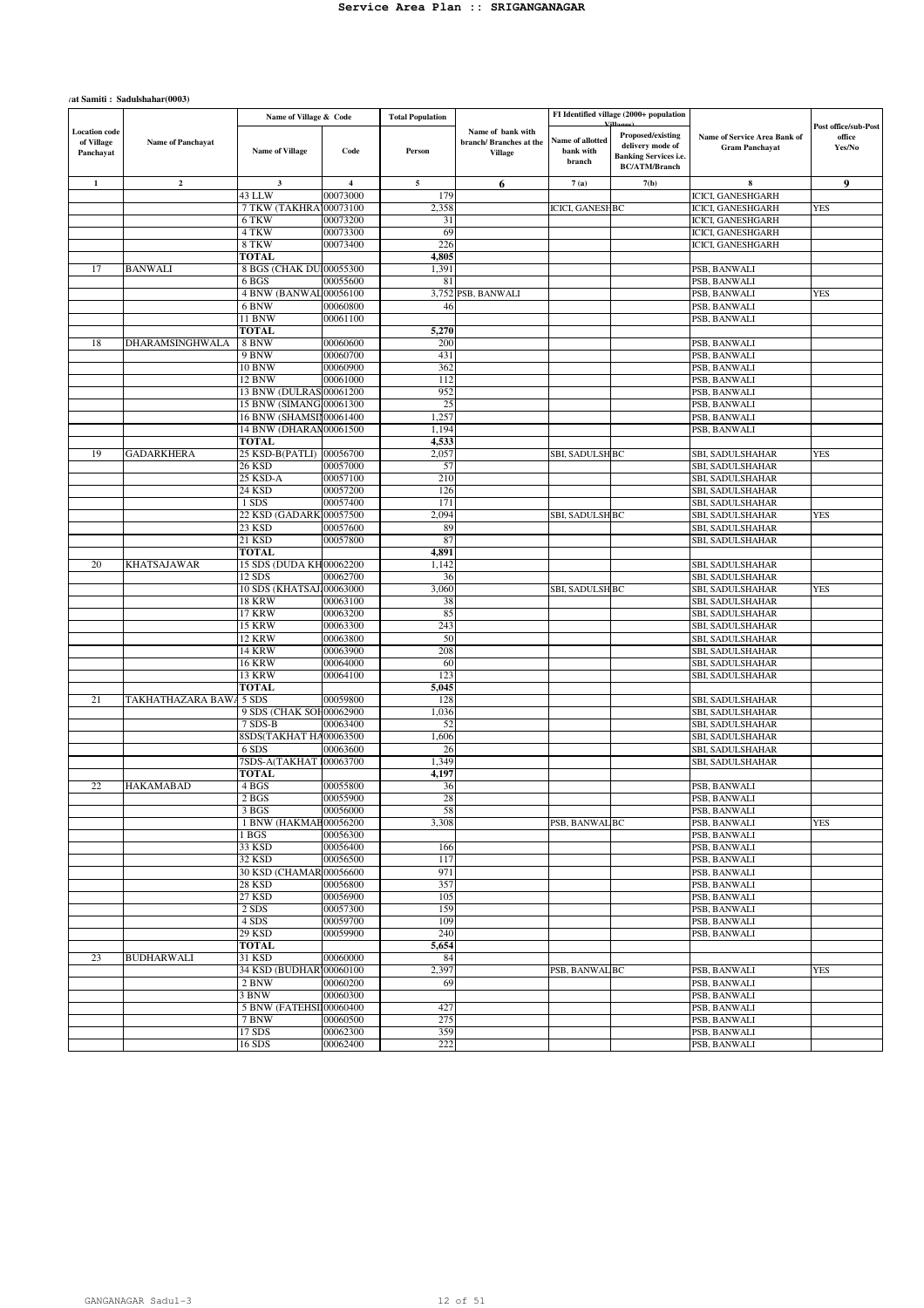#### $\gamma$ at Samiti : Sadulshahar(0003)

|                                                 |                   | Name of Village & Code                             |                         | <b>Total Population</b> |                                                               |                                         | FI Identified village (2000+ population                                                       |                                                       |                                          |
|-------------------------------------------------|-------------------|----------------------------------------------------|-------------------------|-------------------------|---------------------------------------------------------------|-----------------------------------------|-----------------------------------------------------------------------------------------------|-------------------------------------------------------|------------------------------------------|
| <b>Location</b> code<br>of Village<br>Panchayat | Name of Panchayat | <b>Name of Village</b>                             | Code                    | Person                  | Name of bank with<br>branch/Branches at the<br><b>Village</b> | Name of allotted<br>bank with<br>branch | Proposed/existing<br>delivery mode of<br><b>Banking Services i.e.</b><br><b>BC/ATM/Branch</b> | Name of Service Area Bank of<br><b>Gram Panchayat</b> | Post office/sub-Post<br>office<br>Yes/No |
| $\mathbf{1}$                                    | $\overline{2}$    | $\mathbf{3}$                                       | $\overline{\mathbf{4}}$ | 5                       | 6                                                             | 7(a)                                    | 7(b)                                                                                          | 8                                                     | 9                                        |
|                                                 |                   | 43 LLW                                             | 00073000                | 179                     |                                                               |                                         |                                                                                               | ICICI, GANESHGARH                                     |                                          |
|                                                 |                   | 7 TKW (TAKHRA100073100                             |                         | 2,358                   |                                                               | <b>ICICI, GANESH BC</b>                 |                                                                                               | <b>ICICI, GANESHGARH</b>                              | <b>YES</b>                               |
|                                                 |                   | 6 TKW<br>4 TKW                                     | 00073200                | 31<br>69                |                                                               |                                         |                                                                                               | ICICI, GANESHGARH                                     |                                          |
|                                                 |                   | 8 TKW                                              | 00073300<br>00073400    | 226                     |                                                               |                                         |                                                                                               | <b>ICICI, GANESHGARH</b><br><b>ICICI, GANESHGARH</b>  |                                          |
|                                                 |                   | <b>TOTAL</b>                                       |                         | 4,805                   |                                                               |                                         |                                                                                               |                                                       |                                          |
| 17                                              | <b>BANWALI</b>    | 8 BGS (CHAK DU 00055300                            |                         | 1,391                   |                                                               |                                         |                                                                                               | PSB, BANWALI                                          |                                          |
|                                                 |                   | 6 BGS                                              | 00055600                | 81                      |                                                               |                                         |                                                                                               | PSB, BANWALI                                          |                                          |
|                                                 |                   | 4 BNW (BANWAL00056100                              |                         |                         | 3,752 PSB, BANWALI                                            |                                         |                                                                                               | PSB, BANWALI                                          | <b>YES</b>                               |
|                                                 |                   | 6 BNW<br>11 BNW                                    | 00060800<br>00061100    | 46                      |                                                               |                                         |                                                                                               | PSB, BANWALI                                          |                                          |
|                                                 |                   | <b>TOTAL</b>                                       |                         | 5,270                   |                                                               |                                         |                                                                                               | PSB, BANWALI                                          |                                          |
| 18                                              | DHARAMSINGHWALA   | 8 BNW                                              | 00060600                | 200                     |                                                               |                                         |                                                                                               | PSB, BANWALI                                          |                                          |
|                                                 |                   | 9 BNW                                              | 00060700                | 431                     |                                                               |                                         |                                                                                               | PSB, BANWALI                                          |                                          |
|                                                 |                   | 10 BNW                                             | 00060900                | 362                     |                                                               |                                         |                                                                                               | PSB, BANWALI                                          |                                          |
|                                                 |                   | 12 BNW                                             | 00061000                | 112                     |                                                               |                                         |                                                                                               | PSB, BANWALI                                          |                                          |
|                                                 |                   | 13 BNW (DULRAS 00061200<br>15 BNW (SIMANG 00061300 |                         | 952<br>25               |                                                               |                                         |                                                                                               | PSB, BANWALI<br>PSB, BANWALI                          |                                          |
|                                                 |                   | 16 BNW (SHAMSII 00061400                           |                         | 1,257                   |                                                               |                                         |                                                                                               | PSB, BANWALI                                          |                                          |
|                                                 |                   | 14 BNW (DHARAN00061500                             |                         | 1,194                   |                                                               |                                         |                                                                                               | PSB, BANWALI                                          |                                          |
|                                                 |                   | TOTAL                                              |                         | 4,533                   |                                                               |                                         |                                                                                               |                                                       |                                          |
| 19                                              | <b>GADARKHERA</b> | 25 KSD-B(PATLI) 00056700                           |                         | 2,057                   |                                                               | SBI, SADULSH BC                         |                                                                                               | SBI, SADULSHAHAR                                      | <b>YES</b>                               |
|                                                 |                   | 26 KSD                                             | 00057000                | 57                      |                                                               |                                         |                                                                                               | SBI, SADULSHAHAR                                      |                                          |
|                                                 |                   | 25 KSD-A<br>24 KSD                                 | 00057100<br>00057200    | 210<br>126              |                                                               |                                         |                                                                                               | SBI, SADULSHAHAR<br>SBI, SADULSHAHAR                  |                                          |
|                                                 |                   | 1 SDS                                              | 00057400                | 171                     |                                                               |                                         |                                                                                               | SBI, SADULSHAHAR                                      |                                          |
|                                                 |                   | 22 KSD (GADARK 00057500                            |                         | 2,094                   |                                                               | SBI, SADULSH BC                         |                                                                                               | SBI, SADULSHAHAR                                      | <b>YES</b>                               |
|                                                 |                   | 23 KSD                                             | 00057600                | 89                      |                                                               |                                         |                                                                                               | SBI, SADULSHAHAR                                      |                                          |
|                                                 |                   | 21 KSD                                             | 00057800                | 87                      |                                                               |                                         |                                                                                               | SBI, SADULSHAHAR                                      |                                          |
| 20                                              | KHATSAJAWAR       | <b>TOTAL</b><br>15 SDS (DUDA KH00062200            |                         | 4,891<br>1,142          |                                                               |                                         |                                                                                               |                                                       |                                          |
|                                                 |                   | 12 SDS                                             | 00062700                | 36                      |                                                               |                                         |                                                                                               | SBI, SADULSHAHAR<br>SBI, SADULSHAHAR                  |                                          |
|                                                 |                   | 10 SDS (KHATSAJ)00063000                           |                         | 3,060                   |                                                               | SBI, SADULSH BC                         |                                                                                               | SBI, SADULSHAHAR                                      | <b>YES</b>                               |
|                                                 |                   | <b>18 KRW</b>                                      | 00063100                | 38                      |                                                               |                                         |                                                                                               | SBI, SADULSHAHAR                                      |                                          |
|                                                 |                   | 17 KRW                                             | 00063200                | 85                      |                                                               |                                         |                                                                                               | SBI, SADULSHAHAR                                      |                                          |
|                                                 |                   | <b>15 KRW</b>                                      | 00063300                | 243                     |                                                               |                                         |                                                                                               | SBI, SADULSHAHAR                                      |                                          |
|                                                 |                   | 12 KRW<br><b>14 KRW</b>                            | 00063800<br>00063900    | 50<br>208               |                                                               |                                         |                                                                                               | SBI, SADULSHAHAR<br>SBI, SADULSHAHAR                  |                                          |
|                                                 |                   | <b>16 KRW</b>                                      | 00064000                | 60                      |                                                               |                                         |                                                                                               | SBI, SADULSHAHAR                                      |                                          |
|                                                 |                   | 13 KRW                                             | 00064100                | 123                     |                                                               |                                         |                                                                                               | SBI, SADULSHAHAR                                      |                                          |
|                                                 |                   | <b>TOTAL</b>                                       |                         | 5,045                   |                                                               |                                         |                                                                                               |                                                       |                                          |
| 21                                              | TAKHATHAZARA BAW  | 5 SDS                                              | 00059800                | 128                     |                                                               |                                         |                                                                                               | SBI, SADULSHAHAR                                      |                                          |
|                                                 |                   | 9 SDS (CHAK SOH00062900<br>7 SDS-B                 | 00063400                | 1,036<br>52             |                                                               |                                         |                                                                                               | SBI, SADULSHAHAR<br>SBI, SADULSHAHAR                  |                                          |
|                                                 |                   | 8SDS(TAKHAT HA00063500                             |                         | 1,606                   |                                                               |                                         |                                                                                               | SBI, SADULSHAHAR                                      |                                          |
|                                                 |                   | 6 SDS                                              | 00063600                | 26                      |                                                               |                                         |                                                                                               | SBI, SADULSHAHAR                                      |                                          |
|                                                 |                   | 7SDS-A(TAKHAT 100063700                            |                         | 1,349                   |                                                               |                                         |                                                                                               | SBI, SADULSHAHAR                                      |                                          |
|                                                 |                   | TOTAL                                              |                         | 4,197                   |                                                               |                                         |                                                                                               |                                                       |                                          |
| 22                                              | HAKAMABAD         | 4 BGS<br>2 <sub>BGS</sub>                          | 00055800<br>00055900    | 36<br>28                |                                                               |                                         |                                                                                               | PSB, BANWALI<br>PSB, BANWALI                          |                                          |
|                                                 |                   | 3 BGS                                              | 00056000                | 58                      |                                                               |                                         |                                                                                               | PSB, BANWALI                                          |                                          |
|                                                 |                   | 1 BNW (HAKMAE00056200                              |                         | 3,308                   |                                                               | PSB, BANWAL BC                          |                                                                                               | PSB, BANWALI                                          | <b>YES</b>                               |
|                                                 |                   | 1 BGS                                              | 00056300                |                         |                                                               |                                         |                                                                                               | PSB, BANWALI                                          |                                          |
|                                                 |                   | 33 KSD                                             | 00056400                | 166                     |                                                               |                                         |                                                                                               | PSB, BANWALI                                          |                                          |
|                                                 |                   | 32 KSD<br>30 KSD (CHAMAR 00056600                  | 00056500                | 117<br>971              |                                                               |                                         |                                                                                               | PSB, BANWALI                                          |                                          |
|                                                 |                   | 28 KSD                                             | 00056800                | 357                     |                                                               |                                         |                                                                                               | PSB, BANWALI<br>PSB, BANWALI                          |                                          |
|                                                 |                   | 27 KSD                                             | 00056900                | 105                     |                                                               |                                         |                                                                                               | PSB, BANWALI                                          |                                          |
|                                                 |                   | 2 SDS                                              | 00057300                | 159                     |                                                               |                                         |                                                                                               | PSB, BANWALI                                          |                                          |
|                                                 |                   | 4 SDS                                              | 00059700                | 109                     |                                                               |                                         |                                                                                               | PSB, BANWALI                                          |                                          |
|                                                 |                   | 29 KSD                                             | 00059900                | 240                     |                                                               |                                         |                                                                                               | PSB, BANWALI                                          |                                          |
|                                                 |                   | TOTAL<br>31 KSD                                    |                         | 5,654                   |                                                               |                                         |                                                                                               |                                                       |                                          |
| 23                                              | <b>BUDHARWALI</b> | 34 KSD (BUDHAR100060100                            | 00060000                | 84<br>2,397             |                                                               | PSB, BANWAL BC                          |                                                                                               | PSB, BANWALI                                          | YES                                      |
|                                                 |                   | 2 BNW                                              | 00060200                | 69                      |                                                               |                                         |                                                                                               | PSB, BANWALI                                          |                                          |
|                                                 |                   | 3 BNW                                              | 00060300                |                         |                                                               |                                         |                                                                                               | PSB, BANWALI                                          |                                          |
|                                                 |                   | 5 BNW (FATEHSII00060400                            |                         | 427                     |                                                               |                                         |                                                                                               | PSB, BANWALI                                          |                                          |
|                                                 |                   | 7 BNW                                              | 00060500                | 275                     |                                                               |                                         |                                                                                               | PSB, BANWALI                                          |                                          |
|                                                 |                   | 17 SDS<br>$16$ SDS                                 | 00062300                | 359                     |                                                               |                                         |                                                                                               | PSB, BANWALI<br>PSB, BANWALI                          |                                          |
|                                                 |                   |                                                    | 00062400                | 222                     |                                                               |                                         |                                                                                               |                                                       |                                          |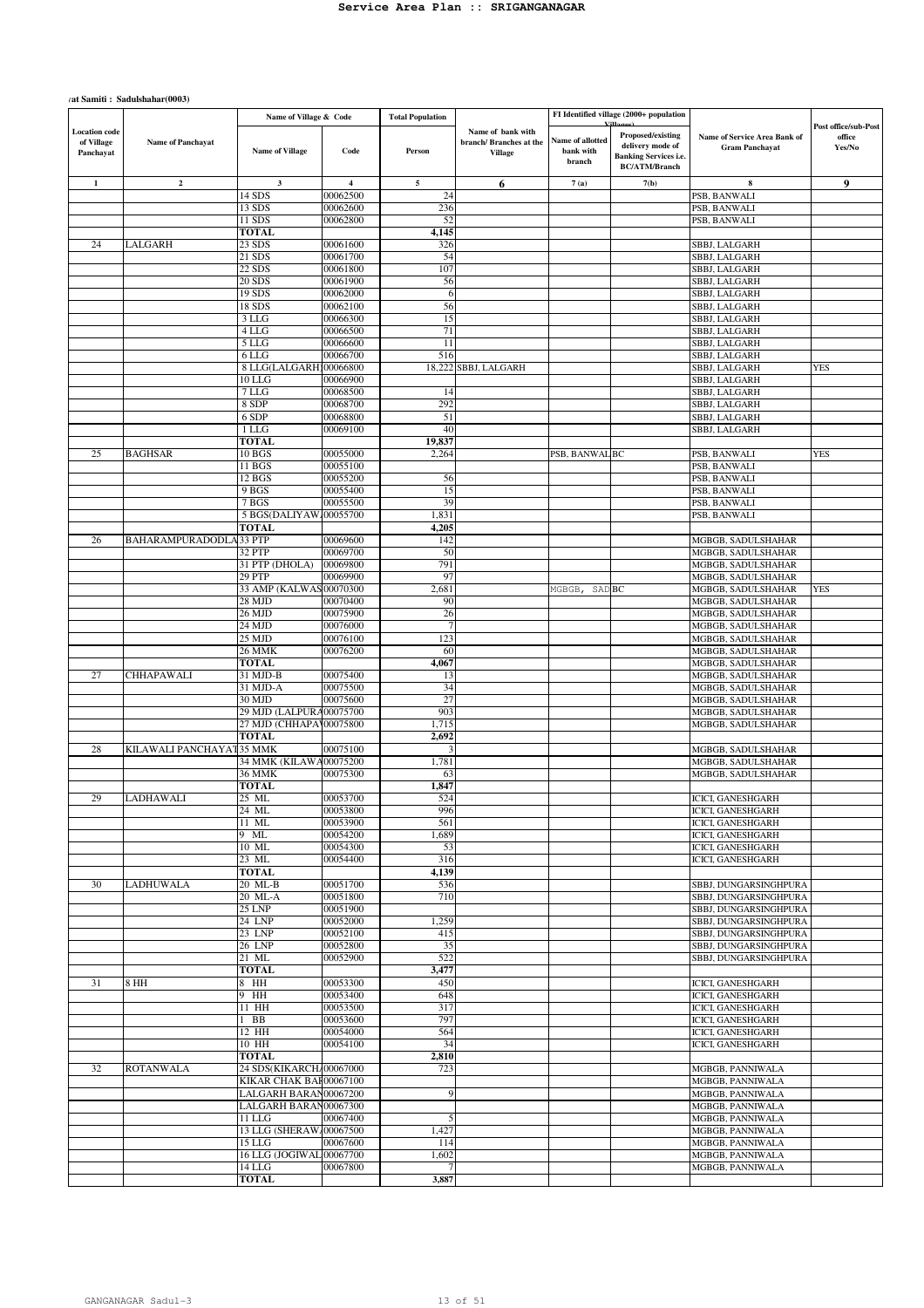#### $\gamma$ at Samiti : Sadulshahar(0003)

|                                                 |                               | Name of Village & Code                  |                      | <b>Total Population</b> |                                                               |                                         | FI Identified village (2000+ population                                                       |                                                       |                                          |
|-------------------------------------------------|-------------------------------|-----------------------------------------|----------------------|-------------------------|---------------------------------------------------------------|-----------------------------------------|-----------------------------------------------------------------------------------------------|-------------------------------------------------------|------------------------------------------|
| <b>Location</b> code<br>of Village<br>Panchayat | <b>Name of Panchayat</b>      | <b>Name of Village</b>                  | Code                 | Person                  | Name of bank with<br>branch/Branches at the<br><b>Village</b> | Name of allotted<br>bank with<br>branch | Proposed/existing<br>delivery mode of<br><b>Banking Services i.e.</b><br><b>BC/ATM/Branch</b> | Name of Service Area Bank of<br><b>Gram Panchayat</b> | Post office/sub-Post<br>office<br>Yes/No |
| $\mathbf{1}$                                    | $\overline{a}$                | 3                                       | 4                    | 5                       | 6                                                             | 7(a)                                    | 7(b)                                                                                          | 8                                                     | 9                                        |
|                                                 |                               | 14 SDS                                  | 00062500             | 24                      |                                                               |                                         |                                                                                               | PSB, BANWALI                                          |                                          |
|                                                 |                               | 13 SDS<br>11 SDS                        | 00062600<br>00062800 | 236<br>52               |                                                               |                                         |                                                                                               | PSB, BANWALI<br>PSB, BANWALI                          |                                          |
|                                                 |                               | <b>TOTAL</b>                            |                      | 4,145                   |                                                               |                                         |                                                                                               |                                                       |                                          |
| 24                                              | LALGARH                       | 23 SDS                                  | 00061600             | 326                     |                                                               |                                         |                                                                                               | SBBJ, LALGARH                                         |                                          |
|                                                 |                               | 21 SDS                                  | 00061700             | 54                      |                                                               |                                         |                                                                                               | SBBJ, LALGARH                                         |                                          |
|                                                 |                               | 22 SDS<br>20 SDS                        | 00061800<br>00061900 | 107                     |                                                               |                                         |                                                                                               | SBBJ, LALGARH                                         |                                          |
|                                                 |                               | 19 SDS                                  | 00062000             | 56<br>6                 |                                                               |                                         |                                                                                               | SBBJ, LALGARH<br>SBBJ, LALGARH                        |                                          |
|                                                 |                               | 18 SDS                                  | 00062100             | 56                      |                                                               |                                         |                                                                                               | SBBJ, LALGARH                                         |                                          |
|                                                 |                               | 3 LLG                                   | 00066300             | 15                      |                                                               |                                         |                                                                                               | SBBJ, LALGARH                                         |                                          |
|                                                 |                               | 4 LLG                                   | 00066500             | 71                      |                                                               |                                         |                                                                                               | SBBJ, LALGARH                                         |                                          |
|                                                 |                               | 5 LLG<br>6 LLG                          | 00066600<br>00066700 | 11<br>516               |                                                               |                                         |                                                                                               | SBBJ, LALGARH<br>SBBJ, LALGARH                        |                                          |
|                                                 |                               | 8 LLG(LALGARH)00066800                  |                      | 18,222                  | SBBJ, LALGARH                                                 |                                         |                                                                                               | SBBJ, LALGARH                                         | <b>YES</b>                               |
|                                                 |                               | 10 LLG                                  | 00066900             |                         |                                                               |                                         |                                                                                               | SBBJ, LALGARH                                         |                                          |
|                                                 |                               | 7 LLG                                   | 00068500             | 14                      |                                                               |                                         |                                                                                               | SBBJ, LALGARH                                         |                                          |
|                                                 |                               | 8 SDP<br>6 SDP                          | 00068700<br>00068800 | 292<br>51               |                                                               |                                         |                                                                                               | SBBJ, LALGARH<br>SBBJ, LALGARH                        |                                          |
|                                                 |                               | 1 LLG                                   | 00069100             | 40                      |                                                               |                                         |                                                                                               | SBBJ, LALGARH                                         |                                          |
|                                                 |                               | <b>TOTAL</b>                            |                      | 19,837                  |                                                               |                                         |                                                                                               |                                                       |                                          |
| 25                                              | <b>BAGHSAR</b>                | 10 BGS                                  | 00055000             | 2,264                   |                                                               | PSB, BANWAL BC                          |                                                                                               | PSB, BANWALI                                          | <b>YES</b>                               |
|                                                 |                               | 11 BGS<br>12 BGS                        | 00055100<br>00055200 | 56                      |                                                               |                                         |                                                                                               | PSB, BANWALI                                          |                                          |
|                                                 |                               | 9 BGS                                   | 00055400             | 15                      |                                                               |                                         |                                                                                               | PSB, BANWALI<br>PSB, BANWALI                          |                                          |
|                                                 |                               | 7 BGS                                   | 00055500             | 39                      |                                                               |                                         |                                                                                               | PSB, BANWALI                                          |                                          |
|                                                 |                               | 5 BGS(DALIYAW,00055700                  |                      | 1,831                   |                                                               |                                         |                                                                                               | PSB, BANWALI                                          |                                          |
|                                                 |                               | <b>TOTAL</b>                            |                      | 4,205                   |                                                               |                                         |                                                                                               |                                                       |                                          |
| 26                                              | <b>BAHARAMPURADODLA33 PTP</b> | 32 PTP                                  | 00069600<br>00069700 | 142<br>50               |                                                               |                                         |                                                                                               | MGBGB, SADULSHAHAR<br>MGBGB, SADULSHAHAR              |                                          |
|                                                 |                               | 31 PTP (DHOLA)                          | 00069800             | 791                     |                                                               |                                         |                                                                                               | MGBGB, SADULSHAHAR                                    |                                          |
|                                                 |                               | 29 PTP                                  | 00069900             | 97                      |                                                               |                                         |                                                                                               | MGBGB, SADULSHAHAR                                    |                                          |
|                                                 |                               | 33 AMP (KALWAS00070300                  |                      | 2,681                   |                                                               | MGBGB, SAD BC                           |                                                                                               | MGBGB, SADULSHAHAR                                    | <b>YES</b>                               |
|                                                 |                               | 28 MJD<br>26 MJD                        | 00070400<br>00075900 | 90<br>26                |                                                               |                                         |                                                                                               | MGBGB, SADULSHAHAR<br>MGBGB, SADULSHAHAR              |                                          |
|                                                 |                               | 24 MJD                                  | 00076000             |                         |                                                               |                                         |                                                                                               | MGBGB, SADULSHAHAR                                    |                                          |
|                                                 |                               | 25 MJD                                  | 00076100             | 123                     |                                                               |                                         |                                                                                               | MGBGB, SADULSHAHAR                                    |                                          |
|                                                 |                               | <b>26 MMK</b>                           | 00076200             | 60                      |                                                               |                                         |                                                                                               | MGBGB, SADULSHAHAR                                    |                                          |
| 27                                              | <b>CHHAPAWALI</b>             | <b>TOTAL</b><br>31 MJD-B                | 00075400             | 4,067<br>13             |                                                               |                                         |                                                                                               | MGBGB, SADULSHAHAR                                    |                                          |
|                                                 |                               | 31 MJD-A                                | 00075500             | 34                      |                                                               |                                         |                                                                                               | MGBGB, SADULSHAHAR<br>MGBGB, SADULSHAHAR              |                                          |
|                                                 |                               | 30 MJD                                  | 00075600             | 27                      |                                                               |                                         |                                                                                               | MGBGB, SADULSHAHAR                                    |                                          |
|                                                 |                               | 29 MJD (LALPURA00075700                 |                      | 903                     |                                                               |                                         |                                                                                               | MGBGB, SADULSHAHAR                                    |                                          |
|                                                 |                               | 27 MJD (CHHAPA\00075800<br><b>TOTAL</b> |                      | 1,715                   |                                                               |                                         |                                                                                               | MGBGB, SADULSHAHAR                                    |                                          |
| 28                                              | KILAWALI PANCHAYAT35 MMK      |                                         | 00075100             | 2,692<br>3              |                                                               |                                         |                                                                                               | <b>MGBGB, SADULSHAHAR</b>                             |                                          |
|                                                 |                               | 34 MMK (KILAWA00075200                  |                      | 1,781                   |                                                               |                                         |                                                                                               | MGBGB, SADULSHAHAR                                    |                                          |
|                                                 |                               | 36 MMK                                  | 00075300             | 63                      |                                                               |                                         |                                                                                               | MGBGB, SADULSHAHAR                                    |                                          |
|                                                 |                               | <b>TOTAL</b>                            |                      | 1,847                   |                                                               |                                         |                                                                                               |                                                       |                                          |
| 29                                              | <b>LADHAWALI</b>              | 25 ML<br>24 ML                          | 00053700<br>00053800 | 524<br>996              |                                                               |                                         |                                                                                               | <b>ICICI, GANESHGARH</b><br>ICICI, GANESHGARH         |                                          |
|                                                 |                               | 11 ML                                   | 00053900             | 561                     |                                                               |                                         |                                                                                               | ICICI, GANESHGARH                                     |                                          |
|                                                 |                               | 9 ML                                    | 00054200             | 1,689                   |                                                               |                                         |                                                                                               | <b>ICICL GANESHGARH</b>                               |                                          |
|                                                 |                               | 10 ML<br>23 ML                          | 00054300<br>00054400 | 53<br>316               |                                                               |                                         |                                                                                               | <b>ICICI, GANESHGARH</b><br>ICICI, GANESHGARH         |                                          |
|                                                 |                               | <b>TOTAL</b>                            |                      | 4,139                   |                                                               |                                         |                                                                                               |                                                       |                                          |
| 30                                              | LADHUWALA                     | 20 ML-B                                 | 00051700             | 536                     |                                                               |                                         |                                                                                               | SBBJ, DUNGARSINGHPURA                                 |                                          |
|                                                 |                               | 20 ML-A                                 | 00051800             | 710                     |                                                               |                                         |                                                                                               | SBBJ, DUNGARSINGHPURA                                 |                                          |
|                                                 |                               | <b>25 LNP</b><br>24 LNP                 | 00051900<br>00052000 | 1,259                   |                                                               |                                         |                                                                                               | SBBJ, DUNGARSINGHPURA<br>SBBJ, DUNGARSINGHPURA        |                                          |
|                                                 |                               | 23 LNP                                  | 00052100             | 415                     |                                                               |                                         |                                                                                               | SBBJ, DUNGARSINGHPURA                                 |                                          |
|                                                 |                               | 26 LNP                                  | 00052800             | 35                      |                                                               |                                         |                                                                                               | SBBJ, DUNGARSINGHPURA                                 |                                          |
|                                                 |                               | 21 ML                                   | 00052900             | 522                     |                                                               |                                         |                                                                                               | SBBJ, DUNGARSINGHPURA                                 |                                          |
|                                                 |                               | <b>TOTAL</b>                            |                      | 3,477                   |                                                               |                                         |                                                                                               |                                                       |                                          |
| 31                                              | <b>8 HH</b>                   | 8 HH<br>9 HH                            | 00053300<br>00053400 | 450<br>648              |                                                               |                                         |                                                                                               | <b>ICICI, GANESHGARH</b><br>ICICI, GANESHGARH         |                                          |
|                                                 |                               | $11$ HH                                 | 00053500             | 317                     |                                                               |                                         |                                                                                               | <b>ICICI, GANESHGARH</b>                              |                                          |
|                                                 |                               | $1$ BB                                  | 00053600             | 797                     |                                                               |                                         |                                                                                               | ICICI, GANESHGARH                                     |                                          |
|                                                 |                               | 12 HH<br>10 HH                          | 00054000             | 564                     |                                                               |                                         |                                                                                               | ICICI, GANESHGARH                                     |                                          |
|                                                 |                               | <b>TOTAL</b>                            | 00054100             | 34<br>2,810             |                                                               |                                         |                                                                                               | ICICI, GANESHGARH                                     |                                          |
| 32                                              | <b>ROTANWALA</b>              | 24 SDS(KIKARCH/00067000                 |                      | 723                     |                                                               |                                         |                                                                                               | MGBGB, PANNIWALA                                      |                                          |
|                                                 |                               | KIKAR CHAK BAF00067100                  |                      |                         |                                                               |                                         |                                                                                               | MGBGB, PANNIWALA                                      |                                          |
|                                                 |                               | LALGARH BARAN00067200                   |                      | 9                       |                                                               |                                         |                                                                                               | MGBGB, PANNIWALA                                      |                                          |
|                                                 |                               | LALGARH BARAN00067300<br>$11$ LLG       | 00067400             | 5                       |                                                               |                                         |                                                                                               | MGBGB, PANNIWALA<br>MGBGB, PANNIWALA                  |                                          |
|                                                 |                               | 13 LLG (SHERAW 00067500                 |                      | 1,427                   |                                                               |                                         |                                                                                               | MGBGB, PANNIWALA                                      |                                          |
|                                                 |                               | 15 LLG                                  | 00067600             | 114                     |                                                               |                                         |                                                                                               | MGBGB, PANNIWALA                                      |                                          |
|                                                 |                               | 16 LLG (JOGIWAL 00067700                |                      | 1,602                   |                                                               |                                         |                                                                                               | MGBGB, PANNIWALA                                      |                                          |
|                                                 |                               | 14 LLG<br><b>TOTAL</b>                  | 00067800             | 3,887                   |                                                               |                                         |                                                                                               | MGBGB, PANNIWALA                                      |                                          |
|                                                 |                               |                                         |                      |                         |                                                               |                                         |                                                                                               |                                                       |                                          |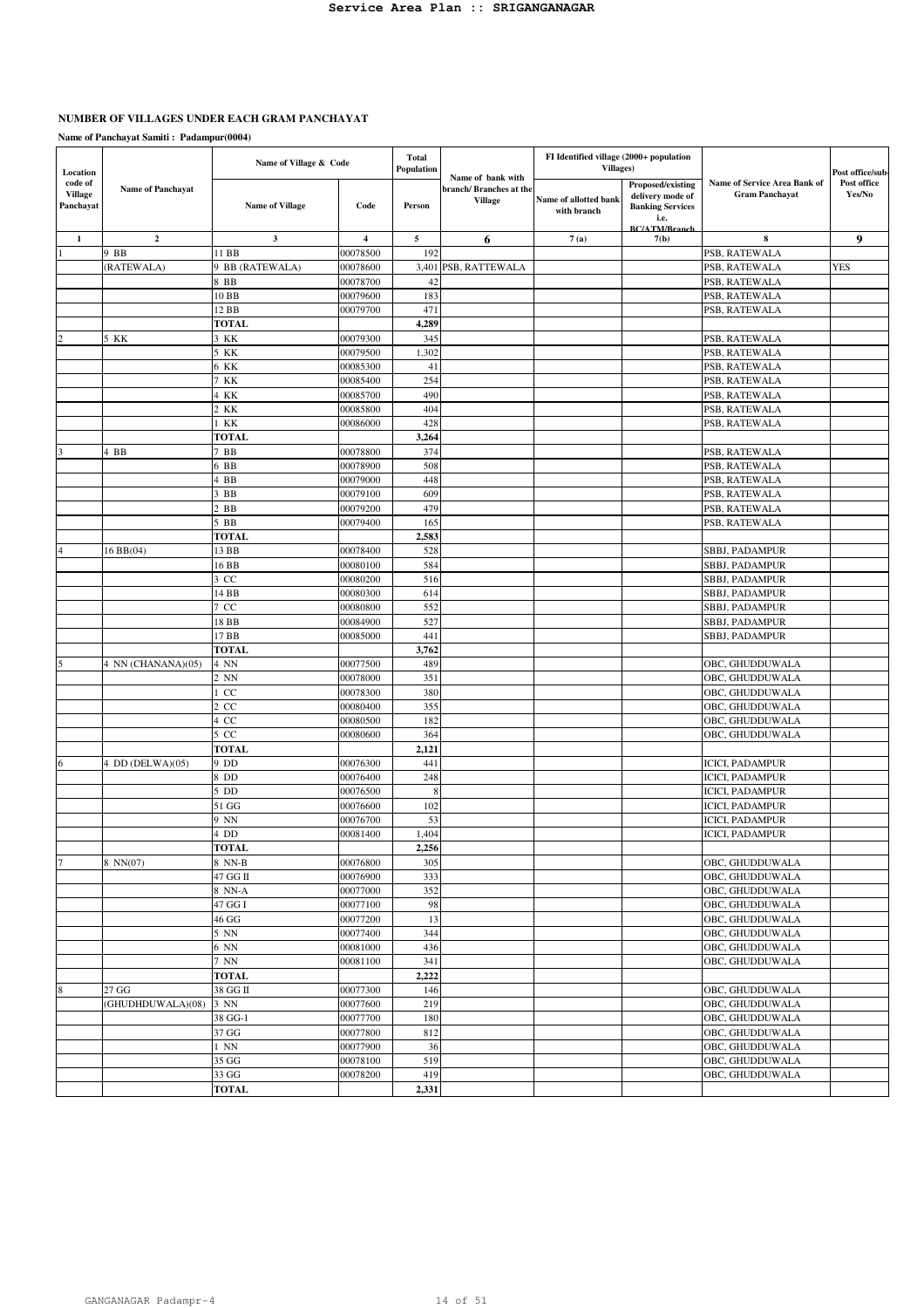# **NUMBER OF VILLAGES UNDER EACH GRAM PANCHAYAT**

| Location                               |                          | Name of Village & Code |                | <b>Total</b><br>Population |                                                               | FI Identified village (2000+ population<br>Villages) |                                                                                                  |                                                       | Post office/sub-      |
|----------------------------------------|--------------------------|------------------------|----------------|----------------------------|---------------------------------------------------------------|------------------------------------------------------|--------------------------------------------------------------------------------------------------|-------------------------------------------------------|-----------------------|
| code of<br><b>Village</b><br>Panchayat | <b>Name of Panchayat</b> | <b>Name of Village</b> | Code           | Person                     | Name of bank with<br>branch/Branches at the<br><b>Village</b> | Name of allotted bank<br>with branch                 | Proposed/existing<br>delivery mode of<br><b>Banking Services</b><br>i.e.<br><b>BC/ATM/Branch</b> | Name of Service Area Bank of<br><b>Gram Panchavat</b> | Post office<br>Yes/No |
| $\mathbf{1}$                           | $\overline{2}$           | $\mathbf{3}$           | $\overline{4}$ | 5                          | 6                                                             | 7(a)                                                 | 7(b)                                                                                             | 8                                                     | 9                     |
|                                        | 9 BB                     | 11 BB                  | 00078500       | 192                        |                                                               |                                                      |                                                                                                  | PSB, RATEWALA                                         |                       |
|                                        | (RATEWALA)               | 9 BB (RATEWALA)        | 00078600       | 3,401                      | PSB, RATTEWALA                                                |                                                      |                                                                                                  | PSB, RATEWALA                                         | <b>YES</b>            |
|                                        |                          | 8 BB                   | 00078700       | 42                         |                                                               |                                                      |                                                                                                  | PSB, RATEWALA                                         |                       |
|                                        |                          | 10 <sub>BB</sub>       | 00079600       | 183                        |                                                               |                                                      |                                                                                                  | PSB, RATEWALA                                         |                       |
|                                        |                          | 12 BB                  | 00079700       | 471                        |                                                               |                                                      |                                                                                                  | PSB, RATEWALA                                         |                       |
|                                        |                          | <b>TOTAL</b>           |                | 4,289                      |                                                               |                                                      |                                                                                                  |                                                       |                       |
|                                        | 5 KK                     | 3 KK                   | 00079300       | 345                        |                                                               |                                                      |                                                                                                  | PSB, RATEWALA                                         |                       |
|                                        |                          | 5 KK                   | 00079500       | 1,302                      |                                                               |                                                      |                                                                                                  | PSB, RATEWALA                                         |                       |
|                                        |                          | 6 KK                   | 00085300       | 41                         |                                                               |                                                      |                                                                                                  | PSB, RATEWALA                                         |                       |
|                                        |                          | 7 KK                   | 00085400       | 254                        |                                                               |                                                      |                                                                                                  | PSB, RATEWALA                                         |                       |
|                                        |                          | 4 KK                   | 00085700       | 490                        |                                                               |                                                      |                                                                                                  | PSB, RATEWALA                                         |                       |
|                                        |                          | 2 KK                   | 00085800       | 404                        |                                                               |                                                      |                                                                                                  | PSB, RATEWALA                                         |                       |
|                                        |                          | 1 KK                   | 00086000       | 428                        |                                                               |                                                      |                                                                                                  | PSB, RATEWALA                                         |                       |
|                                        |                          | <b>TOTAL</b>           |                | 3,264                      |                                                               |                                                      |                                                                                                  |                                                       |                       |
|                                        | 4 BB                     | $7$ BB                 | 00078800       | 374                        |                                                               |                                                      |                                                                                                  | PSB, RATEWALA                                         |                       |
|                                        |                          | 6 BB                   | 00078900       | 508                        |                                                               |                                                      |                                                                                                  | PSB, RATEWALA                                         |                       |
|                                        |                          | 4 BB                   | 00079000       | 448                        |                                                               |                                                      |                                                                                                  | PSB, RATEWALA                                         |                       |
|                                        |                          | $3$ BB                 | 00079100       | 609                        |                                                               |                                                      |                                                                                                  | PSB, RATEWALA                                         |                       |
|                                        |                          | $2$ BB                 | 00079200       | 479                        |                                                               |                                                      |                                                                                                  | PSB, RATEWALA                                         |                       |
|                                        |                          | $5$ BB                 | 00079400       | 165                        |                                                               |                                                      |                                                                                                  | PSB, RATEWALA                                         |                       |
|                                        |                          | <b>TOTAL</b>           |                | 2,583                      |                                                               |                                                      |                                                                                                  |                                                       |                       |
|                                        | 16 BB(04)                | 13 BB                  | 00078400       | 528                        |                                                               |                                                      |                                                                                                  | SBBJ, PADAMPUR                                        |                       |
|                                        |                          | 16 BB                  | 00080100       | 584                        |                                                               |                                                      |                                                                                                  | SBBJ, PADAMPUR                                        |                       |
|                                        |                          | 3 CC                   | 00080200       | 516                        |                                                               |                                                      |                                                                                                  | SBBJ, PADAMPUR                                        |                       |
|                                        |                          | 14 BB                  | 00080300       | 614                        |                                                               |                                                      |                                                                                                  | SBBJ, PADAMPUR                                        |                       |
|                                        |                          | 7 CC                   | 00080800       | 552                        |                                                               |                                                      |                                                                                                  | SBBJ, PADAMPUR                                        |                       |
|                                        |                          | 18 <sub>BB</sub>       | 00084900       | 527                        |                                                               |                                                      |                                                                                                  | SBBJ, PADAMPUR                                        |                       |
|                                        |                          | 17 BB                  | 00085000       | 441                        |                                                               |                                                      |                                                                                                  | SBBJ, PADAMPUR                                        |                       |
|                                        |                          | <b>TOTAL</b>           |                | 3,762                      |                                                               |                                                      |                                                                                                  |                                                       |                       |
|                                        | 4 NN (CHANANA)(05)       | 4 NN                   | 00077500       | 489                        |                                                               |                                                      |                                                                                                  | OBC, GHUDDUWALA                                       |                       |
|                                        |                          | 2 NN                   | 00078000       | 351                        |                                                               |                                                      |                                                                                                  | OBC, GHUDDUWALA                                       |                       |
|                                        |                          | $1 \, \text{CC}$       | 00078300       | 380                        |                                                               |                                                      |                                                                                                  | OBC, GHUDDUWALA                                       |                       |
|                                        |                          | $2 \, \text{CC}$       | 00080400       | 355                        |                                                               |                                                      |                                                                                                  | OBC, GHUDDUWALA                                       |                       |
|                                        |                          | 4 CC                   | 00080500       | 182                        |                                                               |                                                      |                                                                                                  | OBC, GHUDDUWALA                                       |                       |
|                                        |                          | $5 \text{ CC}$         | 00080600       | 364                        |                                                               |                                                      |                                                                                                  | OBC, GHUDDUWALA                                       |                       |
|                                        |                          | <b>TOTAL</b>           |                | 2,121                      |                                                               |                                                      |                                                                                                  |                                                       |                       |
|                                        | 4 DD (DELWA)(05)         | 9 DD                   | 00076300       | 441                        |                                                               |                                                      |                                                                                                  | <b>ICICI, PADAMPUR</b>                                |                       |
|                                        |                          | 8 DD                   | 00076400       | 248                        |                                                               |                                                      |                                                                                                  | ICICI, PADAMPUR                                       |                       |
|                                        |                          | $5$ DD                 | 00076500       | 8                          |                                                               |                                                      |                                                                                                  | <b>ICICI, PADAMPUR</b>                                |                       |
|                                        |                          | 51 GG                  | 00076600       | 102                        |                                                               |                                                      |                                                                                                  | <b>ICICI, PADAMPUR</b>                                |                       |
|                                        |                          | 9 NN                   | 00076700       | 53                         |                                                               |                                                      |                                                                                                  | ICICI, PADAMPUR                                       |                       |
|                                        |                          | 4 DD                   | 00081400       | 1,404                      |                                                               |                                                      |                                                                                                  | <b>ICICI, PADAMPUR</b>                                |                       |
|                                        |                          | <b>TOTAL</b>           |                | 2,256                      |                                                               |                                                      |                                                                                                  |                                                       |                       |
|                                        | 8 NN(07)                 | 8 NN-B                 | 00076800       | 305                        |                                                               |                                                      |                                                                                                  | OBC, GHUDDUWALA                                       |                       |
|                                        |                          | 47 GG II               | 00076900       | 333                        |                                                               |                                                      |                                                                                                  | OBC, GHUDDUWALA                                       |                       |
|                                        |                          | 8 NN-A                 | 00077000       | 352                        |                                                               |                                                      |                                                                                                  | OBC, GHUDDUWALA                                       |                       |
|                                        |                          | 47 GG I                | 00077100       | 98                         |                                                               |                                                      |                                                                                                  | OBC, GHUDDUWALA                                       |                       |
|                                        |                          | 46 GG                  | 00077200       | 13                         |                                                               |                                                      |                                                                                                  | OBC, GHUDDUWALA                                       |                       |
|                                        |                          | 5 NN                   | 00077400       | 344                        |                                                               |                                                      |                                                                                                  | OBC, GHUDDUWALA                                       |                       |
|                                        |                          | 6 NN                   | 00081000       | 436                        |                                                               |                                                      |                                                                                                  | OBC, GHUDDUWALA                                       |                       |
|                                        |                          | $7\,$ NN               | 00081100       | 341                        |                                                               |                                                      |                                                                                                  | OBC, GHUDDUWALA                                       |                       |
|                                        |                          | <b>TOTAL</b>           |                | 2,222                      |                                                               |                                                      |                                                                                                  |                                                       |                       |
|                                        | 27 GG                    | 38 GG II               | 00077300       | 146                        |                                                               |                                                      |                                                                                                  | OBC, GHUDDUWALA                                       |                       |
|                                        | (GHUDHDUWALA)(08)        | 3 NN                   | 00077600       | 219                        |                                                               |                                                      |                                                                                                  | OBC, GHUDDUWALA                                       |                       |
|                                        |                          | 38 GG-1                | 00077700       | 180                        |                                                               |                                                      |                                                                                                  | OBC, GHUDDUWALA                                       |                       |
|                                        |                          | 37 GG                  | 00077800       | 812                        |                                                               |                                                      |                                                                                                  | OBC, GHUDDUWALA                                       |                       |
|                                        |                          | $1 \, \text{NN}$       | 00077900       | 36                         |                                                               |                                                      |                                                                                                  | OBC, GHUDDUWALA                                       |                       |
|                                        |                          | 35 GG                  | 00078100       | 519                        |                                                               |                                                      |                                                                                                  | OBC, GHUDDUWALA                                       |                       |
|                                        |                          | 33 GG                  | 00078200       | 419                        |                                                               |                                                      |                                                                                                  | OBC, GHUDDUWALA                                       |                       |
|                                        |                          | <b>TOTAL</b>           |                | 2,331                      |                                                               |                                                      |                                                                                                  |                                                       |                       |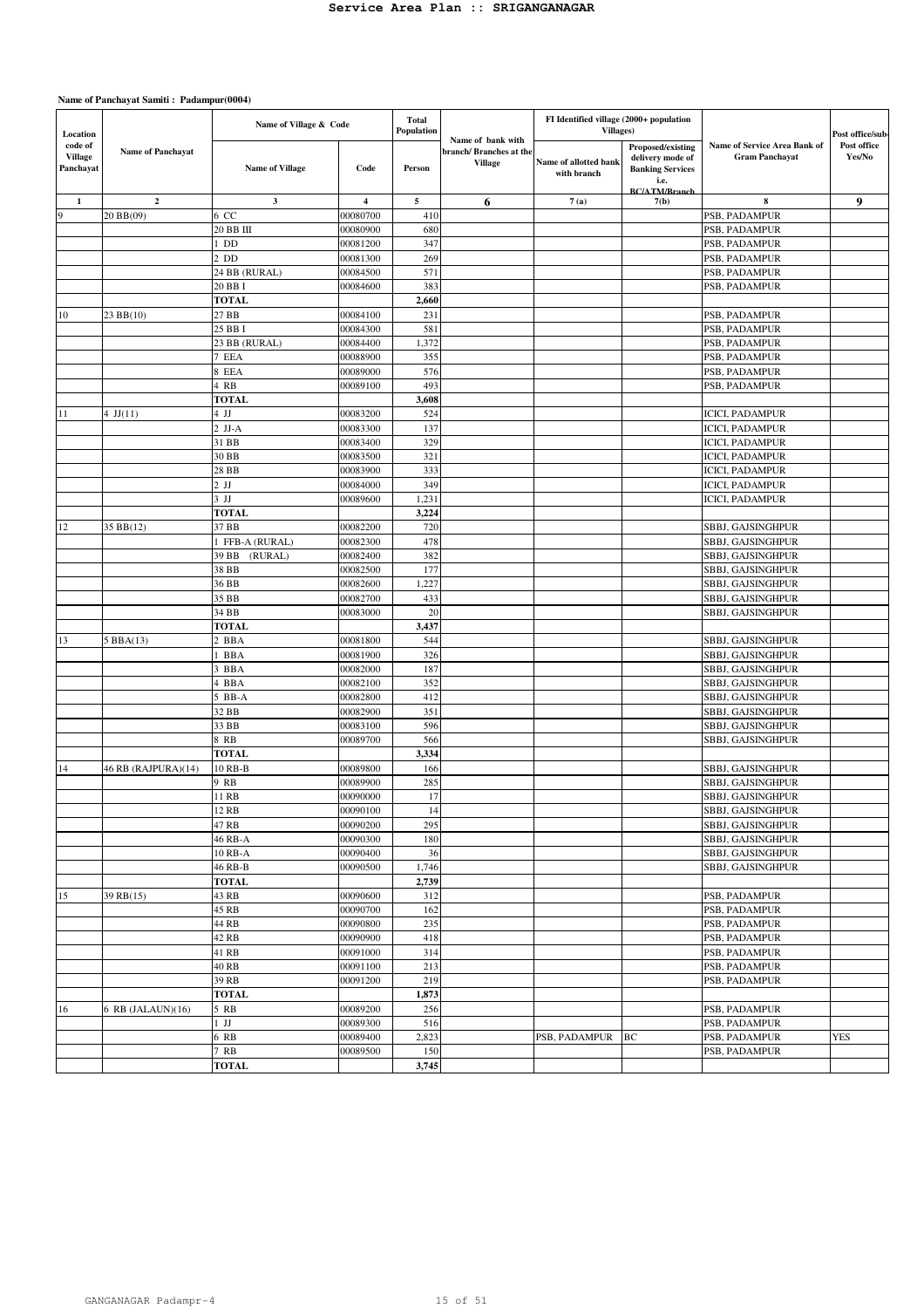| Location                               |                          | Name of Village & Code |                         | <b>Total</b><br>Population |                                                                | FI Identified village (2000+ population<br>Villages) |                                                                  |                                                       | Post office/sub-      |
|----------------------------------------|--------------------------|------------------------|-------------------------|----------------------------|----------------------------------------------------------------|------------------------------------------------------|------------------------------------------------------------------|-------------------------------------------------------|-----------------------|
| code of<br><b>Village</b><br>Panchayat | <b>Name of Panchayat</b> | <b>Name of Village</b> | Code                    | Person                     | Name of bank with<br>branch/ Branches at the<br><b>Village</b> | Name of allotted bank<br>with branch                 | Proposed/existing<br>delivery mode of<br><b>Banking Services</b> | Name of Service Area Bank of<br><b>Gram Panchavat</b> | Post office<br>Yes/No |
|                                        |                          |                        |                         |                            |                                                                |                                                      | i.e.<br><b>BC/ATM/Branch</b>                                     |                                                       |                       |
| $\mathbf{1}$                           | $\overline{2}$           | $\mathbf{3}$           | $\overline{\mathbf{4}}$ | 5                          | 6                                                              | 7(a)                                                 | 7(b)                                                             | $\bf 8$                                               | 9                     |
| $\bf{Q}$                               | 20 BB(09)                | 6 CC                   | 00080700                | 410                        |                                                                |                                                      |                                                                  | PSB, PADAMPUR                                         |                       |
|                                        |                          | 20 BB III              | 00080900                | 680                        |                                                                |                                                      |                                                                  | PSB, PADAMPUR                                         |                       |
|                                        |                          | $1$ DD                 | 00081200                | 347                        |                                                                |                                                      |                                                                  | PSB, PADAMPUR                                         |                       |
|                                        |                          | $2$ DD                 | 00081300                | 269                        |                                                                |                                                      |                                                                  | PSB, PADAMPUR                                         |                       |
|                                        |                          | 24 BB (RURAL)          | 00084500                | 571                        |                                                                |                                                      |                                                                  | PSB, PADAMPUR                                         |                       |
|                                        |                          | 20 BB I                | 00084600                | 383                        |                                                                |                                                      |                                                                  | PSB, PADAMPUR                                         |                       |
|                                        |                          | <b>TOTAL</b>           |                         | 2,660                      |                                                                |                                                      |                                                                  |                                                       |                       |
| 10                                     | 23 BB(10)                | 27 BB                  | 00084100                | 231                        |                                                                |                                                      |                                                                  | PSB, PADAMPUR                                         |                       |
|                                        |                          | 25 BB I                | 00084300                | 581                        |                                                                |                                                      |                                                                  | PSB, PADAMPUR                                         |                       |
|                                        |                          | 23 BB (RURAL)          | 00084400                | 1,372                      |                                                                |                                                      |                                                                  | PSB, PADAMPUR                                         |                       |
|                                        |                          | 7 EEA<br>8 EEA         | 00088900<br>00089000    | 355<br>576                 |                                                                |                                                      |                                                                  | PSB, PADAMPUR<br>PSB, PADAMPUR                        |                       |
|                                        |                          | 4 RB                   | 00089100                | 493                        |                                                                |                                                      |                                                                  | PSB, PADAMPUR                                         |                       |
|                                        |                          | <b>TOTAL</b>           |                         | 3,608                      |                                                                |                                                      |                                                                  |                                                       |                       |
| 11                                     | 4 $JJ(11)$               | $4$ JJ                 | 00083200                | 524                        |                                                                |                                                      |                                                                  | ICICI, PADAMPUR                                       |                       |
|                                        |                          | $2$ JJ-A               | 00083300                | 137                        |                                                                |                                                      |                                                                  | <b>ICICI, PADAMPUR</b>                                |                       |
|                                        |                          | 31 BB                  | 00083400                | 329                        |                                                                |                                                      |                                                                  | <b>ICICI, PADAMPUR</b>                                |                       |
|                                        |                          | 30 BB                  | 00083500                | 321                        |                                                                |                                                      |                                                                  | <b>ICICI, PADAMPUR</b>                                |                       |
|                                        |                          | 28 BB                  | 00083900                | 333                        |                                                                |                                                      |                                                                  | <b>ICICI, PADAMPUR</b>                                |                       |
|                                        |                          | $2$ JJ                 | 00084000                | 349                        |                                                                |                                                      |                                                                  | <b>ICICI, PADAMPUR</b>                                |                       |
|                                        |                          | $3$ JJ                 | 00089600                | 1,231                      |                                                                |                                                      |                                                                  | <b>ICICI, PADAMPUR</b>                                |                       |
|                                        |                          | <b>TOTAL</b>           |                         | 3,224                      |                                                                |                                                      |                                                                  |                                                       |                       |
| 12                                     | 35 BB(12)                | 37 BB                  | 00082200                | 720                        |                                                                |                                                      |                                                                  | SBBJ, GAJSINGHPUR                                     |                       |
|                                        |                          | 1 FFB-A (RURAL)        | 00082300                | 478                        |                                                                |                                                      |                                                                  | SBBJ, GAJSINGHPUR                                     |                       |
|                                        |                          | 39 BB<br>(RURAL)       | 00082400                | 382                        |                                                                |                                                      |                                                                  | SBBJ, GAJSINGHPUR                                     |                       |
|                                        |                          | 38 BB                  | 00082500                | 177                        |                                                                |                                                      |                                                                  | SBBJ, GAJSINGHPUR                                     |                       |
|                                        |                          | 36 BB                  | 00082600                | 1,227                      |                                                                |                                                      |                                                                  | SBBJ, GAJSINGHPUR                                     |                       |
|                                        |                          | 35 BB                  | 00082700                | 433                        |                                                                |                                                      |                                                                  | SBBJ, GAJSINGHPUR                                     |                       |
|                                        |                          | 34 BB                  | 00083000                | 20                         |                                                                |                                                      |                                                                  | SBBJ, GAJSINGHPUR                                     |                       |
|                                        |                          | <b>TOTAL</b>           |                         | 3,437                      |                                                                |                                                      |                                                                  |                                                       |                       |
| 13                                     | 5 BBA(13)                | 2 BBA                  | 00081800                | 544                        |                                                                |                                                      |                                                                  | SBBJ, GAJSINGHPUR                                     |                       |
|                                        |                          | 1 BBA                  | 00081900                | 326                        |                                                                |                                                      |                                                                  | SBBJ, GAJSINGHPUR                                     |                       |
|                                        |                          | 3 BBA<br>4 BBA         | 00082000<br>00082100    | 187<br>352                 |                                                                |                                                      |                                                                  | SBBJ, GAJSINGHPUR<br>SBBJ, GAJSINGHPUR                |                       |
|                                        |                          | $5$ BB-A               | 00082800                | 412                        |                                                                |                                                      |                                                                  | SBBJ, GAJSINGHPUR                                     |                       |
|                                        |                          | 32 BB                  | 00082900                | 351                        |                                                                |                                                      |                                                                  | SBBJ, GAJSINGHPUR                                     |                       |
|                                        |                          | 33 BB                  | 00083100                | 596                        |                                                                |                                                      |                                                                  | SBBJ, GAJSINGHPUR                                     |                       |
|                                        |                          | 8 RB                   | 00089700                | 566                        |                                                                |                                                      |                                                                  | SBBJ, GAJSINGHPUR                                     |                       |
|                                        |                          | <b>TOTAL</b>           |                         | 3,334                      |                                                                |                                                      |                                                                  |                                                       |                       |
| 14                                     | 46 RB (RAJPURA)(14)      | 10 RB-B                | 00089800                | 166                        |                                                                |                                                      |                                                                  | SBBJ, GAJSINGHPUR                                     |                       |
|                                        |                          | 9 RB                   | 00089900                | 285                        |                                                                |                                                      |                                                                  | SBBJ, GAJSINGHPUR                                     |                       |
|                                        |                          | 11 RB                  | 00090000                | 17                         |                                                                |                                                      |                                                                  | SBBJ, GAJSINGHPUR                                     |                       |
|                                        |                          | 12 RB                  | 00090100                | 14                         |                                                                |                                                      |                                                                  | SBBJ, GAJSINGHPUR                                     |                       |
|                                        |                          | 47 RB                  | 00090200                | 295                        |                                                                |                                                      |                                                                  | SBBJ, GAJSINGHPUR                                     |                       |
|                                        |                          | 46 RB-A                | 00090300                | 180                        |                                                                |                                                      |                                                                  | SBBJ, GAJSINGHPUR                                     |                       |
|                                        |                          | 10 RB-A                | 00090400                | 36                         |                                                                |                                                      |                                                                  | SBBJ, GAJSINGHPUR                                     |                       |
|                                        |                          | 46 RB-B                | 00090500                | 1,746                      |                                                                |                                                      |                                                                  | SBBJ, GAJSINGHPUR                                     |                       |
|                                        |                          | <b>TOTAL</b>           |                         | 2,739                      |                                                                |                                                      |                                                                  |                                                       |                       |
| 15                                     | 39 RB(15)                | 43 RB<br>45 RB         | 00090600<br>00090700    | 312<br>162                 |                                                                |                                                      |                                                                  | PSB, PADAMPUR<br>PSB, PADAMPUR                        |                       |
|                                        |                          | 44 RB                  | 00090800                | 235                        |                                                                |                                                      |                                                                  | PSB, PADAMPUR                                         |                       |
|                                        |                          | 42 RB                  | 00090900                | 418                        |                                                                |                                                      |                                                                  | PSB, PADAMPUR                                         |                       |
|                                        |                          | 41 RB                  | 00091000                | 314                        |                                                                |                                                      |                                                                  | PSB, PADAMPUR                                         |                       |
|                                        |                          | 40 RB                  | 00091100                | 213                        |                                                                |                                                      |                                                                  | PSB, PADAMPUR                                         |                       |
|                                        |                          | 39 RB                  | 00091200                | 219                        |                                                                |                                                      |                                                                  | PSB, PADAMPUR                                         |                       |
|                                        |                          | <b>TOTAL</b>           |                         | 1,873                      |                                                                |                                                      |                                                                  |                                                       |                       |
| 16                                     | 6 RB (JALAUN)(16)        | 5 RB                   | 00089200                | 256                        |                                                                |                                                      |                                                                  | PSB, PADAMPUR                                         |                       |
|                                        |                          | $1$ JJ                 | 00089300                | 516                        |                                                                |                                                      |                                                                  | PSB, PADAMPUR                                         |                       |
|                                        |                          | 6 RB                   | 00089400                | 2,823                      |                                                                | PSB, PADAMPUR                                        | BC                                                               | PSB, PADAMPUR                                         | <b>YES</b>            |
|                                        |                          | 7 RB                   | 00089500                | 150                        |                                                                |                                                      |                                                                  | PSB, PADAMPUR                                         |                       |
|                                        |                          | <b>TOTAL</b>           |                         | 3,745                      |                                                                |                                                      |                                                                  |                                                       |                       |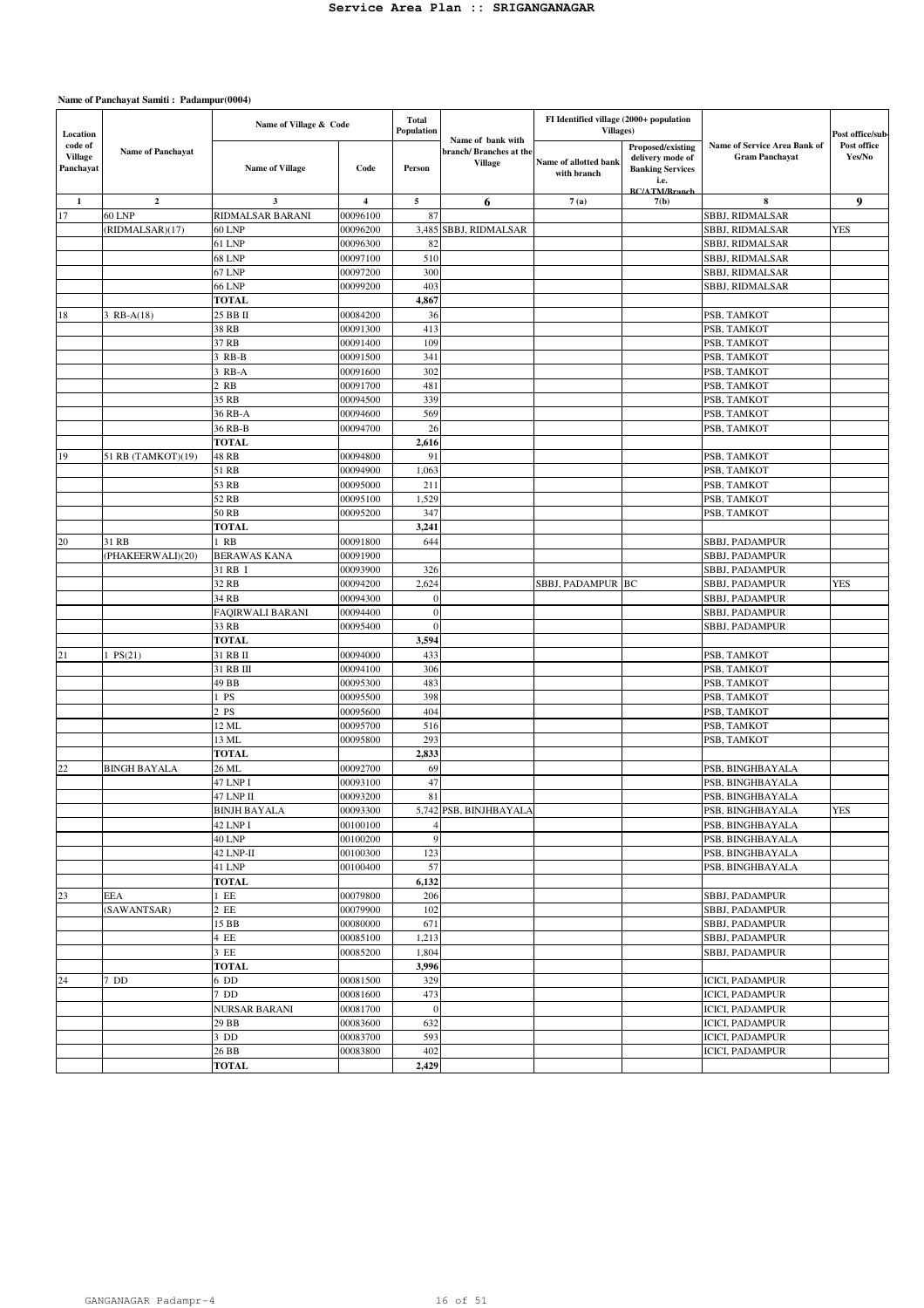| Location                               |                          | Name of Village & Code |                         | <b>Total</b><br>Population | Name of bank with                         | FI Identified village (2000+ population<br>Villages) |                                                                                                  |                                                       | Post office/sub-      |
|----------------------------------------|--------------------------|------------------------|-------------------------|----------------------------|-------------------------------------------|------------------------------------------------------|--------------------------------------------------------------------------------------------------|-------------------------------------------------------|-----------------------|
| code of<br><b>Village</b><br>Panchayat | <b>Name of Panchavat</b> | <b>Name of Village</b> | Code                    | Person                     | branch/ Branches at the<br><b>Village</b> | Name of allotted bank<br>with branch                 | Proposed/existing<br>delivery mode of<br><b>Banking Services</b><br>i.e.<br><b>BC/ATM/Rranch</b> | Name of Service Area Bank of<br><b>Gram Panchayat</b> | Post office<br>Yes/No |
| 1                                      | $\overline{2}$           | $\mathbf{3}$           | $\overline{\mathbf{4}}$ | $\mathbf{5}$               | 6                                         | 7(a)                                                 | 7(b)                                                                                             | 8                                                     | 9                     |
| 17                                     | <b>60 LNP</b>            | RIDMALSAR BARANI       | 00096100                | 87                         |                                           |                                                      |                                                                                                  | SBBJ, RIDMALSAR                                       |                       |
|                                        | (RIDMALSAR)(17)          | <b>60 LNP</b>          | 00096200                |                            | 3,485 SBBJ, RIDMALSAR                     |                                                      |                                                                                                  | SBBJ, RIDMALSAR                                       | <b>YES</b>            |
|                                        |                          | 61 LNP                 | 00096300                | 82                         |                                           |                                                      |                                                                                                  | SBBJ, RIDMALSAR                                       |                       |
|                                        |                          | <b>68 LNP</b>          | 00097100                | 510                        |                                           |                                                      |                                                                                                  | SBBJ, RIDMALSAR                                       |                       |
|                                        |                          | <b>67 LNP</b>          | 00097200                | 300                        |                                           |                                                      |                                                                                                  | SBBJ, RIDMALSAR                                       |                       |
|                                        |                          | <b>66 LNP</b>          | 00099200                | 403                        |                                           |                                                      |                                                                                                  | SBBJ, RIDMALSAR                                       |                       |
|                                        |                          | <b>TOTAL</b>           |                         | 4,867                      |                                           |                                                      |                                                                                                  |                                                       |                       |
| 18                                     | 3 RB-A(18)               | 25 BB II               | 00084200                | 36                         |                                           |                                                      |                                                                                                  | PSB, TAMKOT                                           |                       |
|                                        |                          | 38 RB                  | 00091300                | 413                        |                                           |                                                      |                                                                                                  | PSB, TAMKOT                                           |                       |
|                                        |                          | 37 RB                  | 00091400                | 109                        |                                           |                                                      |                                                                                                  | PSB, TAMKOT                                           |                       |
|                                        |                          | 3 RB-B                 | 00091500                | 341                        |                                           |                                                      |                                                                                                  | PSB, TAMKOT                                           |                       |
|                                        |                          | 3 RB-A                 | 00091600                | 302                        |                                           |                                                      |                                                                                                  | PSB, TAMKOT                                           |                       |
|                                        |                          | 2 RB                   | 00091700                | 481                        |                                           |                                                      |                                                                                                  | PSB, TAMKOT                                           |                       |
|                                        |                          | 35 RB                  | 00094500                | 339                        |                                           |                                                      |                                                                                                  | PSB, TAMKOT                                           |                       |
|                                        |                          | 36 RB-A                | 00094600                | 569                        |                                           |                                                      |                                                                                                  | PSB, TAMKOT                                           |                       |
|                                        |                          | 36 RB-B                | 00094700                | 26                         |                                           |                                                      |                                                                                                  | PSB, TAMKOT                                           |                       |
|                                        |                          | <b>TOTAL</b>           |                         | 2,616                      |                                           |                                                      |                                                                                                  |                                                       |                       |
| 19                                     | 51 RB (TAMKOT)(19)       | 48 RB                  | 00094800                | 91                         |                                           |                                                      |                                                                                                  | PSB, TAMKOT                                           |                       |
|                                        |                          | 51 RB                  | 00094900                | 1,063                      |                                           |                                                      |                                                                                                  | PSB, TAMKOT                                           |                       |
|                                        |                          | 53 RB                  | 00095000                | 211                        |                                           |                                                      |                                                                                                  | PSB, TAMKOT                                           |                       |
|                                        |                          | 52 RB                  | 00095100                | 1,529                      |                                           |                                                      |                                                                                                  | PSB, TAMKOT                                           |                       |
|                                        |                          | 50 RB                  | 00095200                | 347                        |                                           |                                                      |                                                                                                  | PSB, TAMKOT                                           |                       |
|                                        |                          | TOTAL                  |                         | 3,241                      |                                           |                                                      |                                                                                                  |                                                       |                       |
| 20                                     | 31 RB                    | 1 RB                   | 00091800                | 644                        |                                           |                                                      |                                                                                                  | SBBJ, PADAMPUR                                        |                       |
|                                        | (PHAKEERWALI)(20)        | <b>BERAWAS KANA</b>    | 00091900                |                            |                                           |                                                      |                                                                                                  | SBBJ, PADAMPUR                                        |                       |
|                                        |                          | 31 RB I                | 00093900                | 326                        |                                           |                                                      |                                                                                                  | SBBJ, PADAMPUR                                        |                       |
|                                        |                          | 32 RB                  | 00094200                | 2,624                      |                                           | SBBJ, PADAMPUR BC                                    |                                                                                                  | SBBJ, PADAMPUR                                        | <b>YES</b>            |
|                                        |                          | 34 RB                  | 00094300                | $\Omega$                   |                                           |                                                      |                                                                                                  | SBBJ, PADAMPUR                                        |                       |
|                                        |                          | FAQIRWALI BARANI       | 00094400                | $\Omega$<br>$\sqrt{ }$     |                                           |                                                      |                                                                                                  | SBBJ, PADAMPUR                                        |                       |
|                                        |                          | 33 RB<br><b>TOTAL</b>  | 00095400                |                            |                                           |                                                      |                                                                                                  | SBBJ, PADAMPUR                                        |                       |
| 21                                     | PS(21)                   | 31 RB II               | 00094000                | 3,594<br>433               |                                           |                                                      |                                                                                                  | PSB, TAMKOT                                           |                       |
|                                        |                          | 31 RB III              | 00094100                | 306                        |                                           |                                                      |                                                                                                  | PSB, TAMKOT                                           |                       |
|                                        |                          | 49 BB                  | 00095300                | 483                        |                                           |                                                      |                                                                                                  | PSB, TAMKOT                                           |                       |
|                                        |                          | $1$ PS                 | 00095500                | 398                        |                                           |                                                      |                                                                                                  | PSB, TAMKOT                                           |                       |
|                                        |                          | 2 PS                   | 00095600                | 404                        |                                           |                                                      |                                                                                                  | PSB, TAMKOT                                           |                       |
|                                        |                          | 12 ML                  | 00095700                | 516                        |                                           |                                                      |                                                                                                  | PSB, TAMKOT                                           |                       |
|                                        |                          | 13 ML                  | 00095800                | 293                        |                                           |                                                      |                                                                                                  | PSB, TAMKOT                                           |                       |
|                                        |                          | <b>TOTAL</b>           |                         | 2,833                      |                                           |                                                      |                                                                                                  |                                                       |                       |
| $^{22}$                                | <b>BINGH BAYALA</b>      | 26 ML                  | 00092700                | 69                         |                                           |                                                      |                                                                                                  | PSB, BINGHBAYALA                                      |                       |
|                                        |                          | 47 LNP I               | 00093100                | 47                         |                                           |                                                      |                                                                                                  | PSB, BINGHBAYALA                                      |                       |
|                                        |                          | 47 LNP II              | 00093200                | 81                         |                                           |                                                      |                                                                                                  | PSB, BINGHBAYALA                                      |                       |
|                                        |                          | <b>BINJH BAYALA</b>    | 00093300                |                            | 5,742 PSB, BINJHBAYALA                    |                                                      |                                                                                                  | PSB, BINGHBAYALA                                      | YES                   |
|                                        |                          | 42 LNP I               | 00100100                |                            |                                           |                                                      |                                                                                                  | PSB, BINGHBAYALA                                      |                       |
|                                        |                          | <b>40 LNP</b>          | 00100200                | $\mathbf Q$                |                                           |                                                      |                                                                                                  | PSB, BINGHBAYALA                                      |                       |
|                                        |                          | 42 LNP-II              | 00100300                | 123                        |                                           |                                                      |                                                                                                  | PSB, BINGHBAYALA                                      |                       |
|                                        |                          | 41 LNP                 | 00100400                | 57                         |                                           |                                                      |                                                                                                  | PSB, BINGHBAYALA                                      |                       |
|                                        |                          | <b>TOTAL</b>           |                         | 6,132                      |                                           |                                                      |                                                                                                  |                                                       |                       |
| 23                                     | <b>EEA</b>               | $1$ EE                 | 00079800                | 206                        |                                           |                                                      |                                                                                                  | SBBJ, PADAMPUR                                        |                       |
|                                        | (SAWANTSAR)              | 2 EE                   | 00079900                | 102                        |                                           |                                                      |                                                                                                  | SBBJ, PADAMPUR                                        |                       |
|                                        |                          | 15 BB                  | 00080000                | 671                        |                                           |                                                      |                                                                                                  | SBBJ, PADAMPUR                                        |                       |
|                                        |                          | 4 EE                   | 00085100                | 1,213                      |                                           |                                                      |                                                                                                  | SBBJ, PADAMPUR                                        |                       |
|                                        |                          | 3 EE                   | 00085200                | 1,804                      |                                           |                                                      |                                                                                                  | SBBJ, PADAMPUR                                        |                       |
|                                        |                          | <b>TOTAL</b>           |                         | 3,996                      |                                           |                                                      |                                                                                                  |                                                       |                       |
| 24                                     | 7 DD                     | 6 DD                   | 00081500                | 329                        |                                           |                                                      |                                                                                                  | <b>ICICI, PADAMPUR</b>                                |                       |
|                                        |                          | 7 DD                   | 00081600                | 473                        |                                           |                                                      |                                                                                                  | <b>ICICI, PADAMPUR</b>                                |                       |
|                                        |                          | <b>NURSAR BARANI</b>   | 00081700                | $\overline{0}$             |                                           |                                                      |                                                                                                  | <b>ICICI, PADAMPUR</b>                                |                       |
|                                        |                          | 29 BB                  | 00083600                | 632                        |                                           |                                                      |                                                                                                  | <b>ICICI, PADAMPUR</b>                                |                       |
|                                        |                          | 3 DD                   | 00083700                | 593                        |                                           |                                                      |                                                                                                  | <b>ICICI, PADAMPUR</b>                                |                       |
|                                        |                          | 26 BB                  | 00083800                | 402                        |                                           |                                                      |                                                                                                  | ICICI, PADAMPUR                                       |                       |
|                                        |                          | <b>TOTAL</b>           |                         | 2,429                      |                                           |                                                      |                                                                                                  |                                                       |                       |
|                                        |                          |                        |                         |                            |                                           |                                                      |                                                                                                  |                                                       |                       |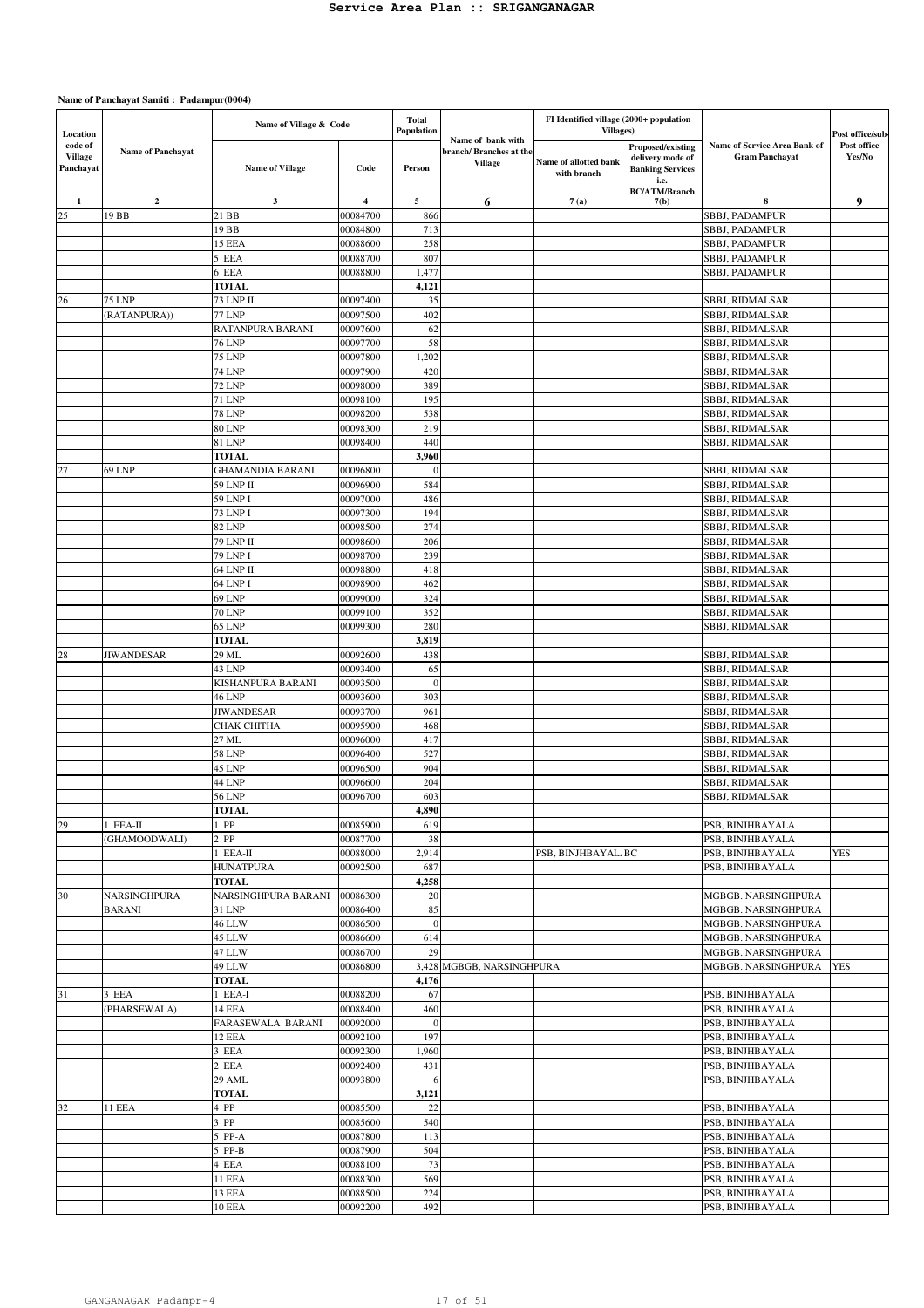| Location                               |                          | Name of Village & Code           |                      | Total<br>Population |                                                        | FI Identified village (2000+ population<br>Villages) |                                                                                                  |                                                       | Post office/sub-      |
|----------------------------------------|--------------------------|----------------------------------|----------------------|---------------------|--------------------------------------------------------|------------------------------------------------------|--------------------------------------------------------------------------------------------------|-------------------------------------------------------|-----------------------|
| code of<br><b>Village</b><br>Panchayat | <b>Name of Panchayat</b> | <b>Name of Village</b>           | Code                 | Person              | Name of bank with<br>branch/Branches at the<br>Village | Name of allotted bank<br>with branch                 | Proposed/existing<br>delivery mode of<br><b>Banking Services</b><br>i.e.<br><b>BC/ATM/Branch</b> | Name of Service Area Bank of<br><b>Gram Panchavat</b> | Post office<br>Yes/No |
| 1                                      | $\mathbf{2}$             | 3                                | 4                    | 5                   | 6                                                      | 7(a)                                                 | 7(b)                                                                                             | 8                                                     | 9                     |
| 25                                     | 19 BB                    | 21 BB                            | 00084700             | 866                 |                                                        |                                                      |                                                                                                  | SBBJ, PADAMPUR                                        |                       |
|                                        |                          | 19 BB<br>15 EEA                  | 00084800<br>00088600 | 713<br>258          |                                                        |                                                      |                                                                                                  | SBBJ, PADAMPUR<br>SBBJ, PADAMPUR                      |                       |
|                                        |                          | 5 EEA                            | 00088700             | 807                 |                                                        |                                                      |                                                                                                  | SBBJ, PADAMPUR                                        |                       |
|                                        |                          | 6 EEA                            | 00088800             | 1,477               |                                                        |                                                      |                                                                                                  | SBBJ, PADAMPUR                                        |                       |
|                                        |                          | <b>TOTAL</b>                     |                      | 4,121               |                                                        |                                                      |                                                                                                  |                                                       |                       |
| 26                                     | <b>75 LNP</b>            | 73 LNP II                        | 00097400             | 35                  |                                                        |                                                      |                                                                                                  | SBBJ, RIDMALSAR                                       |                       |
|                                        | (RATANPURA))             | <b>77 LNP</b>                    | 00097500             | 402                 |                                                        |                                                      |                                                                                                  | SBBJ, RIDMALSAR                                       |                       |
|                                        |                          | RATANPURA BARANI                 | 00097600             | 62                  |                                                        |                                                      |                                                                                                  | SBBJ, RIDMALSAR                                       |                       |
|                                        |                          | <b>76 LNP</b>                    | 00097700             | 58                  |                                                        |                                                      |                                                                                                  | SBBJ, RIDMALSAR                                       |                       |
|                                        |                          | <b>75 LNP</b>                    | 00097800             | 1,202               |                                                        |                                                      |                                                                                                  | SBBJ, RIDMALSAR                                       |                       |
|                                        |                          | <b>74 LNP</b>                    | 00097900             | 420<br>389          |                                                        |                                                      |                                                                                                  | SBBJ, RIDMALSAR                                       |                       |
|                                        |                          | <b>72 LNP</b><br><b>71 LNP</b>   | 00098000<br>00098100 | 195                 |                                                        |                                                      |                                                                                                  | SBBJ, RIDMALSAR<br>SBBJ, RIDMALSAR                    |                       |
|                                        |                          | <b>78 LNP</b>                    | 00098200             | 538                 |                                                        |                                                      |                                                                                                  | SBBJ, RIDMALSAR                                       |                       |
|                                        |                          | <b>80 LNP</b>                    | 00098300             | 219                 |                                                        |                                                      |                                                                                                  | SBBJ, RIDMALSAR                                       |                       |
|                                        |                          | 81 LNP                           | 00098400             | 440                 |                                                        |                                                      |                                                                                                  | SBBJ, RIDMALSAR                                       |                       |
|                                        |                          | <b>TOTAL</b>                     |                      | 3,960               |                                                        |                                                      |                                                                                                  |                                                       |                       |
| 27                                     | 69 LNP                   | <b>GHAMANDIA BARANI</b>          | 00096800             | $\overline{0}$      |                                                        |                                                      |                                                                                                  | SBBJ, RIDMALSAR                                       |                       |
|                                        |                          | 59 LNP II                        | 00096900             | 584                 |                                                        |                                                      |                                                                                                  | SBBJ, RIDMALSAR                                       |                       |
|                                        |                          | 59 LNP I                         | 00097000             | 486                 |                                                        |                                                      |                                                                                                  | SBBJ, RIDMALSAR                                       |                       |
|                                        |                          | 73 LNP I                         | 00097300             | 194                 |                                                        |                                                      |                                                                                                  | SBBJ, RIDMALSAR                                       |                       |
|                                        |                          | 82 LNP                           | 00098500             | 274                 |                                                        |                                                      |                                                                                                  | SBBJ, RIDMALSAR                                       |                       |
|                                        |                          | 79 LNP II                        | 00098600             | 206<br>239          |                                                        |                                                      |                                                                                                  | SBBJ, RIDMALSAR                                       |                       |
|                                        |                          | 79 LNP I<br>64 LNP II            | 00098700<br>00098800 | 418                 |                                                        |                                                      |                                                                                                  | SBBJ, RIDMALSAR<br>SBBJ, RIDMALSAR                    |                       |
|                                        |                          | 64 LNP I                         | 00098900             | 462                 |                                                        |                                                      |                                                                                                  | SBBJ, RIDMALSAR                                       |                       |
|                                        |                          | 69 LNP                           | 00099000             | 324                 |                                                        |                                                      |                                                                                                  | SBBJ, RIDMALSAR                                       |                       |
|                                        |                          | <b>70 LNP</b>                    | 00099100             | 352                 |                                                        |                                                      |                                                                                                  | SBBJ, RIDMALSAR                                       |                       |
|                                        |                          | 65 LNP                           | 00099300             | 280                 |                                                        |                                                      |                                                                                                  | SBBJ, RIDMALSAR                                       |                       |
|                                        |                          | <b>TOTAL</b>                     |                      | 3,819               |                                                        |                                                      |                                                                                                  |                                                       |                       |
| 28                                     | <b>JIWANDESAR</b>        | 29 ML                            | 00092600             | 438                 |                                                        |                                                      |                                                                                                  | SBBJ, RIDMALSAR                                       |                       |
|                                        |                          | 43 LNP                           | 00093400             | 65                  |                                                        |                                                      |                                                                                                  | SBBJ, RIDMALSAR                                       |                       |
|                                        |                          | KISHANPURA BARANI                | 00093500             | $\overline{0}$      |                                                        |                                                      |                                                                                                  | SBBJ, RIDMALSAR                                       |                       |
|                                        |                          | <b>46 LNP</b>                    | 00093600             | 303                 |                                                        |                                                      |                                                                                                  | SBBJ, RIDMALSAR                                       |                       |
|                                        |                          | <b>JIWANDESAR</b><br>СНАК СНІТНА | 00093700<br>00095900 | 961<br>468          |                                                        |                                                      |                                                                                                  | <b>SBBJ, RIDMALSAR</b><br><b>SBBJ, RIDMALSAR</b>      |                       |
|                                        |                          | 27 ML                            | 00096000             | 417                 |                                                        |                                                      |                                                                                                  | SBBJ, RIDMALSAR                                       |                       |
|                                        |                          | 58 LNP                           | 00096400             | 527                 |                                                        |                                                      |                                                                                                  | SBBJ, RIDMALSAR                                       |                       |
|                                        |                          | 45 LNP                           | 00096500             | 904                 |                                                        |                                                      |                                                                                                  | SBBJ, RIDMALSAR                                       |                       |
|                                        |                          | 44 LNP                           | 00096600             | 204                 |                                                        |                                                      |                                                                                                  | SBBJ, RIDMALSAR                                       |                       |
|                                        |                          | 56 LNP                           | 00096700             | 603                 |                                                        |                                                      |                                                                                                  | SBBJ, RIDMALSAR                                       |                       |
|                                        |                          | <b>TOTAL</b>                     |                      | 4,890               |                                                        |                                                      |                                                                                                  |                                                       |                       |
| 29                                     | $1$ EEA-II               | $1$ PP                           | 00085900             | 619                 |                                                        |                                                      |                                                                                                  | PSB, BINJHBAYALA                                      |                       |
|                                        | (GHAMOODWALI)            | $2$ PP                           | 00087700             | 38                  |                                                        |                                                      |                                                                                                  | PSB, BINJHBAYALA                                      |                       |
|                                        |                          | $1$ EEA-II<br><b>HUNATPURA</b>   | 00088000<br>00092500 | 2,914<br>687        |                                                        | PSB, BINJHBAYAL/BC                                   |                                                                                                  | PSB, BINJHBAYALA<br>PSB, BINJHBAYALA                  | <b>YES</b>            |
|                                        |                          | TOTAL                            |                      | 4,258               |                                                        |                                                      |                                                                                                  |                                                       |                       |
| 30                                     | <b>NARSINGHPURA</b>      | NARSINGHPURA BARANI              | 00086300             | 20                  |                                                        |                                                      |                                                                                                  | MGBGB. NARSINGHPURA                                   |                       |
|                                        | <b>BARANI</b>            | 31 LNP                           | 00086400             | 85                  |                                                        |                                                      |                                                                                                  | MGBGB. NARSINGHPURA                                   |                       |
|                                        |                          | <b>46 LLW</b>                    | 00086500             | $\overline{0}$      |                                                        |                                                      |                                                                                                  | MGBGB. NARSINGHPURA                                   |                       |
|                                        |                          | 45 LLW                           | 00086600             | 614                 |                                                        |                                                      |                                                                                                  | MGBGB. NARSINGHPURA                                   |                       |
|                                        |                          | 47 LLW                           | 00086700             | 29                  |                                                        |                                                      |                                                                                                  | MGBGB. NARSINGHPURA                                   |                       |
|                                        |                          | 49 LLW                           | 00086800             |                     | 3,428 MGBGB, NARSINGHPURA                              |                                                      |                                                                                                  | MGBGB. NARSINGHPURA                                   | <b>YES</b>            |
|                                        |                          | <b>TOTAL</b>                     |                      | 4,176               |                                                        |                                                      |                                                                                                  |                                                       |                       |
| 31                                     | 3 EEA                    | $1$ EEA-I                        | 00088200             | 67<br>460           |                                                        |                                                      |                                                                                                  | PSB, BINJHBAYALA                                      |                       |
|                                        | (PHARSEWALA)             | 14 EEA<br>FARASEWALA BARANI      | 00088400<br>00092000 | $\theta$            |                                                        |                                                      |                                                                                                  | PSB, BINJHBAYALA<br>PSB, BINJHBAYALA                  |                       |
|                                        |                          | 12 EEA                           | 00092100             | 197                 |                                                        |                                                      |                                                                                                  | PSB, BINJHBAYALA                                      |                       |
|                                        |                          | 3 EEA                            | 00092300             | 1,960               |                                                        |                                                      |                                                                                                  | PSB, BINJHBAYALA                                      |                       |
|                                        |                          | 2 EEA                            | 00092400             | 431                 |                                                        |                                                      |                                                                                                  | PSB, BINJHBAYALA                                      |                       |
|                                        |                          | 29 AML                           | 00093800             | 6                   |                                                        |                                                      |                                                                                                  | PSB, BINJHBAYALA                                      |                       |
|                                        |                          | <b>TOTAL</b>                     |                      | 3,121               |                                                        |                                                      |                                                                                                  |                                                       |                       |
| 32                                     | 11 EEA                   | 4 PP                             | 00085500             | 22                  |                                                        |                                                      |                                                                                                  | PSB, BINJHBAYALA                                      |                       |
|                                        |                          | 3 PP                             | 00085600             | 540                 |                                                        |                                                      |                                                                                                  | PSB, BINJHBAYALA                                      |                       |
|                                        |                          | 5 PP-A                           | 00087800             | 113                 |                                                        |                                                      |                                                                                                  | PSB, BINJHBAYALA                                      |                       |
|                                        |                          | 5 PP-B<br>4 EEA                  | 00087900             | 504                 |                                                        |                                                      |                                                                                                  | PSB, BINJHBAYALA                                      |                       |
|                                        |                          | <b>11 EEA</b>                    | 00088100<br>00088300 | 73<br>569           |                                                        |                                                      |                                                                                                  | PSB, BINJHBAYALA<br>PSB, BINJHBAYALA                  |                       |
|                                        |                          | 13 EEA                           | 00088500             | 224                 |                                                        |                                                      |                                                                                                  | PSB, BINJHBAYALA                                      |                       |
|                                        |                          | 10 EEA                           | 00092200             | 492                 |                                                        |                                                      |                                                                                                  | PSB, BINJHBAYALA                                      |                       |
|                                        |                          |                                  |                      |                     |                                                        |                                                      |                                                                                                  |                                                       |                       |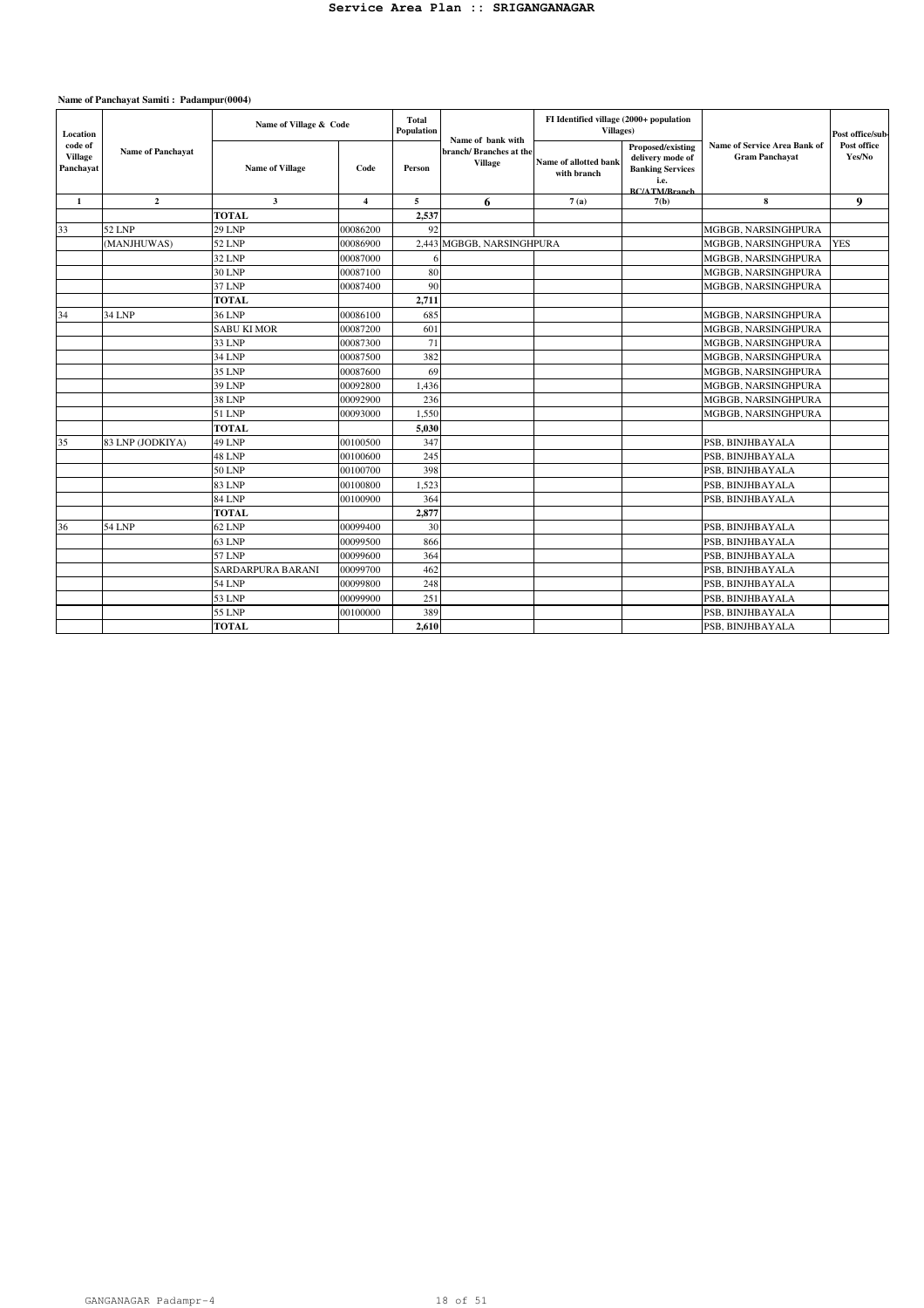| Location                               |                          | Name of Village & Code   |                         | <b>Total</b><br>Population<br>Name of bank with |                                          | FI Identified village (2000+ population<br>Villages) |                                                                                                  |                                                              | Post office/sub-      |
|----------------------------------------|--------------------------|--------------------------|-------------------------|-------------------------------------------------|------------------------------------------|------------------------------------------------------|--------------------------------------------------------------------------------------------------|--------------------------------------------------------------|-----------------------|
| code of<br><b>Village</b><br>Panchayat | <b>Name of Panchavat</b> | <b>Name of Village</b>   | Code                    | Person                                          | branch/Branches at the<br><b>Village</b> | Name of allotted bank<br>with branch                 | Proposed/existing<br>delivery mode of<br><b>Banking Services</b><br>i.e.<br><b>RC/ATM/Rranch</b> | <b>Name of Service Area Bank of</b><br><b>Gram Panchavat</b> | Post office<br>Yes/No |
| 1                                      | $\mathbf{2}$             | $\mathbf{3}$             | $\overline{\mathbf{4}}$ | 5                                               | 6                                        | 7(a)                                                 | 7(b)                                                                                             | 8                                                            | 9                     |
|                                        |                          | <b>TOTAL</b>             |                         | 2,537                                           |                                          |                                                      |                                                                                                  |                                                              |                       |
| 33                                     | 52 LNP                   | <b>29 LNP</b>            | 00086200                | 92                                              |                                          |                                                      |                                                                                                  | MGBGB, NARSINGHPURA                                          |                       |
|                                        | (MANJHUWAS)              | <b>52 LNP</b>            | 00086900                |                                                 | 2,443 MGBGB, NARSINGHPURA                |                                                      |                                                                                                  | MGBGB, NARSINGHPURA                                          | <b>YES</b>            |
|                                        |                          | 32 LNP                   | 00087000                |                                                 |                                          |                                                      |                                                                                                  | MGBGB, NARSINGHPURA                                          |                       |
|                                        |                          | <b>30 LNP</b>            | 00087100                | 80                                              |                                          |                                                      |                                                                                                  | MGBGB, NARSINGHPURA                                          |                       |
|                                        |                          | 37 LNP                   | 00087400                | 90                                              |                                          |                                                      |                                                                                                  | MGBGB, NARSINGHPURA                                          |                       |
|                                        |                          | <b>TOTAL</b>             |                         | 2,711                                           |                                          |                                                      |                                                                                                  |                                                              |                       |
| 34                                     | <b>34 LNP</b>            | <b>36 LNP</b>            | 00086100                | 685                                             |                                          |                                                      |                                                                                                  | MGBGB, NARSINGHPURA                                          |                       |
|                                        |                          | <b>SABU KI MOR</b>       | 00087200                | 601                                             |                                          |                                                      |                                                                                                  | MGBGB, NARSINGHPURA                                          |                       |
|                                        |                          | 33 LNP                   | 00087300                | 71                                              |                                          |                                                      |                                                                                                  | MGBGB, NARSINGHPURA                                          |                       |
|                                        |                          | 34 LNP                   | 00087500                | 382                                             |                                          |                                                      |                                                                                                  | MGBGB, NARSINGHPURA                                          |                       |
|                                        |                          | 35 LNP                   | 00087600                | 69                                              |                                          |                                                      |                                                                                                  | MGBGB, NARSINGHPURA                                          |                       |
|                                        |                          | 39 LNP                   | 00092800                | 1,436                                           |                                          |                                                      |                                                                                                  | MGBGB, NARSINGHPURA                                          |                       |
|                                        |                          | <b>38 LNP</b>            | 00092900                | 236                                             |                                          |                                                      |                                                                                                  | MGBGB, NARSINGHPURA                                          |                       |
|                                        |                          | 51 LNP                   | 00093000                | 1.550                                           |                                          |                                                      |                                                                                                  | MGBGB, NARSINGHPURA                                          |                       |
|                                        |                          | <b>TOTAL</b>             |                         | 5,030                                           |                                          |                                                      |                                                                                                  |                                                              |                       |
| 35                                     | 83 LNP (JODKIYA)         | 49 LNP                   | 00100500                | 347                                             |                                          |                                                      |                                                                                                  | PSB. BINJHBAYALA                                             |                       |
|                                        |                          | 48 LNP                   | 00100600                | 245                                             |                                          |                                                      |                                                                                                  | PSB, BINJHBAYALA                                             |                       |
|                                        |                          | <b>50 LNP</b>            | 00100700                | 398                                             |                                          |                                                      |                                                                                                  | PSB. BINJHBAYALA                                             |                       |
|                                        |                          | <b>83 LNP</b>            | 00100800                | 1,523                                           |                                          |                                                      |                                                                                                  | PSB, BINJHBAYALA                                             |                       |
|                                        |                          | <b>84 LNP</b>            | 00100900                | 364                                             |                                          |                                                      |                                                                                                  | PSB. BINJHBAYALA                                             |                       |
|                                        |                          | <b>TOTAL</b>             |                         | 2.877                                           |                                          |                                                      |                                                                                                  |                                                              |                       |
| 36                                     | <b>54 LNP</b>            | 62 LNP                   | 00099400                | 30                                              |                                          |                                                      |                                                                                                  | PSB, BINJHBAYALA                                             |                       |
|                                        |                          | <b>63 LNP</b>            | 00099500                | 866                                             |                                          |                                                      |                                                                                                  | PSB, BINJHBAYALA                                             |                       |
|                                        |                          | 57 LNP                   | 00099600                | 364                                             |                                          |                                                      |                                                                                                  | PSB, BINJHBAYALA                                             |                       |
|                                        |                          | <b>SARDARPURA BARANI</b> | 00099700                | 462                                             |                                          |                                                      |                                                                                                  | PSB, BINJHBAYALA                                             |                       |
|                                        |                          | <b>54 LNP</b>            | 00099800                | 248                                             |                                          |                                                      |                                                                                                  | PSB, BINJHBAYALA                                             |                       |
|                                        |                          | 53 LNP                   | 00099900                | 251                                             |                                          |                                                      |                                                                                                  | PSB, BINJHBAYALA                                             |                       |
|                                        |                          | <b>55 LNP</b>            | 00100000                | 389                                             |                                          |                                                      |                                                                                                  | PSB, BINJHBAYALA                                             |                       |
|                                        |                          | <b>TOTAL</b>             |                         | 2,610                                           |                                          |                                                      |                                                                                                  | PSB, BINJHBAYALA                                             |                       |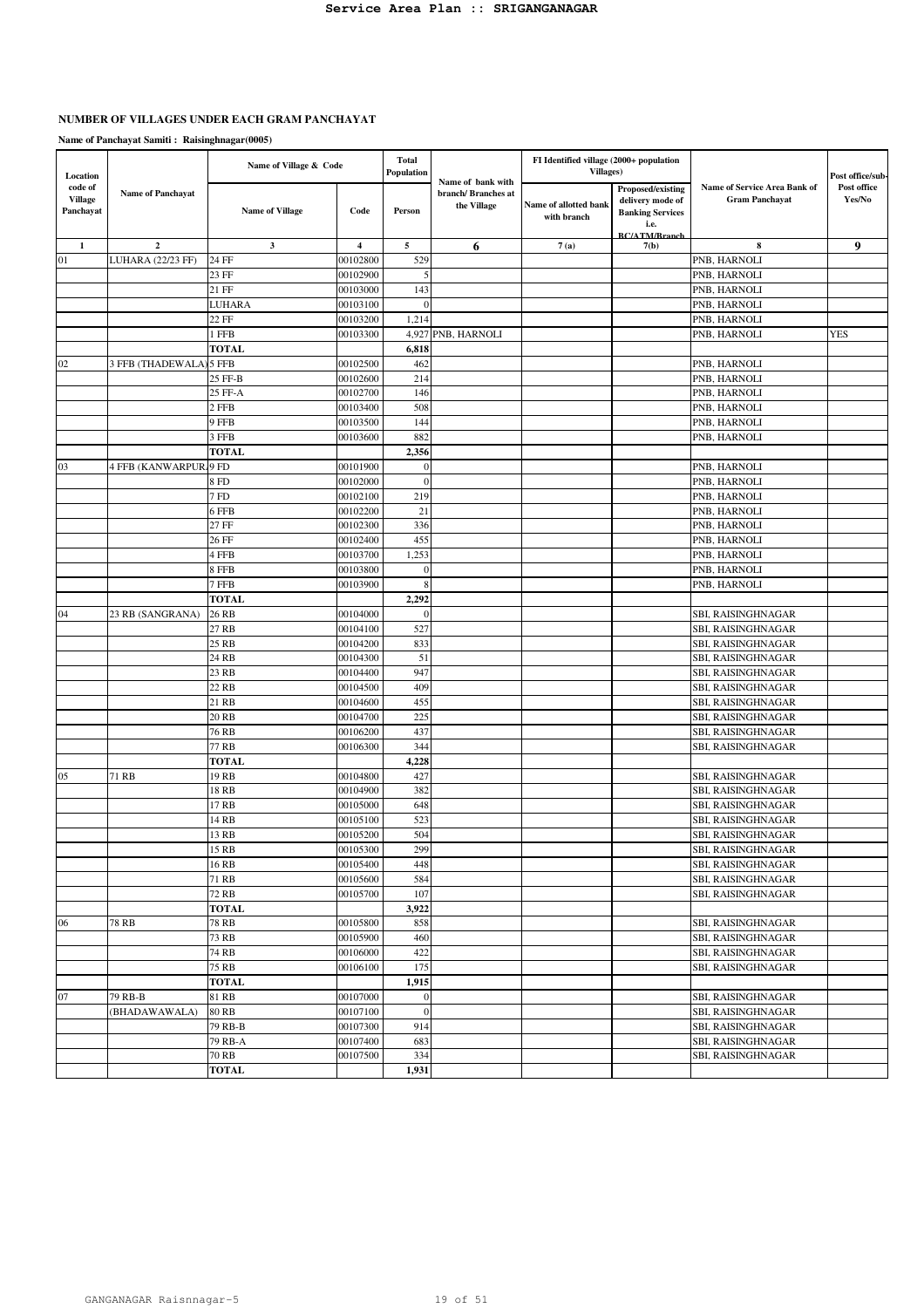# **NUMBER OF VILLAGES UNDER EACH GRAM PANCHAYAT**

|                     |                               | Name of Village & Code |                | <b>Total</b><br><b>Population</b> |                    | FI Identified village (2000+ population<br><b>Villages</b> ) |                                       |                                                       |                                 |
|---------------------|-------------------------------|------------------------|----------------|-----------------------------------|--------------------|--------------------------------------------------------------|---------------------------------------|-------------------------------------------------------|---------------------------------|
| Location<br>code of |                               |                        |                |                                   | Name of bank with  |                                                              |                                       |                                                       | Post office/sub-<br>Post office |
| <b>Village</b>      | <b>Name of Panchayat</b>      |                        |                |                                   | branch/Branches at |                                                              | Proposed/existing<br>delivery mode of | Name of Service Area Bank of<br><b>Gram Panchayat</b> | Yes/No                          |
| Panchayat           |                               | <b>Name of Village</b> | Code           | Person                            | the Village        | Name of allotted bank                                        | <b>Banking Services</b>               |                                                       |                                 |
|                     |                               |                        |                |                                   |                    | with branch                                                  | i.e.                                  |                                                       |                                 |
|                     |                               |                        |                |                                   |                    |                                                              | <b>RC/ATM/Rranch</b>                  |                                                       |                                 |
| $\mathbf{1}$        | $\mathbf 2$                   | $\mathbf{3}$           | $\overline{4}$ | $\mathbf{5}$                      | 6                  | 7(a)                                                         | 7(b)                                  | 8                                                     | 9                               |
| 01                  | <b>LUHARA (22/23 FF)</b>      | 24 FF                  | 00102800       | 529                               |                    |                                                              |                                       | PNB, HARNOLI                                          |                                 |
|                     |                               | 23 FF                  | 00102900       | 5                                 |                    |                                                              |                                       | PNB, HARNOLI                                          |                                 |
|                     |                               | 21 FF                  | 00103000       | 143                               |                    |                                                              |                                       | PNB, HARNOLI                                          |                                 |
|                     |                               | LUHARA                 | 00103100       | $\boldsymbol{0}$                  |                    |                                                              |                                       | PNB, HARNOLI                                          |                                 |
|                     |                               | 22 FF                  | 00103200       | 1,214                             |                    |                                                              |                                       | PNB, HARNOLI                                          |                                 |
|                     |                               | 1 FFB                  | 00103300       | 4,927                             | PNB, HARNOLI       |                                                              |                                       | PNB, HARNOLI                                          | <b>YES</b>                      |
|                     |                               | <b>TOTAL</b>           |                | 6,818                             |                    |                                                              |                                       |                                                       |                                 |
| 02                  | 3 FFB (THADEWALA) 5 FFB       |                        | 00102500       | 462                               |                    |                                                              |                                       | PNB, HARNOLI                                          |                                 |
|                     |                               | 25 FF-B                | 00102600       | 214                               |                    |                                                              |                                       | PNB, HARNOLI                                          |                                 |
|                     |                               | 25 FF-A                | 00102700       | 146                               |                    |                                                              |                                       | PNB, HARNOLI                                          |                                 |
|                     |                               | 2 FFB                  | 00103400       | 508                               |                    |                                                              |                                       | PNB, HARNOLI                                          |                                 |
|                     |                               | 9 FFB                  | 00103500       | 144                               |                    |                                                              |                                       | PNB, HARNOLI                                          |                                 |
|                     |                               | 3 FFB                  | 00103600       | 882                               |                    |                                                              |                                       | PNB, HARNOLI                                          |                                 |
|                     |                               | <b>TOTAL</b>           |                | 2,356                             |                    |                                                              |                                       |                                                       |                                 |
|                     |                               |                        |                |                                   |                    |                                                              |                                       |                                                       |                                 |
| 03                  | <b>4 FFB (KANWARPUR, 9 FD</b> |                        | 00101900       | $\mathbf{0}$                      |                    |                                                              |                                       | PNB, HARNOLI                                          |                                 |
|                     |                               | 8 FD                   | 00102000       | $\overline{0}$                    |                    |                                                              |                                       | PNB, HARNOLI                                          |                                 |
|                     |                               | 7 FD                   | 00102100       | 219                               |                    |                                                              |                                       | PNB, HARNOLI                                          |                                 |
|                     |                               | 6 FFB                  | 00102200       | 21                                |                    |                                                              |                                       | PNB, HARNOLI                                          |                                 |
|                     |                               | 27 FF                  | 00102300       | 336                               |                    |                                                              |                                       | PNB, HARNOLI                                          |                                 |
|                     |                               | 26 FF                  | 00102400       | 455                               |                    |                                                              |                                       | PNB, HARNOLI                                          |                                 |
|                     |                               | 4 FFB                  | 00103700       | 1,253                             |                    |                                                              |                                       | PNB, HARNOLI                                          |                                 |
|                     |                               | 8 FFB                  | 00103800       | $\theta$                          |                    |                                                              |                                       | PNB, HARNOLI                                          |                                 |
|                     |                               | 7 FFB                  | 00103900       | 8                                 |                    |                                                              |                                       | PNB, HARNOLI                                          |                                 |
|                     |                               | <b>TOTAL</b>           |                | 2,292                             |                    |                                                              |                                       |                                                       |                                 |
| 04                  | 23 RB (SANGRANA)              | 26 RB                  | 00104000       | $\theta$                          |                    |                                                              |                                       | SBI, RAISINGHNAGAR                                    |                                 |
|                     |                               | 27 RB                  | 00104100       | 527                               |                    |                                                              |                                       | SBI, RAISINGHNAGAR                                    |                                 |
|                     |                               | 25 RB                  | 00104200       | 833                               |                    |                                                              |                                       | SBI, RAISINGHNAGAR                                    |                                 |
|                     |                               | 24 RB                  | 00104300       | 51                                |                    |                                                              |                                       | SBI, RAISINGHNAGAR                                    |                                 |
|                     |                               | 23 RB                  | 00104400       | 947                               |                    |                                                              |                                       | SBI, RAISINGHNAGAR                                    |                                 |
|                     |                               | 22 RB                  | 00104500       | 409                               |                    |                                                              |                                       | SBI, RAISINGHNAGAR                                    |                                 |
|                     |                               | 21 RB                  | 00104600       | 455                               |                    |                                                              |                                       | SBI, RAISINGHNAGAR                                    |                                 |
|                     |                               | 20 RB                  | 00104700       | 225                               |                    |                                                              |                                       | SBI, RAISINGHNAGAR                                    |                                 |
|                     |                               | 76 RB                  | 00106200       | 437                               |                    |                                                              |                                       | SBI, RAISINGHNAGAR                                    |                                 |
|                     |                               | 77 RB                  | 00106300       | 344                               |                    |                                                              |                                       | SBI, RAISINGHNAGAR                                    |                                 |
|                     |                               | <b>TOTAL</b>           |                | 4,228                             |                    |                                                              |                                       |                                                       |                                 |
|                     |                               |                        |                |                                   |                    |                                                              |                                       |                                                       |                                 |
| 05                  | 71 RB                         | 19 RB                  | 00104800       | 427                               |                    |                                                              |                                       | SBI, RAISINGHNAGAR                                    |                                 |
|                     |                               | 18 RB                  | 00104900       | 382                               |                    |                                                              |                                       | SBI, RAISINGHNAGAR                                    |                                 |
|                     |                               | 17 RB                  | 00105000       | 648                               |                    |                                                              |                                       | SBI, RAISINGHNAGAR                                    |                                 |
|                     |                               | 14 RB                  | 00105100       | 523                               |                    |                                                              |                                       | SBI, RAISINGHNAGAR                                    |                                 |
|                     |                               | 13 RB                  | 00105200       | 504                               |                    |                                                              |                                       | SBI, RAISINGHNAGAR                                    |                                 |
|                     |                               | 15 RB                  | 00105300       | 299                               |                    |                                                              |                                       | SBI, RAISINGHNAGAR                                    |                                 |
|                     |                               | 16 RB                  | 00105400       | 448                               |                    |                                                              |                                       | SBI, RAISINGHNAGAR                                    |                                 |
|                     |                               | 71 RB                  | 00105600       | 584                               |                    |                                                              |                                       | SBI, RAISINGHNAGAR                                    |                                 |
|                     |                               | 72 RB                  | 00105700       | 107                               |                    |                                                              |                                       | SBI, RAISINGHNAGAR                                    |                                 |
|                     |                               | <b>TOTAL</b>           |                | 3,922                             |                    |                                                              |                                       |                                                       |                                 |
| 06                  | <b>78 RB</b>                  | 78 RB                  | 00105800       | 858                               |                    |                                                              |                                       | SBI, RAISINGHNAGAR                                    |                                 |
|                     |                               | 73 RB                  | 00105900       | 460                               |                    |                                                              |                                       | SBI, RAISINGHNAGAR                                    |                                 |
|                     |                               | 74 RB                  | 00106000       | 422                               |                    |                                                              |                                       | SBI, RAISINGHNAGAR                                    |                                 |
|                     |                               | 75 RB                  | 00106100       | 175                               |                    |                                                              |                                       | SBI, RAISINGHNAGAR                                    |                                 |
|                     |                               | <b>TOTAL</b>           |                | 1,915                             |                    |                                                              |                                       |                                                       |                                 |
| 07                  | 79 RB-B                       | 81 RB                  | 00107000       | $\boldsymbol{0}$                  |                    |                                                              |                                       | SBI, RAISINGHNAGAR                                    |                                 |
|                     | (BHADAWAWALA)                 | 80 RB                  | 00107100       | $\boldsymbol{0}$                  |                    |                                                              |                                       | SBI, RAISINGHNAGAR                                    |                                 |
|                     |                               | 79 RB-B                | 00107300       | 914                               |                    |                                                              |                                       | SBI, RAISINGHNAGAR                                    |                                 |
|                     |                               | 79 RB-A                | 00107400       | 683                               |                    |                                                              |                                       | SBI, RAISINGHNAGAR                                    |                                 |
|                     |                               |                        |                | 334                               |                    |                                                              |                                       |                                                       |                                 |
|                     |                               | 70 RB                  | 00107500       |                                   |                    |                                                              |                                       | SBI, RAISINGHNAGAR                                    |                                 |
|                     |                               | <b>TOTAL</b>           |                | 1,931                             |                    |                                                              |                                       |                                                       |                                 |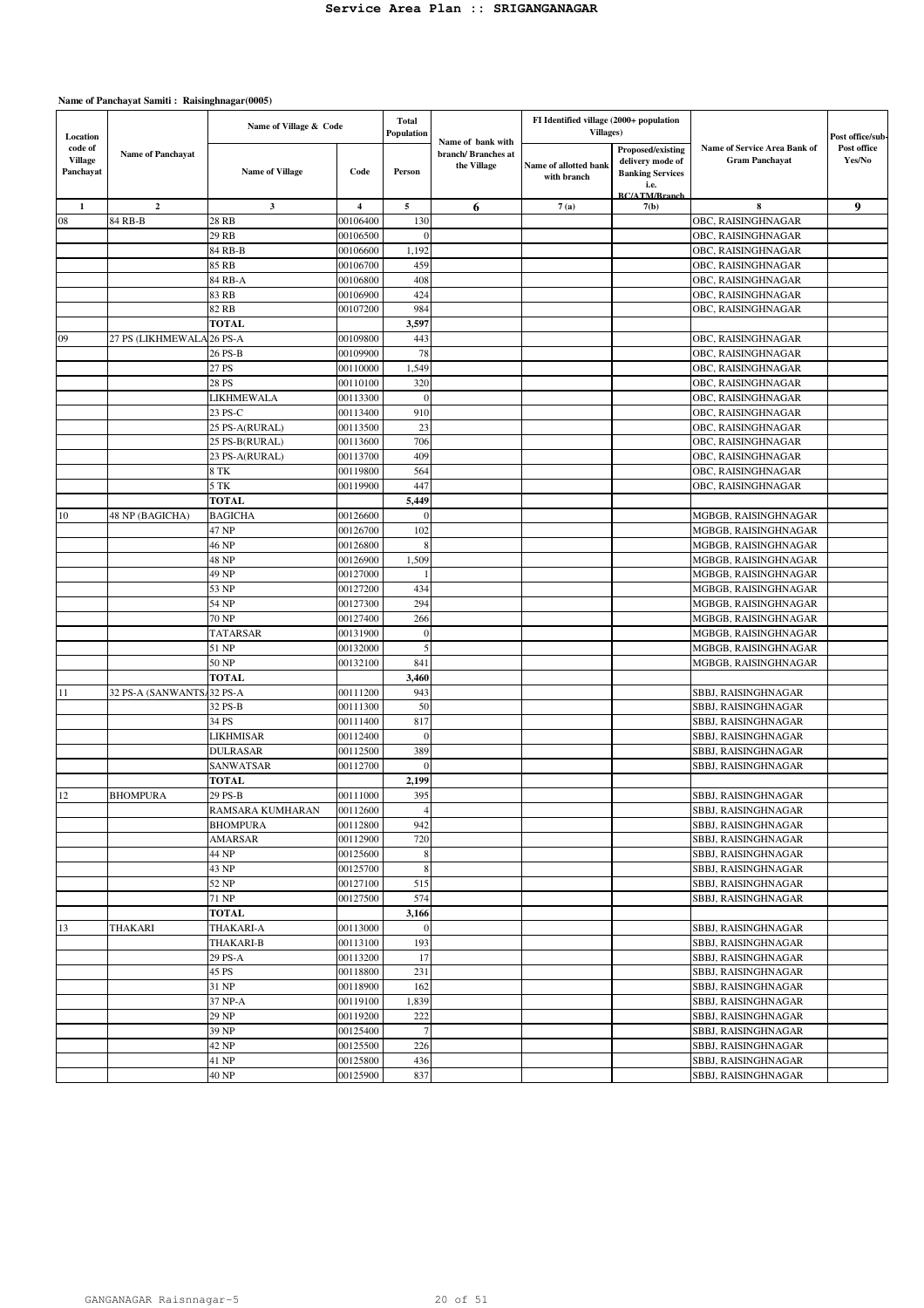| Location<br>code of  | Name of Village & Code    |                        | <b>Total</b><br>Population | Name of bank with | FI Identified village (2000+ population<br><b>Villages</b> ) |                                      |                                                                  | Post office/sub-                                      |                       |
|----------------------|---------------------------|------------------------|----------------------------|-------------------|--------------------------------------------------------------|--------------------------------------|------------------------------------------------------------------|-------------------------------------------------------|-----------------------|
| Village<br>Panchayat | <b>Name of Panchayat</b>  | <b>Name of Village</b> | Code                       | Person            | branch/Branches at<br>the Village                            | Name of allotted bank<br>with branch | Proposed/existing<br>delivery mode of<br><b>Banking Services</b> | Name of Service Area Bank of<br><b>Gram Panchayat</b> | Post office<br>Yes/No |
|                      |                           |                        |                            |                   |                                                              |                                      | i.e.<br><b>BC/ATM/Branch</b>                                     |                                                       |                       |
| $\mathbf{1}$         | $\overline{2}$            | $\mathbf{3}$           | $\overline{\mathbf{4}}$    | 5                 | 6                                                            | 7(a)                                 | 7(b)                                                             | 8                                                     | 9                     |
| 08                   | 84 RB-B                   | 28 RB                  | 00106400                   | 130               |                                                              |                                      |                                                                  | OBC, RAISINGHNAGAR                                    |                       |
|                      |                           | 29 RB                  | 00106500                   | $\Omega$          |                                                              |                                      |                                                                  | OBC, RAISINGHNAGAR                                    |                       |
|                      |                           | 84 RB-B                | 00106600                   | 1,192             |                                                              |                                      |                                                                  | OBC, RAISINGHNAGAR                                    |                       |
|                      |                           | 85 RB                  | 00106700                   | 459               |                                                              |                                      |                                                                  | OBC, RAISINGHNAGAR                                    |                       |
|                      |                           | 84 RB-A                | 00106800                   | 408               |                                                              |                                      |                                                                  | OBC, RAISINGHNAGAR                                    |                       |
|                      |                           | 83 RB<br>82 RB         | 00106900<br>00107200       | 424<br>984        |                                                              |                                      |                                                                  | OBC, RAISINGHNAGAR                                    |                       |
|                      |                           | <b>TOTAL</b>           |                            | 3,597             |                                                              |                                      |                                                                  | OBC, RAISINGHNAGAR                                    |                       |
| 09                   | 27 PS (LIKHMEWALA         | $26$ PS-A              | 00109800                   | 443               |                                                              |                                      |                                                                  | OBC, RAISINGHNAGAR                                    |                       |
|                      |                           | 26 PS-B                | 00109900                   | 78                |                                                              |                                      |                                                                  | OBC, RAISINGHNAGAR                                    |                       |
|                      |                           | 27 PS                  | 00110000                   | 1,549             |                                                              |                                      |                                                                  | OBC, RAISINGHNAGAR                                    |                       |
|                      |                           | 28 PS                  | 00110100                   | 320               |                                                              |                                      |                                                                  | OBC, RAISINGHNAGAR                                    |                       |
|                      |                           | LIKHMEWALA             | 00113300                   | $\theta$          |                                                              |                                      |                                                                  | OBC, RAISINGHNAGAR                                    |                       |
|                      |                           | 23 PS-C                | 00113400                   | 910               |                                                              |                                      |                                                                  | OBC, RAISINGHNAGAR                                    |                       |
|                      |                           | 25 PS-A(RURAL)         | 00113500                   | 23                |                                                              |                                      |                                                                  | OBC, RAISINGHNAGAR                                    |                       |
|                      |                           | 25 PS-B(RURAL)         | 00113600                   | 706               |                                                              |                                      |                                                                  | OBC, RAISINGHNAGAR                                    |                       |
|                      |                           | 23 PS-A(RURAL)         | 00113700                   | 409               |                                                              |                                      |                                                                  | OBC, RAISINGHNAGAR                                    |                       |
|                      |                           | 8 TK                   | 00119800                   | 564               |                                                              |                                      |                                                                  | OBC, RAISINGHNAGAR                                    |                       |
|                      |                           | 5 TK                   | 00119900                   | 447               |                                                              |                                      |                                                                  | OBC, RAISINGHNAGAR                                    |                       |
|                      |                           | <b>TOTAL</b>           |                            | 5,449             |                                                              |                                      |                                                                  |                                                       |                       |
| 10                   | 48 NP (BAGICHA)           | <b>BAGICHA</b>         | 00126600                   | $\mathbf{0}$      |                                                              |                                      |                                                                  | MGBGB, RAISINGHNAGAR                                  |                       |
|                      |                           | 47 NP                  | 00126700                   | 102               |                                                              |                                      |                                                                  | MGBGB, RAISINGHNAGAR                                  |                       |
|                      |                           | 46 NP                  | 00126800                   | 8                 |                                                              |                                      |                                                                  | MGBGB, RAISINGHNAGAR                                  |                       |
|                      |                           | 48 NP                  | 00126900                   | 1,509             |                                                              |                                      |                                                                  | MGBGB, RAISINGHNAGAR                                  |                       |
|                      |                           | 49 NP                  | 00127000                   | -1                |                                                              |                                      |                                                                  | MGBGB, RAISINGHNAGAR                                  |                       |
|                      |                           | 53 NP                  | 00127200                   | 434               |                                                              |                                      |                                                                  | MGBGB, RAISINGHNAGAR                                  |                       |
|                      |                           | 54 NP                  | 00127300                   | 294               |                                                              |                                      |                                                                  | MGBGB, RAISINGHNAGAR                                  |                       |
|                      |                           | <b>70 NP</b>           | 00127400                   | 266               |                                                              |                                      |                                                                  | MGBGB, RAISINGHNAGAR                                  |                       |
|                      |                           | TATARSAR               | 00131900                   | $\mathbf{0}$      |                                                              |                                      |                                                                  | MGBGB, RAISINGHNAGAR                                  |                       |
|                      |                           | 51 NP                  | 00132000                   | 5                 |                                                              |                                      |                                                                  | MGBGB, RAISINGHNAGAR                                  |                       |
|                      |                           | 50 NP                  | 00132100                   | 841               |                                                              |                                      |                                                                  | MGBGB, RAISINGHNAGAR                                  |                       |
|                      | 32 PS-A (SANWANTS/32 PS-A | <b>TOTAL</b>           | 00111200                   | 3,460<br>943      |                                                              |                                      |                                                                  | SBBJ, RAISINGHNAGAR                                   |                       |
| 11                   |                           | 32 PS-B                | 00111300                   | 50                |                                                              |                                      |                                                                  | SBBJ, RAISINGHNAGAR                                   |                       |
|                      |                           | 34 PS                  | 00111400                   | 817               |                                                              |                                      |                                                                  | SBBJ, RAISINGHNAGAR                                   |                       |
|                      |                           | LIKHMISAR              | 00112400                   | $\mathbf{0}$      |                                                              |                                      |                                                                  | SBBJ, RAISINGHNAGAR                                   |                       |
|                      |                           | DULRASAR               | 00112500                   | 389               |                                                              |                                      |                                                                  | SBBJ, RAISINGHNAGAR                                   |                       |
|                      |                           | SANWATSAR              | 00112700                   | $\mathbf{0}$      |                                                              |                                      |                                                                  | SBBJ, RAISINGHNAGAR                                   |                       |
|                      |                           | <b>TOTAL</b>           |                            | 2,199             |                                                              |                                      |                                                                  |                                                       |                       |
| 12                   | <b>BHOMPURA</b>           | 29 PS-B                | 00111000                   | 395               |                                                              |                                      |                                                                  | <b>SBBJ, RAISINGHNAGAR</b>                            |                       |
|                      |                           | RAMSARA KUMHARAN       | 00112600                   | $\overline{4}$    |                                                              |                                      |                                                                  | SBBJ, RAISINGHNAGAR                                   |                       |
|                      |                           | <b>BHOMPURA</b>        | 00112800                   | 942               |                                                              |                                      |                                                                  | SBBJ, RAISINGHNAGAR                                   |                       |
|                      |                           | <b>AMARSAR</b>         | 00112900                   | 720               |                                                              |                                      |                                                                  | SBBJ, RAISINGHNAGAR                                   |                       |
|                      |                           | 44 NP                  | 00125600                   | 8                 |                                                              |                                      |                                                                  | SBBJ, RAISINGHNAGAR                                   |                       |
|                      |                           | 43 NP                  | 00125700                   | 8                 |                                                              |                                      |                                                                  | SBBJ, RAISINGHNAGAR                                   |                       |
|                      |                           | 52 NP                  | 00127100                   | 515               |                                                              |                                      |                                                                  | SBBJ, RAISINGHNAGAR                                   |                       |
|                      |                           | 71 NP                  | 00127500                   | 574               |                                                              |                                      |                                                                  | SBBJ, RAISINGHNAGAR                                   |                       |
|                      |                           | <b>TOTAL</b>           |                            | 3,166             |                                                              |                                      |                                                                  |                                                       |                       |
| 13                   | <b>THAKARI</b>            | THAKARI-A              | 00113000                   | $\mathbf{0}$      |                                                              |                                      |                                                                  | SBBJ, RAISINGHNAGAR                                   |                       |
|                      |                           | <b>THAKARI-B</b>       | 00113100                   | 193               |                                                              |                                      |                                                                  | SBBJ, RAISINGHNAGAR                                   |                       |
|                      |                           | 29 PS-A                | 00113200                   | 17                |                                                              |                                      |                                                                  | SBBJ, RAISINGHNAGAR                                   |                       |
|                      |                           | 45 PS                  | 00118800                   | 231               |                                                              |                                      |                                                                  | SBBJ, RAISINGHNAGAR                                   |                       |
|                      |                           | 31 NP                  | 00118900                   | 162               |                                                              |                                      |                                                                  | SBBJ, RAISINGHNAGAR                                   |                       |
|                      |                           | 37 NP-A                | 00119100                   | 1,839             |                                                              |                                      |                                                                  | SBBJ, RAISINGHNAGAR                                   |                       |
|                      |                           | 29 NP                  | 00119200                   | 222               |                                                              |                                      |                                                                  | SBBJ, RAISINGHNAGAR                                   |                       |
|                      |                           | 39 NP                  | 00125400                   | $7\phantom{.0}$   |                                                              |                                      |                                                                  | SBBJ, RAISINGHNAGAR                                   |                       |
|                      |                           | 42 NP<br>41 NP         | 00125500<br>00125800       | 226<br>436        |                                                              |                                      |                                                                  | SBBJ, RAISINGHNAGAR<br>SBBJ, RAISINGHNAGAR            |                       |
|                      |                           | 40 NP                  | 00125900                   | 837               |                                                              |                                      |                                                                  | SBBJ, RAISINGHNAGAR                                   |                       |
|                      |                           |                        |                            |                   |                                                              |                                      |                                                                  |                                                       |                       |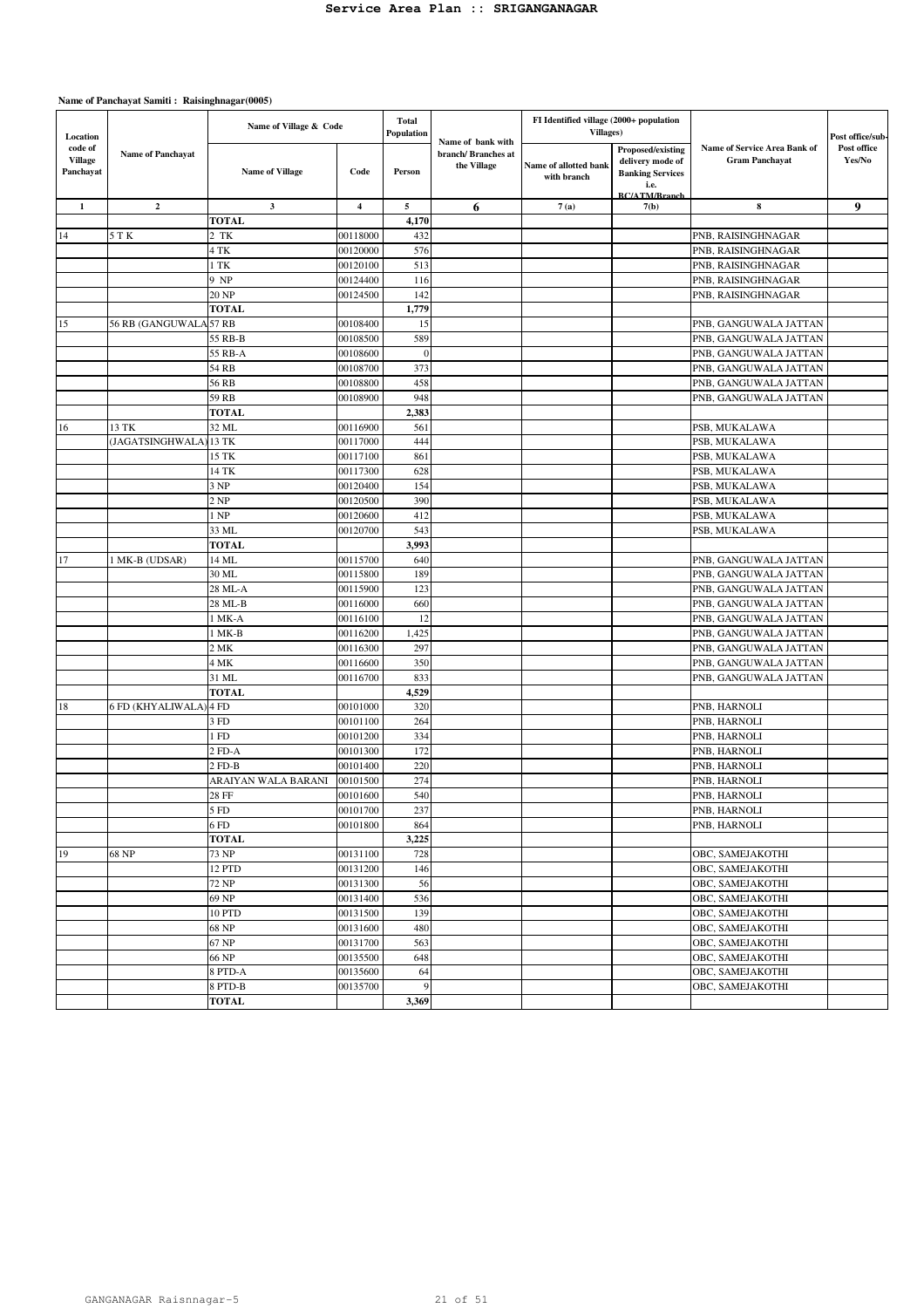| Location                               |                          | Name of Village & Code |                         | <b>Total</b><br>Population |                                                        | FI Identified village (2000+ population<br>Villages) |                                                                                                  |                                                       | Post office/sub-      |
|----------------------------------------|--------------------------|------------------------|-------------------------|----------------------------|--------------------------------------------------------|------------------------------------------------------|--------------------------------------------------------------------------------------------------|-------------------------------------------------------|-----------------------|
| code of<br><b>Village</b><br>Panchayat | <b>Name of Panchayat</b> | <b>Name of Village</b> | Code                    | Person                     | Name of bank with<br>branch/Branches at<br>the Village | Name of allotted bank<br>with branch                 | Proposed/existing<br>delivery mode of<br><b>Banking Services</b><br>i.e.<br><b>RC/ATM/Rranch</b> | Name of Service Area Bank of<br><b>Gram Panchayat</b> | Post office<br>Yes/No |
| $\mathbf{1}$                           | $\mathbf{2}$             | $\mathbf{3}$           | $\overline{\mathbf{4}}$ | 5                          | 6                                                      | 7(a)                                                 | 7(b)                                                                                             | 8                                                     | 9                     |
|                                        |                          | <b>TOTAL</b>           |                         | 4,170                      |                                                        |                                                      |                                                                                                  |                                                       |                       |
| 14                                     | 5 T K                    | 2 TK                   | 00118000                | 432                        |                                                        |                                                      |                                                                                                  | PNB, RAISINGHNAGAR                                    |                       |
|                                        |                          | 4 TK                   | 00120000                | 576                        |                                                        |                                                      |                                                                                                  | PNB, RAISINGHNAGAR                                    |                       |
|                                        |                          | 1 TK                   | 00120100                | 513                        |                                                        |                                                      |                                                                                                  | PNB, RAISINGHNAGAR                                    |                       |
|                                        |                          | 9 NP                   | 00124400                | 116                        |                                                        |                                                      |                                                                                                  | PNB, RAISINGHNAGAR                                    |                       |
|                                        |                          | 20 NP                  | 00124500                | 142                        |                                                        |                                                      |                                                                                                  | PNB, RAISINGHNAGAR                                    |                       |
|                                        |                          | <b>TOTAL</b>           |                         | 1,779                      |                                                        |                                                      |                                                                                                  |                                                       |                       |
| 15                                     | 56 RB (GANGUWALA 57 RB   |                        | 00108400                | 15                         |                                                        |                                                      |                                                                                                  | PNB, GANGUWALA JATTAN                                 |                       |
|                                        |                          | 55 RB-B                | 00108500                | 589                        |                                                        |                                                      |                                                                                                  | PNB, GANGUWALA JATTAN                                 |                       |
|                                        |                          | 55 RB-A                | 00108600                | $\mathbf{0}$               |                                                        |                                                      |                                                                                                  | PNB, GANGUWALA JATTAN                                 |                       |
|                                        |                          | 54 RB                  | 00108700                | 373                        |                                                        |                                                      |                                                                                                  | PNB, GANGUWALA JATTAN                                 |                       |
|                                        |                          | 56 RB                  | 00108800                | 458                        |                                                        |                                                      |                                                                                                  | PNB, GANGUWALA JATTAN                                 |                       |
|                                        |                          | 59 RB                  | 00108900                | 948                        |                                                        |                                                      |                                                                                                  | PNB, GANGUWALA JATTAN                                 |                       |
|                                        |                          | <b>TOTAL</b>           |                         | 2,383                      |                                                        |                                                      |                                                                                                  |                                                       |                       |
| 16                                     | 13 TK                    | 32 ML                  | 00116900                | 561                        |                                                        |                                                      |                                                                                                  | PSB, MUKALAWA                                         |                       |
|                                        | (JAGATSINGHWALA          | 13 TK                  | 00117000                | 444                        |                                                        |                                                      |                                                                                                  | PSB, MUKALAWA                                         |                       |
|                                        |                          | 15 TK                  | 00117100                | 861                        |                                                        |                                                      |                                                                                                  | PSB, MUKALAWA                                         |                       |
|                                        |                          | 14 TK                  | 00117300                | 628                        |                                                        |                                                      |                                                                                                  | PSB, MUKALAWA                                         |                       |
|                                        |                          | 3 NP                   | 00120400                | 154                        |                                                        |                                                      |                                                                                                  | PSB, MUKALAWA                                         |                       |
|                                        |                          | 2 NP                   | 00120500                | 390                        |                                                        |                                                      |                                                                                                  | PSB, MUKALAWA                                         |                       |
|                                        |                          | 1 NP                   | 00120600                | 412                        |                                                        |                                                      |                                                                                                  | PSB, MUKALAWA                                         |                       |
|                                        |                          | 33 ML                  | 00120700                | 543                        |                                                        |                                                      |                                                                                                  | PSB, MUKALAWA                                         |                       |
|                                        |                          | <b>TOTAL</b>           |                         | 3,993                      |                                                        |                                                      |                                                                                                  |                                                       |                       |
| 17                                     | 1 MK-B (UDSAR)           | 14 ML                  | 00115700                | 640                        |                                                        |                                                      |                                                                                                  | PNB, GANGUWALA JATTAN                                 |                       |
|                                        |                          | 30 ML                  | 00115800                | 189                        |                                                        |                                                      |                                                                                                  | PNB, GANGUWALA JATTAN                                 |                       |
|                                        |                          | 28 ML-A                | 00115900                | 123                        |                                                        |                                                      |                                                                                                  | PNB, GANGUWALA JATTAN                                 |                       |
|                                        |                          | 28 ML-B                | 00116000                | 660                        |                                                        |                                                      |                                                                                                  | PNB, GANGUWALA JATTAN                                 |                       |
|                                        |                          | 1 MK-A                 | 00116100                | 12                         |                                                        |                                                      |                                                                                                  | PNB, GANGUWALA JATTAN                                 |                       |
|                                        |                          |                        |                         | 1,425                      |                                                        |                                                      |                                                                                                  |                                                       |                       |
|                                        |                          | 1 MK-B<br>2MK          | 00116200                |                            |                                                        |                                                      |                                                                                                  | PNB, GANGUWALA JATTAN                                 |                       |
|                                        |                          |                        | 00116300                | 297                        |                                                        |                                                      |                                                                                                  | PNB, GANGUWALA JATTAN                                 |                       |
|                                        |                          | 4 MK                   | 00116600                | 350                        |                                                        |                                                      |                                                                                                  | PNB, GANGUWALA JATTAN                                 |                       |
|                                        |                          | 31 ML                  | 00116700                | 833                        |                                                        |                                                      |                                                                                                  | PNB, GANGUWALA JATTAN                                 |                       |
|                                        |                          | <b>TOTAL</b>           |                         | 4,529                      |                                                        |                                                      |                                                                                                  |                                                       |                       |
| 18                                     | 6 FD (KHYALIWALA)        | 4 FD                   | 00101000                | 320                        |                                                        |                                                      |                                                                                                  | PNB, HARNOLI                                          |                       |
|                                        |                          | 3 FD                   | 00101100                | 264                        |                                                        |                                                      |                                                                                                  | PNB, HARNOLI                                          |                       |
|                                        |                          | l FD                   | 00101200                | 334                        |                                                        |                                                      |                                                                                                  | PNB, HARNOLI                                          |                       |
|                                        |                          | 2 FD-A                 | 00101300                | 172                        |                                                        |                                                      |                                                                                                  | PNB, HARNOLI                                          |                       |
|                                        |                          | $2$ FD-B               | 00101400                | 220                        |                                                        |                                                      |                                                                                                  | PNB, HARNOLI                                          |                       |
|                                        |                          | ARAIYAN WALA BARANI    | 00101500                | 274                        |                                                        |                                                      |                                                                                                  | PNB, HARNOLI                                          |                       |
|                                        |                          | 28 FF                  | 00101600                | 540                        |                                                        |                                                      |                                                                                                  | PNB, HARNOLI                                          |                       |
|                                        |                          | 5 FD                   | 00101700                | 237                        |                                                        |                                                      |                                                                                                  | PNB, HARNOLI                                          |                       |
|                                        |                          | 6FD                    | 00101800                | 864                        |                                                        |                                                      |                                                                                                  | PNB. HARNOLI                                          |                       |
|                                        |                          | <b>TOTAL</b>           |                         | 3,225                      |                                                        |                                                      |                                                                                                  |                                                       |                       |
| 19                                     | 68 NP                    | 73 NP                  | 00131100                | 728                        |                                                        |                                                      |                                                                                                  | OBC, SAMEJAKOTHI                                      |                       |
|                                        |                          | 12 PTD                 | 00131200                | 146                        |                                                        |                                                      |                                                                                                  | OBC, SAMEJAKOTHI                                      |                       |
|                                        |                          | 72 NP                  | 00131300                | 56                         |                                                        |                                                      |                                                                                                  | OBC, SAMEJAKOTHI                                      |                       |
|                                        |                          | 69 NP                  | 00131400                | 536                        |                                                        |                                                      |                                                                                                  | OBC, SAMEJAKOTHI                                      |                       |
|                                        |                          | 10 PTD                 | 00131500                | 139                        |                                                        |                                                      |                                                                                                  | OBC, SAMEJAKOTHI                                      |                       |
|                                        |                          | 68 NP                  | 00131600                | 480                        |                                                        |                                                      |                                                                                                  | OBC, SAMEJAKOTHI                                      |                       |
|                                        |                          | 67 NP                  | 00131700                | 563                        |                                                        |                                                      |                                                                                                  | OBC, SAMEJAKOTHI                                      |                       |
|                                        |                          | 66 NP                  | 00135500                | 648                        |                                                        |                                                      |                                                                                                  | OBC, SAMEJAKOTHI                                      |                       |
|                                        |                          | 8 PTD-A                | 00135600                | 64                         |                                                        |                                                      |                                                                                                  | OBC, SAMEJAKOTHI                                      |                       |
|                                        |                          | 8 PTD-B                | 00135700                | 9                          |                                                        |                                                      |                                                                                                  | OBC, SAMEJAKOTHI                                      |                       |
|                                        |                          | <b>TOTAL</b>           |                         | 3,369                      |                                                        |                                                      |                                                                                                  |                                                       |                       |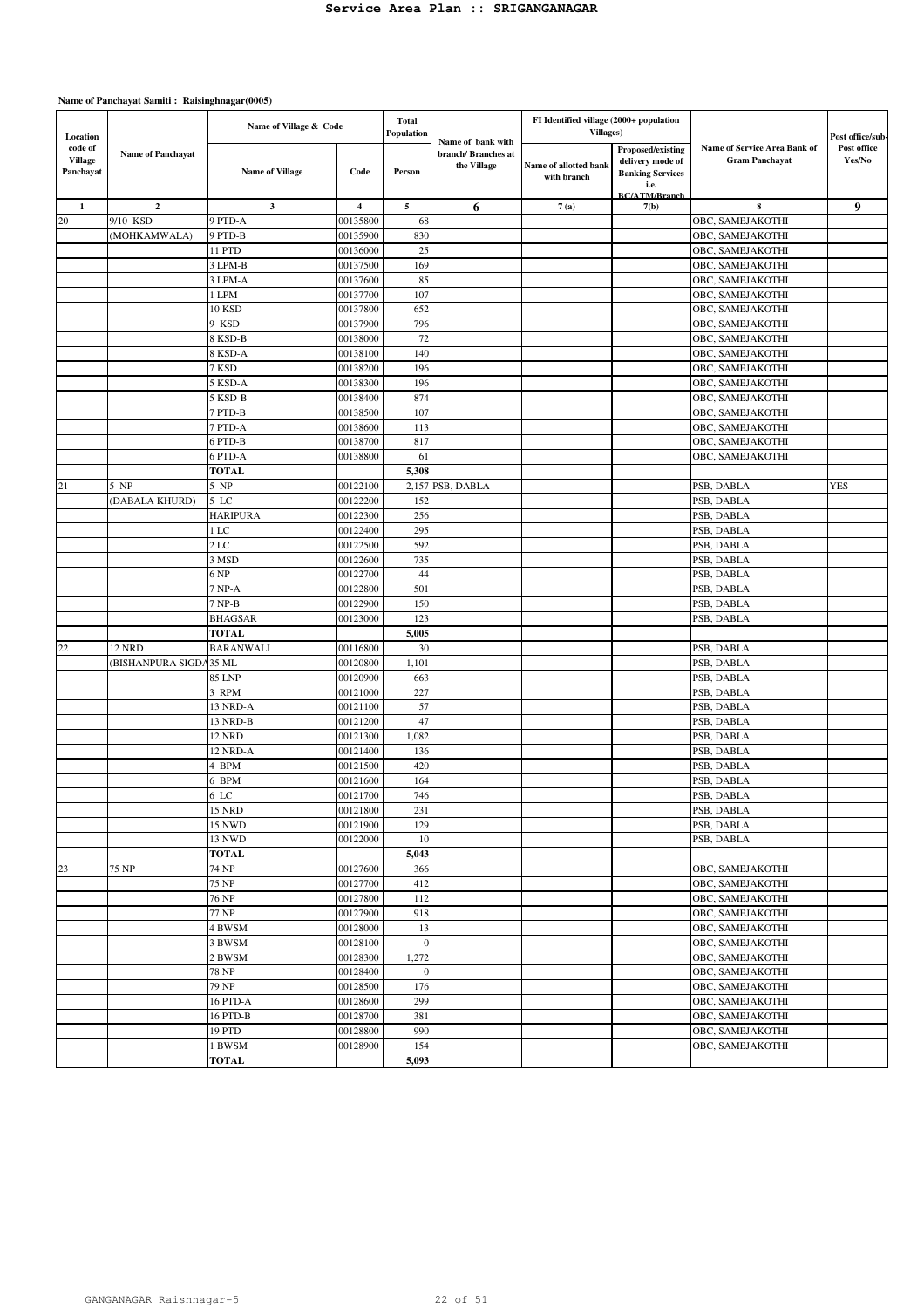| Location                               |                          | Name of Village & Code |                         | <b>Total</b><br>Population | Name of bank with                 | FI Identified village (2000+ population<br>Villages) |                                                                  |                                                       | Post office/sub-      |
|----------------------------------------|--------------------------|------------------------|-------------------------|----------------------------|-----------------------------------|------------------------------------------------------|------------------------------------------------------------------|-------------------------------------------------------|-----------------------|
| code of<br><b>Village</b><br>Panchayat | <b>Name of Panchayat</b> | <b>Name of Village</b> | Code                    | Person                     | branch/Branches at<br>the Village | Name of allotted bank<br>with branch                 | Proposed/existing<br>delivery mode of<br><b>Banking Services</b> | Name of Service Area Bank of<br><b>Gram Panchayat</b> | Post office<br>Yes/No |
|                                        |                          |                        |                         |                            |                                   |                                                      | i.e.<br><b>BC/ATM/Branch</b>                                     |                                                       |                       |
| $\mathbf{1}$                           | $\mathbf{2}$             | $\mathbf{3}$           | $\overline{\mathbf{4}}$ | $\mathbf{5}$               | 6                                 | 7(a)                                                 | 7(b)                                                             | 8                                                     | 9                     |
| 20                                     | 9/10 KSD                 | 9 PTD-A                | 00135800                | 68                         |                                   |                                                      |                                                                  | OBC, SAMEJAKOTHI                                      |                       |
|                                        | (MOHKAMWALA)             | 9 PTD-B                | 00135900                | 830                        |                                   |                                                      |                                                                  | OBC, SAMEJAKOTHI                                      |                       |
|                                        |                          | 11 PTD                 | 00136000                | 25                         |                                   |                                                      |                                                                  | OBC, SAMEJAKOTHI                                      |                       |
|                                        |                          | 3 LPM-B                | 00137500                | 169                        |                                   |                                                      |                                                                  | OBC, SAMEJAKOTHI                                      |                       |
|                                        |                          | 3 LPM-A                | 00137600                | 85                         |                                   |                                                      |                                                                  | OBC, SAMEJAKOTHI                                      |                       |
|                                        |                          | 1 LPM                  | 00137700                | 107                        |                                   |                                                      |                                                                  | OBC, SAMEJAKOTHI                                      |                       |
|                                        |                          | 10 KSD                 | 00137800                | 652                        |                                   |                                                      |                                                                  | OBC, SAMEJAKOTHI                                      |                       |
|                                        |                          | 9 KSD                  | 00137900                | 796                        |                                   |                                                      |                                                                  | OBC, SAMEJAKOTHI                                      |                       |
|                                        |                          | 8 KSD-B                | 00138000                | 72                         |                                   |                                                      |                                                                  | OBC, SAMEJAKOTHI                                      |                       |
|                                        |                          | 8 KSD-A                | 00138100                | 140                        |                                   |                                                      |                                                                  | OBC, SAMEJAKOTHI                                      |                       |
|                                        |                          | 7 KSD                  | 00138200                | 196                        |                                   |                                                      |                                                                  | OBC, SAMEJAKOTHI                                      |                       |
|                                        |                          | 5 KSD-A                | 00138300                | 196                        |                                   |                                                      |                                                                  | OBC, SAMEJAKOTHI                                      |                       |
|                                        |                          | 5 KSD-B                | 00138400                | 874                        |                                   |                                                      |                                                                  | OBC, SAMEJAKOTHI                                      |                       |
|                                        |                          | 7 PTD-B                | 00138500                | 107                        |                                   |                                                      |                                                                  | OBC, SAMEJAKOTHI                                      |                       |
|                                        |                          | 7 PTD-A                | 00138600                | 113                        |                                   |                                                      |                                                                  | OBC, SAMEJAKOTHI                                      |                       |
|                                        |                          | 6 PTD-B                | 00138700                | 817                        |                                   |                                                      |                                                                  | OBC, SAMEJAKOTHI                                      |                       |
|                                        |                          | 6 PTD-A                | 00138800                | 61                         |                                   |                                                      |                                                                  | OBC, SAMEJAKOTHI                                      |                       |
|                                        |                          | <b>TOTAL</b>           |                         | 5,308                      |                                   |                                                      |                                                                  |                                                       |                       |
| 21                                     | 5 NP                     | 5 NP                   | 00122100                |                            | 2,157 PSB, DABLA                  |                                                      |                                                                  | PSB, DABLA                                            | <b>YES</b>            |
|                                        | (DABALA KHURD)           | $5$ LC                 | 00122200                | 152                        |                                   |                                                      |                                                                  | PSB, DABLA                                            |                       |
|                                        |                          | <b>HARIPURA</b>        | 00122300                | 256                        |                                   |                                                      |                                                                  | PSB, DABLA                                            |                       |
|                                        |                          | 1 LC                   | 00122400                | 295                        |                                   |                                                      |                                                                  | PSB, DABLA                                            |                       |
|                                        |                          | 2 LC                   | 00122500                | 592                        |                                   |                                                      |                                                                  | PSB, DABLA                                            |                       |
|                                        |                          | 3 MSD                  | 00122600                | 735                        |                                   |                                                      |                                                                  | PSB, DABLA                                            |                       |
|                                        |                          | 6 NP                   | 00122700                | 44                         |                                   |                                                      |                                                                  | PSB, DABLA                                            |                       |
|                                        |                          | 7 NP-A<br>$7 NP-B$     | 00122800                | 501<br>150                 |                                   |                                                      |                                                                  | PSB, DABLA                                            |                       |
|                                        |                          | <b>BHAGSAR</b>         | 00122900<br>00123000    | 123                        |                                   |                                                      |                                                                  | PSB, DABLA<br>PSB, DABLA                              |                       |
|                                        |                          | <b>TOTAL</b>           |                         | 5,005                      |                                   |                                                      |                                                                  |                                                       |                       |
| 22                                     | <b>12 NRD</b>            | <b>BARANWALI</b>       | 00116800                | 30                         |                                   |                                                      |                                                                  | PSB, DABLA                                            |                       |
|                                        | (BISHANPURA SIGDA35 ML   |                        | 00120800                | 1,101                      |                                   |                                                      |                                                                  | PSB, DABLA                                            |                       |
|                                        |                          | 85 LNP                 | 00120900                | 663                        |                                   |                                                      |                                                                  | PSB, DABLA                                            |                       |
|                                        |                          | 3 RPM                  | 00121000                | 227                        |                                   |                                                      |                                                                  | PSB, DABLA                                            |                       |
|                                        |                          | 13 NRD-A               | 00121100                | 57                         |                                   |                                                      |                                                                  | PSB, DABLA                                            |                       |
|                                        |                          | 13 NRD-B               | 00121200                | 47                         |                                   |                                                      |                                                                  | PSB, DABLA                                            |                       |
|                                        |                          | <b>12 NRD</b>          | 00121300                | 1,082                      |                                   |                                                      |                                                                  | PSB, DABLA                                            |                       |
|                                        |                          | 12 NRD-A               | 00121400                | 136                        |                                   |                                                      |                                                                  | PSB, DABLA                                            |                       |
|                                        |                          | 4 BPM                  | 00121500                | 420                        |                                   |                                                      |                                                                  | PSB, DABLA                                            |                       |
|                                        |                          | 6 BPM                  | 00121600                | 164                        |                                   |                                                      |                                                                  | PSB, DABLA                                            |                       |
|                                        |                          | 6 LC                   | 00121700                | 746                        |                                   |                                                      |                                                                  | PSB, DABLA                                            |                       |
|                                        |                          | <b>15 NRD</b>          | 00121800                | 231                        |                                   |                                                      |                                                                  | PSB, DABLA                                            |                       |
|                                        |                          | 15 NWD                 | 00121900                | 129                        |                                   |                                                      |                                                                  | PSB, DABLA                                            |                       |
|                                        |                          | 13 NWD                 | 00122000                | 10                         |                                   |                                                      |                                                                  | PSB, DABLA                                            |                       |
|                                        |                          | <b>TOTAL</b>           |                         | 5,043                      |                                   |                                                      |                                                                  |                                                       |                       |
| 23                                     | 75 NP                    | 74 NP                  | 00127600                | 366                        |                                   |                                                      |                                                                  | OBC, SAMEJAKOTHI                                      |                       |
|                                        |                          | 75 NP                  | 00127700                | 412                        |                                   |                                                      |                                                                  | OBC, SAMEJAKOTHI                                      |                       |
|                                        |                          | <b>76 NP</b>           | 00127800                | 112                        |                                   |                                                      |                                                                  | OBC, SAMEJAKOTHI                                      |                       |
|                                        |                          | 77 NP                  | 00127900                | 918                        |                                   |                                                      |                                                                  | OBC, SAMEJAKOTHI                                      |                       |
|                                        |                          | 4 BWSM                 | 00128000                | 13                         |                                   |                                                      |                                                                  | OBC, SAMEJAKOTHI                                      |                       |
|                                        |                          | 3 BWSM                 | 00128100                | $\mathbf{0}$               |                                   |                                                      |                                                                  | OBC, SAMEJAKOTHI                                      |                       |
|                                        |                          | 2 BWSM                 | 00128300                | 1,272                      |                                   |                                                      |                                                                  | OBC, SAMEJAKOTHI                                      |                       |
|                                        |                          | 78 NP                  | 00128400                | $\mathbf{0}$               |                                   |                                                      |                                                                  | OBC, SAMEJAKOTHI                                      |                       |
|                                        |                          | 79 NP                  | 00128500                | 176                        |                                   |                                                      |                                                                  | OBC, SAMEJAKOTHI                                      |                       |
|                                        |                          | 16 PTD-A               | 00128600                | 299                        |                                   |                                                      |                                                                  | OBC, SAMEJAKOTHI                                      |                       |
|                                        |                          | 16 PTD-B               | 00128700                | 381                        |                                   |                                                      |                                                                  | OBC, SAMEJAKOTHI                                      |                       |
|                                        |                          | 19 PTD                 | 00128800                | 990                        |                                   |                                                      |                                                                  | OBC, SAMEJAKOTHI                                      |                       |
|                                        |                          | 1 BWSM                 | 00128900                | 154                        |                                   |                                                      |                                                                  | OBC, SAMEJAKOTHI                                      |                       |
|                                        |                          | <b>TOTAL</b>           |                         | 5,093                      |                                   |                                                      |                                                                  |                                                       |                       |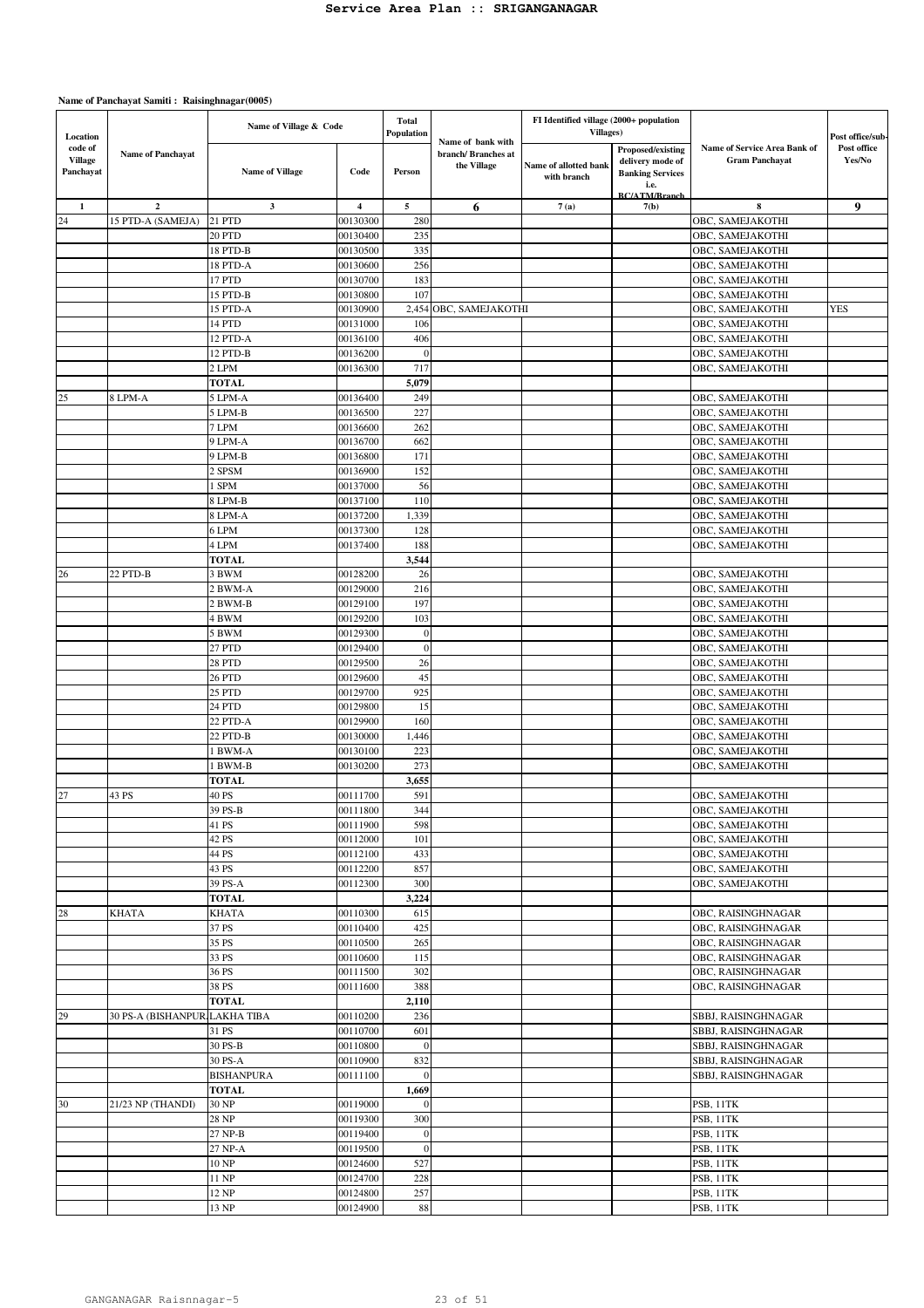| Location                               |                               | Name of Village & Code  |                      | <b>Total</b><br>Population |                                                        | FI Identified village (2000+ population<br><b>Villages</b> ) |                                                                                                  |                                                       | Post office/sub-      |
|----------------------------------------|-------------------------------|-------------------------|----------------------|----------------------------|--------------------------------------------------------|--------------------------------------------------------------|--------------------------------------------------------------------------------------------------|-------------------------------------------------------|-----------------------|
| code of<br><b>Village</b><br>Panchayat | <b>Name of Panchayat</b>      | <b>Name of Village</b>  | Code                 | Person                     | Name of bank with<br>branch/Branches at<br>the Village | Name of allotted bank<br>with branch                         | Proposed/existing<br>delivery mode of<br><b>Banking Services</b><br>i.e.<br><b>BC/ATM/Branch</b> | Name of Service Area Bank of<br><b>Gram Panchayat</b> | Post office<br>Yes/No |
| $\mathbf{1}$                           | $\mathbf 2$                   | $\mathbf{3}$            | 4                    | 5                          | 6                                                      | 7(a)                                                         | 7(b)                                                                                             | 8                                                     | 9                     |
| 24                                     | 15 PTD-A (SAMEJA)             | 21 PTD                  | 00130300             | 280                        |                                                        |                                                              |                                                                                                  | OBC, SAMEJAKOTHI                                      |                       |
|                                        |                               | 20 PTD                  | 00130400             | 235                        |                                                        |                                                              |                                                                                                  | OBC, SAMEJAKOTHI                                      |                       |
|                                        |                               | 18 PTD-B                | 00130500             | 335                        |                                                        |                                                              |                                                                                                  | OBC, SAMEJAKOTHI                                      |                       |
|                                        |                               | 18 PTD-A                | 00130600             | 256                        |                                                        |                                                              |                                                                                                  | OBC, SAMEJAKOTHI                                      |                       |
|                                        |                               | 17 PTD                  | 00130700             | 183                        |                                                        |                                                              |                                                                                                  | OBC, SAMEJAKOTHI                                      |                       |
|                                        |                               | 15 PTD-B                | 00130800             | 107                        |                                                        |                                                              |                                                                                                  | OBC, SAMEJAKOTHI                                      |                       |
|                                        |                               | 15 PTD-A                | 00130900             | 2,454                      | OBC, SAMEJAKOTHI                                       |                                                              |                                                                                                  | OBC, SAMEJAKOTHI                                      | <b>YES</b>            |
|                                        |                               | 14 PTD                  | 00131000             | 106                        |                                                        |                                                              |                                                                                                  | OBC, SAMEJAKOTHI                                      |                       |
|                                        |                               | 12 PTD-A<br>12 PTD-B    | 00136100<br>00136200 | 406<br>$\overline{0}$      |                                                        |                                                              |                                                                                                  | OBC, SAMEJAKOTHI<br>OBC, SAMEJAKOTHI                  |                       |
|                                        |                               | 2 LPM                   | 00136300             | 717                        |                                                        |                                                              |                                                                                                  | OBC, SAMEJAKOTHI                                      |                       |
|                                        |                               | <b>TOTAL</b>            |                      | 5,079                      |                                                        |                                                              |                                                                                                  |                                                       |                       |
| 25                                     | 8 LPM-A                       | 5 LPM-A                 | 00136400             | 249                        |                                                        |                                                              |                                                                                                  | OBC, SAMEJAKOTHI                                      |                       |
|                                        |                               | 5 LPM-B                 | 00136500             | 227                        |                                                        |                                                              |                                                                                                  | OBC, SAMEJAKOTHI                                      |                       |
|                                        |                               | 7 LPM                   | 00136600             | 262                        |                                                        |                                                              |                                                                                                  | OBC, SAMEJAKOTHI                                      |                       |
|                                        |                               | 9 LPM-A                 | 00136700             | 662                        |                                                        |                                                              |                                                                                                  | OBC, SAMEJAKOTHI                                      |                       |
|                                        |                               | 9 LPM-B                 | 00136800             | 171                        |                                                        |                                                              |                                                                                                  | OBC, SAMEJAKOTHI                                      |                       |
|                                        |                               | 2 SPSM                  | 00136900             | 152                        |                                                        |                                                              |                                                                                                  | OBC, SAMEJAKOTHI                                      |                       |
|                                        |                               | 1 SPM                   | 00137000             | 56                         |                                                        |                                                              |                                                                                                  | OBC, SAMEJAKOTHI                                      |                       |
|                                        |                               | 8 LPM-B                 | 00137100             | 110                        |                                                        |                                                              |                                                                                                  | OBC, SAMEJAKOTHI                                      |                       |
|                                        |                               | 8 LPM-A                 | 00137200             | 1,339                      |                                                        |                                                              |                                                                                                  | OBC, SAMEJAKOTHI                                      |                       |
|                                        |                               | 6 LPM                   | 00137300             | 128                        |                                                        |                                                              |                                                                                                  | OBC, SAMEJAKOTHI                                      |                       |
|                                        |                               | 4 LPM                   | 00137400             | 188                        |                                                        |                                                              |                                                                                                  | OBC, SAMEJAKOTHI                                      |                       |
|                                        |                               | <b>TOTAL</b>            |                      | 3,544                      |                                                        |                                                              |                                                                                                  |                                                       |                       |
| 26                                     | 22 PTD-B                      | 3 BWM                   | 00128200             | 26                         |                                                        |                                                              |                                                                                                  | OBC, SAMEJAKOTHI                                      |                       |
|                                        |                               | 2 BWM-A                 | 00129000             | 216                        |                                                        |                                                              |                                                                                                  | OBC, SAMEJAKOTHI                                      |                       |
|                                        |                               | 2 BWM-B                 | 00129100             | 197<br>103                 |                                                        |                                                              |                                                                                                  | OBC, SAMEJAKOTHI                                      |                       |
|                                        |                               | 4 BWM                   | 00129200             | $\overline{0}$             |                                                        |                                                              |                                                                                                  | OBC, SAMEJAKOTHI                                      |                       |
|                                        |                               | 5 BWM<br>27 PTD         | 00129300<br>00129400 | $\mathbf{0}$               |                                                        |                                                              |                                                                                                  | OBC, SAMEJAKOTHI<br>OBC, SAMEJAKOTHI                  |                       |
|                                        |                               | 28 PTD                  | 00129500             | 26                         |                                                        |                                                              |                                                                                                  | OBC, SAMEJAKOTHI                                      |                       |
|                                        |                               | 26 PTD                  | 00129600             | 45                         |                                                        |                                                              |                                                                                                  | OBC, SAMEJAKOTHI                                      |                       |
|                                        |                               | 25 PTD                  | 00129700             | 925                        |                                                        |                                                              |                                                                                                  | OBC, SAMEJAKOTHI                                      |                       |
|                                        |                               | 24 PTD                  | 00129800             | 15                         |                                                        |                                                              |                                                                                                  | OBC, SAMEJAKOTHI                                      |                       |
|                                        |                               | 22 PTD-A                | 00129900             | 160                        |                                                        |                                                              |                                                                                                  | OBC, SAMEJAKOTHI                                      |                       |
|                                        |                               | 22 PTD-B                | 00130000             | 1,446                      |                                                        |                                                              |                                                                                                  | OBC, SAMEJAKOTHI                                      |                       |
|                                        |                               | 1 BWM-A                 | 00130100             | 223                        |                                                        |                                                              |                                                                                                  | OBC, SAMEJAKOTHI                                      |                       |
|                                        |                               | 1 BWM-B                 | 00130200             | 273                        |                                                        |                                                              |                                                                                                  | OBC, SAMEJAKOTHI                                      |                       |
|                                        |                               | TOTAL                   |                      | 3,655                      |                                                        |                                                              |                                                                                                  |                                                       |                       |
| 27                                     | 43 PS                         | 40 PS                   | 00111700             | 591                        |                                                        |                                                              |                                                                                                  | OBC, SAMEJAKOTHI                                      |                       |
|                                        |                               | 39 PS-B                 | 00111800             | 344                        |                                                        |                                                              |                                                                                                  | OBC, SAMEJAKOTHI                                      |                       |
|                                        |                               | 41 PS                   | 00111900             | 598                        |                                                        |                                                              |                                                                                                  | OBC, SAMEJAKOTHI                                      |                       |
|                                        |                               | 42 PS                   | 00112000             | 101                        |                                                        |                                                              |                                                                                                  | OBC, SAMEJAKOTHI                                      |                       |
|                                        |                               | 44 PS                   | 00112100             | 433                        |                                                        |                                                              |                                                                                                  | OBC, SAMEJAKOTHI                                      |                       |
|                                        |                               | 43 PS                   | 00112200             | 857                        |                                                        |                                                              |                                                                                                  | OBC, SAMEJAKOTHI                                      |                       |
|                                        |                               | 39 PS-A<br><b>TOTAL</b> | 00112300             | 300<br>3,224               |                                                        |                                                              |                                                                                                  | OBC, SAMEJAKOTHI                                      |                       |
| 28                                     | <b>KHATA</b>                  | <b>KHATA</b>            | 00110300             | 615                        |                                                        |                                                              |                                                                                                  | OBC, RAISINGHNAGAR                                    |                       |
|                                        |                               | 37 PS                   | 00110400             | 425                        |                                                        |                                                              |                                                                                                  | OBC, RAISINGHNAGAR                                    |                       |
|                                        |                               | 35 PS                   | 00110500             | 265                        |                                                        |                                                              |                                                                                                  | OBC, RAISINGHNAGAR                                    |                       |
|                                        |                               | 33 PS                   | 00110600             | 115                        |                                                        |                                                              |                                                                                                  | OBC, RAISINGHNAGAR                                    |                       |
|                                        |                               | 36 PS                   | 00111500             | 302                        |                                                        |                                                              |                                                                                                  | OBC, RAISINGHNAGAR                                    |                       |
|                                        |                               | 38 PS                   | 00111600             | 388                        |                                                        |                                                              |                                                                                                  | OBC, RAISINGHNAGAR                                    |                       |
|                                        |                               | <b>TOTAL</b>            |                      | 2,110                      |                                                        |                                                              |                                                                                                  |                                                       |                       |
| 29                                     | 30 PS-A (BISHANPUR LAKHA TIBA |                         | 00110200             | 236                        |                                                        |                                                              |                                                                                                  | SBBJ, RAISINGHNAGAR                                   |                       |
|                                        |                               | 31 PS                   | 00110700             | 601                        |                                                        |                                                              |                                                                                                  | SBBJ, RAISINGHNAGAR                                   |                       |
|                                        |                               | 30 PS-B                 | 00110800             | $\boldsymbol{0}$           |                                                        |                                                              |                                                                                                  | SBBJ, RAISINGHNAGAR                                   |                       |
|                                        |                               | 30 PS-A                 | 00110900             | 832                        |                                                        |                                                              |                                                                                                  | SBBJ, RAISINGHNAGAR                                   |                       |
|                                        |                               | <b>BISHANPURA</b>       | 00111100             | $\boldsymbol{0}$           |                                                        |                                                              |                                                                                                  | SBBJ, RAISINGHNAGAR                                   |                       |
|                                        |                               | <b>TOTAL</b>            |                      | 1,669                      |                                                        |                                                              |                                                                                                  |                                                       |                       |
| 30                                     | 21/23 NP (THANDI)             | 30 NP                   | 00119000             | $\mathbf{0}$               |                                                        |                                                              |                                                                                                  | PSB, 11TK                                             |                       |
|                                        |                               | 28 NP                   | 00119300             | 300                        |                                                        |                                                              |                                                                                                  | PSB, 11TK                                             |                       |
|                                        |                               | 27 NP-B                 | 00119400             | $\mathbf{0}$               |                                                        |                                                              |                                                                                                  | PSB, 11TK                                             |                       |
|                                        |                               | 27 NP-A<br>10 NP        | 00119500<br>00124600 | $\boldsymbol{0}$<br>527    |                                                        |                                                              |                                                                                                  | PSB, 11TK                                             |                       |
|                                        |                               | 11 NP                   | 00124700             | 228                        |                                                        |                                                              |                                                                                                  | PSB, 11TK<br>PSB, 11TK                                |                       |
|                                        |                               | 12 NP                   | 00124800             | 257                        |                                                        |                                                              |                                                                                                  | PSB, 11TK                                             |                       |
|                                        |                               | 13 NP                   | 00124900             | $\bf 88$                   |                                                        |                                                              |                                                                                                  | PSB, 11TK                                             |                       |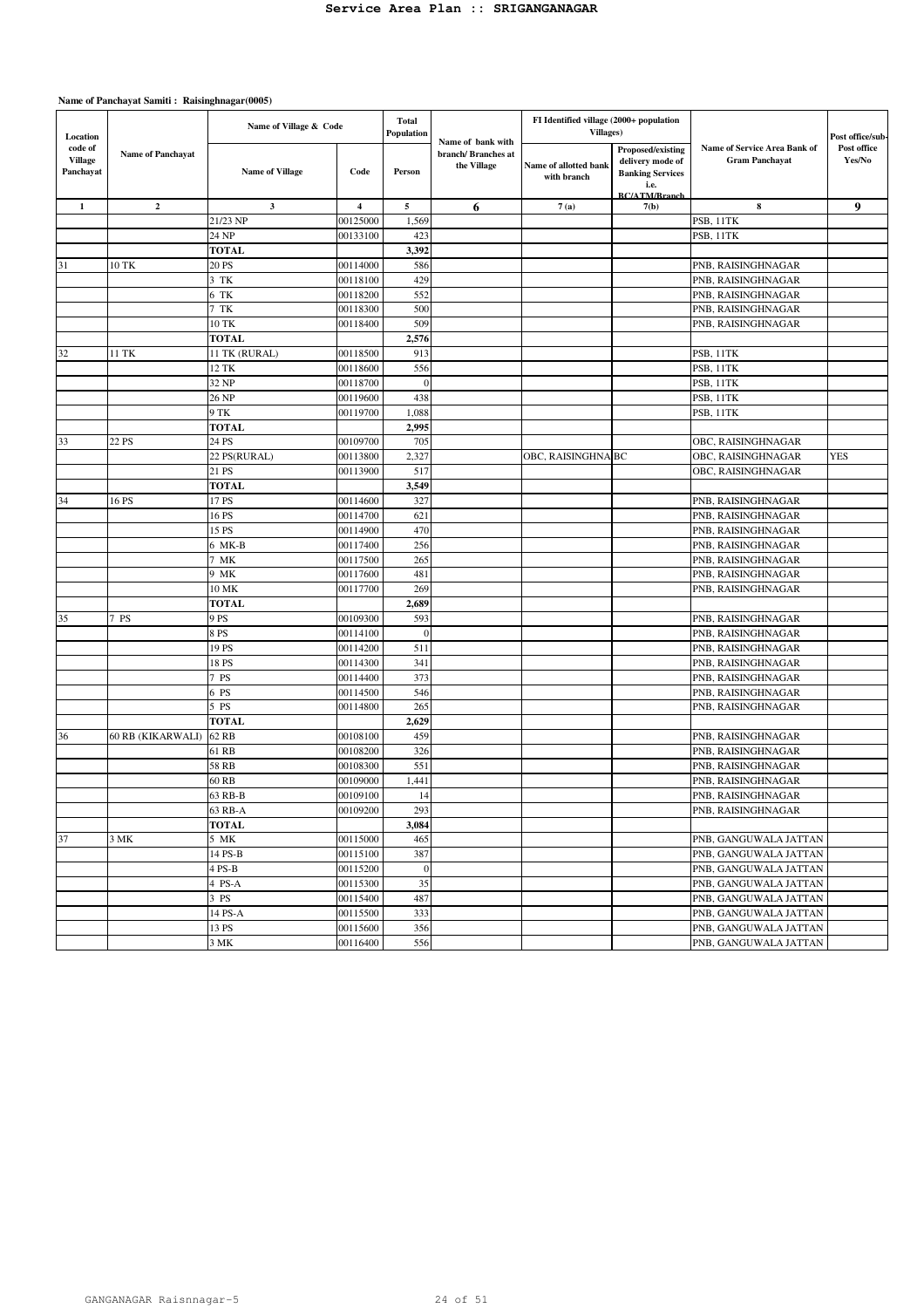| Location                               |                          | Name of Village & Code |                         | <b>Total</b><br>Population |                                                        | FI Identified village (2000+ population<br><b>Villages</b> ) |                                                                                                  |                                                       | Post office/sub-      |
|----------------------------------------|--------------------------|------------------------|-------------------------|----------------------------|--------------------------------------------------------|--------------------------------------------------------------|--------------------------------------------------------------------------------------------------|-------------------------------------------------------|-----------------------|
| code of<br><b>Village</b><br>Panchayat | <b>Name of Panchayat</b> | <b>Name of Village</b> | Code                    | Person                     | Name of bank with<br>branch/Branches at<br>the Village | Name of allotted bank<br>with branch                         | Proposed/existing<br>delivery mode of<br><b>Banking Services</b><br>i.e.<br><b>BC/ATM/Rranch</b> | Name of Service Area Bank of<br><b>Gram Panchayat</b> | Post office<br>Yes/No |
| $\mathbf{1}$                           | $\mathbf{2}$             | $\mathbf{3}$           | $\overline{\mathbf{4}}$ | $\mathbf{5}$               | 6                                                      | 7(a)                                                         | 7(b)                                                                                             | 8                                                     | 9                     |
|                                        |                          | 21/23 NP               | 00125000                | 1,569                      |                                                        |                                                              |                                                                                                  | PSB, 11TK                                             |                       |
|                                        |                          | 24 NP                  | 00133100                | 423                        |                                                        |                                                              |                                                                                                  | PSB, 11TK                                             |                       |
|                                        |                          | <b>TOTAL</b>           |                         | 3,392                      |                                                        |                                                              |                                                                                                  |                                                       |                       |
| 31                                     | 10 TK                    | 20 PS                  | 00114000                | 586                        |                                                        |                                                              |                                                                                                  | PNB, RAISINGHNAGAR                                    |                       |
|                                        |                          | 3 TK                   | 00118100                | 429                        |                                                        |                                                              |                                                                                                  | PNB, RAISINGHNAGAR                                    |                       |
|                                        |                          | 6 TK                   | 00118200                | 552                        |                                                        |                                                              |                                                                                                  | PNB, RAISINGHNAGAR                                    |                       |
|                                        |                          | 7 TK                   | 00118300                | 500                        |                                                        |                                                              |                                                                                                  | PNB, RAISINGHNAGAR                                    |                       |
|                                        |                          | 10 TK                  | 00118400                | 509                        |                                                        |                                                              |                                                                                                  | PNB, RAISINGHNAGAR                                    |                       |
|                                        |                          | <b>TOTAL</b>           |                         | 2,576                      |                                                        |                                                              |                                                                                                  |                                                       |                       |
| 32                                     | 11 TK                    | 11 TK (RURAL)          | 00118500                | 913                        |                                                        |                                                              |                                                                                                  | PSB, 11TK                                             |                       |
|                                        |                          | 12 TK                  | 00118600                | 556                        |                                                        |                                                              |                                                                                                  | PSB, 11TK                                             |                       |
|                                        |                          | 32 NP                  | 00118700                | $\overline{0}$             |                                                        |                                                              |                                                                                                  | PSB, 11TK                                             |                       |
|                                        |                          | 26 NP                  | 00119600                | 438                        |                                                        |                                                              |                                                                                                  | PSB, 11TK                                             |                       |
|                                        |                          | 9 TK                   | 00119700                | 1,088                      |                                                        |                                                              |                                                                                                  | PSB, 11TK                                             |                       |
|                                        |                          | <b>TOTAL</b>           |                         | 2,995                      |                                                        |                                                              |                                                                                                  |                                                       |                       |
| 33                                     | 22 PS                    | 24 PS                  | 00109700                | 705                        |                                                        |                                                              |                                                                                                  | OBC, RAISINGHNAGAR                                    |                       |
|                                        |                          | 22 PS(RURAL)           | 00113800                | 2,327                      |                                                        | OBC, RAISINGHNA BC                                           |                                                                                                  | OBC, RAISINGHNAGAR                                    | <b>YES</b>            |
|                                        |                          | 21 PS                  | 00113900                | 517                        |                                                        |                                                              |                                                                                                  | OBC, RAISINGHNAGAR                                    |                       |
|                                        |                          | <b>TOTAL</b>           |                         | 3,549                      |                                                        |                                                              |                                                                                                  |                                                       |                       |
| 34                                     | 16 PS                    | 17 PS                  | 00114600                | 327                        |                                                        |                                                              |                                                                                                  | PNB, RAISINGHNAGAR                                    |                       |
|                                        |                          | 16 PS                  | 00114700                | 621                        |                                                        |                                                              |                                                                                                  | PNB, RAISINGHNAGAR                                    |                       |
|                                        |                          | 15 PS                  | 00114900                | 470                        |                                                        |                                                              |                                                                                                  | PNB, RAISINGHNAGAR                                    |                       |
|                                        |                          | 6 MK-B                 | 00117400                | 256                        |                                                        |                                                              |                                                                                                  | PNB, RAISINGHNAGAR                                    |                       |
|                                        |                          | MK                     | 00117500                | 265                        |                                                        |                                                              |                                                                                                  | PNB, RAISINGHNAGAR                                    |                       |
|                                        |                          | 9 MK                   | 00117600                | 481                        |                                                        |                                                              |                                                                                                  | PNB, RAISINGHNAGAR                                    |                       |
|                                        |                          | 10 MK                  | 00117700                | 269                        |                                                        |                                                              |                                                                                                  | PNB, RAISINGHNAGAR                                    |                       |
|                                        |                          | TOTAL                  |                         | 2,689                      |                                                        |                                                              |                                                                                                  |                                                       |                       |
| 35                                     | 7 PS                     | 9 PS                   | 00109300                | 593                        |                                                        |                                                              |                                                                                                  | PNB, RAISINGHNAGAR                                    |                       |
|                                        |                          | 8 PS                   | 00114100                | $\epsilon$                 |                                                        |                                                              |                                                                                                  | PNB, RAISINGHNAGAR                                    |                       |
|                                        |                          | 19 PS                  | 00114200                | 511                        |                                                        |                                                              |                                                                                                  | PNB, RAISINGHNAGAR                                    |                       |
|                                        |                          | 18 PS                  | 00114300                | 341                        |                                                        |                                                              |                                                                                                  | PNB, RAISINGHNAGAR                                    |                       |
|                                        |                          | 7 PS                   | 00114400                | 373                        |                                                        |                                                              |                                                                                                  | PNB, RAISINGHNAGAR                                    |                       |
|                                        |                          | 6 PS                   | 00114500                | 546                        |                                                        |                                                              |                                                                                                  | PNB, RAISINGHNAGAR                                    |                       |
|                                        |                          | 5 PS<br><b>TOTAL</b>   | 00114800                | 265<br>2,629               |                                                        |                                                              |                                                                                                  | PNB, RAISINGHNAGAR                                    |                       |
| 36                                     |                          | 62 RB                  | 00108100                | 459                        |                                                        |                                                              |                                                                                                  | PNB, RAISINGHNAGAR                                    |                       |
|                                        | 60 RB (KIKARWALI)        | 61 RB                  | 00108200                | 326                        |                                                        |                                                              |                                                                                                  | PNB, RAISINGHNAGAR                                    |                       |
|                                        |                          | <b>58 RB</b>           | 00108300                | 551                        |                                                        |                                                              |                                                                                                  | PNB, RAISINGHNAGAR                                    |                       |
|                                        |                          | 60 RB                  |                         | 1,441                      |                                                        |                                                              |                                                                                                  | PNB, RAISINGHNAGAR                                    |                       |
|                                        |                          |                        | 00109000<br>00109100    | 14                         |                                                        |                                                              |                                                                                                  | PNB, RAISINGHNAGAR                                    |                       |
|                                        |                          | 63 RB-B<br>63 RB-A     | 00109200                | 293                        |                                                        |                                                              |                                                                                                  | PNB, RAISINGHNAGAR                                    |                       |
|                                        |                          | <b>TOTAL</b>           |                         | 3,084                      |                                                        |                                                              |                                                                                                  |                                                       |                       |
| 37                                     | 3 MK                     | 5 MK                   | 00115000                | 465                        |                                                        |                                                              |                                                                                                  | PNB, GANGUWALA JATTAN                                 |                       |
|                                        |                          | 14 PS-B                | 00115100                | 387                        |                                                        |                                                              |                                                                                                  | PNB, GANGUWALA JATTAN                                 |                       |
|                                        |                          | $4$ PS-B               | 00115200                | $\mathbf{0}$               |                                                        |                                                              |                                                                                                  | PNB, GANGUWALA JATTAN                                 |                       |
|                                        |                          | 4 PS-A                 | 00115300                | 35                         |                                                        |                                                              |                                                                                                  | PNB, GANGUWALA JATTAN                                 |                       |
|                                        |                          | 3 PS                   | 00115400                | 487                        |                                                        |                                                              |                                                                                                  | PNB, GANGUWALA JATTAN                                 |                       |
|                                        |                          | 14 PS-A                | 00115500                | 333                        |                                                        |                                                              |                                                                                                  | PNB, GANGUWALA JATTAN                                 |                       |
|                                        |                          | 13 PS                  | 00115600                | 356                        |                                                        |                                                              |                                                                                                  | PNB, GANGUWALA JATTAN                                 |                       |
|                                        |                          | 3 MK                   | 00116400                | 556                        |                                                        |                                                              |                                                                                                  | PNB, GANGUWALA JATTAN                                 |                       |
|                                        |                          |                        |                         |                            |                                                        |                                                              |                                                                                                  |                                                       |                       |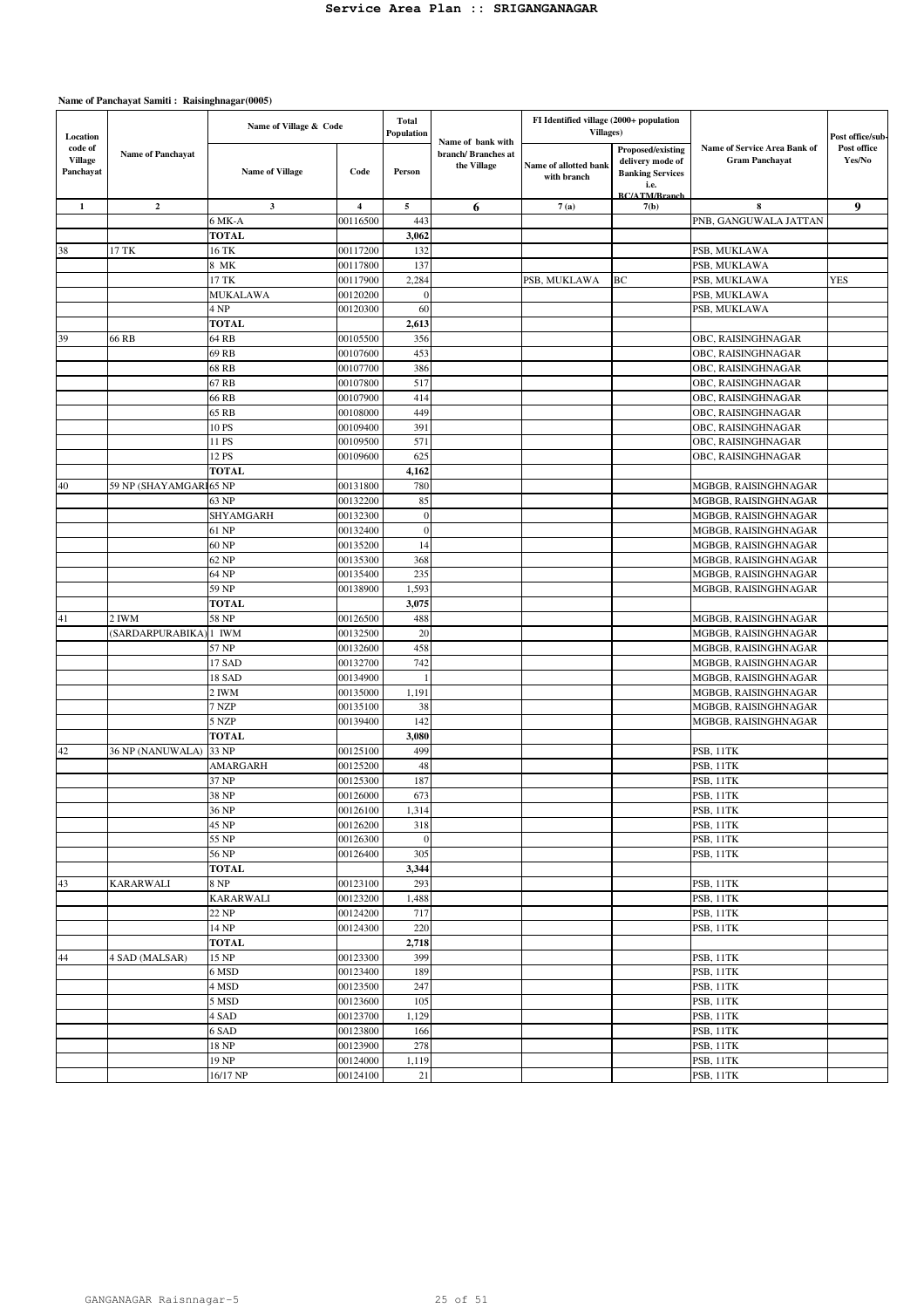| Location                               |                          | Name of Village & Code |                         | <b>Total</b><br>Population | Name of bank with                 | FI Identified village (2000+ population<br>Villages) |                                                                          |                                                       | Post office/sub-      |
|----------------------------------------|--------------------------|------------------------|-------------------------|----------------------------|-----------------------------------|------------------------------------------------------|--------------------------------------------------------------------------|-------------------------------------------------------|-----------------------|
| code of<br><b>Village</b><br>Panchayat | <b>Name of Panchayat</b> | <b>Name of Village</b> | Code                    | Person                     | branch/Branches at<br>the Village | Name of allotted bank<br>with branch                 | Proposed/existing<br>delivery mode of<br><b>Banking Services</b><br>i.e. | Name of Service Area Bank of<br><b>Gram Panchayat</b> | Post office<br>Yes/No |
|                                        |                          |                        |                         |                            |                                   |                                                      | <b>BC/ATM/Branch</b>                                                     |                                                       |                       |
| $\mathbf{1}$                           | $\mathbf{2}$             | $\mathbf{3}$           | $\overline{\mathbf{4}}$ | 5                          | 6                                 | 7(a)                                                 | 7(b)                                                                     | 8                                                     | 9                     |
|                                        |                          | 6 MK-A                 | 00116500                | 443                        |                                   |                                                      |                                                                          | PNB, GANGUWALA JATTAN                                 |                       |
|                                        |                          | <b>TOTAL</b>           |                         | 3,062                      |                                   |                                                      |                                                                          |                                                       |                       |
| 38                                     | 17 TK                    | 16 TK                  | 00117200                | 132                        |                                   |                                                      |                                                                          | PSB, MUKLAWA                                          |                       |
|                                        |                          | 8 MK                   | 00117800                | 137                        |                                   |                                                      |                                                                          | PSB, MUKLAWA                                          |                       |
|                                        |                          | 17 TK                  | 00117900                | 2,284                      |                                   | PSB, MUKLAWA                                         | BC                                                                       | PSB, MUKLAWA                                          | YES                   |
|                                        |                          | MUKALAWA<br>4 NP       | 00120200                | $\mathbf{0}$<br>60         |                                   |                                                      |                                                                          | PSB, MUKLAWA                                          |                       |
|                                        |                          | <b>TOTAL</b>           | 00120300                |                            |                                   |                                                      |                                                                          | PSB, MUKLAWA                                          |                       |
| 39                                     | 66 RB                    | 64 RB                  | 00105500                | 2,613<br>356               |                                   |                                                      |                                                                          | OBC, RAISINGHNAGAR                                    |                       |
|                                        |                          | 69 RB                  | 00107600                | 453                        |                                   |                                                      |                                                                          | OBC, RAISINGHNAGAR                                    |                       |
|                                        |                          | 68 RB                  | 00107700                | 386                        |                                   |                                                      |                                                                          | OBC, RAISINGHNAGAR                                    |                       |
|                                        |                          | 67 RB                  | 00107800                | 517                        |                                   |                                                      |                                                                          | OBC, RAISINGHNAGAR                                    |                       |
|                                        |                          | 66 RB                  | 00107900                | 414                        |                                   |                                                      |                                                                          | OBC, RAISINGHNAGAR                                    |                       |
|                                        |                          | 65 RB                  | 00108000                | 449                        |                                   |                                                      |                                                                          | OBC, RAISINGHNAGAR                                    |                       |
|                                        |                          | 10 PS                  | 00109400                | 391                        |                                   |                                                      |                                                                          | OBC, RAISINGHNAGAR                                    |                       |
|                                        |                          | 11 PS                  | 00109500                | 571                        |                                   |                                                      |                                                                          | OBC, RAISINGHNAGAR                                    |                       |
|                                        |                          | 12 PS                  | 00109600                | 625                        |                                   |                                                      |                                                                          | OBC, RAISINGHNAGAR                                    |                       |
|                                        |                          | <b>TOTAL</b>           |                         | 4,162                      |                                   |                                                      |                                                                          |                                                       |                       |
| 40                                     | 59 NP (SHAYAMGAR         | 165 NP                 | 00131800                | 780                        |                                   |                                                      |                                                                          | MGBGB, RAISINGHNAGAR                                  |                       |
|                                        |                          | 63 NP                  | 00132200                | 85                         |                                   |                                                      |                                                                          | MGBGB, RAISINGHNAGAR                                  |                       |
|                                        |                          | SHYAMGARH              | 00132300                | $\mathbf{0}$               |                                   |                                                      |                                                                          | MGBGB, RAISINGHNAGAR                                  |                       |
|                                        |                          | 61 NP                  | 00132400                | $\mathbf{0}$               |                                   |                                                      |                                                                          | MGBGB, RAISINGHNAGAR                                  |                       |
|                                        |                          | 60 <sub>NP</sub>       | 00135200                | 14                         |                                   |                                                      |                                                                          | MGBGB, RAISINGHNAGAR                                  |                       |
|                                        |                          | 62 NP                  | 00135300                | 368                        |                                   |                                                      |                                                                          | MGBGB, RAISINGHNAGAR                                  |                       |
|                                        |                          | 64 NP                  | 00135400                | 235                        |                                   |                                                      |                                                                          | MGBGB, RAISINGHNAGAR                                  |                       |
|                                        |                          | 59 NP                  | 00138900                | 1,593                      |                                   |                                                      |                                                                          | MGBGB, RAISINGHNAGAR                                  |                       |
|                                        |                          | <b>TOTAL</b>           |                         | 3,075                      |                                   |                                                      |                                                                          |                                                       |                       |
| 41                                     | 2 IWM                    | 58 NP                  | 00126500                | 488                        |                                   |                                                      |                                                                          | MGBGB, RAISINGHNAGAR                                  |                       |
|                                        | (SARDARPURABIKA          | <b>IWM</b>             | 00132500                | 20                         |                                   |                                                      |                                                                          | MGBGB, RAISINGHNAGAR                                  |                       |
|                                        |                          | 57 NP                  | 00132600                | 458                        |                                   |                                                      |                                                                          | MGBGB, RAISINGHNAGAR                                  |                       |
|                                        |                          | 17 SAD                 | 00132700                | 742                        |                                   |                                                      |                                                                          | MGBGB, RAISINGHNAGAR                                  |                       |
|                                        |                          | 18 SAD                 | 00134900                | -1                         |                                   |                                                      |                                                                          | MGBGB, RAISINGHNAGAR                                  |                       |
|                                        |                          | 2 IWM                  | 00135000                | 1,191                      |                                   |                                                      |                                                                          | MGBGB, RAISINGHNAGAR                                  |                       |
|                                        |                          | 7 NZP                  | 00135100                | 38                         |                                   |                                                      |                                                                          | MGBGB, RAISINGHNAGAR                                  |                       |
|                                        |                          | 5 NZP                  | 00139400                | 142                        |                                   |                                                      |                                                                          | MGBGB, RAISINGHNAGAR                                  |                       |
|                                        |                          | <b>TOTAL</b>           |                         | 3,080                      |                                   |                                                      |                                                                          |                                                       |                       |
| 42                                     | 36 NP (NANUWALA)         | 33 NP                  | 00125100                | 499                        |                                   |                                                      |                                                                          | PSB, 11TK                                             |                       |
|                                        |                          | <b>AMARGARH</b>        | 00125200                | 48                         |                                   |                                                      |                                                                          | PSB, 11TK                                             |                       |
|                                        |                          | 37 NP                  | 00125300                | 187                        |                                   |                                                      |                                                                          | PSB, 11TK                                             |                       |
|                                        |                          | 38 NP                  | 00126000                | 673                        |                                   |                                                      |                                                                          | PSB, 11TK                                             |                       |
|                                        |                          | 36 NP                  | 00126100                | 1,314                      |                                   |                                                      |                                                                          | PSB, 11TK                                             |                       |
|                                        |                          | 45 NP                  | 00126200                | 318                        |                                   |                                                      |                                                                          | PSB, 11TK                                             |                       |
|                                        |                          | 55 NP                  | 00126300                | $\mathbf{0}$<br>305        |                                   |                                                      |                                                                          | PSB, 11TK                                             |                       |
|                                        |                          | 56 NP<br><b>TOTAL</b>  | 00126400                | 3,344                      |                                   |                                                      |                                                                          | PSB, 11TK                                             |                       |
| 43                                     | <b>KARARWALI</b>         | <b>8 NP</b>            |                         | 293                        |                                   |                                                      |                                                                          | PSB, 11TK                                             |                       |
|                                        |                          | <b>KARARWALI</b>       | 00123100<br>00123200    | 1,488                      |                                   |                                                      |                                                                          | PSB, 11TK                                             |                       |
|                                        |                          | 22 NP                  | 00124200                | 717                        |                                   |                                                      |                                                                          | PSB, 11TK                                             |                       |
|                                        |                          | 14 NP                  | 00124300                | 220                        |                                   |                                                      |                                                                          | PSB, 11TK                                             |                       |
|                                        |                          | <b>TOTAL</b>           |                         | 2,718                      |                                   |                                                      |                                                                          |                                                       |                       |
| 44                                     | 4 SAD (MALSAR)           | 15 NP                  | 00123300                | 399                        |                                   |                                                      |                                                                          | PSB, 11TK                                             |                       |
|                                        |                          | 6 MSD                  | 00123400                | 189                        |                                   |                                                      |                                                                          | PSB, 11TK                                             |                       |
|                                        |                          | 4 MSD                  | 00123500                | 247                        |                                   |                                                      |                                                                          | PSB, 11TK                                             |                       |
|                                        |                          | 5 MSD                  | 00123600                | 105                        |                                   |                                                      |                                                                          | PSB, 11TK                                             |                       |
|                                        |                          | 4 SAD                  | 00123700                | 1,129                      |                                   |                                                      |                                                                          | PSB, 11TK                                             |                       |
|                                        |                          | 6 SAD                  | 00123800                | 166                        |                                   |                                                      |                                                                          | PSB, 11TK                                             |                       |
|                                        |                          | 18 NP                  | 00123900                | 278                        |                                   |                                                      |                                                                          | PSB, 11TK                                             |                       |
|                                        |                          | 19 <sub>NP</sub>       | 00124000                | 1,119                      |                                   |                                                      |                                                                          | PSB, 11TK                                             |                       |
|                                        |                          | 16/17 NP               | 00124100                | $21\,$                     |                                   |                                                      |                                                                          | PSB, 11TK                                             |                       |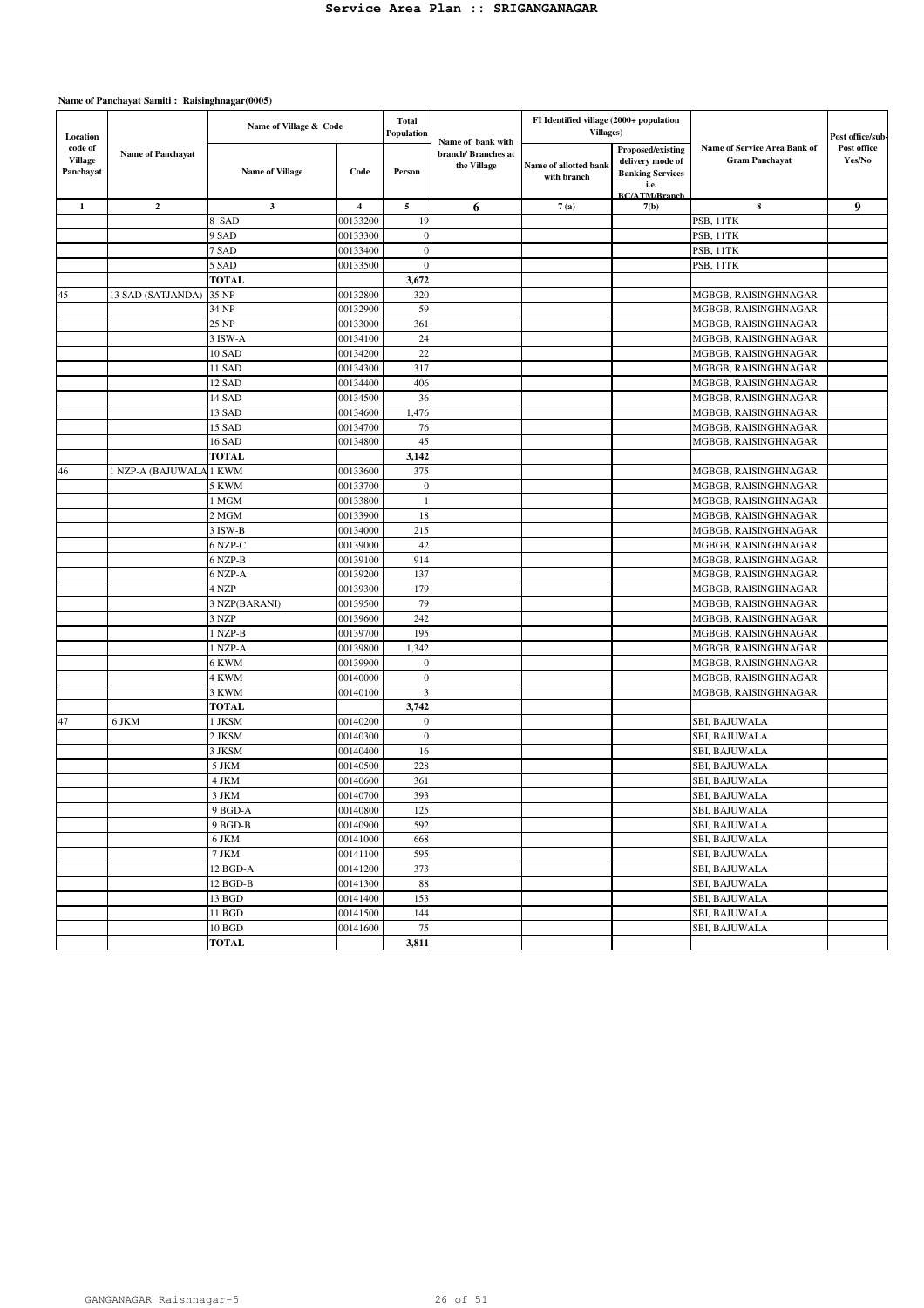| Location                               |                          | Name of Village & Code |                         | Total<br>Population |                                                        | FI Identified village (2000+ population<br>Villages) |                                                                                                  |                                                       | Post office/sub-      |
|----------------------------------------|--------------------------|------------------------|-------------------------|---------------------|--------------------------------------------------------|------------------------------------------------------|--------------------------------------------------------------------------------------------------|-------------------------------------------------------|-----------------------|
| code of<br><b>Village</b><br>Panchayat | <b>Name of Panchayat</b> | <b>Name of Village</b> | Code                    | Person              | Name of bank with<br>branch/Branches at<br>the Village | Name of allotted bank<br>with branch                 | Proposed/existing<br>delivery mode of<br><b>Banking Services</b><br>i.e.<br><b>BC/ATM/Rranch</b> | Name of Service Area Bank of<br><b>Gram Panchayat</b> | Post office<br>Yes/No |
| $\mathbf{1}$                           | $\mathbf{2}$             | 3                      | $\overline{\mathbf{4}}$ | $\overline{5}$      | 6                                                      | 7(a)                                                 | 7(b)                                                                                             | 8                                                     | 9                     |
|                                        |                          | 8 SAD                  | 00133200                | 19                  |                                                        |                                                      |                                                                                                  | PSB, 11TK                                             |                       |
|                                        |                          | 9 SAD                  | 00133300                | $\mathbf{0}$        |                                                        |                                                      |                                                                                                  | PSB, 11TK                                             |                       |
|                                        |                          | 7 SAD                  | 00133400                | $\mathbf{0}$        |                                                        |                                                      |                                                                                                  | PSB, 11TK                                             |                       |
|                                        |                          | 5 SAD                  | 00133500                | $\theta$            |                                                        |                                                      |                                                                                                  | PSB, 11TK                                             |                       |
|                                        |                          | <b>TOTAL</b>           |                         | 3,672               |                                                        |                                                      |                                                                                                  |                                                       |                       |
| 45                                     | 13 SAD (SATJANDA)        | 35 NP                  | 00132800                | 320                 |                                                        |                                                      |                                                                                                  | MGBGB, RAISINGHNAGAR                                  |                       |
|                                        |                          | 34 NP                  | 00132900                | 59                  |                                                        |                                                      |                                                                                                  | MGBGB, RAISINGHNAGAR                                  |                       |
|                                        |                          | 25 NP                  | 00133000                | 361                 |                                                        |                                                      |                                                                                                  | MGBGB, RAISINGHNAGAR                                  |                       |
|                                        |                          | 3 ISW-A                | 00134100                | 24                  |                                                        |                                                      |                                                                                                  | MGBGB, RAISINGHNAGAR                                  |                       |
|                                        |                          | 10 SAD                 | 00134200                | 22                  |                                                        |                                                      |                                                                                                  | MGBGB, RAISINGHNAGAR                                  |                       |
|                                        |                          | 11 SAD                 | 00134300                | 317                 |                                                        |                                                      |                                                                                                  | MGBGB, RAISINGHNAGAR                                  |                       |
|                                        |                          | 12 SAD                 | 00134400                | 406                 |                                                        |                                                      |                                                                                                  | MGBGB, RAISINGHNAGAR                                  |                       |
|                                        |                          | 14 SAD                 | 00134500                | 36                  |                                                        |                                                      |                                                                                                  | MGBGB, RAISINGHNAGAR                                  |                       |
|                                        |                          | 13 SAD                 | 00134600                | 1,476               |                                                        |                                                      |                                                                                                  | MGBGB, RAISINGHNAGAR                                  |                       |
|                                        |                          | 15 SAD                 | 00134700                | 76                  |                                                        |                                                      |                                                                                                  | MGBGB, RAISINGHNAGAR                                  |                       |
|                                        |                          | 16 SAD                 | 00134800                | 45                  |                                                        |                                                      |                                                                                                  | MGBGB, RAISINGHNAGAR                                  |                       |
|                                        |                          | <b>TOTAL</b>           |                         | 3,142               |                                                        |                                                      |                                                                                                  |                                                       |                       |
| 46                                     | 1 NZP-A (BAJUWALA        | 1 KWM                  | 00133600                | 375                 |                                                        |                                                      |                                                                                                  | MGBGB, RAISINGHNAGAR                                  |                       |
|                                        |                          | 5 KWM                  | 00133700                | $\boldsymbol{0}$    |                                                        |                                                      |                                                                                                  | MGBGB, RAISINGHNAGAR                                  |                       |
|                                        |                          | l MGM                  | 00133800                | $\overline{1}$      |                                                        |                                                      |                                                                                                  | MGBGB, RAISINGHNAGAR                                  |                       |
|                                        |                          | 2 MGM                  | 00133900                | 18                  |                                                        |                                                      |                                                                                                  | MGBGB, RAISINGHNAGAR                                  |                       |
|                                        |                          | 3 ISW-B                | 00134000                | 215                 |                                                        |                                                      |                                                                                                  | MGBGB, RAISINGHNAGAR                                  |                       |
|                                        |                          | 6 NZP-C                | 00139000                | 42                  |                                                        |                                                      |                                                                                                  | MGBGB, RAISINGHNAGAR                                  |                       |
|                                        |                          | 6 NZP-B                | 00139100                | 914                 |                                                        |                                                      |                                                                                                  | MGBGB, RAISINGHNAGAR                                  |                       |
|                                        |                          | 6 NZP-A                | 00139200                | 137                 |                                                        |                                                      |                                                                                                  | MGBGB, RAISINGHNAGAR                                  |                       |
|                                        |                          | 4 NZP                  | 00139300                | 179                 |                                                        |                                                      |                                                                                                  | MGBGB, RAISINGHNAGAR                                  |                       |
|                                        |                          | 3 NZP(BARANI)          | 00139500                | 79                  |                                                        |                                                      |                                                                                                  | MGBGB, RAISINGHNAGAR                                  |                       |
|                                        |                          | 3 NZP                  | 00139600                | 242                 |                                                        |                                                      |                                                                                                  | MGBGB, RAISINGHNAGAR                                  |                       |
|                                        |                          | I NZP-B                | 00139700                | 195                 |                                                        |                                                      |                                                                                                  | MGBGB, RAISINGHNAGAR                                  |                       |
|                                        |                          | I NZP-A                | 00139800                | 1,342               |                                                        |                                                      |                                                                                                  | MGBGB, RAISINGHNAGAR                                  |                       |
|                                        |                          | 6 KWM                  | 00139900                | $\theta$            |                                                        |                                                      |                                                                                                  | MGBGB, RAISINGHNAGAR                                  |                       |
|                                        |                          | 4 KWM                  | 00140000                | $\boldsymbol{0}$    |                                                        |                                                      |                                                                                                  | MGBGB, RAISINGHNAGAR                                  |                       |
|                                        |                          | 3 KWM                  | 00140100                | 3                   |                                                        |                                                      |                                                                                                  | MGBGB, RAISINGHNAGAR                                  |                       |
|                                        |                          | TOTAL                  |                         | 3,742               |                                                        |                                                      |                                                                                                  |                                                       |                       |
| 47                                     | 6 JKM                    | 1 JKSM                 | 00140200                | $\theta$            |                                                        |                                                      |                                                                                                  | SBI, BAJUWALA                                         |                       |
|                                        |                          | 2 JKSM                 | 00140300                | $\boldsymbol{0}$    |                                                        |                                                      |                                                                                                  | SBI, BAJUWALA                                         |                       |
|                                        |                          | 3 JKSM                 | 00140400                | 16                  |                                                        |                                                      |                                                                                                  | SBI, BAJUWALA                                         |                       |
|                                        |                          | 5 JKM                  | 00140500                | 228                 |                                                        |                                                      |                                                                                                  | SBI, BAJUWALA                                         |                       |
|                                        |                          | 4 JKM                  | 00140600                | 361                 |                                                        |                                                      |                                                                                                  | SBI, BAJUWALA                                         |                       |
|                                        |                          | 3 JKM                  | 00140700                | 393                 |                                                        |                                                      |                                                                                                  | SBI, BAJUWALA                                         |                       |
|                                        |                          | 9 BGD-A                | 00140800                | 125                 |                                                        |                                                      |                                                                                                  | SBI, BAJUWALA                                         |                       |
|                                        |                          | 9 BGD-B                | 00140900                | 592                 |                                                        |                                                      |                                                                                                  | SBI, BAJUWALA                                         |                       |
|                                        |                          | 6 JKM                  | 00141000                | 668                 |                                                        |                                                      |                                                                                                  | SBI, BAJUWALA                                         |                       |
|                                        |                          | 7 JKM                  | 00141100                | 595                 |                                                        |                                                      |                                                                                                  | SBI, BAJUWALA                                         |                       |
|                                        |                          | 12 BGD-A               | 00141200                | 373                 |                                                        |                                                      |                                                                                                  | SBI, BAJUWALA                                         |                       |
|                                        |                          | 12 BGD-B               |                         | 88                  |                                                        |                                                      |                                                                                                  |                                                       |                       |
|                                        |                          |                        | 00141300<br>00141400    | 153                 |                                                        |                                                      |                                                                                                  | SBI, BAJUWALA                                         |                       |
|                                        |                          | 13 BGD                 |                         | 144                 |                                                        |                                                      |                                                                                                  | SBI, BAJUWALA                                         |                       |
|                                        |                          | 11 BGD                 | 00141500                |                     |                                                        |                                                      |                                                                                                  | SBI, BAJUWALA                                         |                       |
|                                        |                          | 10 BGD                 | 00141600                | 75                  |                                                        |                                                      |                                                                                                  | SBI, BAJUWALA                                         |                       |
|                                        |                          | <b>TOTAL</b>           |                         | 3,811               |                                                        |                                                      |                                                                                                  |                                                       |                       |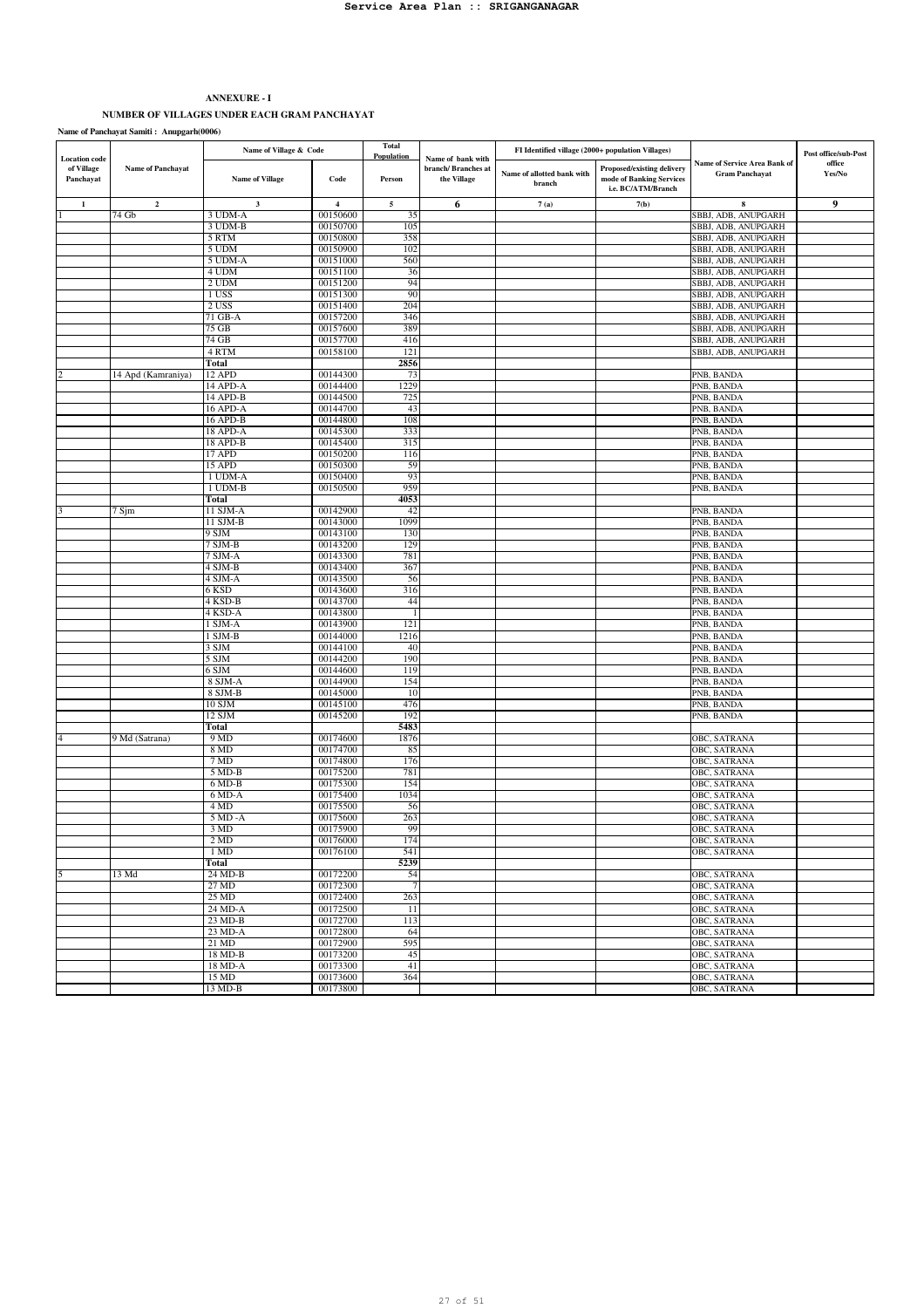# **ANNEXURE - I NUMBER OF VILLAGES UNDER EACH GRAM PANCHAYAT**

**Total Population** Name of Village Code Person **Dependix Branch Strange Code** Person **Research Person Name of allotted bank with branch Proposed/existing delivery mode of Banking Services i.e. BC/ATM/Branch 1 2 3 4 5 6 7 (a) 7(b) 8 9** 1 74 Gb 3 UDM-A 00150600 35 SBBJ, ADB, ANUPGARH<br>3 UDM-B 00150700 105 3 UDM-B 00150700 105 105 SBBJ, ADB, ANUPGARH<br>5 RTM 00150800 358 SBBJ, ADB, ANUPGARH 5 RTM 00150800 358 SBBJ, ADB, ANUPGARH<br>5 JUDM 00150900 102 5 UDM 00150900 102 SBBJ, ADB, ANUPGARH<br>5 UDM-A 00151000 560 SBBJ, ADB, ANUPGARH 5 BBJ, ADB, ANUPGARH 4 UDM 00151100 36 SBBJ, ADB, ANUPGARH<br>2 UDM 00151200 94 SBBJ, ADB, ANUPGARH 2 UDM 00151200 94 SBBJ, ADB, ANUPGARH<br>1 USS 00151300 900 900 SBBJ, ADB, ANUPGARH SBBJ, ADB, ANUPGARH 2 USS 00151400 204 204 SBBJ, ADB, ANUPGARH<br>21 GR-A 00157200 346 360 SBBJ, ADB, ANUPGARH 71 GB-A 00157200 346 SBBJ, ADB, ANUPGARH 75 GB 00157600 389 SBBJ, ADB, ANUPGARH<br>
74 GB 00157700 416 SBBJ, ADB, ANUPGARH 14 GB 00157700 416 SBBJ, ADB, ANUPGARH<br>4 RTM 00158100 121 4 RTM 00158100 121 SBBJ, ADB, ANUPGARH<br>**Total 2856** 2856 **Total 2856** 2 14 Apd (Kamraniya) 12 APD 00144300 73 PNB, BANDA 14 APD-A 00144400 1229 PNB, BANDA 14 APD-B 00144500 725 PNB, BANDA 16 APD-A 00144700 43 PNB, BANDA 16 APD-B 00144800 108 108 PNB, BANDA 18 APD-A 00145300 333 PNB, BANDA 18 APD-B 00145400 315 PNB, BANDA 17 APD 00150200 116 PNB, BANDA 15 APD 00150300 59 PNB, BANDA 1 UDM-A 00150400 93 PNB, BANDA 1 UDM-B 00150500 959 PNB, BANDA **Total 4053** 3 7 Sjm 11 SJM-A 00142900 42 PNB, BANDA 11 SJM-B 00143000 1099 PNB, BANDA 9 SJM 00143100 130 PNB, BANDA 7 SJM-B 00143200 129 PNB, BANDA 7 SJM-A 00143300 781 PNB, BANDA 4 SJM-B 00143400 367 PNB, BANDA 4 SJM-A 00143500 56 PNB, BANDA 6 KSD 00143600 316 PNB, BANDA 4 KSD-B 00143700 44 PNB, BANDA 4 KSD-A 00143800 1 PNB, BANDA 1 SJM-A 00143900 121 PNB, BANDA 1 SJM-B 00144000 1216 1216 PNB, BANDA 3 SJM 00144100 40 PNB, BANDA 5 SJM 00144200 190 190 190 100 100 100 PNB, BANDA 6 SJM 00144600 119 PNB, BANDA 8 SJM-A 00144900 154 PNB, BANDA 8 SJM-B  $|00145000|$  10  $|10|$  PNB, BANDA 10 SJM 00145100 476 PNB, BANDA 12 SJM 00145200 192 PNB, BANDA **Total** 5483<br>
9 MD 00174600 1876 4 9 Md (Satrana) 9 MD 00174600 1876 0BC, SATRANA 8 MD 00174700 85 00C, SATRANA 00C, SATRANA 00C, SATRANA 00174800 176 7 MD 00174800 176 OBC, SATRANA 5 MD-B 00175200 781 OBC, SATRANA 6 MD-B 00175200 154 154 **OBC, SATRANA**<br>1034 **OBC, SATRANA** 6 MD-A 00175400 1034 1034 OBC, SATRANA 4 MD 00175500 56 06C, SATRANA<br>
4 MD 00175500 56 06C, SATRANA<br>
5 MD -A 00175600 263 OBC, SATRANA 3 MD 00175900 99 OBC, SATRANA 2 MD 00176000 174 OBC, SATRANA 1 MD 00176100 541 **1 D** 00176100 541 **D** 00176100 **541 Total** 5239<br>
24 MD-B 00172200 54 5 13 Md 24 MD-B 00172200 54 13 Md 0BC, SATRANA 27 MD 00172300 7 OBC, SATRANA 25 MD 00172400 263 268 OBC, SATRANA 24 MD-A 00172500 11 OBC, SATRANA 23 MD-B 00172700 113<br>
23 MD-A 00172800 64<br>
21 MD 00172900 595 21 MD-A 00172800 64 OBC, SATRANA<br>
21 MD 00172900 595 18 MD-B 00173200 45 OBC, SATRANA 00173300 45 OBC, SATRANA 18 MD-A 00173300 41 download 00173300 41 download by the observation of the observation of the observation of the observation of the observation of the observation of the observation of the observation of the observation o 15 MD 00173600 364 0BC, SATRANA 3HD 00C, SATRANA 0BC, SATRANA 0BC, SATRANA 13 MD-B 00173800 OBC, SATRANA **Name of bank with branch/ Branches at the Village Location cod of Village Panchayat Name of Panchayat Samiti : Anupgarh(0006) Post office/sub-Post office** Name of Panchayat **State of Calculation** Code **Calculation Code Proposed Calculation Name of allotted bank with Proposed/existing delivery** currence Calculation **Yes/No Name of allotted bank with the state of Panchay** Name of Village & Code **F** Total **FI** Identified village (2000+ population Villages) **Name of Service Area Bank of Gram Panchayat**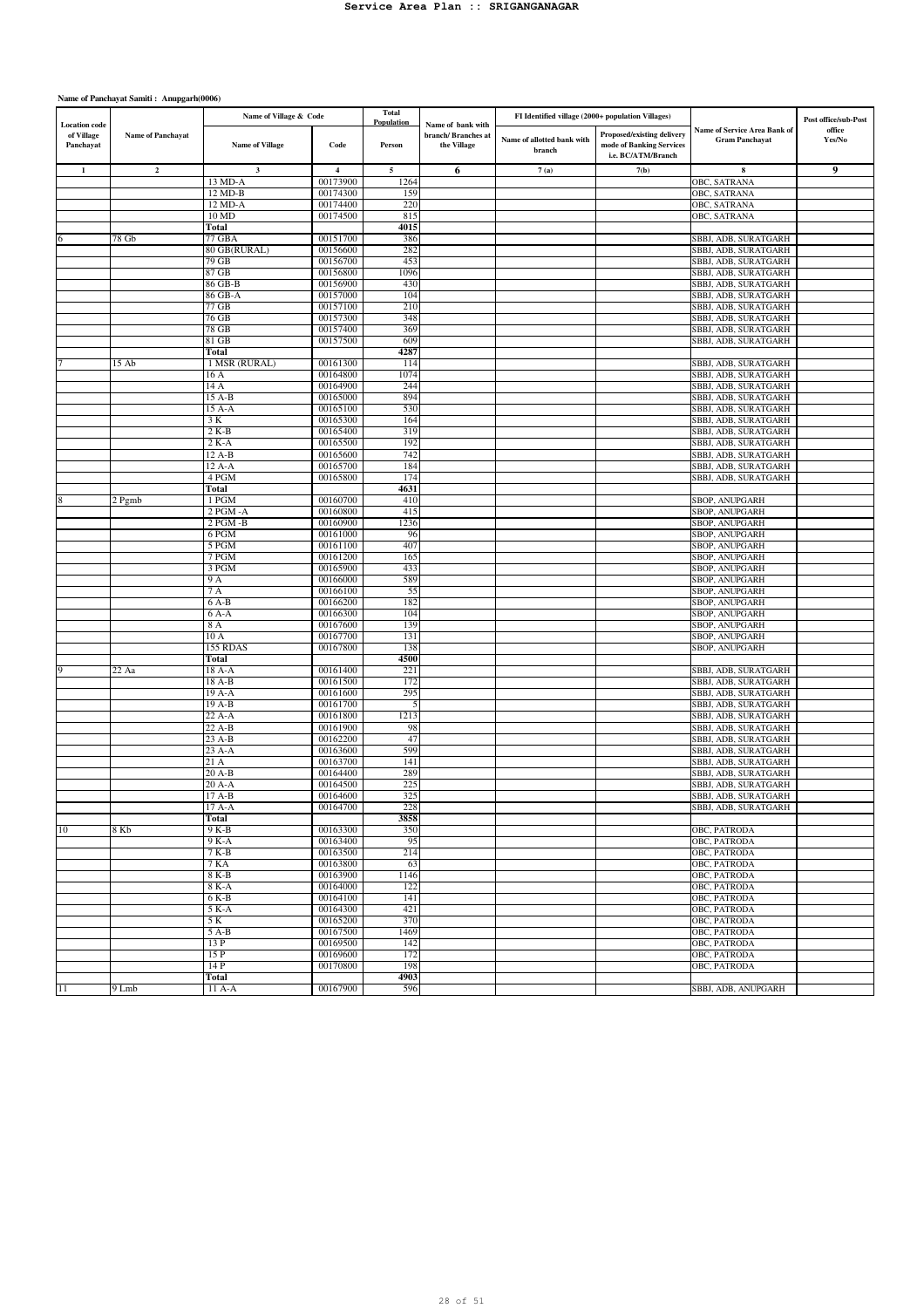| <b>Location</b> code    |                          | Name of Village & Code |                         | Total<br>Population | Name of bank with                  | FI Identified village (2000+ population Villages) |                                                                              |                                                       | Post office/sub-Post |
|-------------------------|--------------------------|------------------------|-------------------------|---------------------|------------------------------------|---------------------------------------------------|------------------------------------------------------------------------------|-------------------------------------------------------|----------------------|
| of Village<br>Panchayat | <b>Name of Panchayat</b> | <b>Name of Village</b> | Code                    | Person              | branch/ Branches at<br>the Village | Name of allotted bank with<br>branch              | Proposed/existing delivery<br>mode of Banking Services<br>i.e. BC/ATM/Branch | Name of Service Area Bank of<br><b>Gram Panchayat</b> | office<br>Yes/No     |
| $\mathbf{1}$            | $\mathbf 2$              | $\mathbf{3}$           | $\overline{\mathbf{4}}$ | 5                   | 6                                  | 7(a)                                              | 7(b)                                                                         | 8                                                     | 9                    |
|                         |                          | 13 MD-A                | 00173900                | 1264                |                                    |                                                   |                                                                              | OBC, SATRANA                                          |                      |
|                         |                          | 12 MD-B                | 00174300                | 159                 |                                    |                                                   |                                                                              | OBC, SATRANA                                          |                      |
|                         |                          | 12 MD-A<br>10 MD       | 00174400<br>00174500    | 220<br>815          |                                    |                                                   |                                                                              | OBC, SATRANA<br>OBC, SATRANA                          |                      |
|                         |                          | Total                  |                         | 4015                |                                    |                                                   |                                                                              |                                                       |                      |
|                         | 78 Gb                    | 77 GBA                 | 00151700                | 386                 |                                    |                                                   |                                                                              | SBBJ, ADB, SURATGARH                                  |                      |
|                         |                          | 80 GB(RURAL)           | 00156600                | 282                 |                                    |                                                   |                                                                              | SBBJ, ADB, SURATGARH                                  |                      |
|                         |                          | 79 GB                  | 00156700                | 453                 |                                    |                                                   |                                                                              | SBBJ, ADB, SURATGARH                                  |                      |
|                         |                          | 87 GB                  | 00156800                | 1096                |                                    |                                                   |                                                                              | SBBJ, ADB, SURATGARH                                  |                      |
|                         |                          | 86 GB-B                | 00156900<br>00157000    | 430                 |                                    |                                                   |                                                                              | SBBJ, ADB, SURATGARH                                  |                      |
|                         |                          | 86 GB-A<br>77 GB       | 00157100                | 104<br>210          |                                    |                                                   |                                                                              | SBBJ, ADB, SURATGARH<br>SBBJ, ADB, SURATGARH          |                      |
|                         |                          | 76 GB                  | 00157300                | 348                 |                                    |                                                   |                                                                              | SBBJ, ADB, SURATGARH                                  |                      |
|                         |                          | 78 GB                  | 00157400                | 369                 |                                    |                                                   |                                                                              | SBBJ, ADB, SURATGARH                                  |                      |
|                         |                          | 81 GB                  | 00157500                | 609                 |                                    |                                                   |                                                                              | SBBJ, ADB, SURATGARH                                  |                      |
|                         |                          | Total                  |                         | 4287                |                                    |                                                   |                                                                              |                                                       |                      |
|                         | 15 Ab                    | 1 MSR (RURAL)          | 00161300                | 114                 |                                    |                                                   |                                                                              | SBBJ, ADB, SURATGARH                                  |                      |
|                         |                          | 16 A                   | 00164800                | 1074                |                                    |                                                   |                                                                              | SBBJ, ADB, SURATGARH                                  |                      |
|                         |                          | 14 A<br>15 A-B         | 00164900<br>00165000    | 244<br>894          |                                    |                                                   |                                                                              | SBBJ, ADB, SURATGARH<br>SBBJ, ADB, SURATGARH          |                      |
|                         |                          | 15 A-A                 | 00165100                | 530                 |                                    |                                                   |                                                                              | SBBJ, ADB, SURATGARH                                  |                      |
|                         |                          | 3 K                    | 00165300                | 164                 |                                    |                                                   |                                                                              | SBBJ, ADB, SURATGARH                                  |                      |
|                         |                          | 2 K-B                  | 00165400                | 319                 |                                    |                                                   |                                                                              | SBBJ, ADB, SURATGARH                                  |                      |
|                         |                          | $2 K-A$                | 00165500                | 192                 |                                    |                                                   |                                                                              | SBBJ, ADB, SURATGARH                                  |                      |
|                         |                          | 12 A-B                 | 00165600                | 742                 |                                    |                                                   |                                                                              | SBBJ, ADB, SURATGARH                                  |                      |
|                         |                          | 12 A-A                 | 00165700                | 184                 |                                    |                                                   |                                                                              | SBBJ, ADB, SURATGARH                                  |                      |
|                         |                          | 4 PGM                  | 00165800                | 174                 |                                    |                                                   |                                                                              | SBBJ, ADB, SURATGARH                                  |                      |
|                         | 2 Pgmb                   | Total<br>1 PGM         | 00160700                | 4631<br>410         |                                    |                                                   |                                                                              | SBOP, ANUPGARH                                        |                      |
|                         |                          | $2$ PGM - $A$          | 00160800                | 415                 |                                    |                                                   |                                                                              | SBOP, ANUPGARH                                        |                      |
|                         |                          | 2 PGM -B               | 00160900                | 1236                |                                    |                                                   |                                                                              | SBOP, ANUPGARH                                        |                      |
|                         |                          | 6 PGM                  | 00161000                | 96                  |                                    |                                                   |                                                                              | SBOP, ANUPGARH                                        |                      |
|                         |                          | 5 PGM                  | 00161100                | 407                 |                                    |                                                   |                                                                              | SBOP, ANUPGARH                                        |                      |
|                         |                          | 7 PGM                  | 00161200                | 165                 |                                    |                                                   |                                                                              | SBOP, ANUPGARH                                        |                      |
|                         |                          | 3 PGM                  | 00165900                | 433                 |                                    |                                                   |                                                                              | SBOP, ANUPGARH                                        |                      |
|                         |                          | 9 A<br>7 A             | 00166000<br>00166100    | 589<br>55           |                                    |                                                   |                                                                              | SBOP, ANUPGARH<br><b>SBOP, ANUPGARH</b>               |                      |
|                         |                          | 6 A-B                  | 00166200                | 182                 |                                    |                                                   |                                                                              | SBOP, ANUPGARH                                        |                      |
|                         |                          | 6 A-A                  | 00166300                | 104                 |                                    |                                                   |                                                                              | SBOP, ANUPGARH                                        |                      |
|                         |                          | 8 A                    | 00167600                | 139                 |                                    |                                                   |                                                                              | SBOP, ANUPGARH                                        |                      |
|                         |                          | 10 A                   | 00167700                | 131                 |                                    |                                                   |                                                                              | SBOP, ANUPGARH                                        |                      |
|                         |                          | 155 RDAS               | 00167800                | 138                 |                                    |                                                   |                                                                              | <b>SBOP, ANUPGARH</b>                                 |                      |
|                         |                          | Total                  |                         | 4500                |                                    |                                                   |                                                                              |                                                       |                      |
|                         | 22 Aa                    | 18 A-A                 | 00161400<br>00161500    | 221<br>172          |                                    |                                                   |                                                                              | SBBJ, ADB, SURATGARH                                  |                      |
|                         |                          | 18 A-B<br>19 A-A       | 00161600                | 295                 |                                    |                                                   |                                                                              | SBBJ, ADB, SURATGARH<br>SBBJ, ADB, SURATGARH          |                      |
|                         |                          | 19 A-B                 | 00161700                | 5                   |                                    |                                                   |                                                                              | SBBJ, ADB, SURATGARH                                  |                      |
|                         |                          | 22 A-A                 | 00161800                | 1213                |                                    |                                                   |                                                                              | SBBJ, ADB, SURATGARH                                  |                      |
|                         |                          | 22 A-B                 | 00161900                | 98                  |                                    |                                                   |                                                                              | SBBJ, ADB, SURATGARH                                  |                      |
|                         |                          | 23 A-B                 | 00162200                | 47                  |                                    |                                                   |                                                                              | SBBJ, ADB, SURATGARH                                  |                      |
|                         |                          | $23A-A$                | 00163600                | 599                 |                                    |                                                   |                                                                              | SBBJ, ADB, SURATGARH                                  |                      |
|                         |                          | 21 A<br>20 A-B         | 00163700<br>00164400    | 141<br>289          |                                    |                                                   |                                                                              | SBBJ, ADB, SURATGARH<br>SBBJ, ADB, SURATGARH          |                      |
|                         |                          | 20 A-A                 | 00164500                | 225                 |                                    |                                                   |                                                                              | SBBJ, ADB, SURATGARH                                  |                      |
|                         |                          | 17 A-B                 | 00164600                | 325                 |                                    |                                                   |                                                                              | SBBJ, ADB, SURATGARH                                  |                      |
|                         |                          | 17 A-A                 | 00164700                | 228                 |                                    |                                                   |                                                                              | SBBJ, ADB, SURATGARH                                  |                      |
|                         |                          | Total                  |                         | 3858                |                                    |                                                   |                                                                              |                                                       |                      |
| 10                      | 8 Kb                     | $9K-B$                 | 00163300                | 350                 |                                    |                                                   |                                                                              | OBC, PATRODA                                          |                      |
|                         |                          | 9 K-A                  | 00163400                | 95                  |                                    |                                                   |                                                                              | OBC, PATRODA                                          |                      |
|                         |                          | $7K-B$                 | 00163500                | 214                 |                                    |                                                   |                                                                              | OBC, PATRODA                                          |                      |
|                         |                          | 7 KA<br>8 K-B          | 00163800<br>00163900    | 63<br>1146          |                                    |                                                   |                                                                              | OBC, PATRODA<br>OBC, PATRODA                          |                      |
|                         |                          | 8 K-A                  | 00164000                | 122                 |                                    |                                                   |                                                                              | OBC, PATRODA                                          |                      |
|                         |                          | 6 K-B                  | 00164100                | 141                 |                                    |                                                   |                                                                              | OBC, PATRODA                                          |                      |
|                         |                          | $5K-A$                 | 00164300                | 421                 |                                    |                                                   |                                                                              | OBC, PATRODA                                          |                      |
|                         |                          | 5 K                    | 00165200                | 370                 |                                    |                                                   |                                                                              | OBC, PATRODA                                          |                      |
|                         |                          | 5 A-B                  | 00167500                | 1469                |                                    |                                                   |                                                                              | OBC, PATRODA                                          |                      |
|                         |                          | 13P                    | 00169500<br>00169600    | 142                 |                                    |                                                   |                                                                              | OBC, PATRODA                                          |                      |
|                         |                          | 15 P<br>14 P           | 00170800                | 172<br>198          |                                    |                                                   |                                                                              | OBC, PATRODA<br>OBC, PATRODA                          |                      |
|                         |                          | Total                  |                         | 4903                |                                    |                                                   |                                                                              |                                                       |                      |
| 11                      | 9 Lmb                    | 11 A-A                 | 00167900                | 596                 |                                    |                                                   |                                                                              | SBBJ, ADB, ANUPGARH                                   |                      |
|                         |                          |                        |                         |                     |                                    |                                                   |                                                                              |                                                       |                      |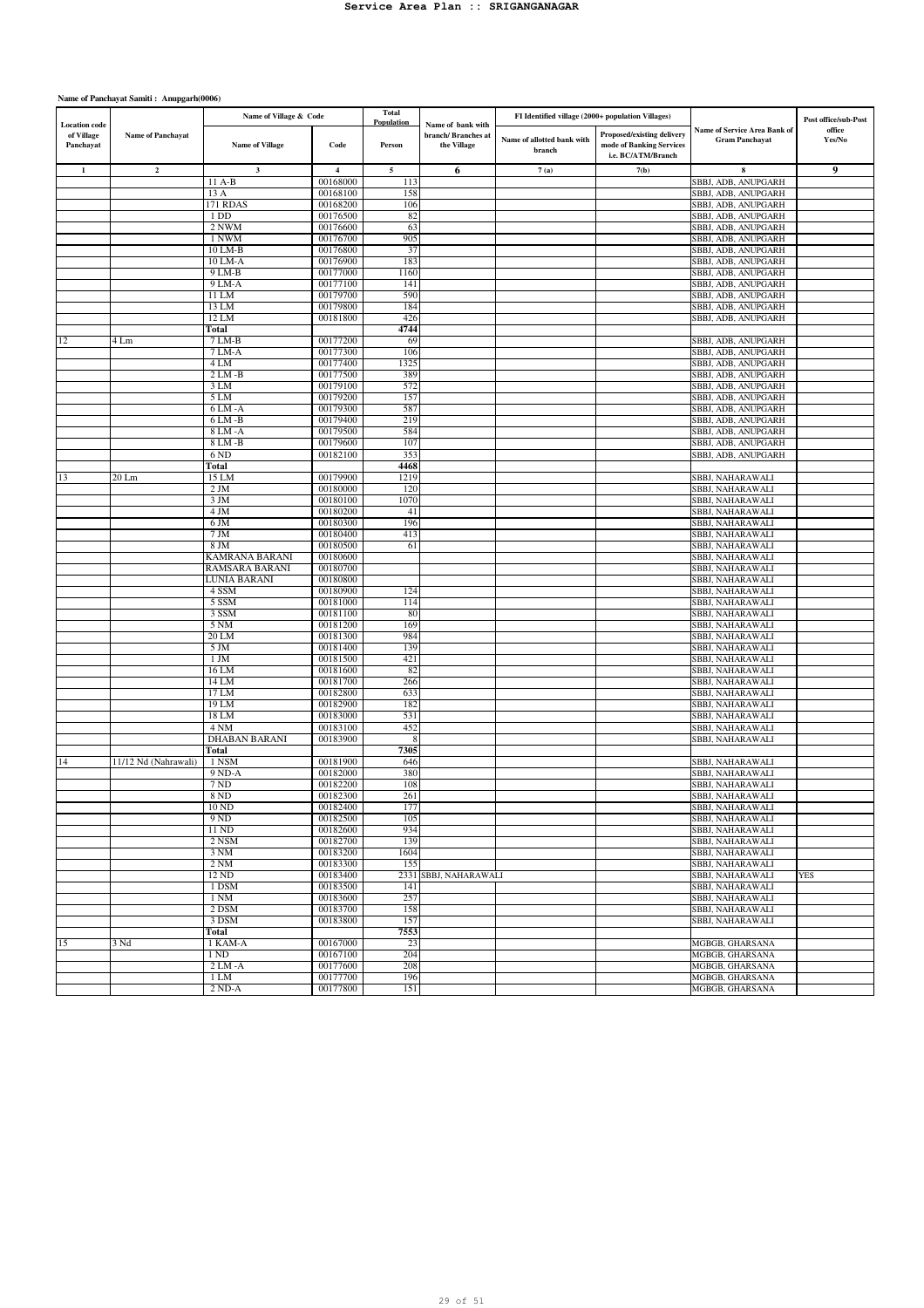| <b>Location</b> code    |                          | Name of Village & Code           |                         | Total<br>Population | Name of bank with                  | FI Identified village (2000+ population Villages) |                                                                              |                                                       | Post office/sub-Post |
|-------------------------|--------------------------|----------------------------------|-------------------------|---------------------|------------------------------------|---------------------------------------------------|------------------------------------------------------------------------------|-------------------------------------------------------|----------------------|
| of Village<br>Panchayat | <b>Name of Panchayat</b> | <b>Name of Village</b>           | Code                    | Person              | branch/ Branches at<br>the Village | Name of allotted bank with<br>branch              | Proposed/existing delivery<br>mode of Banking Services<br>i.e. BC/ATM/Branch | Name of Service Area Bank of<br><b>Gram Panchayat</b> | office<br>Yes/No     |
| $\mathbf{1}$            | $\mathbf{2}$             | $\mathbf{3}$                     | $\overline{\mathbf{4}}$ | $\sqrt{5}$          | 6                                  | 7(a)                                              | 7(b)                                                                         | 8                                                     | 9                    |
|                         |                          | 11 A-B                           | 00168000                | 113                 |                                    |                                                   |                                                                              | SBBJ, ADB, ANUPGARH                                   |                      |
|                         |                          | 13 A                             | 00168100                | 158                 |                                    |                                                   |                                                                              | SBBJ, ADB, ANUPGARH                                   |                      |
|                         |                          | 171 RDAS                         | 00168200                | 106                 |                                    |                                                   |                                                                              | SBBJ, ADB, ANUPGARH                                   |                      |
|                         |                          | 1 DD<br>2 NWM                    | 00176500<br>00176600    | 82<br>63            |                                    |                                                   |                                                                              | SBBJ, ADB, ANUPGARH<br>SBBJ, ADB, ANUPGARH            |                      |
|                         |                          | 1 NWM                            | 00176700                | 905                 |                                    |                                                   |                                                                              | SBBJ, ADB, ANUPGARH                                   |                      |
|                         |                          | 10 LM-B                          | 00176800                | 37                  |                                    |                                                   |                                                                              | SBBJ, ADB, ANUPGARH                                   |                      |
|                         |                          | 10 LM-A                          | 00176900                | 183                 |                                    |                                                   |                                                                              | SBBJ, ADB, ANUPGARH                                   |                      |
|                         |                          | 9 LM-B                           | 00177000                | 1160                |                                    |                                                   |                                                                              | SBBJ, ADB, ANUPGARH                                   |                      |
|                         |                          | 9 LM-A                           | 00177100                | 141                 |                                    |                                                   |                                                                              | SBBJ, ADB, ANUPGARH                                   |                      |
|                         |                          | 11 LM                            | 00179700                | 590                 |                                    |                                                   |                                                                              | SBBJ, ADB, ANUPGARH                                   |                      |
|                         |                          | 13 LM                            | 00179800                | 184                 |                                    |                                                   |                                                                              | SBBJ, ADB, ANUPGARH                                   |                      |
|                         |                          | 12 LM                            | 00181800                | 426<br>4744         |                                    |                                                   |                                                                              | SBBJ, ADB, ANUPGARH                                   |                      |
| 12                      | 4 Lm                     | Total<br>7 LM-B                  | 00177200                | 69                  |                                    |                                                   |                                                                              | SBBJ, ADB, ANUPGARH                                   |                      |
|                         |                          | 7 LM-A                           | 00177300                | 106                 |                                    |                                                   |                                                                              | SBBJ, ADB, ANUPGARH                                   |                      |
|                         |                          | 4 LM                             | 00177400                | 1325                |                                    |                                                   |                                                                              | SBBJ, ADB, ANUPGARH                                   |                      |
|                         |                          | $2 LM - B$                       | 00177500                | 389                 |                                    |                                                   |                                                                              | SBBJ, ADB, ANUPGARH                                   |                      |
|                         |                          | 3 LM                             | 00179100                | 572                 |                                    |                                                   |                                                                              | SBBJ, ADB, ANUPGARH                                   |                      |
|                         |                          | 5 LM                             | 00179200                | 157                 |                                    |                                                   |                                                                              | SBBJ, ADB, ANUPGARH                                   |                      |
|                         |                          | $6LM - A$                        | 00179300                | 587                 |                                    |                                                   |                                                                              | SBBJ, ADB, ANUPGARH                                   |                      |
|                         |                          | 6 LM -B                          | 00179400                | 219                 |                                    |                                                   |                                                                              | SBBJ, ADB, ANUPGARH                                   |                      |
|                         |                          | 8 LM - A                         | 00179500                | 584                 |                                    |                                                   |                                                                              | SBBJ, ADB, ANUPGARH                                   |                      |
|                         |                          | 8 LM -B<br>6 ND                  | 00179600<br>00182100    | 107<br>353          |                                    |                                                   |                                                                              | SBBJ, ADB, ANUPGARH<br>SBBJ, ADB, ANUPGARH            |                      |
|                         |                          | Total                            |                         | 4468                |                                    |                                                   |                                                                              |                                                       |                      |
| 13                      | 20 Lm                    | 15 LM                            | 00179900                | 1219                |                                    |                                                   |                                                                              | SBBJ, NAHARAWALI                                      |                      |
|                         |                          | $2$ JM                           | 00180000                | 120                 |                                    |                                                   |                                                                              | SBBJ, NAHARAWALI                                      |                      |
|                         |                          | 3 JM                             | 00180100                | 1070                |                                    |                                                   |                                                                              | SBBJ, NAHARAWALI                                      |                      |
|                         |                          | 4 JM                             | 00180200                | 41                  |                                    |                                                   |                                                                              | SBBJ, NAHARAWALI                                      |                      |
|                         |                          | 6 JM                             | 00180300                | 196                 |                                    |                                                   |                                                                              | SBBJ, NAHARAWALI                                      |                      |
|                         |                          | 7 JM                             | 00180400                | 413                 |                                    |                                                   |                                                                              | SBBJ, NAHARAWALI                                      |                      |
|                         |                          | 8 JM                             | 00180500                | 61                  |                                    |                                                   |                                                                              | SBBJ, NAHARAWALI                                      |                      |
|                         |                          | KAMRANA BARANI<br>RAMSARA BARANI | 00180600<br>00180700    |                     |                                    |                                                   |                                                                              | SBBJ, NAHARAWALI<br>SBBJ, NAHARAWALI                  |                      |
|                         |                          | LUNIA BARANI                     | 00180800                |                     |                                    |                                                   |                                                                              | SBBJ, NAHARAWALI                                      |                      |
|                         |                          | 4 SSM                            | 00180900                | 124                 |                                    |                                                   |                                                                              | SBBJ, NAHARAWALI                                      |                      |
|                         |                          | 5 SSM                            | 00181000                | 114                 |                                    |                                                   |                                                                              | SBBJ, NAHARAWALI                                      |                      |
|                         |                          | 3 SSM                            | 00181100                | 80                  |                                    |                                                   |                                                                              | SBBJ, NAHARAWALI                                      |                      |
|                         |                          | 5 <sub>NM</sub>                  | 00181200                | 169                 |                                    |                                                   |                                                                              | SBBJ, NAHARAWALI                                      |                      |
|                         |                          | 20 LM                            | 00181300                | 984                 |                                    |                                                   |                                                                              | SBBJ, NAHARAWALI                                      |                      |
|                         |                          | 5 JM                             | 00181400                | 139                 |                                    |                                                   |                                                                              | SBBJ, NAHARAWALI                                      |                      |
|                         |                          | 1 JM<br>16 LM                    | 00181500<br>00181600    | 421<br>82           |                                    |                                                   |                                                                              | SBBJ, NAHARAWALI<br>SBBJ, NAHARAWALI                  |                      |
|                         |                          | 14 LM                            | 00181700                | 266                 |                                    |                                                   |                                                                              | SBBJ, NAHARAWALI                                      |                      |
|                         |                          | 17 LM                            | 00182800                | 633                 |                                    |                                                   |                                                                              | SBBJ, NAHARAWALI                                      |                      |
|                         |                          | 19 LM                            | 00182900                | 182                 |                                    |                                                   |                                                                              | SBBJ, NAHARAWALI                                      |                      |
|                         |                          | 18 LM                            | 00183000                | 531                 |                                    |                                                   |                                                                              | SBBJ, NAHARAWALI                                      |                      |
|                         |                          | 4 NM                             | 00183100                | 452                 |                                    |                                                   |                                                                              | SBBJ, NAHARAWALI                                      |                      |
|                         |                          | <b>DHABAN BARANI</b>             | 00183900                | 8                   |                                    |                                                   |                                                                              | SBBJ, NAHARAWALI                                      |                      |
|                         |                          | Total                            |                         | 7305                |                                    |                                                   |                                                                              |                                                       |                      |
| 14                      | 11/12 Nd (Nahrawali)     | 1 NSM<br>9 ND-A                  | 00181900<br>00182000    | 646<br>380          |                                    |                                                   |                                                                              | SBBJ, NAHARAWALI<br>SBBJ, NAHARAWALI                  |                      |
|                         |                          | 7 ND                             | 00182200                | 108                 |                                    |                                                   |                                                                              | SBBJ, NAHARAWALI                                      |                      |
|                         |                          | 8 ND                             | 00182300                | 261                 |                                    |                                                   |                                                                              | SBBJ, NAHARAWALI                                      |                      |
|                         |                          | 10 ND                            | 00182400                | 177                 |                                    |                                                   |                                                                              | SBBJ, NAHARAWALI                                      |                      |
|                         |                          | 9 ND                             | 00182500                | 105                 |                                    |                                                   |                                                                              | SBBJ, NAHARAWALI                                      |                      |
|                         |                          | 11 ND                            | 00182600                | 934                 |                                    |                                                   |                                                                              | SBBJ, NAHARAWALI                                      |                      |
|                         |                          | 2 NSM                            | 00182700                | 139                 |                                    |                                                   |                                                                              | SBBJ, NAHARAWALI                                      |                      |
|                         |                          | 3 NM                             | 00183200                | 1604                |                                    |                                                   |                                                                              | SBBJ, NAHARAWALI                                      |                      |
|                         |                          | 2NM<br>12 ND                     | 00183300<br>00183400    | 155                 | 2331 SBBJ, NAHARAWALI              |                                                   |                                                                              | SBBJ, NAHARAWALI<br>SBBJ, NAHARAWALI                  | <b>YES</b>           |
|                         |                          | 1 DSM                            | 00183500                | 141                 |                                    |                                                   |                                                                              | SBBJ, NAHARAWALI                                      |                      |
|                         |                          | 1 NM                             | 00183600                | 257                 |                                    |                                                   |                                                                              | SBBJ, NAHARAWALI                                      |                      |
|                         |                          | 2 DSM                            | 00183700                | 158                 |                                    |                                                   |                                                                              | SBBJ, NAHARAWALI                                      |                      |
|                         |                          | 3 DSM                            | 00183800                | 157                 |                                    |                                                   |                                                                              | SBBJ, NAHARAWALI                                      |                      |
|                         |                          | Total                            |                         | 7553                |                                    |                                                   |                                                                              |                                                       |                      |
| 15                      | 3 Nd                     | 1 KAM-A                          | 00167000                | 23                  |                                    |                                                   |                                                                              | MGBGB, GHARSANA                                       |                      |
|                         |                          | 1 ND                             | 00167100                | 204                 |                                    |                                                   |                                                                              | MGBGB, GHARSANA                                       |                      |
|                         |                          | $2LM - A$                        | 00177600                | 208                 |                                    |                                                   |                                                                              | MGBGB, GHARSANA<br>MGBGB, GHARSANA                    |                      |
|                         |                          | 1 LM<br>$2 ND-A$                 | 00177700<br>00177800    | 196<br>151          |                                    |                                                   |                                                                              | MGBGB, GHARSANA                                       |                      |
|                         |                          |                                  |                         |                     |                                    |                                                   |                                                                              |                                                       |                      |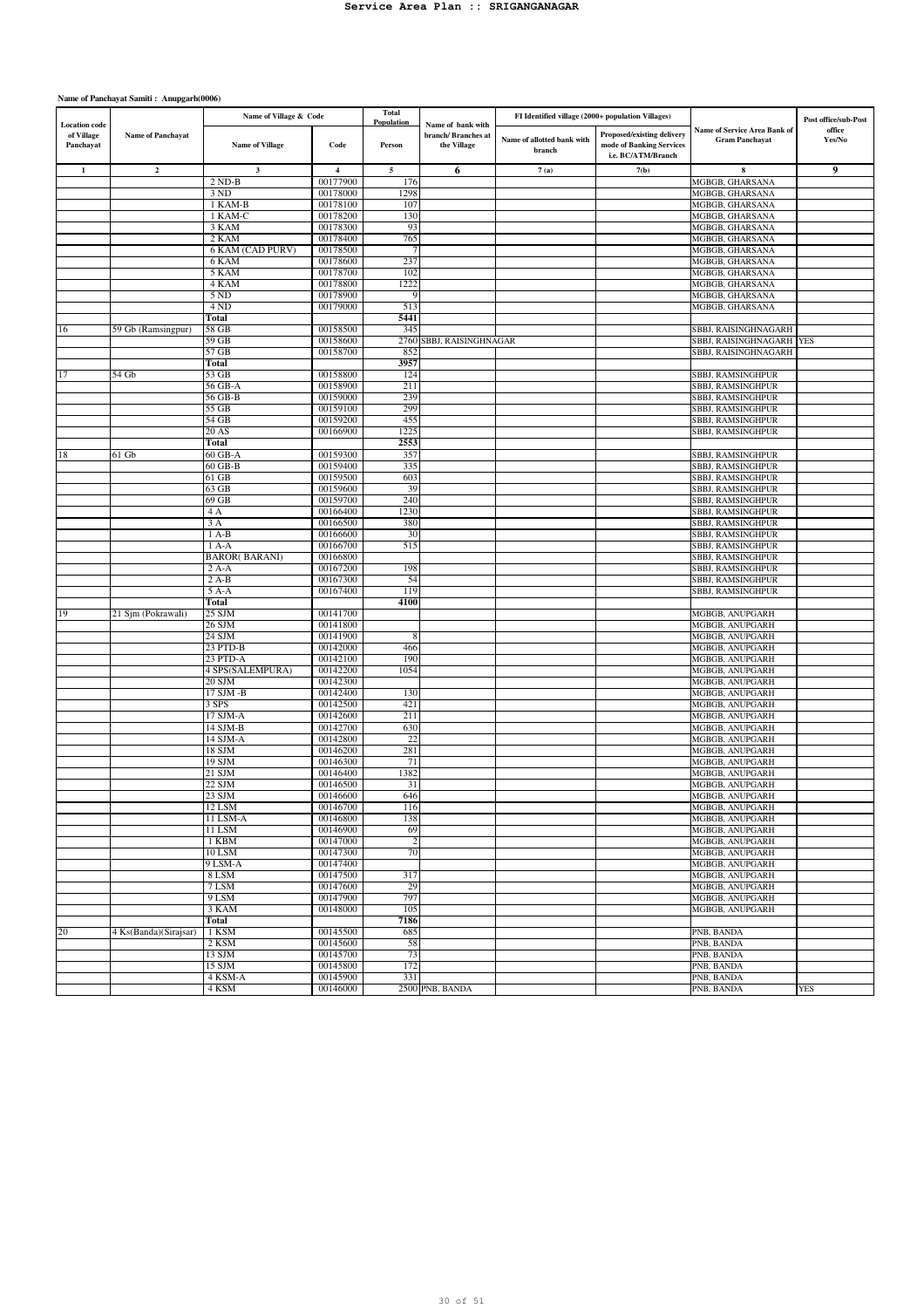|                                                 |                          | Name of Village & Code |                         | Total<br>Population |                                                         | FI Identified village (2000+ population Villages) |                                                                              |                                                       | Post office/sub-Post |
|-------------------------------------------------|--------------------------|------------------------|-------------------------|---------------------|---------------------------------------------------------|---------------------------------------------------|------------------------------------------------------------------------------|-------------------------------------------------------|----------------------|
| <b>Location</b> code<br>of Village<br>Panchayat | <b>Name of Panchayat</b> | <b>Name of Village</b> | Code                    | Person              | Name of bank with<br>branch/ Branches at<br>the Village | Name of allotted bank with<br>branch              | Proposed/existing delivery<br>mode of Banking Services<br>i.e. BC/ATM/Branch | Name of Service Area Bank of<br><b>Gram Panchayat</b> | office<br>Yes/No     |
| $\mathbf{1}$                                    | $\mathbf 2$              | $\mathbf{3}$           | $\overline{\mathbf{4}}$ | $\sqrt{5}$          | 6                                                       | 7(a)                                              | 7(b)                                                                         | 8                                                     | 9                    |
|                                                 |                          | $2 ND-B$               | 00177900                | 176                 |                                                         |                                                   |                                                                              | MGBGB, GHARSANA                                       |                      |
|                                                 |                          | 3 ND                   | 00178000                | 1298                |                                                         |                                                   |                                                                              | MGBGB, GHARSANA                                       |                      |
|                                                 |                          | $1$ KAM-B              | 00178100                | 107                 |                                                         |                                                   |                                                                              | MGBGB, GHARSANA                                       |                      |
|                                                 |                          | 1 KAM-C                | 00178200                | 130                 |                                                         |                                                   |                                                                              | MGBGB, GHARSANA                                       |                      |
|                                                 |                          | 3 KAM<br>2 KAM         | 00178300<br>00178400    | 93<br>765           |                                                         |                                                   |                                                                              | MGBGB, GHARSANA<br>MGBGB, GHARSANA                    |                      |
|                                                 |                          | 6 KAM (CAD PURV)       | 00178500                | 7                   |                                                         |                                                   |                                                                              | MGBGB, GHARSANA                                       |                      |
|                                                 |                          | 6 KAM                  | 00178600                | 237                 |                                                         |                                                   |                                                                              | MGBGB, GHARSANA                                       |                      |
|                                                 |                          | 5 KAM                  | 00178700                | 102                 |                                                         |                                                   |                                                                              | MGBGB, GHARSANA                                       |                      |
|                                                 |                          | 4 KAM                  | 00178800                | 1222                |                                                         |                                                   |                                                                              | MGBGB, GHARSANA                                       |                      |
|                                                 |                          | 5 ND                   | 00178900                | 9                   |                                                         |                                                   |                                                                              | MGBGB, GHARSANA                                       |                      |
|                                                 |                          | 4 ND                   | 00179000                | 513                 |                                                         |                                                   |                                                                              | MGBGB, GHARSANA                                       |                      |
|                                                 |                          | Total                  |                         | 5441                |                                                         |                                                   |                                                                              |                                                       |                      |
| 16                                              | 59 Gb (Ramsingpur)       | 58 GB                  | 00158500                | 345                 |                                                         |                                                   |                                                                              | SBBJ, RAISINGHNAGARH                                  |                      |
|                                                 |                          | 59 GB                  | 00158600                |                     | 2760 SBBJ, RAISINGHNAGAR                                |                                                   |                                                                              | SBBJ, RAISINGHNAGARH YES                              |                      |
|                                                 |                          | 57 GB<br>Total         | 00158700                | 852<br>3957         |                                                         |                                                   |                                                                              | SBBJ, RAISINGHNAGARH                                  |                      |
| 17                                              | 54 Gb                    | 53 GB                  | 00158800                | 124                 |                                                         |                                                   |                                                                              | SBBJ, RAMSINGHPUR                                     |                      |
|                                                 |                          | 56 GB-A                | 00158900                | 211                 |                                                         |                                                   |                                                                              | SBBJ, RAMSINGHPUR                                     |                      |
|                                                 |                          | 56 GB-B                | 00159000                | 239                 |                                                         |                                                   |                                                                              | SBBJ, RAMSINGHPUR                                     |                      |
|                                                 |                          | 55 GB                  | 00159100                | 299                 |                                                         |                                                   |                                                                              | SBBJ, RAMSINGHPUR                                     |                      |
|                                                 |                          | 54 GB                  | 00159200                | 455                 |                                                         |                                                   |                                                                              | SBBJ, RAMSINGHPUR                                     |                      |
|                                                 |                          | 20 AS                  | 00166900                | 1225                |                                                         |                                                   |                                                                              | SBBJ, RAMSINGHPUR                                     |                      |
|                                                 |                          | Total                  |                         | 2553                |                                                         |                                                   |                                                                              |                                                       |                      |
| 18                                              | 61 Gb                    | 60 GB-A                | 00159300                | 357                 |                                                         |                                                   |                                                                              | SBBJ, RAMSINGHPUR                                     |                      |
|                                                 |                          | 60 GB-B                | 00159400                | 335                 |                                                         |                                                   |                                                                              | SBBJ, RAMSINGHPUR                                     |                      |
|                                                 |                          | 61 GB                  | 00159500                | 603                 |                                                         |                                                   |                                                                              | SBBJ, RAMSINGHPUR                                     |                      |
|                                                 |                          | $63$ GB<br>69 GB       | 00159600                | 39<br>240           |                                                         |                                                   |                                                                              | SBBJ, RAMSINGHPUR                                     |                      |
|                                                 |                          | 4 A                    | 00159700<br>00166400    | 1230                |                                                         |                                                   |                                                                              | SBBJ, RAMSINGHPUR<br><b>SBBJ, RAMSINGHPUR</b>         |                      |
|                                                 |                          | 3 A                    | 00166500                | 380                 |                                                         |                                                   |                                                                              | SBBJ, RAMSINGHPUR                                     |                      |
|                                                 |                          | $1A-B$                 | 00166600                | 30                  |                                                         |                                                   |                                                                              | SBBJ, RAMSINGHPUR                                     |                      |
|                                                 |                          | $1 A-A$                | 00166700                | 515                 |                                                         |                                                   |                                                                              | SBBJ, RAMSINGHPUR                                     |                      |
|                                                 |                          | <b>BAROR(BARANI)</b>   | 00166800                |                     |                                                         |                                                   |                                                                              | SBBJ, RAMSINGHPUR                                     |                      |
|                                                 |                          | $2A-A$                 | 00167200                | 198                 |                                                         |                                                   |                                                                              | SBBJ, RAMSINGHPUR                                     |                      |
|                                                 |                          | $2A-B$                 | 00167300                | 54                  |                                                         |                                                   |                                                                              | SBBJ, RAMSINGHPUR                                     |                      |
|                                                 |                          | $5A-A$                 | 00167400                | 119                 |                                                         |                                                   |                                                                              | SBBJ, RAMSINGHPUR                                     |                      |
|                                                 |                          | Total                  |                         | 4100                |                                                         |                                                   |                                                                              |                                                       |                      |
| 19                                              | 21 Sjm (Pokrawali)       | 25 SJM                 | 00141700<br>00141800    |                     |                                                         |                                                   |                                                                              | MGBGB, ANUPGARH                                       |                      |
|                                                 |                          | 26 SJM<br>24 SJM       | 00141900                | 8                   |                                                         |                                                   |                                                                              | MGBGB, ANUPGARH<br>MGBGB, ANUPGARH                    |                      |
|                                                 |                          | 23 PTD-B               | 00142000                | 466                 |                                                         |                                                   |                                                                              | MGBGB, ANUPGARH                                       |                      |
|                                                 |                          | 23 PTD-A               | 00142100                | 190                 |                                                         |                                                   |                                                                              | MGBGB, ANUPGARH                                       |                      |
|                                                 |                          | 4 SPS(SALEMPURA)       | 00142200                | 1054                |                                                         |                                                   |                                                                              | MGBGB, ANUPGARH                                       |                      |
|                                                 |                          | 20 SJM                 | 00142300                |                     |                                                         |                                                   |                                                                              | MGBGB, ANUPGARH                                       |                      |
|                                                 |                          | 17 SJM -B              | 00142400                | 130                 |                                                         |                                                   |                                                                              | MGBGB, ANUPGARH                                       |                      |
|                                                 |                          | 3 SPS                  | 00142500                | 421                 |                                                         |                                                   |                                                                              | MGBGB, ANUPGARH                                       |                      |
|                                                 |                          | 17 SJM-A               | 00142600                | 211                 |                                                         |                                                   |                                                                              | MGBGB, ANUPGARH                                       |                      |
|                                                 |                          | 14 SJM-B               | 00142700                | 630                 |                                                         |                                                   |                                                                              | MGBGB, ANUPGARH                                       |                      |
|                                                 |                          | 14 SJM-A<br>18 SJM     | 00142800<br>00146200    | 22<br>281           |                                                         |                                                   |                                                                              | MGBGB, ANUPGARH<br>MGBGB, ANUPGARH                    |                      |
|                                                 |                          | 19 SJM                 | 00146300                | 71                  |                                                         |                                                   |                                                                              | MGBGB, ANUPGARH                                       |                      |
|                                                 |                          | 21 SJM                 | 00146400                | 1382                |                                                         |                                                   |                                                                              | MGBGB, ANUPGARH                                       |                      |
|                                                 |                          | 22 SJM                 | 00146500                | 31                  |                                                         |                                                   |                                                                              | MGBGB, ANUPGARH                                       |                      |
|                                                 |                          | 23 SJM                 | 00146600                | 646                 |                                                         |                                                   |                                                                              | MGBGB, ANUPGARH                                       |                      |
|                                                 |                          | 12 LSM                 | 00146700                | 116                 |                                                         |                                                   |                                                                              | MGBGB, ANUPGARH                                       |                      |
|                                                 |                          | 11 LSM-A               | 00146800                | 138                 |                                                         |                                                   |                                                                              | MGBGB, ANUPGARH                                       |                      |
|                                                 |                          | 11 LSM                 | 00146900                | 69                  |                                                         |                                                   |                                                                              | MGBGB, ANUPGARH                                       |                      |
|                                                 |                          | 1 KBM                  | 00147000                | $\overline{c}$      |                                                         |                                                   |                                                                              | MGBGB, ANUPGARH                                       |                      |
|                                                 |                          | 10 LSM                 | 00147300                | 70                  |                                                         |                                                   |                                                                              | MGBGB, ANUPGARH                                       |                      |
|                                                 |                          | 9 LSM-A<br>8 LSM       | 00147400<br>00147500    |                     |                                                         |                                                   |                                                                              | MGBGB, ANUPGARH                                       |                      |
|                                                 |                          | 7 LSM                  | 00147600                | 317<br>29           |                                                         |                                                   |                                                                              | MGBGB, ANUPGARH<br>MGBGB, ANUPGARH                    |                      |
|                                                 |                          | 9 LSM                  | 00147900                | 797                 |                                                         |                                                   |                                                                              | MGBGB, ANUPGARH                                       |                      |
|                                                 |                          | 3 KAM                  | 00148000                | 105                 |                                                         |                                                   |                                                                              | MGBGB, ANUPGARH                                       |                      |
|                                                 |                          | Total                  |                         | 7186                |                                                         |                                                   |                                                                              |                                                       |                      |
| 20                                              | 4 Ks(Banda)(Sirajsar)    | 1 KSM                  | 00145500                | 685                 |                                                         |                                                   |                                                                              | PNB, BANDA                                            |                      |
|                                                 |                          | 2 KSM                  | 00145600                | 58                  |                                                         |                                                   |                                                                              | PNB, BANDA                                            |                      |
|                                                 |                          | 13 SJM                 | 00145700                | 73                  |                                                         |                                                   |                                                                              | PNB, BANDA                                            |                      |
|                                                 |                          | 15 SJM                 | 00145800                | 172                 |                                                         |                                                   |                                                                              | PNB, BANDA                                            |                      |
|                                                 |                          | 4 KSM-A                | 00145900                | 331                 |                                                         |                                                   |                                                                              | PNB, BANDA                                            |                      |
|                                                 |                          | 4 KSM                  | 00146000                |                     | 2500 PNB, BANDA                                         |                                                   |                                                                              | PNB, BANDA                                            | <b>YES</b>           |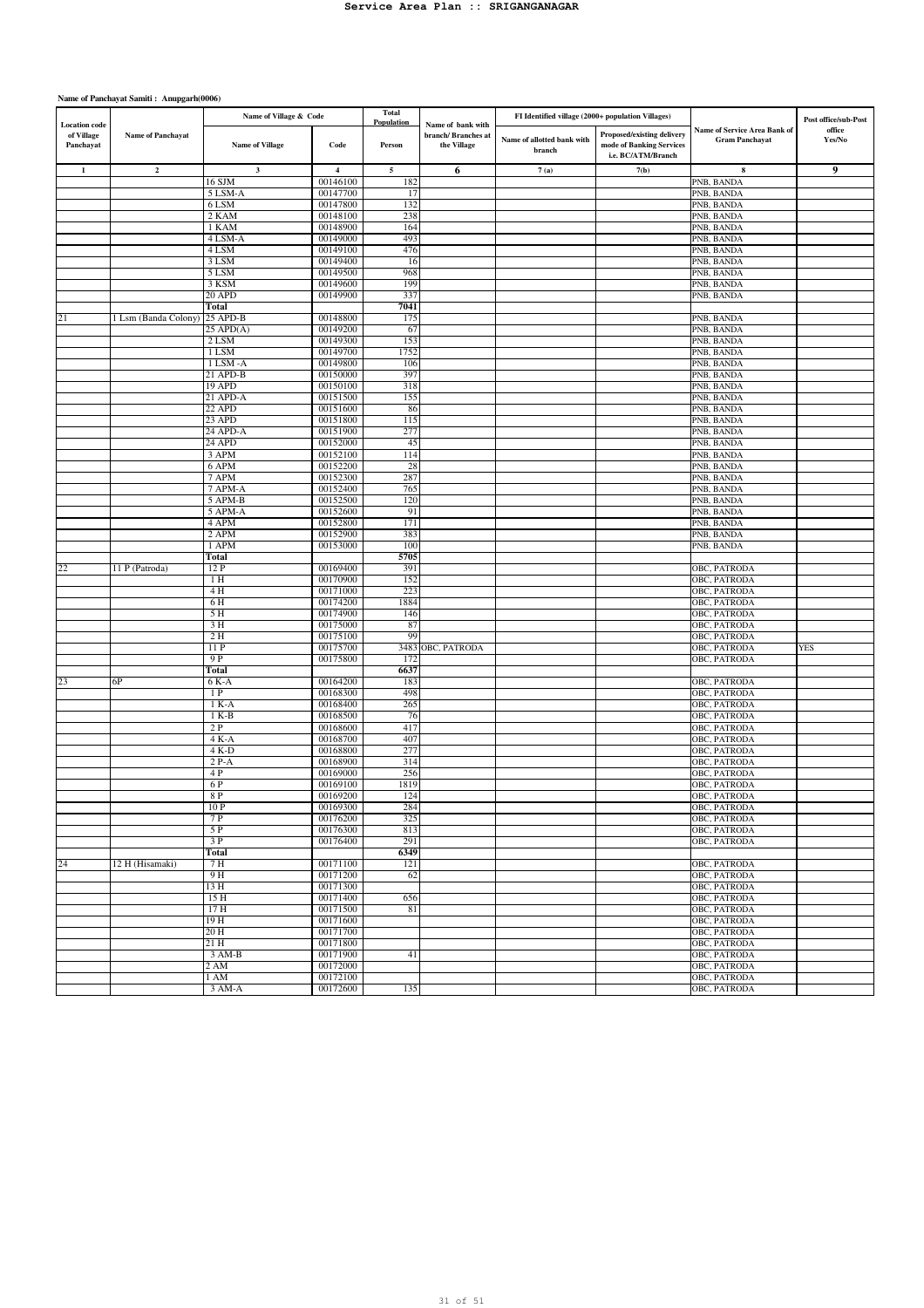| <b>Location</b> code    |                      | Name of Village & Code |                         | <b>Total</b><br>Population | Name of bank with                 | FI Identified village (2000+ population Villages) |                                                                              |                                                       | Post office/sub-Post |
|-------------------------|----------------------|------------------------|-------------------------|----------------------------|-----------------------------------|---------------------------------------------------|------------------------------------------------------------------------------|-------------------------------------------------------|----------------------|
| of Village<br>Panchayat | Name of Panchayat    | <b>Name of Village</b> | Code                    | Person                     | branch/Branches at<br>the Village | Name of allotted bank with<br>branch              | Proposed/existing delivery<br>mode of Banking Services<br>i.e. BC/ATM/Branch | Name of Service Area Bank of<br><b>Gram Panchayat</b> | office<br>Yes/No     |
| $\mathbf{1}$            | $\mathbf 2$          | $\mathbf 3$            | $\overline{\mathbf{4}}$ | 5                          | 6                                 | 7(a)                                              | 7(b)                                                                         | 8                                                     | 9                    |
|                         |                      | 16 SJM                 | 00146100                | 182                        |                                   |                                                   |                                                                              | PNB, BANDA                                            |                      |
|                         |                      | 5 LSM-A                | 00147700                | 17                         |                                   |                                                   |                                                                              | PNB, BANDA<br>PNB, BANDA                              |                      |
|                         |                      | 6 LSM<br>2 KAM         | 00147800<br>00148100    | 132<br>238                 |                                   |                                                   |                                                                              | PNB, BANDA                                            |                      |
|                         |                      | 1 KAM                  | 00148900                | 164                        |                                   |                                                   |                                                                              | PNB, BANDA                                            |                      |
|                         |                      | 4 LSM-A                | 00149000                | 493                        |                                   |                                                   |                                                                              | PNB, BANDA                                            |                      |
|                         |                      | 4 LSM                  | 00149100                | 476                        |                                   |                                                   |                                                                              | PNB, BANDA                                            |                      |
|                         |                      | 3 LSM                  | 00149400                | 16                         |                                   |                                                   |                                                                              | PNB, BANDA                                            |                      |
|                         |                      | 5 LSM                  | 00149500                | 968                        |                                   |                                                   |                                                                              | PNB, BANDA                                            |                      |
|                         |                      | 3 KSM<br>20 APD        | 00149600<br>00149900    | 199<br>337                 |                                   |                                                   |                                                                              | PNB, BANDA<br>PNB, BANDA                              |                      |
|                         |                      | Total                  |                         | 7041                       |                                   |                                                   |                                                                              |                                                       |                      |
| 21                      | 1 Lsm (Banda Colony) | 25 APD-B               | 00148800                | 175                        |                                   |                                                   |                                                                              | PNB, BANDA                                            |                      |
|                         |                      | $25$ APD $(A)$         | 00149200                | 67                         |                                   |                                                   |                                                                              | PNB, BANDA                                            |                      |
|                         |                      | 2 LSM                  | 00149300                | 153                        |                                   |                                                   |                                                                              | PNB, BANDA                                            |                      |
|                         |                      | 1 LSM                  | 00149700                | 1752                       |                                   |                                                   |                                                                              | PNB, BANDA                                            |                      |
|                         |                      | $1$ LSM -A             | 00149800                | 106                        |                                   |                                                   |                                                                              | PNB, BANDA                                            |                      |
|                         |                      | 21 APD-B<br>19 APD     | 00150000<br>00150100    | 397<br>318                 |                                   |                                                   |                                                                              | PNB, BANDA<br>PNB, BANDA                              |                      |
|                         |                      | 21 APD-A               | 00151500                | 155                        |                                   |                                                   |                                                                              | PNB, BANDA                                            |                      |
|                         |                      | 22 APD                 | 00151600                | 86                         |                                   |                                                   |                                                                              | PNB, BANDA                                            |                      |
|                         |                      | 23 APD                 | 00151800                | 115                        |                                   |                                                   |                                                                              | PNB, BANDA                                            |                      |
|                         |                      | 24 APD-A               | 00151900                | 277                        |                                   |                                                   |                                                                              | PNB, BANDA                                            |                      |
|                         |                      | 24 APD                 | 00152000                | 45                         |                                   |                                                   |                                                                              | PNB, BANDA                                            |                      |
|                         |                      | 3 APM<br>6 APM         | 00152100<br>00152200    | 114<br>28                  |                                   |                                                   |                                                                              | PNB, BANDA<br>PNB, BANDA                              |                      |
|                         |                      | 7 APM                  | 00152300                | 287                        |                                   |                                                   |                                                                              | PNB, BANDA                                            |                      |
|                         |                      | 7 APM-A                | 00152400                | 765                        |                                   |                                                   |                                                                              | PNB, BANDA                                            |                      |
|                         |                      | 5 APM-B                | 00152500                | 120                        |                                   |                                                   |                                                                              | PNB, BANDA                                            |                      |
|                         |                      | 5 APM-A                | 00152600                | 91                         |                                   |                                                   |                                                                              | PNB, BANDA                                            |                      |
|                         |                      | 4 APM                  | 00152800                | 171                        |                                   |                                                   |                                                                              | PNB, BANDA                                            |                      |
|                         |                      | 2 APM                  | 00152900<br>00153000    | 383<br>100                 |                                   |                                                   |                                                                              | PNB, BANDA                                            |                      |
|                         |                      | 1 APM<br>Total         |                         | 5705                       |                                   |                                                   |                                                                              | PNB, BANDA                                            |                      |
| 22                      | 11 P (Patroda)       | 12 P                   | 00169400                | 391                        |                                   |                                                   |                                                                              | OBC, PATRODA                                          |                      |
|                         |                      | 1 H                    | 00170900                | 152                        |                                   |                                                   |                                                                              | OBC, PATRODA                                          |                      |
|                         |                      | 4 H                    | 00171000                | 223                        |                                   |                                                   |                                                                              | OBC, PATRODA                                          |                      |
|                         |                      | 6 H                    | 00174200                | 1884                       |                                   |                                                   |                                                                              | OBC, PATRODA                                          |                      |
|                         |                      | 5 H                    | 00174900                | 146                        |                                   |                                                   |                                                                              | OBC, PATRODA                                          |                      |
|                         |                      | 3 H<br>2 H             | 00175000<br>00175100    | 87<br>99                   |                                   |                                                   |                                                                              | OBC, PATRODA<br>OBC, PATRODA                          |                      |
|                         |                      | 11 P                   | 00175700                | 3483                       | OBC, PATRODA                      |                                                   |                                                                              | OBC, PATRODA                                          | YES                  |
|                         |                      | 9P                     | 00175800                | 172                        |                                   |                                                   |                                                                              | OBC, PATRODA                                          |                      |
|                         |                      | Total                  |                         | 6637                       |                                   |                                                   |                                                                              |                                                       |                      |
| 23                      | 6Р                   | 6 K-A                  | 00164200                | 183                        |                                   |                                                   |                                                                              | OBC, PATRODA                                          |                      |
|                         |                      | 1 P                    | 00168300                | 498                        |                                   |                                                   |                                                                              | OBC, PATRODA                                          |                      |
|                         |                      | $1 K-A$<br>$1 K-B$     | 00168400<br>00168500    | 265<br>76                  |                                   |                                                   |                                                                              | OBC, PATRODA<br>OBC, PATRODA                          |                      |
|                         |                      | 2P                     | 00168600                | 417                        |                                   |                                                   |                                                                              | OBC, PATRODA                                          |                      |
|                         |                      | 4 K-A                  | 00168700                | 407                        |                                   |                                                   |                                                                              | OBC, PATRODA                                          |                      |
|                         |                      | $4 K-D$                | 00168800                | 277                        |                                   |                                                   |                                                                              | OBC, PATRODA                                          |                      |
|                         |                      | 2 P-A                  | 00168900                | 314                        |                                   |                                                   |                                                                              | OBC, PATRODA                                          |                      |
|                         |                      | 4 P                    | 00169000                | 256                        |                                   |                                                   |                                                                              | OBC, PATRODA                                          |                      |
|                         |                      | 6 P                    | 00169100                | 1819                       |                                   |                                                   |                                                                              | OBC, PATRODA                                          |                      |
|                         |                      | 8 P<br>10 P            | 00169200<br>00169300    | 124<br>284                 |                                   |                                                   |                                                                              | OBC, PATRODA<br>OBC, PATRODA                          |                      |
|                         |                      | 7 P                    | 00176200                | 325                        |                                   |                                                   |                                                                              | OBC, PATRODA                                          |                      |
|                         |                      | 5 P                    | 00176300                | 813                        |                                   |                                                   |                                                                              | OBC, PATRODA                                          |                      |
|                         |                      | 3P                     | 00176400                | 291                        |                                   |                                                   |                                                                              | OBC, PATRODA                                          |                      |
|                         |                      | Total                  |                         | 6349                       |                                   |                                                   |                                                                              |                                                       |                      |
| 24                      | 12 H (Hisamaki)      | 7 H                    | 00171100                | 121                        |                                   |                                                   |                                                                              | OBC, PATRODA                                          |                      |
|                         |                      | 9H                     | 00171200<br>00171300    | 62                         |                                   |                                                   |                                                                              | OBC, PATRODA<br>OBC, PATRODA                          |                      |
|                         |                      | 13 H<br>15H            | 00171400                | 656                        |                                   |                                                   |                                                                              | OBC, PATRODA                                          |                      |
|                         |                      | 17H                    | 00171500                | 81                         |                                   |                                                   |                                                                              | OBC, PATRODA                                          |                      |
|                         |                      | 19H                    | 00171600                |                            |                                   |                                                   |                                                                              | OBC, PATRODA                                          |                      |
|                         |                      | 20H                    | 00171700                |                            |                                   |                                                   |                                                                              | OBC, PATRODA                                          |                      |
|                         |                      | 21H                    | 00171800                |                            |                                   |                                                   |                                                                              | OBC, PATRODA                                          |                      |
|                         |                      | $3 AM-B$               | 00171900                | 41                         |                                   |                                                   |                                                                              | OBC, PATRODA                                          |                      |
|                         |                      | 2 AM                   | 00172000                |                            |                                   |                                                   |                                                                              | OBC, PATRODA                                          |                      |
|                         |                      | 1 AM<br>3 AM-A         | 00172100<br>00172600    | 135                        |                                   |                                                   |                                                                              | OBC, PATRODA<br>OBC, PATRODA                          |                      |
|                         |                      |                        |                         |                            |                                   |                                                   |                                                                              |                                                       |                      |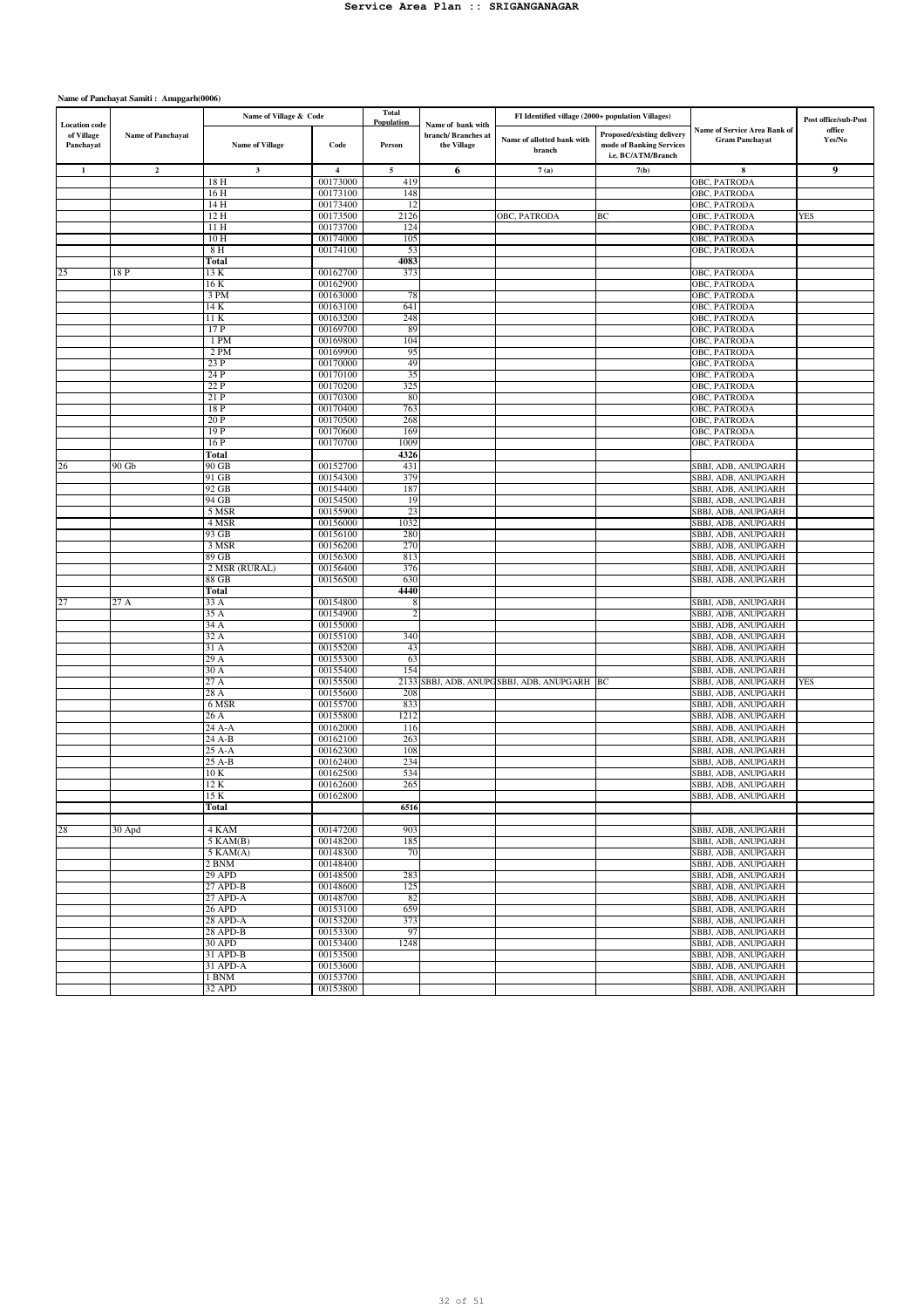|                                                 |                          | Name of Village & Code |                         | Total                |                                                         | FI Identified village (2000+ population Villages) |                                                                              |                                                       | Post office/sub-Post |
|-------------------------------------------------|--------------------------|------------------------|-------------------------|----------------------|---------------------------------------------------------|---------------------------------------------------|------------------------------------------------------------------------------|-------------------------------------------------------|----------------------|
| <b>Location</b> code<br>of Village<br>Panchayat | <b>Name of Panchayat</b> | <b>Name of Village</b> | Code                    | Population<br>Person | Name of bank with<br>branch/ Branches at<br>the Village | Name of allotted bank with<br>branch              | Proposed/existing delivery<br>mode of Banking Services<br>i.e. BC/ATM/Branch | Name of Service Area Bank of<br><b>Gram Panchayat</b> | office<br>Yes/No     |
| $\mathbf{1}$                                    | $\mathbf{2}$             | $\mathbf{3}$           | $\overline{\mathbf{4}}$ | $\sqrt{5}$           | 6                                                       | 7(a)                                              | 7(b)                                                                         | 8                                                     | 9                    |
|                                                 |                          | 18 H                   | 00173000                | 419                  |                                                         |                                                   |                                                                              | OBC, PATRODA                                          |                      |
|                                                 |                          | 16 H                   | 00173100                | 148                  |                                                         |                                                   |                                                                              | OBC, PATRODA                                          |                      |
|                                                 |                          | 14 H                   | 00173400                | 12                   |                                                         |                                                   |                                                                              | OBC, PATRODA                                          |                      |
|                                                 |                          | 12 H                   | 00173500                | 2126                 |                                                         | OBC, PATRODA                                      | BС                                                                           | OBC, PATRODA                                          | <b>YES</b>           |
|                                                 |                          | 11 H<br>10 H           | 00173700<br>00174000    | 124<br>105           |                                                         |                                                   |                                                                              | OBC, PATRODA<br>OBC, PATRODA                          |                      |
|                                                 |                          | 8 H                    | 00174100                | 53                   |                                                         |                                                   |                                                                              | OBC, PATRODA                                          |                      |
|                                                 |                          | Total                  |                         | 4083                 |                                                         |                                                   |                                                                              |                                                       |                      |
| 25                                              | 18 P                     | 13 K                   | 00162700                | 373                  |                                                         |                                                   |                                                                              | OBC, PATRODA                                          |                      |
|                                                 |                          | 16 K                   | 00162900                |                      |                                                         |                                                   |                                                                              | OBC, PATRODA                                          |                      |
|                                                 |                          | 3 PM<br>14 K           | 00163000<br>00163100    | 78<br>641            |                                                         |                                                   |                                                                              | OBC, PATRODA<br>OBC, PATRODA                          |                      |
|                                                 |                          | 11 K                   | 00163200                | 248                  |                                                         |                                                   |                                                                              | OBC, PATRODA                                          |                      |
|                                                 |                          | 17 P                   | 00169700                | 89                   |                                                         |                                                   |                                                                              | OBC, PATRODA                                          |                      |
|                                                 |                          | 1 PM                   | 00169800                | 104                  |                                                         |                                                   |                                                                              | OBC, PATRODA                                          |                      |
|                                                 |                          | 2 PM                   | 00169900                | 95                   |                                                         |                                                   |                                                                              | OBC, PATRODA                                          |                      |
|                                                 |                          | 23P                    | 00170000                | 49                   |                                                         |                                                   |                                                                              | OBC, PATRODA                                          |                      |
|                                                 |                          | 24 P                   | 00170100                | 35                   |                                                         |                                                   |                                                                              | OBC, PATRODA                                          |                      |
|                                                 |                          | 22 P<br>21 P           | 00170200<br>00170300    | 325<br>80            |                                                         |                                                   |                                                                              | OBC, PATRODA<br>OBC, PATRODA                          |                      |
|                                                 |                          | 18 P                   | 00170400                | 763                  |                                                         |                                                   |                                                                              | OBC, PATRODA                                          |                      |
|                                                 |                          | 20 P                   | 00170500                | 268                  |                                                         |                                                   |                                                                              | OBC, PATRODA                                          |                      |
|                                                 |                          | 19 P                   | 00170600                | 169                  |                                                         |                                                   |                                                                              | OBC, PATRODA                                          |                      |
|                                                 |                          | 16 P                   | 00170700                | 1009                 |                                                         |                                                   |                                                                              | OBC, PATRODA                                          |                      |
|                                                 |                          | Total                  |                         | 4326                 |                                                         |                                                   |                                                                              |                                                       |                      |
| 26                                              | 90Gb                     | 90 GB<br>91 GB         | 00152700<br>00154300    | 431<br>379           |                                                         |                                                   |                                                                              | SBBJ, ADB, ANUPGARH<br>SBBJ, ADB, ANUPGARH            |                      |
|                                                 |                          | 92 GB                  | 00154400                | 187                  |                                                         |                                                   |                                                                              | SBBJ, ADB, ANUPGARH                                   |                      |
|                                                 |                          | 94 GB                  | 00154500                | 19                   |                                                         |                                                   |                                                                              | SBBJ, ADB, ANUPGARH                                   |                      |
|                                                 |                          | 5 MSR                  | 00155900                | 23                   |                                                         |                                                   |                                                                              | SBBJ, ADB, ANUPGARH                                   |                      |
|                                                 |                          | 4 MSR                  | 00156000                | 1032                 |                                                         |                                                   |                                                                              | SBBJ, ADB, ANUPGARH                                   |                      |
|                                                 |                          | 93 GB                  | 00156100                | 280                  |                                                         |                                                   |                                                                              | SBBJ, ADB, ANUPGARH                                   |                      |
|                                                 |                          | 3 MSR<br>89 GB         | 00156200<br>00156300    | 270<br>813           |                                                         |                                                   |                                                                              | SBBJ, ADB, ANUPGARH<br>SBBJ, ADB, ANUPGARH            |                      |
|                                                 |                          | 2 MSR (RURAL)          | 00156400                | 376                  |                                                         |                                                   |                                                                              | SBBJ, ADB, ANUPGARH                                   |                      |
|                                                 |                          | 88 GB                  | 00156500                | 630                  |                                                         |                                                   |                                                                              | SBBJ, ADB, ANUPGARH                                   |                      |
|                                                 |                          | <b>Total</b>           |                         | 4440                 |                                                         |                                                   |                                                                              |                                                       |                      |
|                                                 | 27 A                     | 33 A                   | 00154800                | 8                    |                                                         |                                                   |                                                                              | SBBJ, ADB, ANUPGARH                                   |                      |
|                                                 |                          | 35 A                   | 00154900<br>00155000    | $\overline{c}$       |                                                         |                                                   |                                                                              | SBBJ, ADB, ANUPGARH                                   |                      |
|                                                 |                          | 34 A<br>32 A           | 00155100                | 340                  |                                                         |                                                   |                                                                              | SBBJ, ADB, ANUPGARH<br>SBBJ, ADB, ANUPGARH            |                      |
|                                                 |                          | 31 A                   | 00155200                | 43                   |                                                         |                                                   |                                                                              | SBBJ, ADB, ANUPGARH                                   |                      |
|                                                 |                          | $\overline{29}$ A      | 00155300                | 63                   |                                                         |                                                   |                                                                              | SBBJ, ADB, ANUPGARH                                   |                      |
|                                                 |                          | 30 A                   | 00155400                | 154                  |                                                         |                                                   |                                                                              | SBBJ, ADB, ANUPGARH                                   |                      |
|                                                 |                          | 27 A                   | 00155500                |                      |                                                         | 2133 SBBJ, ADB, ANUPGSBBJ, ADB, ANUPGARH BC       |                                                                              | SBBJ, ADB, ANUPGARH                                   | YES                  |
|                                                 |                          | 28 A                   | 00155600                | 208                  |                                                         |                                                   |                                                                              | SBBJ, ADB, ANUPGARH                                   |                      |
|                                                 |                          | 6 MSR<br>26 A          | 00155700<br>00155800    | 833<br>1212          |                                                         |                                                   |                                                                              | SBBJ, ADB, ANUPGARH<br>SBBJ, ADB, ANUPGARH            |                      |
|                                                 |                          | 24 A-A                 | 00162000                | 116                  |                                                         |                                                   |                                                                              | SBBJ, ADB, ANUPGARH                                   |                      |
|                                                 |                          | 24 A-B                 | 00162100                | 263                  |                                                         |                                                   |                                                                              | SBBJ, ADB, ANUPGARH                                   |                      |
|                                                 |                          | 25 A-A                 | 00162300                | 108                  |                                                         |                                                   |                                                                              | SBBJ, ADB, ANUPGARH                                   |                      |
|                                                 |                          | 25 A-B                 | 00162400                | 234                  |                                                         |                                                   |                                                                              | SBBJ, ADB, ANUPGARH                                   |                      |
|                                                 |                          | 10 K<br>12 K           | 00162500<br>00162600    | 534<br>265           |                                                         |                                                   |                                                                              | SBBJ, ADB, ANUPGARH                                   |                      |
|                                                 |                          | 15 K                   | 00162800                |                      |                                                         |                                                   |                                                                              | SBBJ, ADB, ANUPGARH<br>SBBJ, ADB, ANUPGARH            |                      |
|                                                 |                          | Total                  |                         | 6516                 |                                                         |                                                   |                                                                              |                                                       |                      |
|                                                 |                          |                        |                         |                      |                                                         |                                                   |                                                                              |                                                       |                      |
| 28                                              | 30 Apd                   | 4 KAM                  | 00147200                | 903                  |                                                         |                                                   |                                                                              | SBBJ, ADB, ANUPGARH                                   |                      |
|                                                 |                          | $5$ KAM $(B)$          | 00148200                | 185                  |                                                         |                                                   |                                                                              | SBBJ, ADB, ANUPGARH                                   |                      |
|                                                 |                          | $5$ KAM $(A)$          | 00148300                | 70                   |                                                         |                                                   |                                                                              | SBBJ, ADB, ANUPGARH<br>SBBJ, ADB, ANUPGARH            |                      |
|                                                 |                          | 2 BNM<br>29 APD        | 00148400<br>00148500    | 283                  |                                                         |                                                   |                                                                              | SBBJ, ADB, ANUPGARH                                   |                      |
|                                                 |                          | $27$ APD-B             | 00148600                | 125                  |                                                         |                                                   |                                                                              | SBBJ, ADB, ANUPGARH                                   |                      |
|                                                 |                          | 27 APD-A               | 00148700                | 82                   |                                                         |                                                   |                                                                              | SBBJ, ADB, ANUPGARH                                   |                      |
|                                                 |                          | 26 APD                 | 00153100                | 659                  |                                                         |                                                   |                                                                              | SBBJ, ADB, ANUPGARH                                   |                      |
|                                                 |                          | 28 APD-A               | 00153200                | 373                  |                                                         |                                                   |                                                                              | SBBJ, ADB, ANUPGARH                                   |                      |
|                                                 |                          | 28 APD-B               | 00153300                | 97                   |                                                         |                                                   |                                                                              | SBBJ, ADB, ANUPGARH                                   |                      |
|                                                 |                          | 30 APD<br>31 APD-B     | 00153400<br>00153500    | 1248                 |                                                         |                                                   |                                                                              | SBBJ, ADB, ANUPGARH<br>SBBJ, ADB, ANUPGARH            |                      |
|                                                 |                          | 31 APD-A               | 00153600                |                      |                                                         |                                                   |                                                                              | SBBJ, ADB, ANUPGARH                                   |                      |
|                                                 |                          | 1 BNM                  | 00153700                |                      |                                                         |                                                   |                                                                              | SBBJ, ADB, ANUPGARH                                   |                      |
|                                                 |                          | 32 APD                 | 00153800                |                      |                                                         |                                                   |                                                                              | SBBJ, ADB, ANUPGARH                                   |                      |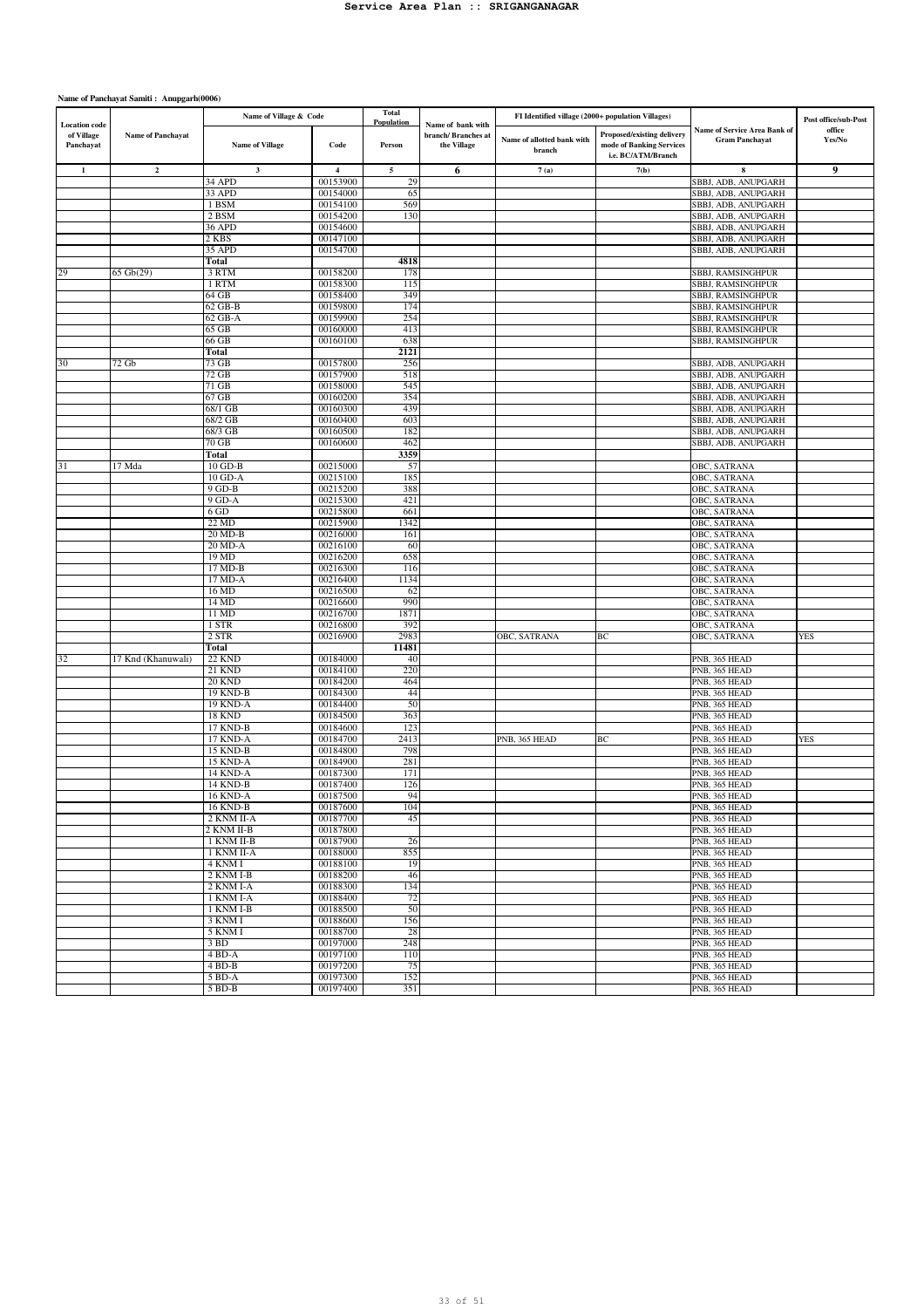|                                                 |                    | Name of Village & Code    |                         | Total<br>Population |                                                         | FI Identified village (2000+ population Villages) |                                                                              |                                                       | Post office/sub-Post |
|-------------------------------------------------|--------------------|---------------------------|-------------------------|---------------------|---------------------------------------------------------|---------------------------------------------------|------------------------------------------------------------------------------|-------------------------------------------------------|----------------------|
| <b>Location</b> code<br>of Village<br>Panchayat | Name of Panchayat  | <b>Name of Village</b>    | Code                    | Person              | Name of bank with<br>branch/ Branches at<br>the Village | Name of allotted bank with<br>branch              | Proposed/existing delivery<br>mode of Banking Services<br>i.e. BC/ATM/Branch | Name of Service Area Bank of<br><b>Gram Panchayat</b> | office<br>Yes/No     |
| $\mathbf{1}$                                    | $\mathbf 2$        | $\mathbf{3}$              | $\overline{\mathbf{4}}$ | 5                   | 6                                                       | 7(a)                                              | 7(b)                                                                         | 8                                                     | 9                    |
|                                                 |                    | 34 APD                    | 00153900                | 29                  |                                                         |                                                   |                                                                              | SBBJ, ADB, ANUPGARH                                   |                      |
|                                                 |                    | 33 APD                    | 00154000                | 65                  |                                                         |                                                   |                                                                              | SBBJ, ADB, ANUPGARH                                   |                      |
|                                                 |                    | 1 BSM                     | 00154100                | 569                 |                                                         |                                                   |                                                                              | SBBJ, ADB, ANUPGARH                                   |                      |
|                                                 |                    | 2 BSM                     | 00154200                | 130                 |                                                         |                                                   |                                                                              | SBBJ, ADB, ANUPGARH                                   |                      |
|                                                 |                    | <b>36 APD</b><br>2 KBS    | 00154600<br>00147100    |                     |                                                         |                                                   |                                                                              | SBBJ, ADB, ANUPGARH<br>SBBJ, ADB, ANUPGARH            |                      |
|                                                 |                    | 35 APD                    | 00154700                |                     |                                                         |                                                   |                                                                              | SBBJ, ADB, ANUPGARH                                   |                      |
|                                                 |                    | Total                     |                         | 4818                |                                                         |                                                   |                                                                              |                                                       |                      |
| 29                                              | 65 Gb(29)          | 3 RTM                     | 00158200                | 178                 |                                                         |                                                   |                                                                              | SBBJ, RAMSINGHPUR                                     |                      |
|                                                 |                    | 1 RTM                     | 00158300                | 115                 |                                                         |                                                   |                                                                              | SBBJ, RAMSINGHPUR                                     |                      |
|                                                 |                    | 64 GB                     | 00158400                | 349                 |                                                         |                                                   |                                                                              | <b>SBBJ, RAMSINGHPUR</b>                              |                      |
|                                                 |                    | 62 GB-B                   | 00159800                | 174                 |                                                         |                                                   |                                                                              | <b>SBBJ, RAMSINGHPUR</b>                              |                      |
|                                                 |                    | 62 GB-A                   | 00159900                | 254                 |                                                         |                                                   |                                                                              | SBBJ, RAMSINGHPUR                                     |                      |
|                                                 |                    | 65 GB                     | 00160000                | 413                 |                                                         |                                                   |                                                                              | SBBJ, RAMSINGHPUR                                     |                      |
|                                                 |                    | 66 GB                     | 00160100                | 638                 |                                                         |                                                   |                                                                              | SBBJ, RAMSINGHPUR                                     |                      |
|                                                 |                    | Total                     |                         | 2121                |                                                         |                                                   |                                                                              |                                                       |                      |
| 30                                              | $72$ Gb            | 73 GB                     | 00157800                | 256                 |                                                         |                                                   |                                                                              | SBBJ, ADB, ANUPGARH                                   |                      |
|                                                 |                    | 72 GB                     | 00157900                | 518                 |                                                         |                                                   |                                                                              | SBBJ, ADB, ANUPGARH                                   |                      |
|                                                 |                    | $71$ GB<br>$67$ GB        | 00158000<br>00160200    | 545<br>354          |                                                         |                                                   |                                                                              | SBBJ, ADB, ANUPGARH<br>SBBJ, ADB, ANUPGARH            |                      |
|                                                 |                    | 68/1 GB                   | 00160300                | 439                 |                                                         |                                                   |                                                                              | SBBJ, ADB, ANUPGARH                                   |                      |
|                                                 |                    | 68/2 GB                   | 00160400                | 603                 |                                                         |                                                   |                                                                              | SBBJ, ADB, ANUPGARH                                   |                      |
|                                                 |                    | 68/3 GB                   | 00160500                | 182                 |                                                         |                                                   |                                                                              | SBBJ, ADB, ANUPGARH                                   |                      |
|                                                 |                    | 70 GB                     | 00160600                | 462                 |                                                         |                                                   |                                                                              | SBBJ, ADB, ANUPGARH                                   |                      |
|                                                 |                    | Total                     |                         | 3359                |                                                         |                                                   |                                                                              |                                                       |                      |
| 31                                              | 17 Mda             | $10$ GD-B                 | 00215000                | 57                  |                                                         |                                                   |                                                                              | OBC, SATRANA                                          |                      |
|                                                 |                    | 10 GD-A                   | 00215100                | 185                 |                                                         |                                                   |                                                                              | OBC, SATRANA                                          |                      |
|                                                 |                    | 9 GD-B                    | 00215200                | 388                 |                                                         |                                                   |                                                                              | OBC, SATRANA                                          |                      |
|                                                 |                    | 9 GD-A                    | 00215300                | 421                 |                                                         |                                                   |                                                                              | <b>OBC, SATRANA</b>                                   |                      |
|                                                 |                    | 6 GD                      | 00215800                | 661                 |                                                         |                                                   |                                                                              | OBC, SATRANA                                          |                      |
|                                                 |                    | $22 \text{ MD}$           | 00215900                | 1342                |                                                         |                                                   |                                                                              | OBC, SATRANA                                          |                      |
|                                                 |                    | 20 MD-B<br>20 MD-A        | 00216000<br>00216100    | 161                 |                                                         |                                                   |                                                                              | OBC, SATRANA                                          |                      |
|                                                 |                    | 19MD                      | 00216200                | 60<br>658           |                                                         |                                                   |                                                                              | OBC, SATRANA<br>OBC, SATRANA                          |                      |
|                                                 |                    | 17 MD-B                   | 00216300                | 116                 |                                                         |                                                   |                                                                              | OBC, SATRANA                                          |                      |
|                                                 |                    | 17 MD-A                   | 00216400                | 1134                |                                                         |                                                   |                                                                              | OBC, SATRANA                                          |                      |
|                                                 |                    | 16 MD                     | 00216500                | 62                  |                                                         |                                                   |                                                                              | OBC, SATRANA                                          |                      |
|                                                 |                    | 14 MD                     | 00216600                | 990                 |                                                         |                                                   |                                                                              | OBC, SATRANA                                          |                      |
|                                                 |                    | 11 MD                     | 00216700                | 1871                |                                                         |                                                   |                                                                              | OBC, SATRANA                                          |                      |
|                                                 |                    | 1 STR                     | 00216800                | 392                 |                                                         |                                                   |                                                                              | OBC, SATRANA                                          |                      |
|                                                 |                    | 2 STR                     | 00216900                | 2983                |                                                         | OBC, SATRANA                                      | BС                                                                           | OBC, SATRANA                                          | <b>YES</b>           |
|                                                 |                    | Total                     |                         | 11481               |                                                         |                                                   |                                                                              |                                                       |                      |
| 32                                              | 17 Knd (Khanuwali) | <b>22 KND</b>             | 00184000                | 40                  |                                                         |                                                   |                                                                              | PNB, 365 HEAD                                         |                      |
|                                                 |                    | <b>21 KND</b>             | 00184100                | 220                 |                                                         |                                                   |                                                                              | PNB, 365 HEAD                                         |                      |
|                                                 |                    | <b>20 KND</b><br>19 KND-B | 00184200<br>00184300    | 464<br>44           |                                                         |                                                   |                                                                              | PNB, 365 HEAD<br>PNB, 365 HEAD                        |                      |
|                                                 |                    | 19 KND-A                  | 00184400                | 50                  |                                                         |                                                   |                                                                              | PNB, 365 HEAD                                         |                      |
|                                                 |                    | <b>18 KND</b>             | 00184500                | 363                 |                                                         |                                                   |                                                                              | PNB, 365 HEAD                                         |                      |
|                                                 |                    | 17 KND-B                  | 00184600                | 123                 |                                                         |                                                   |                                                                              | PNB, 365 HEAD                                         |                      |
|                                                 |                    | 17 KND-A                  | 00184700                | 2413                |                                                         | PNB, 365 HEAD                                     | BС                                                                           | PNB, 365 HEAD                                         | <b>YES</b>           |
|                                                 |                    | 15 KND-B                  | 00184800                | 798                 |                                                         |                                                   |                                                                              | PNB, 365 HEAD                                         |                      |
|                                                 |                    | <b>15 KND-A</b>           | 00184900                | 281                 |                                                         |                                                   |                                                                              | PNB, 365 HEAD                                         |                      |
|                                                 |                    | <b>14 KND-A</b>           | 00187300                | 171                 |                                                         |                                                   |                                                                              | PNB, 365 HEAD                                         |                      |
|                                                 |                    | 14 KND-B                  | 00187400                | 126                 |                                                         |                                                   |                                                                              | PNB, 365 HEAD                                         |                      |
|                                                 |                    | <b>16 KND-A</b>           | 00187500                | 94                  |                                                         |                                                   |                                                                              | PNB, 365 HEAD                                         |                      |
|                                                 |                    | 16 KND-B                  | 00187600                | 104                 |                                                         |                                                   |                                                                              | PNB, 365 HEAD                                         |                      |
|                                                 |                    | 2 KNM II-A                | 00187700                | 45                  |                                                         |                                                   |                                                                              | PNB, 365 HEAD                                         |                      |
|                                                 |                    | 2 KNM II-B<br>1 KNM II-B  | 00187800                |                     |                                                         |                                                   |                                                                              | PNB, 365 HEAD                                         |                      |
|                                                 |                    | 1 KNM II-A                | 00187900<br>00188000    | 26<br>855           |                                                         |                                                   |                                                                              | PNB, 365 HEAD<br>PNB, 365 HEAD                        |                      |
|                                                 |                    | 4 KNM I                   | 00188100                | 19                  |                                                         |                                                   |                                                                              | PNB, 365 HEAD                                         |                      |
|                                                 |                    | 2 KNM I-B                 | 00188200                | 46                  |                                                         |                                                   |                                                                              | PNB, 365 HEAD                                         |                      |
|                                                 |                    | 2 KNM I-A                 | 00188300                | 134                 |                                                         |                                                   |                                                                              | PNB, 365 HEAD                                         |                      |
|                                                 |                    | 1 KNM I-A                 | 00188400                | 72                  |                                                         |                                                   |                                                                              | PNB, 365 HEAD                                         |                      |
|                                                 |                    | 1 KNM I-B                 | 00188500                | 50                  |                                                         |                                                   |                                                                              | PNB, 365 HEAD                                         |                      |
|                                                 |                    | 3 KNM I                   | 00188600                | 156                 |                                                         |                                                   |                                                                              | PNB, 365 HEAD                                         |                      |
|                                                 |                    | 5 KNM I                   | 00188700                | 28                  |                                                         |                                                   |                                                                              | PNB, 365 HEAD                                         |                      |
|                                                 |                    | 3 BD                      | 00197000                | 248                 |                                                         |                                                   |                                                                              | PNB, 365 HEAD                                         |                      |
|                                                 |                    | 4 BD-A                    | 00197100                | 110                 |                                                         |                                                   |                                                                              | PNB, 365 HEAD                                         |                      |
|                                                 |                    | $4 BD-B$                  | 00197200                | 75                  |                                                         |                                                   |                                                                              | PNB, 365 HEAD                                         |                      |
|                                                 |                    | 5 BD-A                    | 00197300                | 152                 |                                                         |                                                   |                                                                              | PNB, 365 HEAD                                         |                      |
|                                                 |                    | 5 BD-B                    | 00197400                | 351                 |                                                         |                                                   |                                                                              | PNB, 365 HEAD                                         |                      |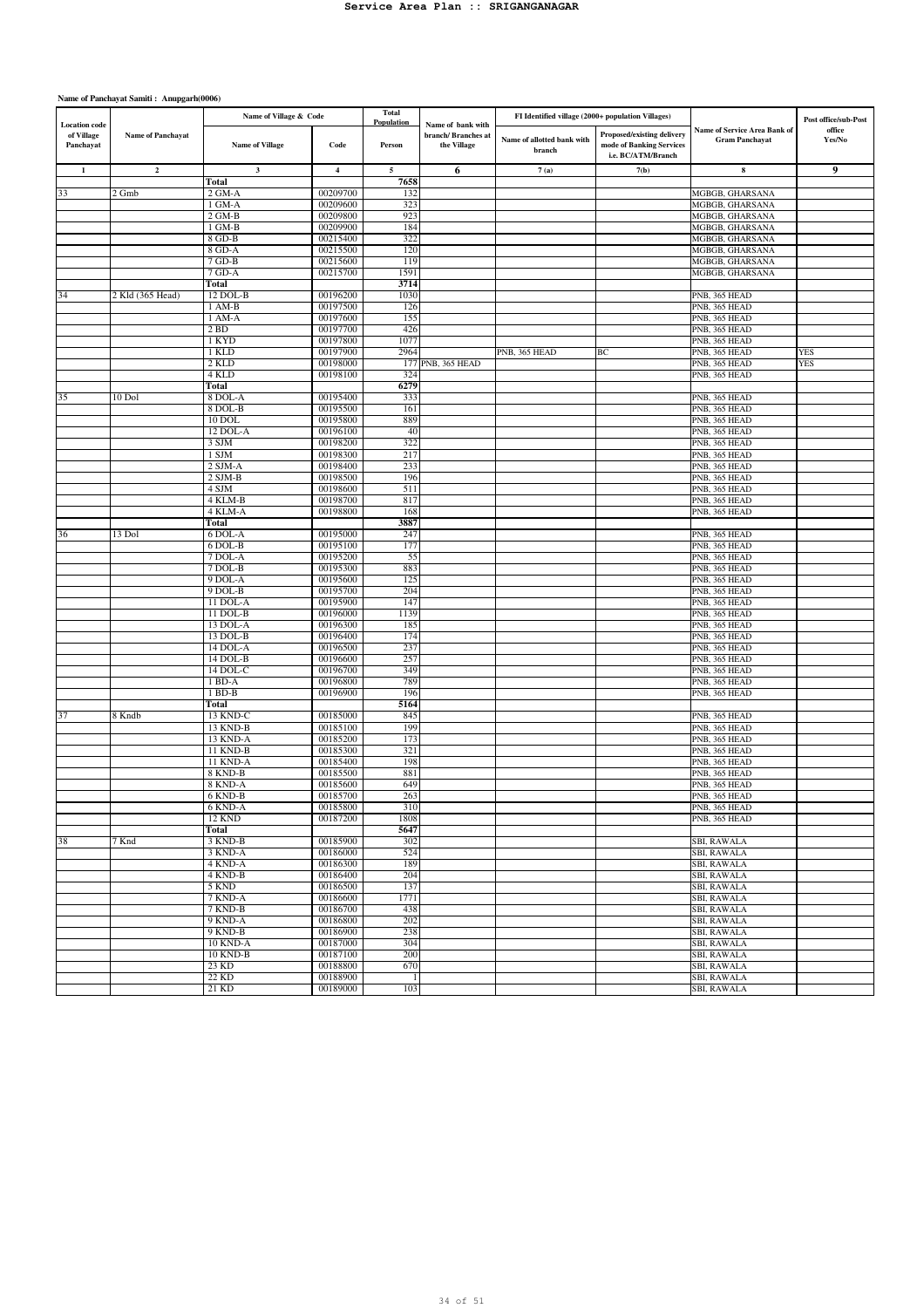|                                                 |                   | Name of Village & Code |                         | Total<br>Population |                                                         | FI Identified village (2000+ population Villages) |                                                                              |                                                       | Post office/sub-Post |
|-------------------------------------------------|-------------------|------------------------|-------------------------|---------------------|---------------------------------------------------------|---------------------------------------------------|------------------------------------------------------------------------------|-------------------------------------------------------|----------------------|
| <b>Location</b> code<br>of Village<br>Panchayat | Name of Panchayat | <b>Name of Village</b> | Code                    | Person              | Name of bank with<br>branch/ Branches at<br>the Village | Name of allotted bank with<br>branch              | Proposed/existing delivery<br>mode of Banking Services<br>i.e. BC/ATM/Branch | Name of Service Area Bank of<br><b>Gram Panchayat</b> | office<br>Yes/No     |
| $\mathbf{1}$                                    | $\overline{2}$    | $\mathbf 3$            | $\overline{\mathbf{4}}$ | $\sqrt{5}$          | 6                                                       | 7(a)                                              | 7(b)                                                                         | ${\bf 8}$                                             | 9                    |
|                                                 |                   | Total                  |                         | 7658                |                                                         |                                                   |                                                                              |                                                       |                      |
| 33                                              | 2 Gmb             | $2$ GM-A               | 00209700                | 132                 |                                                         |                                                   |                                                                              | MGBGB, GHARSANA                                       |                      |
|                                                 |                   | 1 GM-A<br>$2$ GM-B     | 00209600<br>00209800    | 323<br>923          |                                                         |                                                   |                                                                              | MGBGB, GHARSANA<br>MGBGB, GHARSANA                    |                      |
|                                                 |                   | 1 GM-B                 | 00209900                | 184                 |                                                         |                                                   |                                                                              | MGBGB, GHARSANA                                       |                      |
|                                                 |                   | 8 GD-B                 | 00215400                | 322                 |                                                         |                                                   |                                                                              | MGBGB, GHARSANA                                       |                      |
|                                                 |                   | 8 GD-A                 | 00215500                | 120                 |                                                         |                                                   |                                                                              | MGBGB, GHARSANA                                       |                      |
|                                                 |                   | $7$ GD-B               | 00215600                | 119                 |                                                         |                                                   |                                                                              | MGBGB, GHARSANA                                       |                      |
|                                                 |                   | $7$ GD-A               | 00215700                | 1591                |                                                         |                                                   |                                                                              | MGBGB, GHARSANA                                       |                      |
|                                                 |                   | Total                  |                         | 3714                |                                                         |                                                   |                                                                              |                                                       |                      |
| 34                                              | 2 Kld (365 Head)  | 12 DOL-B               | 00196200                | 1030                |                                                         |                                                   |                                                                              | PNB, 365 HEAD                                         |                      |
|                                                 |                   | 1 AM-B<br>$1 AM-A$     | 00197500<br>00197600    | 126<br>155          |                                                         |                                                   |                                                                              | PNB, 365 HEAD<br>PNB, 365 HEAD                        |                      |
|                                                 |                   | 2 BD                   | 00197700                | 426                 |                                                         |                                                   |                                                                              | PNB, 365 HEAD                                         |                      |
|                                                 |                   | 1 KYD                  | 00197800                | 1077                |                                                         |                                                   |                                                                              | PNB, 365 HEAD                                         |                      |
|                                                 |                   | 1 KLD                  | 00197900                | 2964                |                                                         | PNB, 365 HEAD                                     | BС                                                                           | PNB, 365 HEAD                                         | <b>YES</b>           |
|                                                 |                   | 2 KLD                  | 00198000                |                     | 177 PNB, 365 HEAD                                       |                                                   |                                                                              | PNB, 365 HEAD                                         | <b>YES</b>           |
|                                                 |                   | 4 KLD                  | 00198100                | 324                 |                                                         |                                                   |                                                                              | PNB, 365 HEAD                                         |                      |
|                                                 |                   | Total                  |                         | 6279                |                                                         |                                                   |                                                                              |                                                       |                      |
| 35                                              | 10 Dol            | 8 DOL-A                | 00195400                | 333                 |                                                         |                                                   |                                                                              | PNB, 365 HEAD                                         |                      |
|                                                 |                   | 8 DOL-B                | 00195500                | 161                 |                                                         |                                                   |                                                                              | PNB, 365 HEAD                                         |                      |
|                                                 |                   | 10 DOL<br>12 DOL-A     | 00195800                | 889<br>40           |                                                         |                                                   |                                                                              | PNB, 365 HEAD                                         |                      |
|                                                 |                   | 3 SJM                  | 00196100<br>00198200    | 322                 |                                                         |                                                   |                                                                              | PNB, 365 HEAD<br>PNB, 365 HEAD                        |                      |
|                                                 |                   | 1 SJM                  | 00198300                | 217                 |                                                         |                                                   |                                                                              | PNB, 365 HEAD                                         |                      |
|                                                 |                   | 2 SJM-A                | 00198400                | 233                 |                                                         |                                                   |                                                                              | PNB, 365 HEAD                                         |                      |
|                                                 |                   | 2 SJM-B                | 00198500                | 196                 |                                                         |                                                   |                                                                              | PNB, 365 HEAD                                         |                      |
|                                                 |                   | 4 SJM                  | 00198600                | 511                 |                                                         |                                                   |                                                                              | PNB, 365 HEAD                                         |                      |
|                                                 |                   | 4 KLM-B                | 00198700                | 817                 |                                                         |                                                   |                                                                              | PNB, 365 HEAD                                         |                      |
|                                                 |                   | 4 KLM-A                | 00198800                | 168                 |                                                         |                                                   |                                                                              | PNB, 365 HEAD                                         |                      |
|                                                 |                   | Total                  |                         | 3887                |                                                         |                                                   |                                                                              |                                                       |                      |
| 36                                              | 13 Dol            | $6$ DOL-A<br>6 DOL-B   | 00195000<br>00195100    | 247<br>177          |                                                         |                                                   |                                                                              | PNB, 365 HEAD<br>PNB, 365 HEAD                        |                      |
|                                                 |                   | 7 DOL-A                | 00195200                | 55                  |                                                         |                                                   |                                                                              | PNB, 365 HEAD                                         |                      |
|                                                 |                   | 7 DOL-B                | 00195300                | 883                 |                                                         |                                                   |                                                                              | PNB, 365 HEAD                                         |                      |
|                                                 |                   | 9 DOL-A                | 00195600                | 125                 |                                                         |                                                   |                                                                              | PNB, 365 HEAD                                         |                      |
|                                                 |                   | 9 DOL-B                | 00195700                | 204                 |                                                         |                                                   |                                                                              | PNB, 365 HEAD                                         |                      |
|                                                 |                   | 11 DOL-A               | 00195900                | 147                 |                                                         |                                                   |                                                                              | PNB, 365 HEAD                                         |                      |
|                                                 |                   | 11 DOL-B               | 00196000                | 1139                |                                                         |                                                   |                                                                              | PNB, 365 HEAD                                         |                      |
|                                                 |                   | 13 DOL-A               | 00196300                | 185                 |                                                         |                                                   |                                                                              | PNB, 365 HEAD                                         |                      |
|                                                 |                   | 13 DOL-B               | 00196400                | 174                 |                                                         |                                                   |                                                                              | PNB, 365 HEAD                                         |                      |
|                                                 |                   | 14 DOL-A               | 00196500<br>00196600    | 237                 |                                                         |                                                   |                                                                              | PNB, 365 HEAD                                         |                      |
|                                                 |                   | 14 DOL-B<br>14 DOL-C   | 00196700                | 257<br>349          |                                                         |                                                   |                                                                              | PNB, 365 HEAD<br>PNB, 365 HEAD                        |                      |
|                                                 |                   | 1 BD-A                 | 00196800                | 789                 |                                                         |                                                   |                                                                              | PNB, 365 HEAD                                         |                      |
|                                                 |                   | $1$ BD-B               | 00196900                | 196                 |                                                         |                                                   |                                                                              | PNB, 365 HEAD                                         |                      |
|                                                 |                   | Total                  |                         | 5164                |                                                         |                                                   |                                                                              |                                                       |                      |
| 37                                              | 8 Kndb            | 13 KND-C               | 00185000                | 845                 |                                                         |                                                   |                                                                              | PNB, 365 HEAD                                         |                      |
|                                                 |                   | 13 KND-B               | 00185100                | 199                 |                                                         |                                                   |                                                                              | PNB, 365 HEAD                                         |                      |
|                                                 |                   | 13 KND-A               | 00185200                | 173                 |                                                         |                                                   |                                                                              | PNB, 365 HEAD                                         |                      |
|                                                 |                   | 11 KND-B<br>11 KND-A   | 00185300                | 321<br>198          |                                                         |                                                   |                                                                              | PNB, 365 HEAD<br>PNB, 365 HEAD                        |                      |
|                                                 |                   | 8 KND-B                | 00185400<br>00185500    | 881                 |                                                         |                                                   |                                                                              | PNB, 365 HEAD                                         |                      |
|                                                 |                   | 8 KND-A                | 00185600                | 649                 |                                                         |                                                   |                                                                              | PNB, 365 HEAD                                         |                      |
|                                                 |                   | 6 KND-B                | 00185700                | 263                 |                                                         |                                                   |                                                                              | PNB, 365 HEAD                                         |                      |
|                                                 |                   | 6 KND-A                | 00185800                | 310                 |                                                         |                                                   |                                                                              | PNB, 365 HEAD                                         |                      |
|                                                 |                   | 12 KND                 | 00187200                | 1808                |                                                         |                                                   |                                                                              | PNB, 365 HEAD                                         |                      |
|                                                 |                   | Total                  |                         | 5647                |                                                         |                                                   |                                                                              |                                                       |                      |
| 38                                              | 7 Knd             | 3 KND-B                | 00185900                | 302                 |                                                         |                                                   |                                                                              | SBI, RAWALA                                           |                      |
|                                                 |                   | 3 KND-A                | 00186000                | 524                 |                                                         |                                                   |                                                                              | <b>SBI, RAWALA</b>                                    |                      |
|                                                 |                   | 4 KND-A                | 00186300                | 189                 |                                                         |                                                   |                                                                              | <b>SBI, RAWALA</b>                                    |                      |
|                                                 |                   | 4 KND-B<br>5 KND       | 00186400<br>00186500    | 204<br>137          |                                                         |                                                   |                                                                              | SBI, RAWALA<br>SBI, RAWALA                            |                      |
|                                                 |                   | 7 KND-A                | 00186600                | 1771                |                                                         |                                                   |                                                                              | <b>SBI, RAWALA</b>                                    |                      |
|                                                 |                   | 7 KND-B                | 00186700                | 438                 |                                                         |                                                   |                                                                              | <b>SBI, RAWALA</b>                                    |                      |
|                                                 |                   | 9 KND-A                | 00186800                | 202                 |                                                         |                                                   |                                                                              | <b>SBI, RAWALA</b>                                    |                      |
|                                                 |                   | 9 KND-B                | 00186900                | 238                 |                                                         |                                                   |                                                                              | SBI, RAWALA                                           |                      |
|                                                 |                   | <b>10 KND-A</b>        | 00187000                | 304                 |                                                         |                                                   |                                                                              | <b>SBI, RAWALA</b>                                    |                      |
|                                                 |                   | <b>10 KND-B</b>        | 00187100                | 200                 |                                                         |                                                   |                                                                              | SBI, RAWALA                                           |                      |
|                                                 |                   | 23 KD                  | 00188800                | 670                 |                                                         |                                                   |                                                                              | <b>SBI, RAWALA</b>                                    |                      |
|                                                 |                   | 22 KD<br>21 KD         | 00188900<br>00189000    | 1<br>103            |                                                         |                                                   |                                                                              | SBI, RAWALA<br>SBI, RAWALA                            |                      |
|                                                 |                   |                        |                         |                     |                                                         |                                                   |                                                                              |                                                       |                      |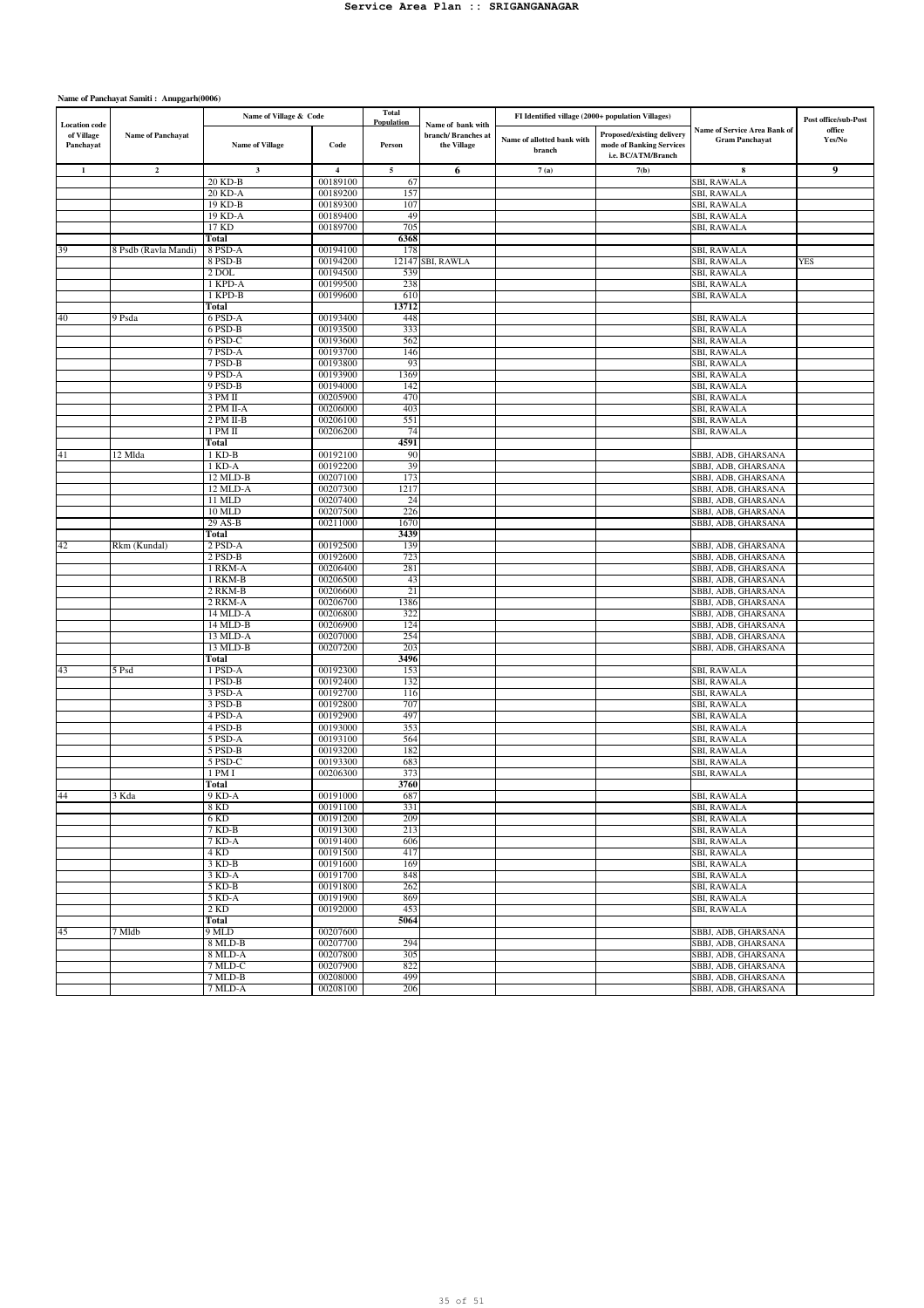|                                                 |                          | Name of Village & Code |                         | Total<br>Population | Name of bank with                  | FI Identified village (2000+ population Villages) |                                                                              |                                                       | Post office/sub-Post |
|-------------------------------------------------|--------------------------|------------------------|-------------------------|---------------------|------------------------------------|---------------------------------------------------|------------------------------------------------------------------------------|-------------------------------------------------------|----------------------|
| <b>Location</b> code<br>of Village<br>Panchayat | <b>Name of Panchayat</b> | <b>Name of Village</b> | Code                    | Person              | branch/ Branches at<br>the Village | Name of allotted bank with<br>branch              | Proposed/existing delivery<br>mode of Banking Services<br>i.e. BC/ATM/Branch | Name of Service Area Bank of<br><b>Gram Panchayat</b> | office<br>Yes/No     |
| $\mathbf{1}$                                    | $\overline{\mathbf{2}}$  | $\mathbf{3}$           | $\overline{\mathbf{4}}$ | 5                   | 6                                  | 7(a)                                              | 7(b)                                                                         | 8                                                     | 9                    |
|                                                 |                          | 20 KD-B                | 00189100                | 67                  |                                    |                                                   |                                                                              | SBI, RAWALA                                           |                      |
|                                                 |                          | 20 KD-A                | 00189200                | 157                 |                                    |                                                   |                                                                              | <b>SBI, RAWALA</b>                                    |                      |
|                                                 |                          | 19 KD-B                | 00189300                | 107                 |                                    |                                                   |                                                                              | SBI, RAWALA                                           |                      |
|                                                 |                          | 19 KD-A                | 00189400                | 49                  |                                    |                                                   |                                                                              | <b>SBI, RAWALA</b>                                    |                      |
|                                                 |                          | 17 KD<br>Total         | 00189700                | 705<br>6368         |                                    |                                                   |                                                                              | SBI, RAWALA                                           |                      |
| 39                                              | 8 Psdb (Ravla Mandi)     | 8 PSD-A                | 00194100                | 178                 |                                    |                                                   |                                                                              | SBI, RAWALA                                           |                      |
|                                                 |                          | 8 PSD-B                | 00194200                |                     | 12147 SBI, RAWLA                   |                                                   |                                                                              | SBI, RAWALA                                           | <b>YES</b>           |
|                                                 |                          | $2$ DOL                | 00194500                | 539                 |                                    |                                                   |                                                                              | SBI, RAWALA                                           |                      |
|                                                 |                          | 1 KPD-A                | 00199500                | 238                 |                                    |                                                   |                                                                              | <b>SBI, RAWALA</b>                                    |                      |
|                                                 |                          | 1 KPD-B                | 00199600                | 610                 |                                    |                                                   |                                                                              | SBI, RAWALA                                           |                      |
|                                                 |                          | Total                  |                         | 13712               |                                    |                                                   |                                                                              |                                                       |                      |
| 40                                              | 9 Psda                   | 6 PSD-A                | 00193400                | 448                 |                                    |                                                   |                                                                              | <b>SBI, RAWALA</b>                                    |                      |
|                                                 |                          | 6 PSD-B                | 00193500                | 333                 |                                    |                                                   |                                                                              | SBI, RAWALA                                           |                      |
|                                                 |                          | 6 PSD-C                | 00193600                | 562                 |                                    |                                                   |                                                                              | <b>SBI, RAWALA</b>                                    |                      |
|                                                 |                          | 7 PSD-A                | 00193700                | 146                 |                                    |                                                   |                                                                              | SBI, RAWALA                                           |                      |
|                                                 |                          | 7 PSD-B                | 00193800                | 93                  |                                    |                                                   |                                                                              | SBI, RAWALA                                           |                      |
|                                                 |                          | 9 PSD-A                | 00193900                | 1369                |                                    |                                                   |                                                                              | SBI, RAWALA                                           |                      |
|                                                 |                          | 9 PSD-B<br>3 PM II     | 00194000<br>00205900    | 142<br>470          |                                    |                                                   |                                                                              | SBI, RAWALA<br>SBI, RAWALA                            |                      |
|                                                 |                          | 2 PM II-A              | 00206000                | 403                 |                                    |                                                   |                                                                              | <b>SBI, RAWALA</b>                                    |                      |
|                                                 |                          | 2 PM II-B              | 00206100                | 551                 |                                    |                                                   |                                                                              | SBI, RAWALA                                           |                      |
|                                                 |                          | 1 PM II                | 00206200                | 74                  |                                    |                                                   |                                                                              | SBI, RAWALA                                           |                      |
|                                                 |                          | Total                  |                         | 4591                |                                    |                                                   |                                                                              |                                                       |                      |
| 41                                              | 12 Mlda                  | 1 KD-B                 | 00192100                | 90                  |                                    |                                                   |                                                                              | SBBJ, ADB, GHARSANA                                   |                      |
|                                                 |                          | 1 KDA                  | 00192200                | 39                  |                                    |                                                   |                                                                              | SBBJ, ADB, GHARSANA                                   |                      |
|                                                 |                          | 12 MLD-B               | 00207100                | 173                 |                                    |                                                   |                                                                              | SBBJ, ADB, GHARSANA                                   |                      |
|                                                 |                          | 12 MLD-A               | 00207300                | 1217                |                                    |                                                   |                                                                              | SBBJ, ADB, GHARSANA                                   |                      |
|                                                 |                          | 11 MLD                 | 00207400                | 24                  |                                    |                                                   |                                                                              | SBBJ, ADB, GHARSANA                                   |                      |
|                                                 |                          | <b>10 MLD</b>          | 00207500                | 226                 |                                    |                                                   |                                                                              | SBBJ, ADB, GHARSANA                                   |                      |
|                                                 |                          | 29 AS-B                | 00211000                | 1670                |                                    |                                                   |                                                                              | SBBJ, ADB, GHARSANA                                   |                      |
|                                                 |                          | Total                  |                         | 3439                |                                    |                                                   |                                                                              |                                                       |                      |
| 42                                              | Rkm (Kundal)             | 2 PSD-A<br>$2$ PSD-B   | 00192500<br>00192600    | 139<br>723          |                                    |                                                   |                                                                              | SBBJ, ADB, GHARSANA                                   |                      |
|                                                 |                          | 1 RKM-A                | 00206400                | 281                 |                                    |                                                   |                                                                              | SBBJ, ADB, GHARSANA<br>SBBJ, ADB, GHARSANA            |                      |
|                                                 |                          | 1 RKM-B                | 00206500                | 43                  |                                    |                                                   |                                                                              | SBBJ, ADB, GHARSANA                                   |                      |
|                                                 |                          | 2 RKM-B                | 00206600                | 21                  |                                    |                                                   |                                                                              | SBBJ, ADB, GHARSANA                                   |                      |
|                                                 |                          | 2 RKM-A                | 00206700                | 1386                |                                    |                                                   |                                                                              | SBBJ, ADB, GHARSANA                                   |                      |
|                                                 |                          | 14 MLD-A               | 00206800                | 322                 |                                    |                                                   |                                                                              | SBBJ, ADB, GHARSANA                                   |                      |
|                                                 |                          | 14 MLD-B               | 00206900                | 124                 |                                    |                                                   |                                                                              | SBBJ, ADB, GHARSANA                                   |                      |
|                                                 |                          | 13 MLD-A               | 00207000                | 254                 |                                    |                                                   |                                                                              | SBBJ, ADB, GHARSANA                                   |                      |
|                                                 |                          | 13 MLD-B               | 00207200                | 203                 |                                    |                                                   |                                                                              | SBBJ, ADB, GHARSANA                                   |                      |
|                                                 |                          | Total                  |                         | 3496                |                                    |                                                   |                                                                              |                                                       |                      |
| 43                                              | 5 Psd                    | 1 PSD-A                | 00192300                | 153                 |                                    |                                                   |                                                                              | SBI, RAWALA                                           |                      |
|                                                 |                          | 1 PSD-B                | 00192400                | 132                 |                                    |                                                   |                                                                              | SBI, RAWALA                                           |                      |
|                                                 |                          | 3 PSD-A                | 00192700                | 116                 |                                    |                                                   |                                                                              | SBI, RAWALA                                           |                      |
|                                                 |                          | 3 PSD-B                | 00192800                | 707<br>497          |                                    |                                                   |                                                                              | SBI, RAWALA                                           |                      |
|                                                 |                          | 4 PSD-A<br>4 PSD-B     | 00192900<br>00193000    | 353                 |                                    |                                                   |                                                                              | SBI, RAWALA<br><b>SBI, RAWALA</b>                     |                      |
|                                                 |                          | 5 PSD-A                | 00193100                | 564                 |                                    |                                                   |                                                                              | SBI, RAWALA                                           |                      |
|                                                 |                          | 5 PSD-B                | 00193200                | 182                 |                                    |                                                   |                                                                              | SBI, RAWALA                                           |                      |
|                                                 |                          | 5 PSD-C                | 00193300                | 683                 |                                    |                                                   |                                                                              | SBI, RAWALA                                           |                      |
|                                                 |                          | 1 PM I                 | 00206300                | 373                 |                                    |                                                   |                                                                              | SBI, RAWALA                                           |                      |
|                                                 |                          | Total                  |                         | 3760                |                                    |                                                   |                                                                              |                                                       |                      |
| 44                                              | 3 Kda                    | 9 KD-A                 | 00191000                | 687                 |                                    |                                                   |                                                                              | <b>SBI, RAWALA</b>                                    |                      |
|                                                 |                          | 8 KD                   | 00191100                | 331                 |                                    |                                                   |                                                                              | SBI, RAWALA                                           |                      |
|                                                 |                          | $6$ KD                 | 00191200                | 209                 |                                    |                                                   |                                                                              | SBI, RAWALA                                           |                      |
|                                                 |                          | $7 K D-B$              | 00191300                | 213                 |                                    |                                                   |                                                                              | <b>SBI, RAWALA</b>                                    |                      |
|                                                 |                          | 7 KD-A                 | 00191400                | 606                 |                                    |                                                   |                                                                              | SBI, RAWALA                                           |                      |
|                                                 |                          | 4 KD                   | 00191500                | 417                 |                                    |                                                   |                                                                              | SBI, RAWALA                                           |                      |
|                                                 |                          | 3 KD-B                 | 00191600                | 169                 |                                    |                                                   |                                                                              | SBI, RAWALA                                           |                      |
|                                                 |                          | 3 KD-A                 | 00191700<br>00191800    | 848                 |                                    |                                                   |                                                                              | SBI, RAWALA                                           |                      |
|                                                 |                          | 5 KD-B<br>5 KD-A       | 00191900                | 262<br>869          |                                    |                                                   |                                                                              | SBI, RAWALA<br>SBI, RAWALA                            |                      |
|                                                 |                          | 2 KD                   | 00192000                | 453                 |                                    |                                                   |                                                                              | SBI, RAWALA                                           |                      |
|                                                 |                          | Total                  |                         | 5064                |                                    |                                                   |                                                                              |                                                       |                      |
| 45                                              | 7 Mldb                   | 9 MLD                  | 00207600                |                     |                                    |                                                   |                                                                              | SBBJ, ADB, GHARSANA                                   |                      |
|                                                 |                          | 8 MLD-B                | 00207700                | 294                 |                                    |                                                   |                                                                              | SBBJ, ADB, GHARSANA                                   |                      |
|                                                 |                          | 8 MLD-A                | 00207800                | 305                 |                                    |                                                   |                                                                              | SBBJ, ADB, GHARSANA                                   |                      |
|                                                 |                          | 7 MLD-C                | 00207900                | 822                 |                                    |                                                   |                                                                              | SBBJ, ADB, GHARSANA                                   |                      |
|                                                 |                          | 7 MLD-B                | 00208000                | 499                 |                                    |                                                   |                                                                              | SBBJ, ADB, GHARSANA                                   |                      |
|                                                 |                          | 7 MLD-A                | 00208100                | 206                 |                                    |                                                   |                                                                              | SBBJ, ADB, GHARSANA                                   |                      |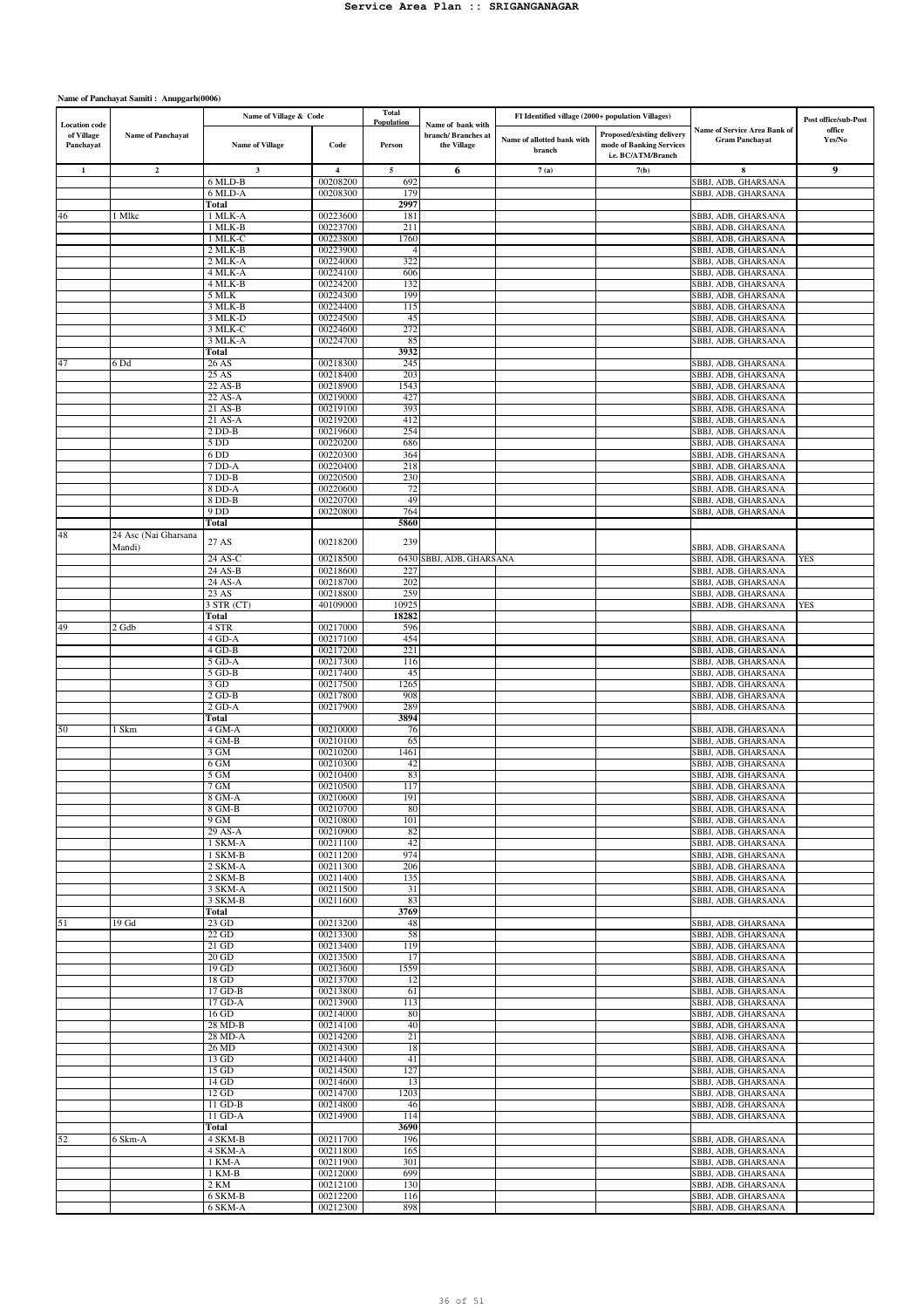| <b>Location</b> code    |                      | Name of Village & Code |                      | <b>Total</b><br>Population | Name of bank with                 | FI Identified village (2000+ population Villages) |                                                                              |                                                              | Post office/sub-Post |
|-------------------------|----------------------|------------------------|----------------------|----------------------------|-----------------------------------|---------------------------------------------------|------------------------------------------------------------------------------|--------------------------------------------------------------|----------------------|
| of Village<br>Panchayat | Name of Panchayat    | <b>Name of Village</b> | Code                 | Person                     | branch/Branches at<br>the Village | Name of allotted bank with<br>branch              | Proposed/existing delivery<br>mode of Banking Services<br>i.e. BC/ATM/Branch | <b>Name of Service Area Bank of</b><br><b>Gram Panchayat</b> | office<br>Yes/No     |
| $\mathbf{1}$            | $\mathbf{2}$         | $\mathbf{3}$           | $\overline{4}$       | 5                          | 6                                 | 7(a)                                              | 7(b)                                                                         | 8                                                            | 9                    |
|                         |                      | 6 MLD-B                | 00208200             | 692                        |                                   |                                                   |                                                                              | SBBJ, ADB, GHARSANA                                          |                      |
|                         |                      | 6 MLD-A                | 00208300             | 179                        |                                   |                                                   |                                                                              | SBBJ, ADB, GHARSANA                                          |                      |
|                         |                      | Total                  |                      | 2997                       |                                   |                                                   |                                                                              |                                                              |                      |
| 46                      | 1 Mlkc               | 1 MLK-A                | 00223600             | 181                        |                                   |                                                   |                                                                              | SBBJ, ADB, GHARSANA                                          |                      |
|                         |                      | 1 MLK-B<br>1 MLK-C     | 00223700<br>00223800 | 211<br>1760                |                                   |                                                   |                                                                              | SBBJ, ADB, GHARSANA<br>SBBJ, ADB, GHARSANA                   |                      |
|                         |                      | 2 MLK-B                | 00223900             | $\overline{4}$             |                                   |                                                   |                                                                              | SBBJ, ADB, GHARSANA                                          |                      |
|                         |                      | 2 MLK-A                | 00224000             | 322                        |                                   |                                                   |                                                                              | SBBJ, ADB, GHARSANA                                          |                      |
|                         |                      | 4 MLK-A                | 00224100             | 606                        |                                   |                                                   |                                                                              | SBBJ, ADB, GHARSANA                                          |                      |
|                         |                      | 4 MLK-B                | 00224200             | 132                        |                                   |                                                   |                                                                              | SBBJ, ADB, GHARSANA                                          |                      |
|                         |                      | 5 MLK                  | 00224300             | 199                        |                                   |                                                   |                                                                              | SBBJ, ADB, GHARSANA                                          |                      |
|                         |                      | 3 MLK-B<br>3 MLK-D     | 00224400<br>00224500 | 115<br>45                  |                                   |                                                   |                                                                              | SBBJ, ADB, GHARSANA<br>SBBJ, ADB, GHARSANA                   |                      |
|                         |                      | 3 MLK-C                | 00224600             | 272                        |                                   |                                                   |                                                                              | SBBJ, ADB, GHARSANA                                          |                      |
|                         |                      | 3 MLK-A                | 00224700             | 85                         |                                   |                                                   |                                                                              | SBBJ, ADB, GHARSANA                                          |                      |
|                         |                      | Total                  |                      | 3932                       |                                   |                                                   |                                                                              |                                                              |                      |
| 47                      | 6 Dd                 | 26 AS                  | 00218300             | 245                        |                                   |                                                   |                                                                              | SBBJ, ADB, GHARSANA                                          |                      |
|                         |                      | 25AS                   | 00218400             | 203                        |                                   |                                                   |                                                                              | SBBJ, ADB, GHARSANA                                          |                      |
|                         |                      | 22 AS-B<br>22 AS-A     | 00218900<br>00219000 | 1543                       |                                   |                                                   |                                                                              | SBBJ, ADB, GHARSANA                                          |                      |
|                         |                      | 21 AS-B                | 00219100             | 427<br>393                 |                                   |                                                   |                                                                              | SBBJ, ADB, GHARSANA<br>SBBJ, ADB, GHARSANA                   |                      |
|                         |                      | 21 AS-A                | 00219200             | 412                        |                                   |                                                   |                                                                              | SBBJ, ADB, GHARSANA                                          |                      |
|                         |                      | $2$ DD-B               | 00219600             | 254                        |                                   |                                                   |                                                                              | SBBJ, ADB, GHARSANA                                          |                      |
|                         |                      | 5 DD                   | 00220200             | 686                        |                                   |                                                   |                                                                              | SBBJ, ADB, GHARSANA                                          |                      |
|                         |                      | 6 DD                   | 00220300             | 364                        |                                   |                                                   |                                                                              | SBBJ, ADB, GHARSANA                                          |                      |
|                         |                      | 7 DD-A<br>7 DD-B       | 00220400<br>00220500 | 218                        |                                   |                                                   |                                                                              | SBBJ, ADB, GHARSANA                                          |                      |
|                         |                      | 8 DD-A                 | 00220600             | 230<br>72                  |                                   |                                                   |                                                                              | SBBJ, ADB, GHARSANA<br>SBBJ, ADB, GHARSANA                   |                      |
|                         |                      | 8 DD-B                 | 00220700             | 49                         |                                   |                                                   |                                                                              | SBBJ, ADB, GHARSANA                                          |                      |
|                         |                      | 9 DD                   | 00220800             | 764                        |                                   |                                                   |                                                                              | SBBJ, ADB, GHARSANA                                          |                      |
|                         |                      | Total                  |                      | 5860                       |                                   |                                                   |                                                                              |                                                              |                      |
| 48                      | 24 Asc (Nai Gharsana | 27 AS                  | 00218200             | 239                        |                                   |                                                   |                                                                              |                                                              |                      |
|                         | Mandi)               |                        |                      |                            |                                   |                                                   |                                                                              | SBBJ, ADB, GHARSANA                                          |                      |
|                         |                      | 24 AS-C                | 00218500             | 6430                       | SBBJ, ADB, GHARSANA               |                                                   |                                                                              | SBBJ, ADB, GHARSANA                                          | <b>YES</b>           |
|                         |                      | 24 AS-B                | 00218600             | 227                        |                                   |                                                   |                                                                              | SBBJ, ADB, GHARSANA                                          |                      |
|                         |                      | 24 AS-A<br>23 AS       | 00218700<br>00218800 | 202<br>259                 |                                   |                                                   |                                                                              | SBBJ, ADB, GHARSANA<br>SBBJ, ADB, GHARSANA                   |                      |
|                         |                      | 3 STR (CT)             | 40109000             | 1092:                      |                                   |                                                   |                                                                              | SBBJ, ADB, GHARSANA                                          | <b>YES</b>           |
|                         |                      | Total                  |                      | 18282                      |                                   |                                                   |                                                                              |                                                              |                      |
| 49                      | 2 Gdb                | 4 STR                  | 00217000             | 596                        |                                   |                                                   |                                                                              | SBBJ, ADB, GHARSANA                                          |                      |
|                         |                      | 4 GD-A                 | 00217100             | 454                        |                                   |                                                   |                                                                              | SBBJ, ADB, GHARSANA                                          |                      |
|                         |                      | $4$ GD-B               | 00217200             | 221                        |                                   |                                                   |                                                                              | SBBJ, ADB, GHARSANA                                          |                      |
|                         |                      | 5 GD-A                 | 00217300             | 116                        |                                   |                                                   |                                                                              | SBBJ, ADB, GHARSANA                                          |                      |
|                         |                      | 5 GD-B<br>3 GD         | 00217400<br>00217500 | 45<br>1265                 |                                   |                                                   |                                                                              | SBBJ, ADB, GHARSANA<br>SBBJ, ADB, GHARSANA                   |                      |
|                         |                      | $2$ GD-B               | 00217800             | 908                        |                                   |                                                   |                                                                              | SBBJ, ADB, GHARSANA                                          |                      |
|                         |                      | $2$ GD-A               | 00217900             | 289                        |                                   |                                                   |                                                                              | SBBJ, ADB, GHARSANA                                          |                      |
|                         |                      | Total                  |                      | 3894                       |                                   |                                                   |                                                                              |                                                              |                      |
| 50                      | l Skm                | 4 GM-A                 | 00210000             | 76                         |                                   |                                                   |                                                                              | SBBJ, ADB, GHARSANA                                          |                      |
|                         |                      | 4 GM-B                 | 00210100             | 65                         |                                   |                                                   |                                                                              | SBBJ, ADB, GHARSANA                                          |                      |
|                         |                      | 3 GM                   | 00210200             | 1461                       |                                   |                                                   |                                                                              | SBBJ, ADB, GHARSANA                                          |                      |
|                         |                      | 6 GM<br>5 GM           | 00210300<br>00210400 | 42<br>83                   |                                   |                                                   |                                                                              | SBBJ, ADB, GHARSANA<br>SBBJ, ADB, GHARSANA                   |                      |
|                         |                      | 7 GM                   | 00210500             | 117                        |                                   |                                                   |                                                                              | SBBJ, ADB, GHARSANA                                          |                      |
|                         |                      | 8 GM-A                 | 00210600             | 191                        |                                   |                                                   |                                                                              | SBBJ, ADB, GHARSANA                                          |                      |
|                         |                      | 8 GM-B                 | 00210700             | 80                         |                                   |                                                   |                                                                              | SBBJ, ADB, GHARSANA                                          |                      |
|                         |                      | $9$ GM                 | 00210800             | 101                        |                                   |                                                   |                                                                              | SBBJ, ADB, GHARSANA                                          |                      |
|                         |                      | 29 AS-A                | 00210900             | 82                         |                                   |                                                   |                                                                              | SBBJ, ADB, GHARSANA                                          |                      |
|                         |                      | 1 SKM-A                | 00211100             | 42                         |                                   |                                                   |                                                                              | SBBJ, ADB, GHARSANA                                          |                      |
|                         |                      | 1 SKM-B<br>2 SKM-A     | 00211200<br>00211300 | 974<br>206                 |                                   |                                                   |                                                                              | SBBJ, ADB, GHARSANA<br>SBBJ, ADB, GHARSANA                   |                      |
|                         |                      | 2 SKM-B                | 00211400             | 135                        |                                   |                                                   |                                                                              | SBBJ, ADB, GHARSANA                                          |                      |
|                         |                      | 3 SKM-A                | 00211500             | 31                         |                                   |                                                   |                                                                              | SBBJ, ADB, GHARSANA                                          |                      |
|                         |                      | 3 SKM-B                | 00211600             | 83                         |                                   |                                                   |                                                                              | SBBJ, ADB, GHARSANA                                          |                      |
|                         |                      | Total                  |                      | 3769                       |                                   |                                                   |                                                                              |                                                              |                      |
| 51                      | 19 <sub>6d</sub>     | $23$ GD                | 00213200             | 48                         |                                   |                                                   |                                                                              | SBBJ, ADB, GHARSANA                                          |                      |
|                         |                      | $22$ GD<br>$21$ GD     | 00213300<br>00213400 | 58<br>119                  |                                   |                                                   |                                                                              | SBBJ, ADB, GHARSANA<br>SBBJ, ADB, GHARSANA                   |                      |
|                         |                      | 20 GD                  | 00213500             | 17                         |                                   |                                                   |                                                                              | SBBJ, ADB, GHARSANA                                          |                      |
|                         |                      | $19$ GD                | 00213600             | 1559                       |                                   |                                                   |                                                                              | SBBJ, ADB, GHARSANA                                          |                      |
|                         |                      | $18$ GD                | 00213700             | 12                         |                                   |                                                   |                                                                              | SBBJ, ADB, GHARSANA                                          |                      |
|                         |                      | $17$ GD-B              | 00213800             | 61                         |                                   |                                                   |                                                                              | SBBJ, ADB, GHARSANA                                          |                      |
|                         |                      | 17 GD-A                | 00213900             | 113                        |                                   |                                                   |                                                                              | SBBJ, ADB, GHARSANA                                          |                      |
|                         |                      | 16 GD<br>28 MD-B       | 00214000<br>00214100 | 80                         |                                   |                                                   |                                                                              | SBBJ, ADB, GHARSANA                                          |                      |
|                         |                      | 28 MD-A                | 00214200             | 40<br>21                   |                                   |                                                   |                                                                              | SBBJ, ADB, GHARSANA<br>SBBJ, ADB, GHARSANA                   |                      |
|                         |                      | 26 MD                  | 00214300             | 18                         |                                   |                                                   |                                                                              | SBBJ, ADB, GHARSANA                                          |                      |
|                         |                      | 13 GD                  | 00214400             | 41                         |                                   |                                                   |                                                                              | SBBJ, ADB, GHARSANA                                          |                      |
|                         |                      | $15$ GD                | 00214500             | 127                        |                                   |                                                   |                                                                              | SBBJ, ADB, GHARSANA                                          |                      |
|                         |                      | $14$ GD                | 00214600             | 13                         |                                   |                                                   |                                                                              | SBBJ, ADB, GHARSANA                                          |                      |
|                         |                      | 12 GD                  | 00214700             | 1203                       |                                   |                                                   |                                                                              | SBBJ, ADB, GHARSANA                                          |                      |
|                         |                      | 11 GD-B                | 00214800<br>00214900 | 46<br>114                  |                                   |                                                   |                                                                              | SBBJ, ADB, GHARSANA                                          |                      |
|                         |                      | 11 GD-A<br>Total       |                      | 3690                       |                                   |                                                   |                                                                              | SBBJ, ADB, GHARSANA                                          |                      |
| 52                      | 6 Skm-A              | 4 SKM-B                | 00211700             | 196                        |                                   |                                                   |                                                                              | SBBJ, ADB, GHARSANA                                          |                      |
|                         |                      | 4 SKM-A                | 00211800             | 165                        |                                   |                                                   |                                                                              | SBBJ, ADB, GHARSANA                                          |                      |
|                         |                      | 1 KM-A                 | 00211900             | 301                        |                                   |                                                   |                                                                              | SBBJ, ADB, GHARSANA                                          |                      |
|                         |                      | 1 KM-B                 | 00212000             | 699                        |                                   |                                                   |                                                                              | SBBJ, ADB, GHARSANA                                          |                      |
|                         |                      | 2 KM                   | 00212100             | 130                        |                                   |                                                   |                                                                              | SBBJ, ADB, GHARSANA                                          |                      |
|                         |                      | 6 SKM-B                | 00212200             | 116                        |                                   |                                                   |                                                                              | SBBJ, ADB, GHARSANA                                          |                      |
|                         |                      | 6 SKM-A                | 00212300             | 898                        |                                   |                                                   |                                                                              | SBBJ, ADB, GHARSANA                                          |                      |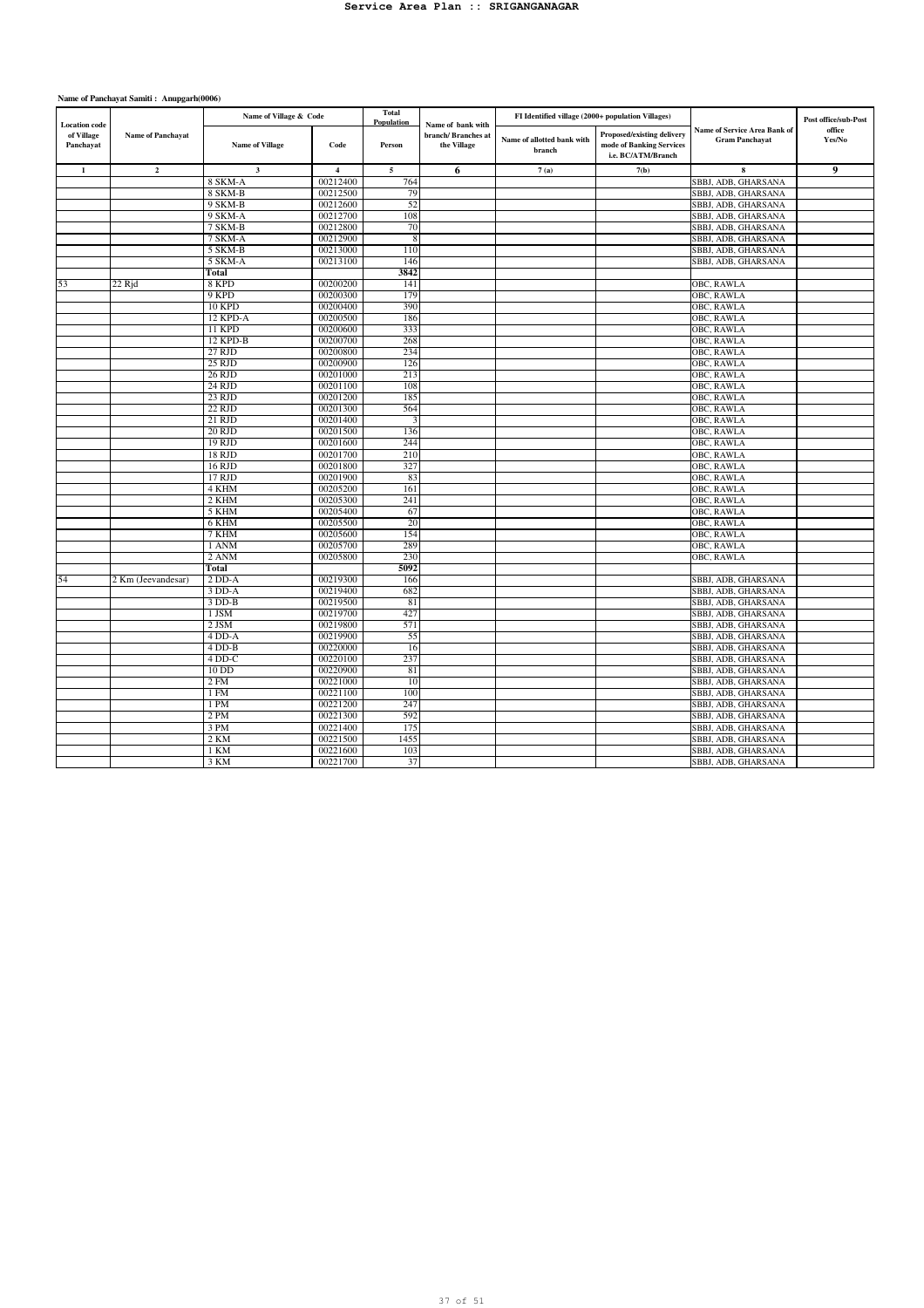| <b>Location</b> code    |                          | Name of Village & Code  |                         | <b>Total</b><br>Population | Name of bank with                 | FI Identified village (2000+ population Villages) |                                                                              |                                                       | Post office/sub-Post |
|-------------------------|--------------------------|-------------------------|-------------------------|----------------------------|-----------------------------------|---------------------------------------------------|------------------------------------------------------------------------------|-------------------------------------------------------|----------------------|
| of Village<br>Panchayat | <b>Name of Panchayat</b> | <b>Name of Village</b>  | Code                    | Person                     | branch/Branches at<br>the Village | Name of allotted bank with<br>branch              | Proposed/existing delivery<br>mode of Banking Services<br>i.e. BC/ATM/Branch | Name of Service Area Bank of<br><b>Gram Panchayat</b> | office<br>Yes/No     |
| $\mathbf 1$             | $\mathbf 2$              | $\overline{\mathbf{3}}$ | $\overline{\mathbf{4}}$ | $\overline{5}$             | 6                                 | 7(a)                                              | 7(b)                                                                         | 8                                                     | 9                    |
|                         |                          | 8 SKM-A                 | 00212400                | 764                        |                                   |                                                   |                                                                              | SBBJ, ADB, GHARSANA                                   |                      |
|                         |                          | 8 SKM-B                 | 00212500                | 79                         |                                   |                                                   |                                                                              | SBBJ, ADB, GHARSANA                                   |                      |
|                         |                          | 9 SKM-B                 | 00212600                | 52                         |                                   |                                                   |                                                                              | SBBJ, ADB, GHARSANA                                   |                      |
|                         |                          | 9 SKM-A                 | 00212700                | 108                        |                                   |                                                   |                                                                              | SBBJ, ADB, GHARSANA                                   |                      |
|                         |                          | 7 SKM-B                 | 00212800                | 70                         |                                   |                                                   |                                                                              | SBBJ, ADB, GHARSANA                                   |                      |
|                         |                          | 7 SKM-A                 | 00212900                | 8                          |                                   |                                                   |                                                                              | SBBJ, ADB, GHARSANA                                   |                      |
|                         |                          | 5 SKM-B                 | 00213000                | 110                        |                                   |                                                   |                                                                              | SBBJ, ADB, GHARSANA                                   |                      |
|                         |                          | 5 SKM-A                 | 00213100                | 146                        |                                   |                                                   |                                                                              | SBBJ, ADB, GHARSANA                                   |                      |
|                         |                          | Total                   |                         | 3842                       |                                   |                                                   |                                                                              |                                                       |                      |
| 53                      | 22 Rid                   | 8 KPD                   | 00200200                | 141                        |                                   |                                                   |                                                                              | OBC, RAWLA                                            |                      |
|                         |                          | 9 KPD                   | 00200300                | 179                        |                                   |                                                   |                                                                              | OBC, RAWLA                                            |                      |
|                         |                          | <b>10 KPD</b>           | 00200400                | 390                        |                                   |                                                   |                                                                              | OBC, RAWLA                                            |                      |
|                         |                          | 12 KPD-A                | 00200500                | 186                        |                                   |                                                   |                                                                              | OBC, RAWLA                                            |                      |
|                         |                          | 11 KPD                  | 00200600<br>00200700    | 333                        |                                   |                                                   |                                                                              | OBC, RAWLA                                            |                      |
|                         |                          | 12 KPD-B<br>27 RJD      | 00200800                | 268<br>234                 |                                   |                                                   |                                                                              | OBC, RAWLA<br>OBC, RAWLA                              |                      |
|                         |                          | 25 RJD                  | 00200900                | 126                        |                                   |                                                   |                                                                              | OBC, RAWLA                                            |                      |
|                         |                          | 26 RJD                  | 00201000                | 213                        |                                   |                                                   |                                                                              | OBC, RAWLA                                            |                      |
|                         |                          | 24 RJD                  | 00201100                | 108                        |                                   |                                                   |                                                                              | OBC, RAWLA                                            |                      |
|                         |                          | 23 RJD                  | 00201200                | 185                        |                                   |                                                   |                                                                              | OBC, RAWLA                                            |                      |
|                         |                          | 22 RJD                  | 00201300                | 564                        |                                   |                                                   |                                                                              | OBC, RAWLA                                            |                      |
|                         |                          | 21 RJD                  | 00201400                | 3                          |                                   |                                                   |                                                                              | OBC, RAWLA                                            |                      |
|                         |                          | <b>20 RJD</b>           | 00201500                | 136                        |                                   |                                                   |                                                                              | OBC, RAWLA                                            |                      |
|                         |                          | 19 RJD                  | 00201600                | 244                        |                                   |                                                   |                                                                              | OBC, RAWLA                                            |                      |
|                         |                          | 18 RJD                  | 00201700                | 210                        |                                   |                                                   |                                                                              | OBC, RAWLA                                            |                      |
|                         |                          | 16 RJD                  | 00201800                | 327                        |                                   |                                                   |                                                                              | OBC, RAWLA                                            |                      |
|                         |                          | 17 RJD                  | 00201900                | 83                         |                                   |                                                   |                                                                              | OBC, RAWLA                                            |                      |
|                         |                          | 4 KHM                   | 00205200                | 161                        |                                   |                                                   |                                                                              | <b>OBC, RAWLA</b>                                     |                      |
|                         |                          | 2 KHM                   | 00205300                | 241                        |                                   |                                                   |                                                                              | OBC, RAWLA                                            |                      |
|                         |                          | 5 KHM                   | 00205400                | 67                         |                                   |                                                   |                                                                              | OBC, RAWLA                                            |                      |
|                         |                          | 6 KHM                   | 00205500                | 20                         |                                   |                                                   |                                                                              | OBC, RAWLA                                            |                      |
|                         |                          | 7 KHM                   | 00205600                | 154                        |                                   |                                                   |                                                                              | OBC, RAWLA                                            |                      |
|                         |                          | 1 ANM                   | 00205700                | 289                        |                                   |                                                   |                                                                              | OBC, RAWLA                                            |                      |
|                         |                          | 2 ANM                   | 00205800                | 230                        |                                   |                                                   |                                                                              | OBC, RAWLA                                            |                      |
|                         |                          | Total                   |                         | 5092                       |                                   |                                                   |                                                                              |                                                       |                      |
| 54                      | 2 Km (Jeevandesar)       | $2$ DD-A                | 00219300                | 166                        |                                   |                                                   |                                                                              | SBBJ, ADB, GHARSANA                                   |                      |
|                         |                          | $3$ DD-A                | 00219400                | 682                        |                                   |                                                   |                                                                              | SBBJ, ADB, GHARSANA                                   |                      |
|                         |                          | $3$ DD-B                | 00219500                | 81                         |                                   |                                                   |                                                                              | SBBJ, ADB, GHARSANA                                   |                      |
|                         |                          | 1 JSM<br>2 JSM          | 00219700<br>00219800    | 427<br>571                 |                                   |                                                   |                                                                              | SBBJ, ADB, GHARSANA<br>SBBJ, ADB, GHARSANA            |                      |
|                         |                          | 4 DD-A                  | 00219900                |                            |                                   |                                                   |                                                                              |                                                       |                      |
|                         |                          | $4$ DD-B                | 00220000                | 55<br>16                   |                                   |                                                   |                                                                              | SBBJ, ADB, GHARSANA<br>SBBJ, ADB, GHARSANA            |                      |
|                         |                          | 4 DD-C                  | 00220100                | 237                        |                                   |                                                   |                                                                              | SBBJ, ADB, GHARSANA                                   |                      |
|                         |                          | 10 DD                   | 00220900                | 81                         |                                   |                                                   |                                                                              | SBBJ, ADB, GHARSANA                                   |                      |
|                         |                          | 2 F M                   | 00221000                | 10                         |                                   |                                                   |                                                                              | SBBJ, ADB, GHARSANA                                   |                      |
|                         |                          | 1 FM                    | 00221100                | 100                        |                                   |                                                   |                                                                              | SBBJ, ADB, GHARSANA                                   |                      |
|                         |                          | 1 PM                    | 00221200                | 247                        |                                   |                                                   |                                                                              | SBBJ, ADB, GHARSANA                                   |                      |
|                         |                          | 2PM                     | 00221300                | 592                        |                                   |                                                   |                                                                              | SBBJ, ADB, GHARSANA                                   |                      |
|                         |                          | 3 PM                    | 00221400                | 175                        |                                   |                                                   |                                                                              | SBBJ, ADB, GHARSANA                                   |                      |
|                         |                          | $2$ KM                  | 00221500                | 1455                       |                                   |                                                   |                                                                              | SBBJ, ADB, GHARSANA                                   |                      |
|                         |                          | 1 KM                    | 00221600                | 103                        |                                   |                                                   |                                                                              | SBBJ, ADB, GHARSANA                                   |                      |
|                         |                          | 3 KM                    | 00221700                | 37                         |                                   |                                                   |                                                                              | SBBJ, ADB, GHARSANA                                   |                      |
|                         |                          |                         |                         |                            |                                   |                                                   |                                                                              |                                                       |                      |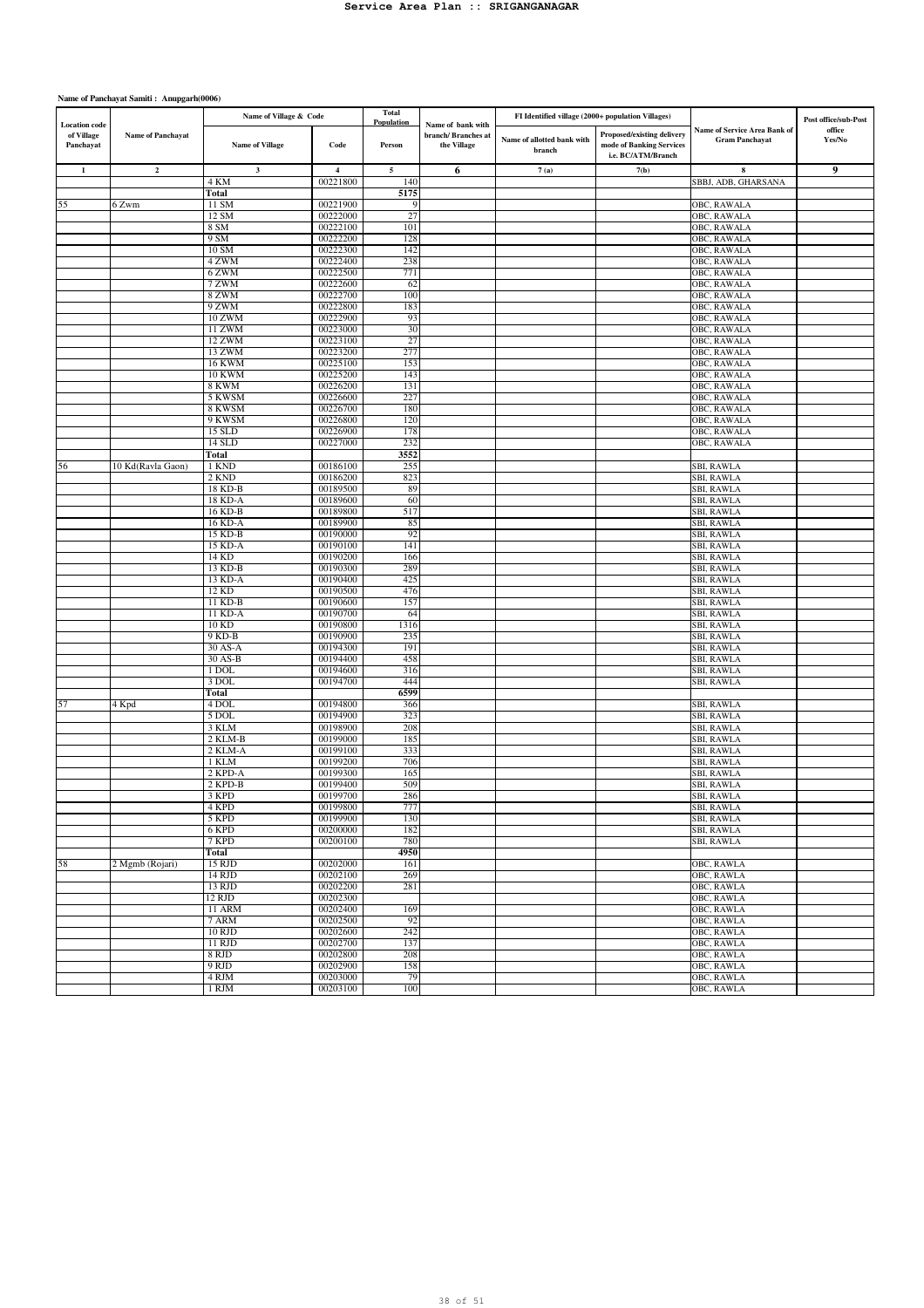|                                                 |                          | Name of Village & Code  |                      | <b>Total</b>         |                                                        | FI Identified village (2000+ population Villages) |                                                                              |                                                       | Post office/sub-Post |
|-------------------------------------------------|--------------------------|-------------------------|----------------------|----------------------|--------------------------------------------------------|---------------------------------------------------|------------------------------------------------------------------------------|-------------------------------------------------------|----------------------|
| <b>Location</b> code<br>of Village<br>Panchayat | <b>Name of Panchayat</b> | <b>Name of Village</b>  | Code                 | Population<br>Person | Name of bank with<br>branch/Branches at<br>the Village | Name of allotted bank with<br>branch              | Proposed/existing delivery<br>mode of Banking Services<br>i.e. BC/ATM/Branch | Name of Service Area Bank of<br><b>Gram Panchayat</b> | office<br>Yes/No     |
| $\mathbf{1}$                                    | $\mathbf 2$              | $\mathbf 3$             | 4                    | 5                    | 6                                                      | 7(a)                                              | 7(b)                                                                         | 8                                                     | 9                    |
|                                                 |                          | 4 KM                    | 00221800             | 140                  |                                                        |                                                   |                                                                              | SBBJ, ADB, GHARSANA                                   |                      |
|                                                 |                          | Total                   |                      | 5175                 |                                                        |                                                   |                                                                              |                                                       |                      |
| 55                                              | 6 Zwm                    | 11 SM                   | 00221900             | 9                    |                                                        |                                                   |                                                                              | <b>OBC, RAWALA</b>                                    |                      |
|                                                 |                          | 12 SM                   | 00222000             | 27                   |                                                        |                                                   |                                                                              | OBC, RAWALA                                           |                      |
|                                                 |                          | 8 SM                    | 00222100             | 101                  |                                                        |                                                   |                                                                              | OBC, RAWALA                                           |                      |
|                                                 |                          | 9 SM                    | 00222200<br>00222300 | 128                  |                                                        |                                                   |                                                                              | OBC, RAWALA                                           |                      |
|                                                 |                          | 10 SM<br>4 ZWM          | 00222400             | 142<br>238           |                                                        |                                                   |                                                                              | OBC, RAWALA<br>OBC, RAWALA                            |                      |
|                                                 |                          | 6 ZWM                   | 00222500             | 771                  |                                                        |                                                   |                                                                              | OBC, RAWALA                                           |                      |
|                                                 |                          | 7 ZWM                   | 00222600             | 62                   |                                                        |                                                   |                                                                              | OBC, RAWALA                                           |                      |
|                                                 |                          | 8 ZWM                   | 00222700             | 100                  |                                                        |                                                   |                                                                              | OBC, RAWALA                                           |                      |
|                                                 |                          | 9 ZWM                   | 00222800             | 183                  |                                                        |                                                   |                                                                              | OBC, RAWALA                                           |                      |
|                                                 |                          | 10 ZWM                  | 00222900             | 93                   |                                                        |                                                   |                                                                              | OBC, RAWALA                                           |                      |
|                                                 |                          | 11 ZWM                  | 00223000             | 30                   |                                                        |                                                   |                                                                              | OBC, RAWALA                                           |                      |
|                                                 |                          | 12 ZWM                  | 00223100             | 27                   |                                                        |                                                   |                                                                              | OBC, RAWALA                                           |                      |
|                                                 |                          | 13 ZWM                  | 00223200             | 277                  |                                                        |                                                   |                                                                              | OBC, RAWALA                                           |                      |
|                                                 |                          | <b>16 KWM</b>           | 00225100             | 153                  |                                                        |                                                   |                                                                              | OBC, RAWALA                                           |                      |
|                                                 |                          | <b>10 KWM</b>           | 00225200             | 143                  |                                                        |                                                   |                                                                              | OBC, RAWALA                                           |                      |
|                                                 |                          | 8 KWM                   | 00226200             | 131                  |                                                        |                                                   |                                                                              | OBC, RAWALA                                           |                      |
|                                                 |                          | 5 KWSM                  | 00226600             | 227                  |                                                        |                                                   |                                                                              | OBC, RAWALA                                           |                      |
|                                                 |                          | 8 KWSM<br>9 KWSM        | 00226700<br>00226800 | 180<br>120           |                                                        |                                                   |                                                                              | OBC, RAWALA<br>OBC, RAWALA                            |                      |
|                                                 |                          | 15 SLD                  | 00226900             | 178                  |                                                        |                                                   |                                                                              | OBC, RAWALA                                           |                      |
|                                                 |                          | 14 SLD                  | 00227000             | 232                  |                                                        |                                                   |                                                                              | <b>OBC, RAWALA</b>                                    |                      |
|                                                 |                          | Total                   |                      | 3552                 |                                                        |                                                   |                                                                              |                                                       |                      |
| 56                                              | 10 Kd(Ravla Gaon)        | 1 KND                   | 00186100             | 255                  |                                                        |                                                   |                                                                              | SBI, RAWLA                                            |                      |
|                                                 |                          | 2 KND                   | 00186200             | 823                  |                                                        |                                                   |                                                                              | SBI, RAWLA                                            |                      |
|                                                 |                          | 18 KD-B                 | 00189500             | 89                   |                                                        |                                                   |                                                                              | SBI, RAWLA                                            |                      |
|                                                 |                          | 18 KD-A                 | 00189600             | 60                   |                                                        |                                                   |                                                                              | <b>SBI, RAWLA</b>                                     |                      |
|                                                 |                          | 16 KD-B                 | 00189800             | 517                  |                                                        |                                                   |                                                                              | <b>SBI, RAWLA</b>                                     |                      |
|                                                 |                          | 16 KD-A                 | 00189900             | 85                   |                                                        |                                                   |                                                                              | SBI, RAWLA                                            |                      |
|                                                 |                          | $15$ KD-B               | 00190000             | 92                   |                                                        |                                                   |                                                                              | SBI, RAWLA                                            |                      |
|                                                 |                          | 15 KD-A                 | 00190100             | 141                  |                                                        |                                                   |                                                                              | SBI, RAWLA                                            |                      |
|                                                 |                          | 14 KD                   | 00190200<br>00190300 | 166                  |                                                        |                                                   |                                                                              | SBI, RAWLA                                            |                      |
|                                                 |                          | 13 KD-B<br>13 KD-A      | 00190400             | 289<br>425           |                                                        |                                                   |                                                                              | SBI, RAWLA<br>SBI, RAWLA                              |                      |
|                                                 |                          | 12 KD                   | 00190500             | 476                  |                                                        |                                                   |                                                                              | SBI, RAWLA                                            |                      |
|                                                 |                          | 11 KD-B                 | 00190600             | 157                  |                                                        |                                                   |                                                                              | SBI, RAWLA                                            |                      |
|                                                 |                          | 11 KD-A                 | 00190700             | 64                   |                                                        |                                                   |                                                                              | SBI, RAWLA                                            |                      |
|                                                 |                          | 10 KD                   | 00190800             | 1316                 |                                                        |                                                   |                                                                              | SBI, RAWLA                                            |                      |
|                                                 |                          | $9 K D-B$               | 00190900             | 235                  |                                                        |                                                   |                                                                              | SBI, RAWLA                                            |                      |
|                                                 |                          | 30 AS-A                 | 00194300             | 191                  |                                                        |                                                   |                                                                              | SBI, RAWLA                                            |                      |
|                                                 |                          | 30 AS-B                 | 00194400             | 458                  |                                                        |                                                   |                                                                              | SBI, RAWLA                                            |                      |
|                                                 |                          | 1 DOL                   | 00194600             | 316                  |                                                        |                                                   |                                                                              | SBI, RAWLA                                            |                      |
|                                                 |                          | 3 DOL                   | 00194700             | 444                  |                                                        |                                                   |                                                                              | SBI, RAWLA                                            |                      |
|                                                 |                          | Total                   |                      | 6599                 |                                                        |                                                   |                                                                              |                                                       |                      |
| 57                                              | 4 Kpd                    | 4 DOL                   | 00194800             | 366                  |                                                        |                                                   |                                                                              | SBI, RAWLA                                            |                      |
|                                                 |                          | 5 DOL                   | 00194900<br>00198900 | 323                  |                                                        |                                                   |                                                                              | <b>SBI, RAWLA</b>                                     |                      |
|                                                 |                          | 3 KLM<br>2 KLM-B        | 00199000             | 208<br>185           |                                                        |                                                   |                                                                              | <b>SBI, RAWLA</b>                                     |                      |
|                                                 |                          | 2 KLM-A                 | 00199100             | 333                  |                                                        |                                                   |                                                                              | SBI, RAWLA<br>SBI, RAWLA                              |                      |
|                                                 |                          | 1 KLM                   | 00199200             | 706                  |                                                        |                                                   |                                                                              | SBI, RAWLA                                            |                      |
|                                                 |                          | 2 KPD-A                 | 00199300             | 165                  |                                                        |                                                   |                                                                              | SBI, RAWLA                                            |                      |
|                                                 |                          | 2 KPD-B                 | 00199400             | 509                  |                                                        |                                                   |                                                                              | SBI, RAWLA                                            |                      |
|                                                 |                          | 3 KPD                   | 00199700             | 286                  |                                                        |                                                   |                                                                              | SBI, RAWLA                                            |                      |
|                                                 |                          | 4 KPD                   | 00199800             | 777                  |                                                        |                                                   |                                                                              | SBI, RAWLA                                            |                      |
|                                                 |                          | 5 KPD                   | 00199900             | 130                  |                                                        |                                                   |                                                                              | SBI, RAWLA                                            |                      |
|                                                 |                          | 6 KPD                   | 00200000             | 182                  |                                                        |                                                   |                                                                              | <b>SBI, RAWLA</b>                                     |                      |
|                                                 |                          | 7 KPD                   | 00200100             | 780                  |                                                        |                                                   |                                                                              | SBI, RAWLA                                            |                      |
|                                                 |                          | Total                   |                      | 4950                 |                                                        |                                                   |                                                                              |                                                       |                      |
| 58                                              | 2 Mgmb (Rojari)          | 15 RJD                  | 00202000             | 161                  |                                                        |                                                   |                                                                              | OBC, RAWLA                                            |                      |
|                                                 |                          | 14 RJD                  | 00202100             | 269                  |                                                        |                                                   |                                                                              | OBC, RAWLA                                            |                      |
|                                                 |                          | 13 RJD                  | 00202200             | 281                  |                                                        |                                                   |                                                                              | OBC, RAWLA                                            |                      |
|                                                 |                          | 12 RJD<br><b>11 ARM</b> | 00202300<br>00202400 | 169                  |                                                        |                                                   |                                                                              | OBC, RAWLA<br>OBC, RAWLA                              |                      |
|                                                 |                          | 7 ARM                   | 00202500             | 92                   |                                                        |                                                   |                                                                              | OBC, RAWLA                                            |                      |
|                                                 |                          | 10 RJD                  | 00202600             | 242                  |                                                        |                                                   |                                                                              | OBC, RAWLA                                            |                      |
|                                                 |                          | 11 RJD                  | 00202700             | 137                  |                                                        |                                                   |                                                                              | OBC, RAWLA                                            |                      |
|                                                 |                          | 8 RJD                   | 00202800             | 208                  |                                                        |                                                   |                                                                              | OBC, RAWLA                                            |                      |
|                                                 |                          | 9 RJD                   | 00202900             | 158                  |                                                        |                                                   |                                                                              | OBC, RAWLA                                            |                      |
|                                                 |                          | 4 RJM                   | 00203000             | 79                   |                                                        |                                                   |                                                                              | OBC, RAWLA                                            |                      |
|                                                 |                          | 1 RJM                   | 00203100             | 100                  |                                                        |                                                   |                                                                              | OBC, RAWLA                                            |                      |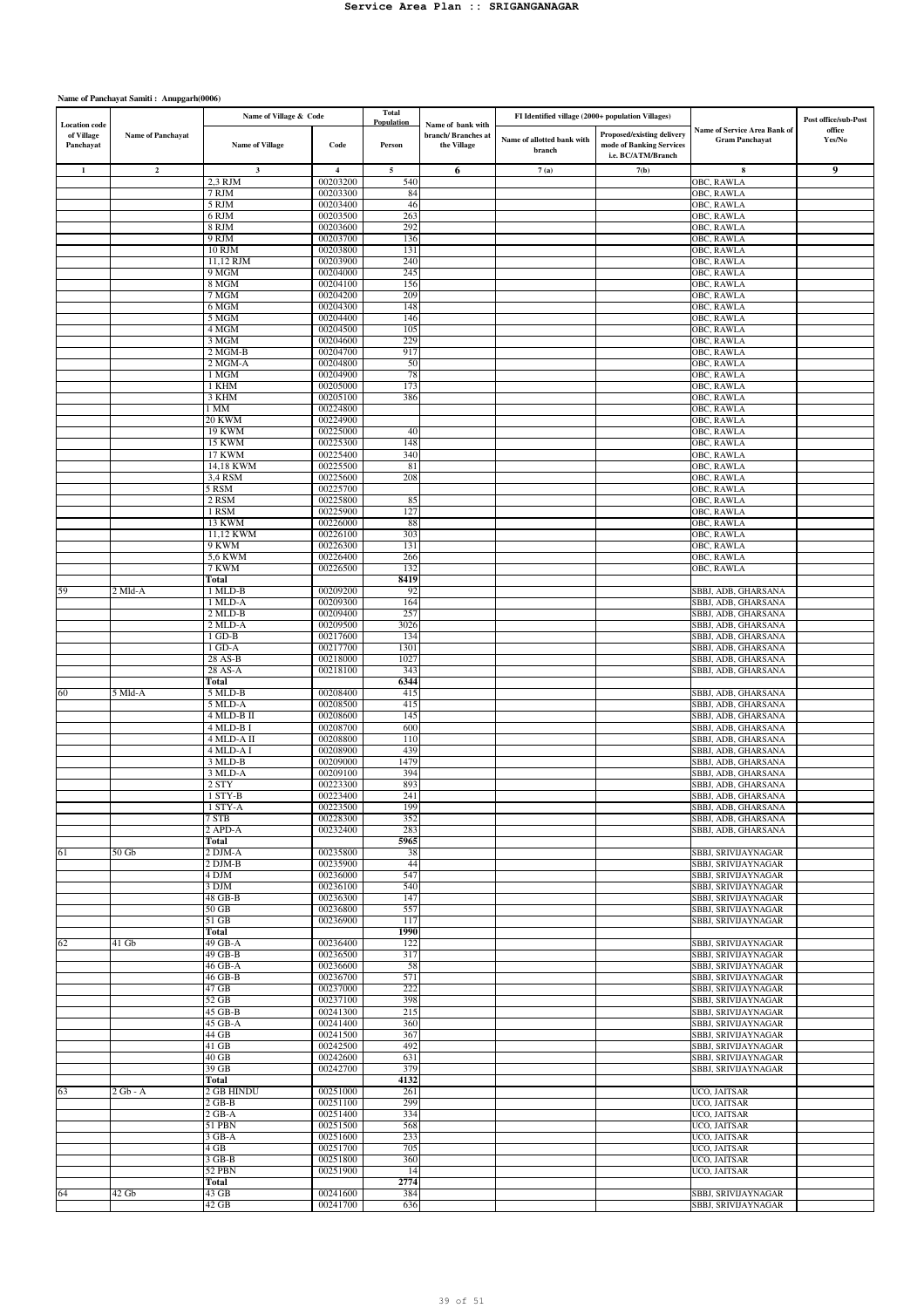| <b>Location</b> code    |                          | Name of Village & Code  |                      | <b>Total</b><br>Population | Name of bank with                 | FI Identified village (2000+ population Villages) |                                                                              |                                                       | Post office/sub-Post |
|-------------------------|--------------------------|-------------------------|----------------------|----------------------------|-----------------------------------|---------------------------------------------------|------------------------------------------------------------------------------|-------------------------------------------------------|----------------------|
| of Village<br>Panchayat | <b>Name of Panchayat</b> | <b>Name of Village</b>  | Code                 | Person                     | branch/Branches at<br>the Village | Name of allotted bank with<br>branch              | Proposed/existing delivery<br>mode of Banking Services<br>i.e. BC/ATM/Branch | Name of Service Area Bank of<br><b>Gram Panchayat</b> | office<br>Yes/No     |
| $\mathbf{1}$            | $\mathbf 2$              | $\mathbf 3$             | $\overline{4}$       | 5                          | 6                                 | 7(a)                                              | 7(b)                                                                         | 8                                                     | 9                    |
|                         |                          | 2,3 RJM                 | 00203200             | 540                        |                                   |                                                   |                                                                              | OBC, RAWLA                                            |                      |
|                         |                          | 7 RJM                   | 00203300             | 84                         |                                   |                                                   |                                                                              | OBC, RAWLA                                            |                      |
|                         |                          | 5 RJM                   | 00203400             | 46                         |                                   |                                                   |                                                                              | OBC, RAWLA                                            |                      |
|                         |                          | 6 RJM                   | 00203500<br>00203600 | 263<br>292                 |                                   |                                                   |                                                                              | OBC, RAWLA                                            |                      |
|                         |                          | 8 RJM<br>9 RJM          | 00203700             | 136                        |                                   |                                                   |                                                                              | OBC, RAWLA<br>OBC, RAWLA                              |                      |
|                         |                          | <b>10 RJM</b>           | 00203800             | 131                        |                                   |                                                   |                                                                              | OBC, RAWLA                                            |                      |
|                         |                          | 11,12 RJM               | 00203900             | 240                        |                                   |                                                   |                                                                              | OBC, RAWLA                                            |                      |
|                         |                          | 9 MGM                   | 00204000             | 245                        |                                   |                                                   |                                                                              | OBC, RAWLA                                            |                      |
|                         |                          | 8 MGM                   | 00204100             | 156                        |                                   |                                                   |                                                                              | OBC, RAWLA                                            |                      |
|                         |                          | 7 MGM                   | 00204200<br>00204300 | 209                        |                                   |                                                   |                                                                              | OBC, RAWLA                                            |                      |
|                         |                          | 6 MGM<br>5 MGM          | 00204400             | 148<br>146                 |                                   |                                                   |                                                                              | OBC, RAWLA<br><b>OBC, RAWLA</b>                       |                      |
|                         |                          | 4 MGM                   | 00204500             | 105                        |                                   |                                                   |                                                                              | OBC, RAWLA                                            |                      |
|                         |                          | 3 MGM                   | 00204600             | 229                        |                                   |                                                   |                                                                              | OBC, RAWLA                                            |                      |
|                         |                          | 2 MGM-B                 | 00204700             | 917                        |                                   |                                                   |                                                                              | OBC, RAWLA                                            |                      |
|                         |                          | 2 MGM-A                 | 00204800             | 50                         |                                   |                                                   |                                                                              | OBC, RAWLA                                            |                      |
|                         |                          | 1 MGM                   | 00204900             | 78                         |                                   |                                                   |                                                                              | OBC, RAWLA                                            |                      |
|                         |                          | 1 KHM<br>3 KHM          | 00205000<br>00205100 | 173<br>386                 |                                   |                                                   |                                                                              | OBC, RAWLA<br>OBC, RAWLA                              |                      |
|                         |                          | 1 MM                    | 00224800             |                            |                                   |                                                   |                                                                              | OBC, RAWLA                                            |                      |
|                         |                          | 20 KWM                  | 00224900             |                            |                                   |                                                   |                                                                              | OBC, RAWLA                                            |                      |
|                         |                          | <b>19 KWM</b>           | 00225000             | 40                         |                                   |                                                   |                                                                              | OBC, RAWLA                                            |                      |
|                         |                          | <b>15 KWM</b>           | 00225300             | 148                        |                                   |                                                   |                                                                              | OBC, RAWLA                                            |                      |
|                         |                          | <b>17 KWM</b>           | 00225400             | 340                        |                                   |                                                   |                                                                              | OBC, RAWLA                                            |                      |
|                         |                          | 14,18 KWM<br>3,4 RSM    | 00225500<br>00225600 | 81<br>208                  |                                   |                                                   |                                                                              | OBC, RAWLA<br><b>OBC, RAWLA</b>                       |                      |
|                         |                          | 5 RSM                   | 00225700             |                            |                                   |                                                   |                                                                              | OBC, RAWLA                                            |                      |
|                         |                          | 2 RSM                   | 00225800             | 85                         |                                   |                                                   |                                                                              | OBC, RAWLA                                            |                      |
|                         |                          | 1 RSM                   | 00225900             | 127                        |                                   |                                                   |                                                                              | OBC, RAWLA                                            |                      |
|                         |                          | <b>13 KWM</b>           | 00226000             | 88                         |                                   |                                                   |                                                                              | OBC, RAWLA                                            |                      |
|                         |                          | 11,12 KWM               | 00226100             | 303                        |                                   |                                                   |                                                                              | OBC, RAWLA                                            |                      |
|                         |                          | 9 KWM                   | 00226300             | 131                        |                                   |                                                   |                                                                              | <b>OBC, RAWLA</b>                                     |                      |
|                         |                          | 5.6 KWM<br>7 KWM        | 00226400<br>00226500 | 266<br>132                 |                                   |                                                   |                                                                              | OBC, RAWLA<br>OBC, RAWLA                              |                      |
|                         |                          | Total                   |                      | 8419                       |                                   |                                                   |                                                                              |                                                       |                      |
| 59                      | 2 Mld-A                  | 1 MLD-B                 | 00209200             | 92                         |                                   |                                                   |                                                                              | SBBJ, ADB, GHARSANA                                   |                      |
|                         |                          | 1 MLD-A                 | 00209300             | 164                        |                                   |                                                   |                                                                              | SBBJ, ADB, GHARSANA                                   |                      |
|                         |                          | 2 MLD-B                 | 00209400             | 257                        |                                   |                                                   |                                                                              | SBBJ, ADB, GHARSANA                                   |                      |
|                         |                          | 2 MLD-A                 | 00209500             | 3026                       |                                   |                                                   |                                                                              | SBBJ, ADB, GHARSANA                                   |                      |
|                         |                          | $1$ GD-B                | 00217600             | 134                        |                                   |                                                   |                                                                              | SBBJ, ADB, GHARSANA                                   |                      |
|                         |                          | $1$ GD-A<br>28 AS-B     | 00217700<br>00218000 | 1301<br>1027               |                                   |                                                   |                                                                              | SBBJ, ADB, GHARSANA                                   |                      |
|                         |                          | 28 AS-A                 | 00218100             | 343                        |                                   |                                                   |                                                                              | SBBJ, ADB, GHARSANA<br>SBBJ, ADB, GHARSANA            |                      |
|                         |                          | Total                   |                      | 6344                       |                                   |                                                   |                                                                              |                                                       |                      |
| 60                      | 5 Mld-A                  | 5 MLD-B                 | 00208400             | 415                        |                                   |                                                   |                                                                              | SBBJ, ADB, GHARSANA                                   |                      |
|                         |                          | 5 MLD-A                 | 00208500             | 415                        |                                   |                                                   |                                                                              | SBBJ, ADB, GHARSANA                                   |                      |
|                         |                          | 4 MLD-B II              | 00208600             | 145                        |                                   |                                                   |                                                                              | SBBJ, ADB, GHARSANA                                   |                      |
|                         |                          | 4 MLD-B I               | 00208700             | 600                        |                                   |                                                   |                                                                              | SBBJ, ADB, GHARSANA                                   |                      |
|                         |                          | 4 MLD-A II<br>4 MLD-A I | 00208800<br>00208900 | 110<br>439                 |                                   |                                                   |                                                                              | SBBJ, ADB, GHARSANA<br>SBBJ, ADB, GHARSANA            |                      |
|                         |                          | 3 MLD-B                 | 00209000             | 1479                       |                                   |                                                   |                                                                              | SBBJ, ADB, GHARSANA                                   |                      |
|                         |                          | 3 MLD-A                 | 00209100             | 394                        |                                   |                                                   |                                                                              | SBBJ, ADB, GHARSANA                                   |                      |
|                         |                          | 2 STY                   | 00223300             | 893                        |                                   |                                                   |                                                                              | SBBJ, ADB, GHARSANA                                   |                      |
|                         |                          | 1 STY-B                 | 00223400             | 241                        |                                   |                                                   |                                                                              | SBBJ, ADB, GHARSANA                                   |                      |
|                         |                          | 1 STY-A                 | 00223500             | 199                        |                                   |                                                   |                                                                              | SBBJ, ADB, GHARSANA                                   |                      |
|                         |                          | 7 STB                   | 00228300             | 352                        |                                   |                                                   |                                                                              | SBBJ, ADB, GHARSANA                                   |                      |
|                         |                          | 2 APD-A<br>Total        | 00232400             | 283<br>5965                |                                   |                                                   |                                                                              | SBBJ, ADB, GHARSANA                                   |                      |
| 61                      | 50Gb                     | 2 DJM-A                 | 00235800             | 38                         |                                   |                                                   |                                                                              | SBBJ, SRIVIJAYNAGAR                                   |                      |
|                         |                          | 2 DJM-B                 | 00235900             | 44                         |                                   |                                                   |                                                                              | SBBJ, SRIVIJAYNAGAR                                   |                      |
|                         |                          | 4 DJM                   | 00236000             | 547                        |                                   |                                                   |                                                                              | SBBJ, SRIVIJAYNAGAR                                   |                      |
|                         |                          | 3 DJM                   | 00236100             | 540                        |                                   |                                                   |                                                                              | SBBJ, SRIVIJAYNAGAR                                   |                      |
|                         |                          | 48 GB-B                 | 00236300             | 147                        |                                   |                                                   |                                                                              | SBBJ, SRIVIJAYNAGAR                                   |                      |
|                         |                          | 50 GB                   | 00236800             | 557                        |                                   |                                                   |                                                                              | SBBJ, SRIVIJAYNAGAR                                   |                      |
|                         |                          | $51$ GB<br>Total        | 00236900             | 117<br>1990                |                                   |                                                   |                                                                              | SBBJ, SRIVIJAYNAGAR                                   |                      |
| 62                      | $41$ Gb                  | 49 GB-A                 | 00236400             | 122                        |                                   |                                                   |                                                                              | SBBJ, SRIVIJAYNAGAR                                   |                      |
|                         |                          | 49 GB-B                 | 00236500             | 317                        |                                   |                                                   |                                                                              | SBBJ, SRIVIJAYNAGAR                                   |                      |
|                         |                          | 46 GB-A                 | 00236600             | 58                         |                                   |                                                   |                                                                              | SBBJ, SRIVIJAYNAGAR                                   |                      |
|                         |                          | 46 GB-B                 | 00236700             | 571                        |                                   |                                                   |                                                                              | SBBJ, SRIVIJAYNAGAR                                   |                      |
|                         |                          | 47 GB                   | 00237000             | 222                        |                                   |                                                   |                                                                              | SBBJ, SRIVIJAYNAGAR                                   |                      |
|                         |                          | 52 GB                   | 00237100             | 398                        |                                   |                                                   |                                                                              | SBBJ, SRIVIJAYNAGAR                                   |                      |
|                         |                          | 45 GB-B<br>45 GB-A      | 00241300<br>00241400 | 215<br>360                 |                                   |                                                   |                                                                              | SBBJ, SRIVIJAYNAGAR<br>SBBJ, SRIVIJAYNAGAR            |                      |
|                         |                          | 44 GB                   | 00241500             | 367                        |                                   |                                                   |                                                                              | SBBJ, SRIVIJAYNAGAR                                   |                      |
|                         |                          | 41 GB                   | 00242500             | 492                        |                                   |                                                   |                                                                              | SBBJ, SRIVIJAYNAGAR                                   |                      |
|                         |                          | $40$ GB                 | 00242600             | 631                        |                                   |                                                   |                                                                              | SBBJ, SRIVIJAYNAGAR                                   |                      |
|                         |                          | 39 GB                   | 00242700             | 379                        |                                   |                                                   |                                                                              | SBBJ, SRIVIJAYNAGAR                                   |                      |
|                         |                          | Total                   |                      | 4132                       |                                   |                                                   |                                                                              |                                                       |                      |
| 63                      | 2 Gb - A                 | 2 GB HINDU              | 00251000             | 261                        |                                   |                                                   |                                                                              | UCO, JAITSAR                                          |                      |
|                         |                          | 2 GB-B<br>$2$ GB-A      | 00251100<br>00251400 | 299<br>334                 |                                   |                                                   |                                                                              | UCO, JAITSAR<br>UCO, JAITSAR                          |                      |
|                         |                          | 51 PBN                  | 00251500             | 568                        |                                   |                                                   |                                                                              | UCO, JAITSAR                                          |                      |
|                         |                          | $3$ GB-A                | 00251600             | 233                        |                                   |                                                   |                                                                              | UCO, JAITSAR                                          |                      |
|                         |                          | 4 GB                    | 00251700             | 705                        |                                   |                                                   |                                                                              | UCO, JAITSAR                                          |                      |
|                         |                          | $3$ GB-B                | 00251800             | 360                        |                                   |                                                   |                                                                              | UCO, JAITSAR                                          |                      |
|                         |                          | 52 PBN                  | 00251900             | 14                         |                                   |                                                   |                                                                              | UCO, JAITSAR                                          |                      |
|                         |                          | Total                   |                      | 2774                       |                                   |                                                   |                                                                              |                                                       |                      |
| 64                      | $42$ Gb                  | 43 GB<br>42 GB          | 00241600<br>00241700 | 384<br>636                 |                                   |                                                   |                                                                              | SBBJ, SRIVIJAYNAGAR<br>SBBJ, SRIVIJAYNAGAR            |                      |
|                         |                          |                         |                      |                            |                                   |                                                   |                                                                              |                                                       |                      |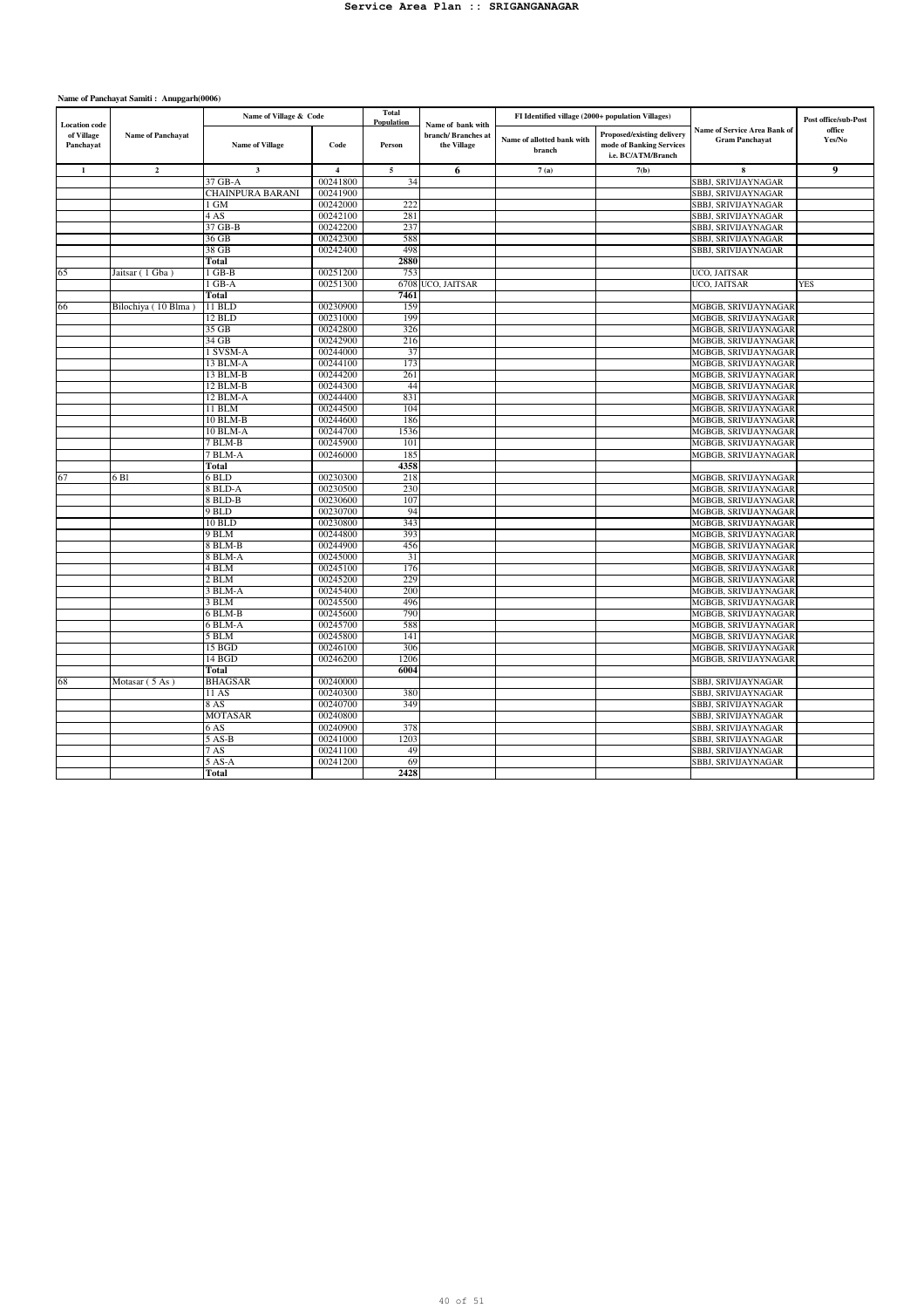| <b>Location</b> code    |                          | Name of Village & Code  |                | <b>Total</b><br>Population | Name of bank with                  | FI Identified village (2000+ population Villages) |                                                                                     |                                                       | Post office/sub-Post |
|-------------------------|--------------------------|-------------------------|----------------|----------------------------|------------------------------------|---------------------------------------------------|-------------------------------------------------------------------------------------|-------------------------------------------------------|----------------------|
| of Village<br>Panchayat | <b>Name of Panchayat</b> | <b>Name of Village</b>  | Code           | Person                     | branch/ Branches at<br>the Village | Name of allotted bank with<br>branch              | <b>Proposed/existing delivery</b><br>mode of Banking Services<br>i.e. BC/ATM/Branch | Name of Service Area Bank of<br><b>Gram Panchayat</b> | office<br>Yes/No     |
| $\mathbf{1}$            | $\overline{2}$           | $\overline{\mathbf{3}}$ | $\overline{4}$ | 5                          | 6                                  | 7(a)                                              | 7(b)                                                                                |                                                       | 9                    |
|                         |                          | 37 GB-A                 | 00241800       | 34                         |                                    |                                                   |                                                                                     | SBBJ, SRIVIJAYNAGAR                                   |                      |
|                         |                          | CHAINPURA BARANI        | 00241900       |                            |                                    |                                                   |                                                                                     | SBBJ, SRIVIJAYNAGAR                                   |                      |
|                         |                          | 1 GM                    | 00242000       | 222                        |                                    |                                                   |                                                                                     | SBBJ, SRIVIJAYNAGAR                                   |                      |
|                         |                          | 4 AS                    | 00242100       | 281                        |                                    |                                                   |                                                                                     | SBBJ, SRIVIJAYNAGAR                                   |                      |
|                         |                          | 37 GB-B                 | 00242200       | 237                        |                                    |                                                   |                                                                                     | SBBJ, SRIVIJAYNAGAR                                   |                      |
|                         |                          | 36 GB                   | 00242300       | 588                        |                                    |                                                   |                                                                                     | SBBJ, SRIVIJAYNAGAR                                   |                      |
|                         |                          | 38 GB                   | 00242400       | 498                        |                                    |                                                   |                                                                                     | SBBJ, SRIVIJAYNAGAR                                   |                      |
|                         |                          | Total                   |                | 2880                       |                                    |                                                   |                                                                                     |                                                       |                      |
| 65                      | Jaitsar (1 Gba)          | $1$ GB-B                | 00251200       | 753                        |                                    |                                                   |                                                                                     | UCO, JAITSAR                                          |                      |
|                         |                          | 1 GB-A                  | 00251300       |                            | 6708 UCO, JAITSAR                  |                                                   |                                                                                     | UCO, JAITSAR                                          | <b>YES</b>           |
|                         |                          | Total                   |                | 7461                       |                                    |                                                   |                                                                                     |                                                       |                      |
| 66                      | Bilochiya (10 Blma)      | 11 BLD                  | 00230900       | 159                        |                                    |                                                   |                                                                                     | MGBGB, SRIVIJAYNAGAF                                  |                      |
|                         |                          | 12 BLD                  | 00231000       | 199                        |                                    |                                                   |                                                                                     | MGBGB, SRIVIJAYNAGAR                                  |                      |
|                         |                          | 35 GB                   | 00242800       | 326                        |                                    |                                                   |                                                                                     | MGBGB, SRIVIJAYNAGAF                                  |                      |
|                         |                          | 34 GB                   | 00242900       | 216                        |                                    |                                                   |                                                                                     | MGBGB, SRIVIJAYNAGAR                                  |                      |
|                         |                          | 1 SVSM-A                | 00244000       | 37                         |                                    |                                                   |                                                                                     | MGBGB, SRIVIJAYNAGAF                                  |                      |
|                         |                          | 13 BLM-A                | 00244100       | 173                        |                                    |                                                   |                                                                                     | MGBGB, SRIVIJAYNAGAR                                  |                      |
|                         |                          | 13 BLM-B                | 00244200       | 261                        |                                    |                                                   |                                                                                     | MGBGB, SRIVIJAYNAGAR                                  |                      |
|                         |                          | 12 BLM-B                | 00244300       | 44                         |                                    |                                                   |                                                                                     | MGBGB, SRIVIJAYNAGAR                                  |                      |
|                         |                          | 12 BLM-A                | 00244400       | 831                        |                                    |                                                   |                                                                                     | MGBGB, SRIVIJAYNAGAF                                  |                      |
|                         |                          | 11 BLM                  | 00244500       | 104                        |                                    |                                                   |                                                                                     | MGBGB, SRIVIJAYNAGAR                                  |                      |
|                         |                          | 10 BLM-B                | 00244600       | 186                        |                                    |                                                   |                                                                                     | MGBGB, SRIVIJAYNAGAF                                  |                      |
|                         |                          | 10 BLM-A                | 00244700       | 1536                       |                                    |                                                   |                                                                                     | MGBGB, SRIVIJAYNAGAR                                  |                      |
|                         |                          | 7 BLM-B                 | 00245900       | 101                        |                                    |                                                   |                                                                                     | MGBGB, SRIVIJAYNAGAF                                  |                      |
|                         |                          | 7 BLM-A                 | 00246000       | 185                        |                                    |                                                   |                                                                                     | MGBGB, SRIVIJAYNAGAR                                  |                      |
|                         |                          | Total                   |                | 4358                       |                                    |                                                   |                                                                                     |                                                       |                      |
| 67                      | 6 Bl                     | 6 BLD                   | 00230300       | 218                        |                                    |                                                   |                                                                                     | MGBGB, SRIVIJAYNAGAR                                  |                      |
|                         |                          | 8 BLD-A                 | 00230500       | 230                        |                                    |                                                   |                                                                                     | MGBGB, SRIVIJAYNAGAF                                  |                      |
|                         |                          | 8 BLD-B                 | 00230600       | 107                        |                                    |                                                   |                                                                                     | MGBGB, SRIVIJAYNAGAR                                  |                      |
|                         |                          | $9$ BLD                 | 00230700       | 94                         |                                    |                                                   |                                                                                     | MGBGB, SRIVIJAYNAGAF                                  |                      |
|                         |                          | 10 BLD                  | 00230800       | 343                        |                                    |                                                   |                                                                                     | MGBGB, SRIVIJAYNAGAR                                  |                      |
|                         |                          | 9 BLM                   | 00244800       | 393                        |                                    |                                                   |                                                                                     | MGBGB, SRIVIJAYNAGAR                                  |                      |
|                         |                          | 8 BLM-B                 | 00244900       | 456                        |                                    |                                                   |                                                                                     | MGBGB, SRIVIJAYNAGAR                                  |                      |
|                         |                          | 8 BLM-A                 | 00245000       | 31                         |                                    |                                                   |                                                                                     | MGBGB, SRIVIJAYNAGAR                                  |                      |
|                         |                          | 4 BLM                   | 00245100       | 176                        |                                    |                                                   |                                                                                     | MGBGB, SRIVIJAYNAGAR                                  |                      |
|                         |                          | $2$ BLM                 | 00245200       | 229                        |                                    |                                                   |                                                                                     | MGBGB, SRIVIJAYNAGAR                                  |                      |
|                         |                          | 3 BLM-A                 | 00245400       | 200                        |                                    |                                                   |                                                                                     | MGBGB, SRIVIJAYNAGAF                                  |                      |
|                         |                          | 3 BLM                   | 00245500       | 496                        |                                    |                                                   |                                                                                     | MGBGB, SRIVIJAYNAGAR                                  |                      |
|                         |                          | 6 BLM-B                 | 00245600       | 790                        |                                    |                                                   |                                                                                     | MGBGB, SRIVIJAYNAGAR                                  |                      |
|                         |                          | 6 BLM-A                 | 00245700       | 588                        |                                    |                                                   |                                                                                     | MGBGB, SRIVIJAYNAGAR                                  |                      |
|                         |                          | 5 BLM                   | 00245800       | 141                        |                                    |                                                   |                                                                                     | MGBGB, SRIVIJAYNAGAR                                  |                      |
|                         |                          | 15 BGD                  | 00246100       | 306                        |                                    |                                                   |                                                                                     | MGBGB, SRIVIJAYNAGAR                                  |                      |
|                         |                          | 14 BGD                  | 00246200       | 1206                       |                                    |                                                   |                                                                                     | MGBGB, SRIVIJAYNAGAR                                  |                      |
|                         |                          | Total                   |                | 6004                       |                                    |                                                   |                                                                                     |                                                       |                      |
| 68                      | Motasar (5 As)           | <b>BHAGSAR</b>          | 00240000       |                            |                                    |                                                   |                                                                                     | SBBJ, SRIVIJAYNAGAR                                   |                      |
|                         |                          | 11 AS                   | 00240300       | 380                        |                                    |                                                   |                                                                                     | SBBJ, SRIVIJAYNAGAR                                   |                      |
|                         |                          | 8 AS                    | 00240700       | 349                        |                                    |                                                   |                                                                                     | SBBJ, SRIVIJAYNAGAR                                   |                      |
|                         |                          | <b>MOTASAR</b>          | 00240800       |                            |                                    |                                                   |                                                                                     | SBBJ, SRIVIJAYNAGAR                                   |                      |
|                         |                          | 6 AS                    | 00240900       | 378                        |                                    |                                                   |                                                                                     | SBBJ, SRIVIJAYNAGAR                                   |                      |
|                         |                          | 5 AS-B                  | 00241000       | 1203                       |                                    |                                                   |                                                                                     | SBBJ, SRIVIJAYNAGAR                                   |                      |
|                         |                          | 7 AS                    | 00241100       | 49                         |                                    |                                                   |                                                                                     | SBBJ, SRIVIJAYNAGAR                                   |                      |
|                         |                          | 5 AS-A                  | 00241200       | 69                         |                                    |                                                   |                                                                                     | SBBJ, SRIVIJAYNAGAR                                   |                      |
|                         |                          | <b>Total</b>            |                | 2428                       |                                    |                                                   |                                                                                     |                                                       |                      |
|                         |                          |                         |                |                            |                                    |                                                   |                                                                                     |                                                       |                      |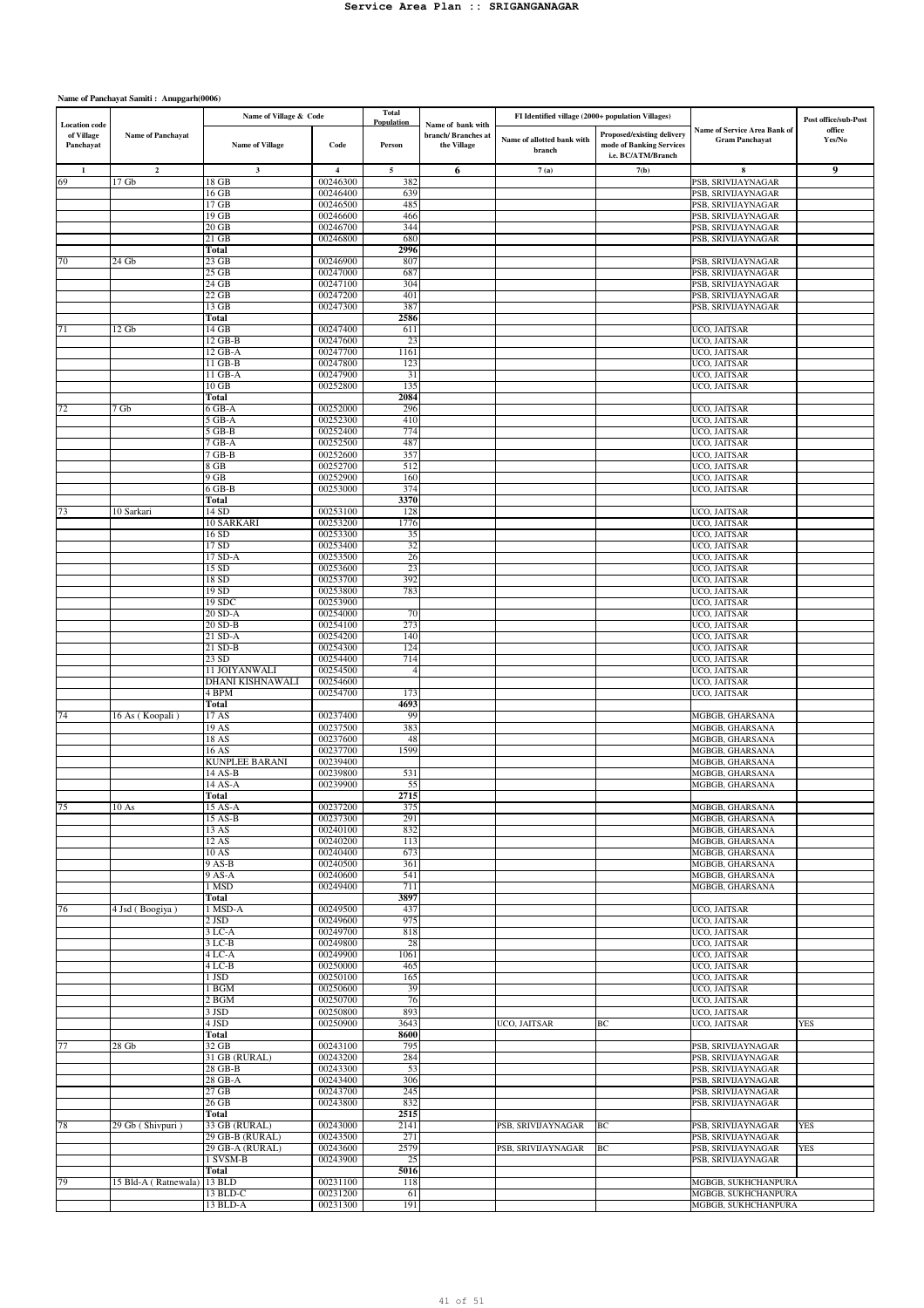|                                                 |                             | Name of Village & Code           |                         | <b>Total</b><br>Population | Name of bank with                 | FI Identified village (2000+ population Villages) |                                                                              |                                                       | Post office/sub-Post |
|-------------------------------------------------|-----------------------------|----------------------------------|-------------------------|----------------------------|-----------------------------------|---------------------------------------------------|------------------------------------------------------------------------------|-------------------------------------------------------|----------------------|
| <b>Location</b> code<br>of Village<br>Panchayat | <b>Name of Panchavat</b>    | <b>Name of Village</b>           | Code                    | Person                     | branch/Branches at<br>the Village | Name of allotted bank with<br>branch              | Proposed/existing delivery<br>mode of Banking Services<br>i.e. BC/ATM/Branch | Name of Service Area Bank of<br><b>Gram Panchayat</b> | office<br>Yes/No     |
| 1                                               | $\mathbf{2}$                | $\mathbf{3}$                     | $\overline{\mathbf{4}}$ | $\sqrt{5}$                 | 6                                 | 7(a)                                              | 7(b)                                                                         | $\mathbf{x}$                                          | 9                    |
| 69                                              | 17 <sub>Gb</sub>            | 18 GB                            | 00246300                | 382                        |                                   |                                                   |                                                                              | PSB, SRIVIJAYNAGAR                                    |                      |
|                                                 |                             | 16 GB                            | 00246400                | 639                        |                                   |                                                   |                                                                              | PSB, SRIVIJAYNAGAR                                    |                      |
|                                                 |                             | 17 GB                            | 00246500                | 485                        |                                   |                                                   |                                                                              | PSB, SRIVIJAYNAGAR                                    |                      |
|                                                 |                             | 19 GB<br>$20$ GB                 | 00246600<br>00246700    | 466<br>344                 |                                   |                                                   |                                                                              | PSB, SRIVIJAYNAGAR<br>PSB, SRIVIJAYNAGAR              |                      |
|                                                 |                             | 21 GB                            | 00246800                | 680                        |                                   |                                                   |                                                                              | PSB, SRIVIJAYNAGAR                                    |                      |
|                                                 |                             | Total                            |                         | 2996                       |                                   |                                                   |                                                                              |                                                       |                      |
| 70                                              | 24 Gb                       | $23 \text{ GB}$                  | 00246900                | 807                        |                                   |                                                   |                                                                              | PSB, SRIVIJAYNAGAR                                    |                      |
|                                                 |                             | $25$ GB                          | 00247000                | 687                        |                                   |                                                   |                                                                              | PSB, SRIVIJAYNAGAR                                    |                      |
|                                                 |                             | 24 GB<br>$22$ GB                 | 00247100<br>00247200    | 304<br>401                 |                                   |                                                   |                                                                              | PSB, SRIVIJAYNAGAR<br>PSB, SRIVIJAYNAGAR              |                      |
|                                                 |                             | 13 GB                            | 00247300                | 387                        |                                   |                                                   |                                                                              | PSB, SRIVIJAYNAGAR                                    |                      |
|                                                 |                             | <b>Total</b>                     |                         | 2586                       |                                   |                                                   |                                                                              |                                                       |                      |
| 71                                              | 12 Gb                       | 14 GB                            | 00247400                | 611                        |                                   |                                                   |                                                                              | UCO, JAITSAR                                          |                      |
|                                                 |                             | 12 GB-B                          | 00247600                | 23                         |                                   |                                                   |                                                                              | UCO, JAITSAR                                          |                      |
|                                                 |                             | 12 GB-A<br>11 GB-B               | 00247700<br>00247800    | 1161<br>123                |                                   |                                                   |                                                                              | UCO, JAITSAR<br>UCO, JAITSAR                          |                      |
|                                                 |                             | $11$ GB-A                        | 00247900                | 31                         |                                   |                                                   |                                                                              | UCO, JAITSAR                                          |                      |
|                                                 |                             | $10$ GB                          | 00252800                | 135                        |                                   |                                                   |                                                                              | UCO, JAITSAR                                          |                      |
|                                                 |                             | <b>Total</b>                     |                         | 2084                       |                                   |                                                   |                                                                              |                                                       |                      |
| 72                                              | 7 Gb                        | 6 GB-A                           | 00252000                | 296                        |                                   |                                                   |                                                                              | UCO, JAITSAR                                          |                      |
|                                                 |                             | $5$ GB-A<br>$5$ GB-B             | 00252300<br>00252400    | 410<br>774                 |                                   |                                                   |                                                                              | UCO, JAITSAR<br>UCO, JAITSAR                          |                      |
|                                                 |                             | $7$ GB-A                         | 00252500                | 487                        |                                   |                                                   |                                                                              | UCO, JAITSAR                                          |                      |
|                                                 |                             | 7 GB-B                           | 00252600                | 357                        |                                   |                                                   |                                                                              | UCO, JAITSAR                                          |                      |
|                                                 |                             | 8 GB                             | 00252700                | 512                        |                                   |                                                   |                                                                              | UCO, JAITSAR                                          |                      |
|                                                 |                             | $9$ GB                           | 00252900                | 160                        |                                   |                                                   |                                                                              | UCO, JAITSAR<br>UCO, JAITSAR                          |                      |
|                                                 |                             | $6$ GB-B<br><b>Total</b>         | 00253000                | 374<br>3370                |                                   |                                                   |                                                                              |                                                       |                      |
| 73                                              | 10 Sarkari                  | 14 SD                            | 00253100                | 128                        |                                   |                                                   |                                                                              | UCO, JAITSAR                                          |                      |
|                                                 |                             | 10 SARKARI                       | 00253200                | 1776                       |                                   |                                                   |                                                                              | UCO, JAITSAR                                          |                      |
|                                                 |                             | 16 SD                            | 00253300                | 35                         |                                   |                                                   |                                                                              | UCO, JAITSAR                                          |                      |
|                                                 |                             | 17 SD<br>17 SD-A                 | 00253400<br>00253500    | 32<br>26                   |                                   |                                                   |                                                                              | UCO, JAITSAR<br>UCO, JAITSAR                          |                      |
|                                                 |                             | 15 SD                            | 00253600                | 23                         |                                   |                                                   |                                                                              | UCO, JAITSAR                                          |                      |
|                                                 |                             | 18 SD                            | 00253700                | 392                        |                                   |                                                   |                                                                              | UCO, JAITSAR                                          |                      |
|                                                 |                             | 19 SD                            | 00253800                | 783                        |                                   |                                                   |                                                                              | UCO, JAITSAR                                          |                      |
|                                                 |                             | 19 SDC                           | 00253900                |                            |                                   |                                                   |                                                                              | UCO, JAITSAR                                          |                      |
|                                                 |                             | 20 SD-A<br>20 SD-B               | 00254000<br>00254100    | 70<br>273                  |                                   |                                                   |                                                                              | UCO, JAITSAR<br>UCO, JAITSAR                          |                      |
|                                                 |                             | $21$ SD-A                        | 00254200                | 140                        |                                   |                                                   |                                                                              | UCO, JAITSAR                                          |                      |
|                                                 |                             | 21 SD-B                          | 00254300                | 124                        |                                   |                                                   |                                                                              | UCO, JAITSAR                                          |                      |
|                                                 |                             | 23SD                             | 00254400                | 714                        |                                   |                                                   |                                                                              | UCO, JAITSAR                                          |                      |
|                                                 |                             | 11 JOIYANWALI                    | 00254500                | $\overline{4}$             |                                   |                                                   |                                                                              | UCO, JAITSAR                                          |                      |
|                                                 |                             | <b>DHANI KISHNAWALI</b><br>4 BPM | 00254600<br>00254700    | 173                        |                                   |                                                   |                                                                              | UCO, JAITSAR<br>UCO, JAITSAR                          |                      |
|                                                 |                             | <b>Total</b>                     |                         | 4693                       |                                   |                                                   |                                                                              |                                                       |                      |
| 74                                              | 16 As (Koopali)             | 17 AS                            | 00237400                | 99                         |                                   |                                                   |                                                                              | MGBGB, GHARSANA                                       |                      |
|                                                 |                             | 19 AS                            | 00237500                | 383                        |                                   |                                                   |                                                                              | MGBGB, GHARSANA                                       |                      |
|                                                 |                             | 18 AS                            | 00237600<br>00237700    | 48<br>1599                 |                                   |                                                   |                                                                              | MGBGB, GHARSANA                                       |                      |
|                                                 |                             | 16 AS<br><b>KUNPLEE BARANI</b>   | 00239400                |                            |                                   |                                                   |                                                                              | MGBGB, GHARSANA<br>MGBGB, GHARSANA                    |                      |
|                                                 |                             | 14 AS-B                          | 00239800                | 531                        |                                   |                                                   |                                                                              | MGBGB, GHARSANA                                       |                      |
|                                                 |                             | 14 AS-A                          | 00239900                | 55                         |                                   |                                                   |                                                                              | MGBGB, GHARSANA                                       |                      |
|                                                 |                             | Total                            |                         | 2715                       |                                   |                                                   |                                                                              |                                                       |                      |
| 175                                             | 10 As                       | 15 AS-A<br>15 AS-B               | 00237200<br>00237300    | 375<br>291                 |                                   |                                                   |                                                                              | MGBGB, GHARSANA<br>MGBGB, GHARSANA                    |                      |
|                                                 |                             | 13 AS                            | 00240100                | 832                        |                                   |                                                   |                                                                              | MGBGB, GHARSANA                                       |                      |
|                                                 |                             | 12 AS                            | 00240200                | 113                        |                                   |                                                   |                                                                              | MGBGB, GHARSANA                                       |                      |
|                                                 |                             | 10 AS                            | 00240400                | 673                        |                                   |                                                   |                                                                              | MGBGB, GHARSANA                                       |                      |
|                                                 |                             | $9$ AS-B                         | 00240500                | 361                        |                                   |                                                   |                                                                              | MGBGB, GHARSANA                                       |                      |
|                                                 |                             | 9 AS-A<br>1 MSD                  | 00240600<br>00249400    | 541<br>711                 |                                   |                                                   |                                                                              | MGBGB, GHARSANA<br>MGBGB, GHARSANA                    |                      |
|                                                 |                             | Total                            |                         | 3897                       |                                   |                                                   |                                                                              |                                                       |                      |
| 76                                              | 4 Jsd (Boogiya)             | 1 MSD-A                          | 00249500                | 437                        |                                   |                                                   |                                                                              | UCO, JAITSAR                                          |                      |
|                                                 |                             | $2$ JSD                          | 00249600                | 975                        |                                   |                                                   |                                                                              | UCO, JAITSAR                                          |                      |
|                                                 |                             | $3 LC-A$<br>$3 LC-B$             | 00249700<br>00249800    | 818<br>28                  |                                   |                                                   |                                                                              | UCO, JAITSAR<br>UCO, JAITSAR                          |                      |
|                                                 |                             | $4 LC-A$                         | 00249900                | 1061                       |                                   |                                                   |                                                                              | UCO, JAITSAR                                          |                      |
|                                                 |                             | $4 LC-B$                         | 00250000                | 465                        |                                   |                                                   |                                                                              | UCO, JAITSAR                                          |                      |
|                                                 |                             | 1 JSD                            | 00250100                | 165                        |                                   |                                                   |                                                                              | UCO, JAITSAR                                          |                      |
|                                                 |                             | 1 BGM<br>$2$ BGM                 | 00250600                | 39<br>76                   |                                   |                                                   |                                                                              | UCO, JAITSAR                                          |                      |
|                                                 |                             | 3 JSD                            | 00250700<br>00250800    | 893                        |                                   |                                                   |                                                                              | UCO, JAITSAR<br>UCO, JAITSAR                          |                      |
|                                                 |                             | 4 JSD                            | 00250900                | 3643                       |                                   | UCO, JAITSAR                                      | BC                                                                           | UCO, JAITSAR                                          | <b>YES</b>           |
|                                                 |                             | <b>Total</b>                     |                         | 8600                       |                                   |                                                   |                                                                              |                                                       |                      |
| 77                                              | $28$ Gb                     | 32 GB                            | 00243100                | 795                        |                                   |                                                   |                                                                              | PSB, SRIVIJAYNAGAR                                    |                      |
|                                                 |                             | 31 GB (RURAL)<br>28 GB-B         | 00243200<br>00243300    | 284                        |                                   |                                                   |                                                                              | PSB, SRIVIJAYNAGAR<br>PSB, SRIVIJAYNAGAR              |                      |
|                                                 |                             | 28 GB-A                          | 00243400                | 53<br>306                  |                                   |                                                   |                                                                              | PSB, SRIVIJAYNAGAR                                    |                      |
|                                                 |                             | $27$ GB                          | 00243700                | 245                        |                                   |                                                   |                                                                              | PSB, SRIVIJAYNAGAR                                    |                      |
|                                                 |                             | $26$ GB                          | 00243800                | 832                        |                                   |                                                   |                                                                              | PSB, SRIVIJAYNAGAR                                    |                      |
|                                                 |                             | <b>Total</b>                     |                         | 2515                       |                                   |                                                   |                                                                              |                                                       |                      |
| 78                                              | 29 Gb (Shivpuri)            | 33 GB (RURAL)<br>29 GB-B (RURAL) | 00243000<br>00243500    | 2141<br>271                |                                   | PSB, SRIVIJAYNAGAR                                | BC                                                                           | PSB, SRIVIJAYNAGAR<br>PSB, SRIVIJAYNAGAR              | YES                  |
|                                                 |                             | 29 GB-A (RURAL)                  | 00243600                | 2579                       |                                   | PSB, SRIVIJAYNAGAR                                | $\rm BC$                                                                     | PSB, SRIVIJAYNAGAR                                    | <b>YES</b>           |
|                                                 |                             | 1 SVSM-B                         | 00243900                | 25                         |                                   |                                                   |                                                                              | PSB, SRIVIJAYNAGAR                                    |                      |
|                                                 |                             | Total                            |                         | 5016                       |                                   |                                                   |                                                                              |                                                       |                      |
| 79                                              | 15 Bld-A (Ratnewala) 13 BLD |                                  | 00231100                | 118                        |                                   |                                                   |                                                                              | MGBGB, SUKHCHANPURA                                   |                      |
|                                                 |                             | 13 BLD-C<br>13 BLD-A             | 00231200<br>00231300    | 61<br>191                  |                                   |                                                   |                                                                              | MGBGB, SUKHCHANPURA<br>MGBGB, SUKHCHANPURA            |                      |
|                                                 |                             |                                  |                         |                            |                                   |                                                   |                                                                              |                                                       |                      |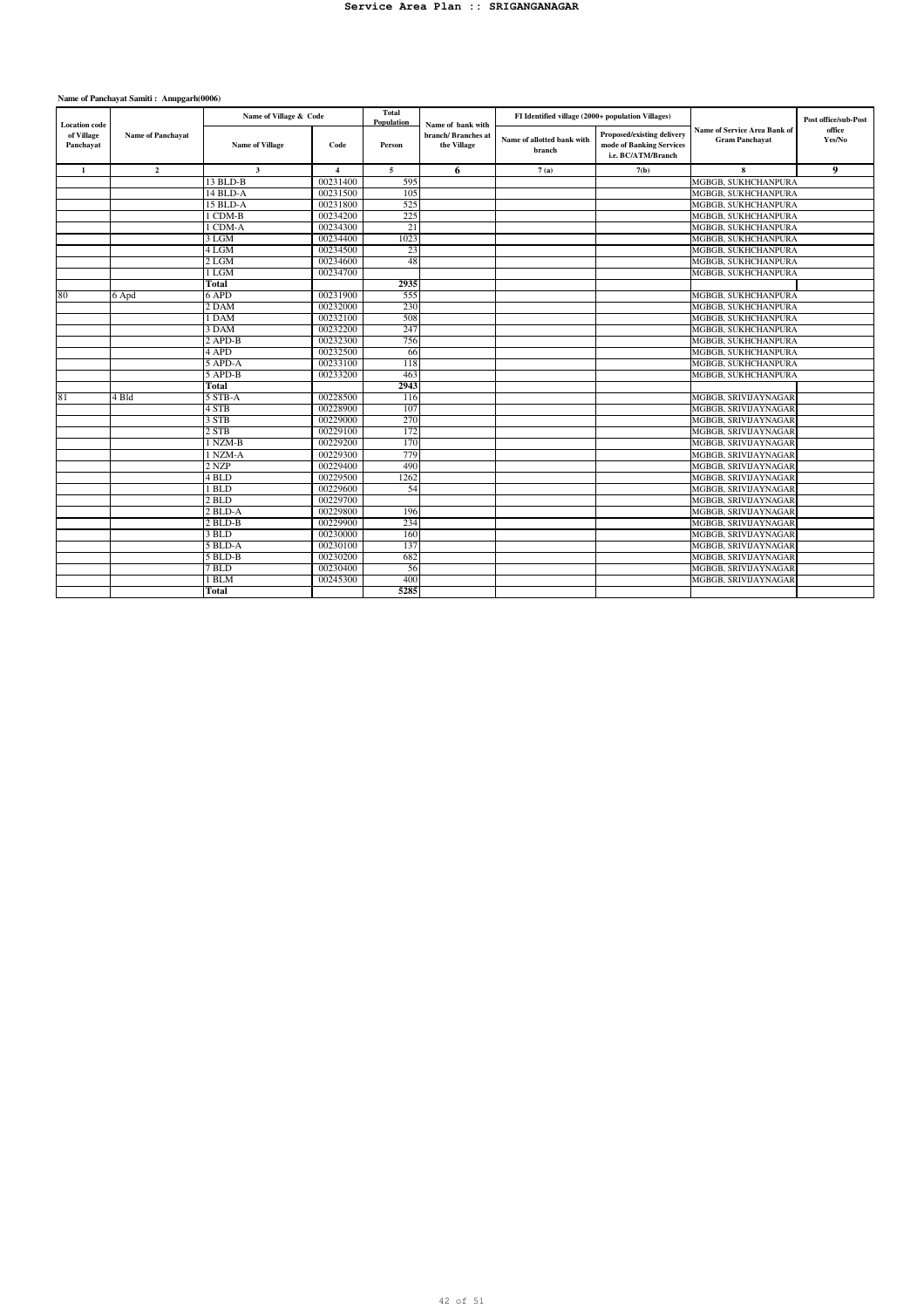| <b>Proposed/existing delivery</b><br>of Village<br><b>Name of Panchayat</b><br>branch/Branches at<br>Name of allotted bank with<br><b>Gram Panchayat</b><br><b>Name of Village</b><br>mode of Banking Services<br>Panchayat<br>Code<br>the Village<br>Person<br>branch<br>i.e. BC/ATM/Branch<br>$\overline{2}$<br>$\overline{\mathbf{3}}$<br>$\overline{5}$<br>6<br>$\mathbf{Q}$<br>$\mathbf{1}$<br>$\overline{\mathbf{4}}$<br>7(a)<br>7(b)<br>8<br>00231400<br>13 BLD-B<br>595<br>MGBGB, SUKHCHANPURA<br>00231500<br>14 BLD-A<br>105<br>MGBGB, SUKHCHANPURA<br>15 BLD-A<br>00231800<br>525<br>MGBGB, SUKHCHANPURA<br>00234200<br>1 CDM-B<br>225<br>MGBGB, SUKHCHANPURA<br>00234300<br>1 CDM-A<br>MGBGB, SUKHCHANPURA<br>21<br>00234400<br>1023<br>3 LGM<br>MGBGB, SUKHCHANPURA<br>23<br>4 <sub>LGM</sub><br>00234500<br>MGBGB, SUKHCHANPURA<br>00234600<br>$2L$ GM<br>48<br>MGBGB, SUKHCHANPURA<br>00234700<br>1 LGM<br>MGBGB, SUKHCHANPURA<br>2935<br>Total<br>00231900<br>MGBGB, SUKHCHANPURA<br>80<br>6 APD<br>555<br>6 Apd<br>00232000<br>2 DAM<br>230<br>MGBGB, SUKHCHANPURA<br>00232100<br>1 DAM<br>508<br>MGBGB, SUKHCHANPURA<br>00232200<br>247<br>3 DAM<br>MGBGB, SUKHCHANPURA<br>$2$ APD-B<br>00232300<br>756<br>MGBGB, SUKHCHANPURA<br>4 APD<br>00232500<br>MGBGB, SUKHCHANPURA<br>-66<br>5 APD-A<br>00233100<br>118<br>MGBGB, SUKHCHANPURA<br>00233200<br>5 APD-B<br>463<br>MGBGB, SUKHCHANPURA<br>2943<br>Total<br>00228500<br>81<br>5 STB-A<br>MGBGB, SRIVIJAYNAGAR<br>4 Bld<br>116<br>00228900<br>4 STB<br>107<br>MGBGB, SRIVIJAYNAGAR<br>00229000<br>3 STB<br>270<br>MGBGB, SRIVIJAYNAGAR<br>2 STB<br>00229100<br>172<br>MGBGB, SRIVIJAYNAGAR<br>00229200<br>1 NZM-B<br>170<br>MGBGB, SRIVIJAYNAGAR<br>00229300<br>779<br>1 NZM-A<br>MGBGB, SRIVIJAYNAGAR<br>2 NZP<br>00229400<br>490<br>MGBGB, SRIVIJAYNAGAR<br>4 BLD<br>00229500<br>1262<br>MGBGB, SRIVIJAYNAGAR<br>$1$ BLD<br>00229600<br>54<br>MGBGB, SRIVIJAYNAGAR<br>2 BLD<br>00229700<br>MGBGB, SRIVIJAYNAGAR<br>$2$ BLD-A<br>00229800<br>196<br>MGBGB, SRIVIJAYNAGAR<br>234<br>2 BLD-B<br>00229900<br>MGBGB, SRIVIJAYNAGAR<br>00230000<br>3 BLD<br>160<br>MGBGB, SRIVIJAYNAGAR<br>00230100<br>137<br>5 BLD-A<br>MGBGB, SRIVIJAYNAGAR<br>00230200<br>682<br>5 BLD-B<br>MGBGB, SRIVIJAYNAGAR | <b>Location</b> code | Name of Village & Code |          | Total<br>Population | Name of bank with | FI Identified village (2000+ population Villages) |                                     | Post office/sub-Post |
|---------------------------------------------------------------------------------------------------------------------------------------------------------------------------------------------------------------------------------------------------------------------------------------------------------------------------------------------------------------------------------------------------------------------------------------------------------------------------------------------------------------------------------------------------------------------------------------------------------------------------------------------------------------------------------------------------------------------------------------------------------------------------------------------------------------------------------------------------------------------------------------------------------------------------------------------------------------------------------------------------------------------------------------------------------------------------------------------------------------------------------------------------------------------------------------------------------------------------------------------------------------------------------------------------------------------------------------------------------------------------------------------------------------------------------------------------------------------------------------------------------------------------------------------------------------------------------------------------------------------------------------------------------------------------------------------------------------------------------------------------------------------------------------------------------------------------------------------------------------------------------------------------------------------------------------------------------------------------------------------------------------------------------------------------------------------------------------------------------------------------------------------------------------------------------------------------------------------------------------------------------------------|----------------------|------------------------|----------|---------------------|-------------------|---------------------------------------------------|-------------------------------------|----------------------|
|                                                                                                                                                                                                                                                                                                                                                                                                                                                                                                                                                                                                                                                                                                                                                                                                                                                                                                                                                                                                                                                                                                                                                                                                                                                                                                                                                                                                                                                                                                                                                                                                                                                                                                                                                                                                                                                                                                                                                                                                                                                                                                                                                                                                                                                                     |                      |                        |          |                     |                   |                                                   | <b>Name of Service Area Bank of</b> | office<br>Yes/No     |
|                                                                                                                                                                                                                                                                                                                                                                                                                                                                                                                                                                                                                                                                                                                                                                                                                                                                                                                                                                                                                                                                                                                                                                                                                                                                                                                                                                                                                                                                                                                                                                                                                                                                                                                                                                                                                                                                                                                                                                                                                                                                                                                                                                                                                                                                     |                      |                        |          |                     |                   |                                                   |                                     |                      |
|                                                                                                                                                                                                                                                                                                                                                                                                                                                                                                                                                                                                                                                                                                                                                                                                                                                                                                                                                                                                                                                                                                                                                                                                                                                                                                                                                                                                                                                                                                                                                                                                                                                                                                                                                                                                                                                                                                                                                                                                                                                                                                                                                                                                                                                                     |                      |                        |          |                     |                   |                                                   |                                     |                      |
|                                                                                                                                                                                                                                                                                                                                                                                                                                                                                                                                                                                                                                                                                                                                                                                                                                                                                                                                                                                                                                                                                                                                                                                                                                                                                                                                                                                                                                                                                                                                                                                                                                                                                                                                                                                                                                                                                                                                                                                                                                                                                                                                                                                                                                                                     |                      |                        |          |                     |                   |                                                   |                                     |                      |
|                                                                                                                                                                                                                                                                                                                                                                                                                                                                                                                                                                                                                                                                                                                                                                                                                                                                                                                                                                                                                                                                                                                                                                                                                                                                                                                                                                                                                                                                                                                                                                                                                                                                                                                                                                                                                                                                                                                                                                                                                                                                                                                                                                                                                                                                     |                      |                        |          |                     |                   |                                                   |                                     |                      |
|                                                                                                                                                                                                                                                                                                                                                                                                                                                                                                                                                                                                                                                                                                                                                                                                                                                                                                                                                                                                                                                                                                                                                                                                                                                                                                                                                                                                                                                                                                                                                                                                                                                                                                                                                                                                                                                                                                                                                                                                                                                                                                                                                                                                                                                                     |                      |                        |          |                     |                   |                                                   |                                     |                      |
|                                                                                                                                                                                                                                                                                                                                                                                                                                                                                                                                                                                                                                                                                                                                                                                                                                                                                                                                                                                                                                                                                                                                                                                                                                                                                                                                                                                                                                                                                                                                                                                                                                                                                                                                                                                                                                                                                                                                                                                                                                                                                                                                                                                                                                                                     |                      |                        |          |                     |                   |                                                   |                                     |                      |
|                                                                                                                                                                                                                                                                                                                                                                                                                                                                                                                                                                                                                                                                                                                                                                                                                                                                                                                                                                                                                                                                                                                                                                                                                                                                                                                                                                                                                                                                                                                                                                                                                                                                                                                                                                                                                                                                                                                                                                                                                                                                                                                                                                                                                                                                     |                      |                        |          |                     |                   |                                                   |                                     |                      |
|                                                                                                                                                                                                                                                                                                                                                                                                                                                                                                                                                                                                                                                                                                                                                                                                                                                                                                                                                                                                                                                                                                                                                                                                                                                                                                                                                                                                                                                                                                                                                                                                                                                                                                                                                                                                                                                                                                                                                                                                                                                                                                                                                                                                                                                                     |                      |                        |          |                     |                   |                                                   |                                     |                      |
|                                                                                                                                                                                                                                                                                                                                                                                                                                                                                                                                                                                                                                                                                                                                                                                                                                                                                                                                                                                                                                                                                                                                                                                                                                                                                                                                                                                                                                                                                                                                                                                                                                                                                                                                                                                                                                                                                                                                                                                                                                                                                                                                                                                                                                                                     |                      |                        |          |                     |                   |                                                   |                                     |                      |
|                                                                                                                                                                                                                                                                                                                                                                                                                                                                                                                                                                                                                                                                                                                                                                                                                                                                                                                                                                                                                                                                                                                                                                                                                                                                                                                                                                                                                                                                                                                                                                                                                                                                                                                                                                                                                                                                                                                                                                                                                                                                                                                                                                                                                                                                     |                      |                        |          |                     |                   |                                                   |                                     |                      |
|                                                                                                                                                                                                                                                                                                                                                                                                                                                                                                                                                                                                                                                                                                                                                                                                                                                                                                                                                                                                                                                                                                                                                                                                                                                                                                                                                                                                                                                                                                                                                                                                                                                                                                                                                                                                                                                                                                                                                                                                                                                                                                                                                                                                                                                                     |                      |                        |          |                     |                   |                                                   |                                     |                      |
|                                                                                                                                                                                                                                                                                                                                                                                                                                                                                                                                                                                                                                                                                                                                                                                                                                                                                                                                                                                                                                                                                                                                                                                                                                                                                                                                                                                                                                                                                                                                                                                                                                                                                                                                                                                                                                                                                                                                                                                                                                                                                                                                                                                                                                                                     |                      |                        |          |                     |                   |                                                   |                                     |                      |
|                                                                                                                                                                                                                                                                                                                                                                                                                                                                                                                                                                                                                                                                                                                                                                                                                                                                                                                                                                                                                                                                                                                                                                                                                                                                                                                                                                                                                                                                                                                                                                                                                                                                                                                                                                                                                                                                                                                                                                                                                                                                                                                                                                                                                                                                     |                      |                        |          |                     |                   |                                                   |                                     |                      |
|                                                                                                                                                                                                                                                                                                                                                                                                                                                                                                                                                                                                                                                                                                                                                                                                                                                                                                                                                                                                                                                                                                                                                                                                                                                                                                                                                                                                                                                                                                                                                                                                                                                                                                                                                                                                                                                                                                                                                                                                                                                                                                                                                                                                                                                                     |                      |                        |          |                     |                   |                                                   |                                     |                      |
|                                                                                                                                                                                                                                                                                                                                                                                                                                                                                                                                                                                                                                                                                                                                                                                                                                                                                                                                                                                                                                                                                                                                                                                                                                                                                                                                                                                                                                                                                                                                                                                                                                                                                                                                                                                                                                                                                                                                                                                                                                                                                                                                                                                                                                                                     |                      |                        |          |                     |                   |                                                   |                                     |                      |
|                                                                                                                                                                                                                                                                                                                                                                                                                                                                                                                                                                                                                                                                                                                                                                                                                                                                                                                                                                                                                                                                                                                                                                                                                                                                                                                                                                                                                                                                                                                                                                                                                                                                                                                                                                                                                                                                                                                                                                                                                                                                                                                                                                                                                                                                     |                      |                        |          |                     |                   |                                                   |                                     |                      |
|                                                                                                                                                                                                                                                                                                                                                                                                                                                                                                                                                                                                                                                                                                                                                                                                                                                                                                                                                                                                                                                                                                                                                                                                                                                                                                                                                                                                                                                                                                                                                                                                                                                                                                                                                                                                                                                                                                                                                                                                                                                                                                                                                                                                                                                                     |                      |                        |          |                     |                   |                                                   |                                     |                      |
|                                                                                                                                                                                                                                                                                                                                                                                                                                                                                                                                                                                                                                                                                                                                                                                                                                                                                                                                                                                                                                                                                                                                                                                                                                                                                                                                                                                                                                                                                                                                                                                                                                                                                                                                                                                                                                                                                                                                                                                                                                                                                                                                                                                                                                                                     |                      |                        |          |                     |                   |                                                   |                                     |                      |
|                                                                                                                                                                                                                                                                                                                                                                                                                                                                                                                                                                                                                                                                                                                                                                                                                                                                                                                                                                                                                                                                                                                                                                                                                                                                                                                                                                                                                                                                                                                                                                                                                                                                                                                                                                                                                                                                                                                                                                                                                                                                                                                                                                                                                                                                     |                      |                        |          |                     |                   |                                                   |                                     |                      |
|                                                                                                                                                                                                                                                                                                                                                                                                                                                                                                                                                                                                                                                                                                                                                                                                                                                                                                                                                                                                                                                                                                                                                                                                                                                                                                                                                                                                                                                                                                                                                                                                                                                                                                                                                                                                                                                                                                                                                                                                                                                                                                                                                                                                                                                                     |                      |                        |          |                     |                   |                                                   |                                     |                      |
|                                                                                                                                                                                                                                                                                                                                                                                                                                                                                                                                                                                                                                                                                                                                                                                                                                                                                                                                                                                                                                                                                                                                                                                                                                                                                                                                                                                                                                                                                                                                                                                                                                                                                                                                                                                                                                                                                                                                                                                                                                                                                                                                                                                                                                                                     |                      |                        |          |                     |                   |                                                   |                                     |                      |
|                                                                                                                                                                                                                                                                                                                                                                                                                                                                                                                                                                                                                                                                                                                                                                                                                                                                                                                                                                                                                                                                                                                                                                                                                                                                                                                                                                                                                                                                                                                                                                                                                                                                                                                                                                                                                                                                                                                                                                                                                                                                                                                                                                                                                                                                     |                      |                        |          |                     |                   |                                                   |                                     |                      |
|                                                                                                                                                                                                                                                                                                                                                                                                                                                                                                                                                                                                                                                                                                                                                                                                                                                                                                                                                                                                                                                                                                                                                                                                                                                                                                                                                                                                                                                                                                                                                                                                                                                                                                                                                                                                                                                                                                                                                                                                                                                                                                                                                                                                                                                                     |                      |                        |          |                     |                   |                                                   |                                     |                      |
|                                                                                                                                                                                                                                                                                                                                                                                                                                                                                                                                                                                                                                                                                                                                                                                                                                                                                                                                                                                                                                                                                                                                                                                                                                                                                                                                                                                                                                                                                                                                                                                                                                                                                                                                                                                                                                                                                                                                                                                                                                                                                                                                                                                                                                                                     |                      |                        |          |                     |                   |                                                   |                                     |                      |
|                                                                                                                                                                                                                                                                                                                                                                                                                                                                                                                                                                                                                                                                                                                                                                                                                                                                                                                                                                                                                                                                                                                                                                                                                                                                                                                                                                                                                                                                                                                                                                                                                                                                                                                                                                                                                                                                                                                                                                                                                                                                                                                                                                                                                                                                     |                      |                        |          |                     |                   |                                                   |                                     |                      |
|                                                                                                                                                                                                                                                                                                                                                                                                                                                                                                                                                                                                                                                                                                                                                                                                                                                                                                                                                                                                                                                                                                                                                                                                                                                                                                                                                                                                                                                                                                                                                                                                                                                                                                                                                                                                                                                                                                                                                                                                                                                                                                                                                                                                                                                                     |                      |                        |          |                     |                   |                                                   |                                     |                      |
|                                                                                                                                                                                                                                                                                                                                                                                                                                                                                                                                                                                                                                                                                                                                                                                                                                                                                                                                                                                                                                                                                                                                                                                                                                                                                                                                                                                                                                                                                                                                                                                                                                                                                                                                                                                                                                                                                                                                                                                                                                                                                                                                                                                                                                                                     |                      |                        |          |                     |                   |                                                   |                                     |                      |
|                                                                                                                                                                                                                                                                                                                                                                                                                                                                                                                                                                                                                                                                                                                                                                                                                                                                                                                                                                                                                                                                                                                                                                                                                                                                                                                                                                                                                                                                                                                                                                                                                                                                                                                                                                                                                                                                                                                                                                                                                                                                                                                                                                                                                                                                     |                      |                        |          |                     |                   |                                                   |                                     |                      |
|                                                                                                                                                                                                                                                                                                                                                                                                                                                                                                                                                                                                                                                                                                                                                                                                                                                                                                                                                                                                                                                                                                                                                                                                                                                                                                                                                                                                                                                                                                                                                                                                                                                                                                                                                                                                                                                                                                                                                                                                                                                                                                                                                                                                                                                                     |                      |                        |          |                     |                   |                                                   |                                     |                      |
|                                                                                                                                                                                                                                                                                                                                                                                                                                                                                                                                                                                                                                                                                                                                                                                                                                                                                                                                                                                                                                                                                                                                                                                                                                                                                                                                                                                                                                                                                                                                                                                                                                                                                                                                                                                                                                                                                                                                                                                                                                                                                                                                                                                                                                                                     |                      |                        |          |                     |                   |                                                   |                                     |                      |
|                                                                                                                                                                                                                                                                                                                                                                                                                                                                                                                                                                                                                                                                                                                                                                                                                                                                                                                                                                                                                                                                                                                                                                                                                                                                                                                                                                                                                                                                                                                                                                                                                                                                                                                                                                                                                                                                                                                                                                                                                                                                                                                                                                                                                                                                     |                      |                        |          |                     |                   |                                                   |                                     |                      |
|                                                                                                                                                                                                                                                                                                                                                                                                                                                                                                                                                                                                                                                                                                                                                                                                                                                                                                                                                                                                                                                                                                                                                                                                                                                                                                                                                                                                                                                                                                                                                                                                                                                                                                                                                                                                                                                                                                                                                                                                                                                                                                                                                                                                                                                                     |                      |                        |          |                     |                   |                                                   |                                     |                      |
|                                                                                                                                                                                                                                                                                                                                                                                                                                                                                                                                                                                                                                                                                                                                                                                                                                                                                                                                                                                                                                                                                                                                                                                                                                                                                                                                                                                                                                                                                                                                                                                                                                                                                                                                                                                                                                                                                                                                                                                                                                                                                                                                                                                                                                                                     |                      |                        |          |                     |                   |                                                   |                                     |                      |
|                                                                                                                                                                                                                                                                                                                                                                                                                                                                                                                                                                                                                                                                                                                                                                                                                                                                                                                                                                                                                                                                                                                                                                                                                                                                                                                                                                                                                                                                                                                                                                                                                                                                                                                                                                                                                                                                                                                                                                                                                                                                                                                                                                                                                                                                     |                      |                        |          |                     |                   |                                                   |                                     |                      |
|                                                                                                                                                                                                                                                                                                                                                                                                                                                                                                                                                                                                                                                                                                                                                                                                                                                                                                                                                                                                                                                                                                                                                                                                                                                                                                                                                                                                                                                                                                                                                                                                                                                                                                                                                                                                                                                                                                                                                                                                                                                                                                                                                                                                                                                                     |                      |                        |          |                     |                   |                                                   |                                     |                      |
|                                                                                                                                                                                                                                                                                                                                                                                                                                                                                                                                                                                                                                                                                                                                                                                                                                                                                                                                                                                                                                                                                                                                                                                                                                                                                                                                                                                                                                                                                                                                                                                                                                                                                                                                                                                                                                                                                                                                                                                                                                                                                                                                                                                                                                                                     |                      | 7 BLD                  | 00230400 | 56                  |                   |                                                   | MGBGB, SRIVIJAYNAGAR                |                      |
| I BLM<br>00245300<br>400<br>MGBGB, SRIVIJAYNAGAR                                                                                                                                                                                                                                                                                                                                                                                                                                                                                                                                                                                                                                                                                                                                                                                                                                                                                                                                                                                                                                                                                                                                                                                                                                                                                                                                                                                                                                                                                                                                                                                                                                                                                                                                                                                                                                                                                                                                                                                                                                                                                                                                                                                                                    |                      |                        |          |                     |                   |                                                   |                                     |                      |
| 5285<br>Total                                                                                                                                                                                                                                                                                                                                                                                                                                                                                                                                                                                                                                                                                                                                                                                                                                                                                                                                                                                                                                                                                                                                                                                                                                                                                                                                                                                                                                                                                                                                                                                                                                                                                                                                                                                                                                                                                                                                                                                                                                                                                                                                                                                                                                                       |                      |                        |          |                     |                   |                                                   |                                     |                      |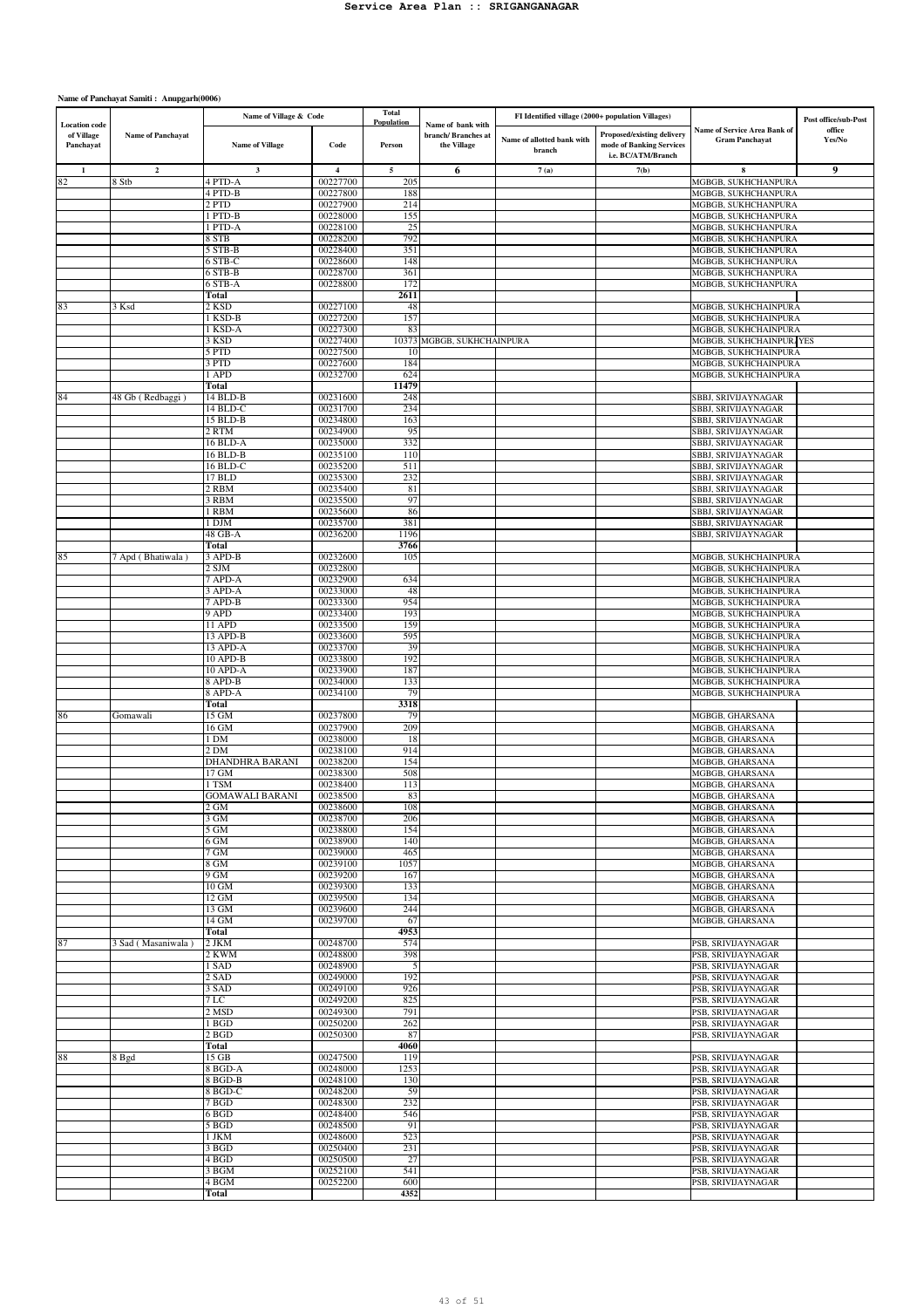|                                                 |                          | Name of Village & Code |                      | <b>Total</b><br>Population |                                                        | FI Identified village (2000+ population Villages) |                                                                              |                                                              | Post office/sub-Post |
|-------------------------------------------------|--------------------------|------------------------|----------------------|----------------------------|--------------------------------------------------------|---------------------------------------------------|------------------------------------------------------------------------------|--------------------------------------------------------------|----------------------|
| <b>Location</b> code<br>of Village<br>Panchayat | <b>Name of Panchayat</b> | <b>Name of Village</b> | Code                 | Person                     | Name of bank with<br>branch/Branches at<br>the Village | Name of allotted bank with<br>branch              | Proposed/existing delivery<br>mode of Banking Services<br>i.e. BC/ATM/Branch | <b>Name of Service Area Bank of</b><br><b>Gram Panchayat</b> | office<br>Yes/No     |
| $\mathbf{1}$                                    | $\mathbf{2}$             | $\mathbf 3$            | $\overline{4}$       | 5                          | 6                                                      | 7(a)                                              | 7(b)                                                                         | 8                                                            | 9                    |
| 82                                              | 8 Stb                    | 4 PTD-A<br>4 PTD-B     | 00227700             | 205                        |                                                        |                                                   |                                                                              | MGBGB, SUKHCHANPURA                                          |                      |
|                                                 |                          | 2 PTD                  | 00227800<br>00227900 | 188<br>214                 |                                                        |                                                   |                                                                              | MGBGB, SUKHCHANPURA<br>MGBGB, SUKHCHANPURA                   |                      |
|                                                 |                          | 1 PTD-B                | 00228000             | 155                        |                                                        |                                                   |                                                                              | MGBGB, SUKHCHANPURA                                          |                      |
|                                                 |                          | 1 PTD-A                | 00228100             | 25                         |                                                        |                                                   |                                                                              | MGBGB, SUKHCHANPURA                                          |                      |
|                                                 |                          | 8 STB                  | 00228200             | 792                        |                                                        |                                                   |                                                                              | MGBGB, SUKHCHANPURA                                          |                      |
|                                                 |                          | 5 STB-B<br>6 STB-C     | 00228400<br>00228600 | 351<br>148                 |                                                        |                                                   |                                                                              | MGBGB, SUKHCHANPURA<br>MGBGB, SUKHCHANPURA                   |                      |
|                                                 |                          | 6 STB-B                | 00228700             | 361                        |                                                        |                                                   |                                                                              | MGBGB, SUKHCHANPURA                                          |                      |
|                                                 |                          | 6 STB-A                | 00228800             | 172                        |                                                        |                                                   |                                                                              | MGBGB, SUKHCHANPURA                                          |                      |
|                                                 | 3 Ksd                    | Total<br>2 KSD         | 00227100             | 2611<br>48                 |                                                        |                                                   |                                                                              | MGBGB, SUKHCHAINPURA                                         |                      |
| 83                                              |                          | I KSD-B                | 00227200             | 157                        |                                                        |                                                   |                                                                              | MGBGB, SUKHCHAINPURA                                         |                      |
|                                                 |                          | 1 KSD-A                | 00227300             | 83                         |                                                        |                                                   |                                                                              | MGBGB, SUKHCHAINPURA                                         |                      |
|                                                 |                          | 3 KSD                  | 00227400             | 10373                      | MGBGB, SUKHCHAINPURA                                   |                                                   |                                                                              | MGBGB, SUKHCHAINPURAYES                                      |                      |
|                                                 |                          | 5 PTD<br>3 PTD         | 00227500<br>00227600 | 10<br>184                  |                                                        |                                                   |                                                                              | MGBGB, SUKHCHAINPURA<br>MGBGB, SUKHCHAINPURA                 |                      |
|                                                 |                          | 1 APD                  | 00232700             | 624                        |                                                        |                                                   |                                                                              | MGBGB, SUKHCHAINPURA                                         |                      |
|                                                 |                          | Total                  |                      | 11479                      |                                                        |                                                   |                                                                              |                                                              |                      |
| 84                                              | 48 Gb (Redbaggi)         | 14 BLD-B               | 00231600             | 248                        |                                                        |                                                   |                                                                              | SBBJ, SRIVIJAYNAGAR                                          |                      |
|                                                 |                          | 14 BLD-C<br>15 BLD-B   | 00231700<br>00234800 | 234<br>163                 |                                                        |                                                   |                                                                              | SBBJ, SRIVIJAYNAGAR<br>SBBJ, SRIVIJAYNAGAR                   |                      |
|                                                 |                          | 2 RTM                  | 00234900             | 95                         |                                                        |                                                   |                                                                              | SBBJ, SRIVIJAYNAGAR                                          |                      |
|                                                 |                          | 16 BLD-A               | 00235000             | 332                        |                                                        |                                                   |                                                                              | SBBJ, SRIVIJAYNAGAR                                          |                      |
|                                                 |                          | 16 BLD-B               | 00235100<br>00235200 | 110                        |                                                        |                                                   |                                                                              | SBBJ, SRIVIJAYNAGAR                                          |                      |
|                                                 |                          | 16 BLD-C<br>17 BLD     | 00235300             | 511<br>232                 |                                                        |                                                   |                                                                              | SBBJ, SRIVIJAYNAGAR<br>SBBJ, SRIVIJAYNAGAR                   |                      |
|                                                 |                          | 2 RBM                  | 00235400             | 81                         |                                                        |                                                   |                                                                              | SBBJ, SRIVIJAYNAGAR                                          |                      |
|                                                 |                          | 3 RBM                  | 00235500             | 97                         |                                                        |                                                   |                                                                              | SBBJ, SRIVIJAYNAGAR                                          |                      |
|                                                 |                          | 1 RBM<br>1 DJM         | 00235600<br>00235700 | 86<br>381                  |                                                        |                                                   |                                                                              | SBBJ, SRIVIJAYNAGAR<br>SBBJ, SRIVIJAYNAGAR                   |                      |
|                                                 |                          | 48 GB-A                | 00236200             | 1196                       |                                                        |                                                   |                                                                              | SBBJ, SRIVIJAYNAGAR                                          |                      |
|                                                 |                          | Total                  |                      | 3766                       |                                                        |                                                   |                                                                              |                                                              |                      |
| 85                                              | 7 Apd (Bhatiwala)        | 3 APD-B                | 00232600             | 105                        |                                                        |                                                   |                                                                              | MGBGB, SUKHCHAINPURA                                         |                      |
|                                                 |                          | 2 SJM<br>7 APD-A       | 00232800<br>00232900 | 634                        |                                                        |                                                   |                                                                              | MGBGB, SUKHCHAINPURA<br>MGBGB, SUKHCHAINPURA                 |                      |
|                                                 |                          | 3 APD-A                | 00233000             | 48                         |                                                        |                                                   |                                                                              | MGBGB, SUKHCHAINPURA                                         |                      |
|                                                 |                          | 7 APD-B                | 00233300             | 954                        |                                                        |                                                   |                                                                              | MGBGB, SUKHCHAINPURA                                         |                      |
|                                                 |                          | 9 APD<br>11 APD        | 00233400             | 193                        |                                                        |                                                   |                                                                              | MGBGB, SUKHCHAINPURA                                         |                      |
|                                                 |                          | 13 APD-B               | 00233500<br>00233600 | 159<br>595                 |                                                        |                                                   |                                                                              | MGBGB, SUKHCHAINPURA<br>MGBGB, SUKHCHAINPURA                 |                      |
|                                                 |                          | 13 APD-A               | 00233700             | 39                         |                                                        |                                                   |                                                                              | MGBGB, SUKHCHAINPURA                                         |                      |
|                                                 |                          | 10 APD-B               | 00233800             | 192                        |                                                        |                                                   |                                                                              | MGBGB, SUKHCHAINPURA                                         |                      |
|                                                 |                          | 10 APD-A<br>8 APD-B    | 00233900<br>00234000 | 187<br>133                 |                                                        |                                                   |                                                                              | MGBGB, SUKHCHAINPURA<br>MGBGB, SUKHCHAINPURA                 |                      |
|                                                 |                          | $8$ APD-A              | 00234100             | 79                         |                                                        |                                                   |                                                                              | MGBGB, SUKHCHAINPURA                                         |                      |
|                                                 |                          | Total                  |                      | 3318                       |                                                        |                                                   |                                                                              |                                                              |                      |
| 86                                              | Gomawali                 | 15 GM                  | 00237800             | 79                         |                                                        |                                                   |                                                                              | MGBGB, GHARSANA                                              |                      |
|                                                 |                          | 16 GM<br>1 DM          | 00237900<br>00238000 | 209<br>18                  |                                                        |                                                   |                                                                              | MGBGB, GHARSANA<br>MGBGB, GHARSANA                           |                      |
|                                                 |                          | 2 DM                   | 00238100             | 914                        |                                                        |                                                   |                                                                              | MGBGB, GHARSANA                                              |                      |
|                                                 |                          | DHANDHRA BARANI        | 00238200             | 154                        |                                                        |                                                   |                                                                              | MGBGB, GHARSANA                                              |                      |
|                                                 |                          | 17 GM<br>1 TSM         | 00238300<br>00238400 | 508<br>113                 |                                                        |                                                   |                                                                              | MGBGB, GHARSANA<br>MGBGB, GHARSANA                           |                      |
|                                                 |                          | <b>GOMAWALI BARANI</b> | 00238500             | 83                         |                                                        |                                                   |                                                                              | MGBGB, GHARSANA                                              |                      |
|                                                 |                          | 2 GM                   | 00238600             | 108                        |                                                        |                                                   |                                                                              | MGBGB, GHARSANA                                              |                      |
|                                                 |                          | 3 GM                   | 00238700             | 206                        |                                                        |                                                   |                                                                              | MGBGB, GHARSANA                                              |                      |
|                                                 |                          | $5$ GM<br>6 GM         | 00238800<br>00238900 | 154<br>140                 |                                                        |                                                   |                                                                              | MGBGB, GHARSANA<br>MGBGB, GHARSANA                           |                      |
|                                                 |                          | $7$ GM                 | 00239000             | 465                        |                                                        |                                                   |                                                                              | MGBGB, GHARSANA                                              |                      |
|                                                 |                          | 8 GM                   | 00239100             | 1057                       |                                                        |                                                   |                                                                              | MGBGB, GHARSANA                                              |                      |
|                                                 |                          | $9$ GM<br>$10$ GM      | 00239200<br>00239300 | 167<br>133                 |                                                        |                                                   |                                                                              | MGBGB, GHARSANA<br>MGBGB, GHARSANA                           |                      |
|                                                 |                          | 12 GM                  | 00239500             | 134                        |                                                        |                                                   |                                                                              | MGBGB, GHARSANA                                              |                      |
|                                                 |                          | 13 GM                  | 00239600             | 244                        |                                                        |                                                   |                                                                              | MGBGB, GHARSANA                                              |                      |
|                                                 |                          | 14 GM                  | 00239700             | 67                         |                                                        |                                                   |                                                                              | MGBGB, GHARSANA                                              |                      |
| 87                                              | 3 Sad (Masaniwala)       | Total<br>2 JKM         | 00248700             | 4953<br>574                |                                                        |                                                   |                                                                              | PSB, SRIVIJAYNAGAR                                           |                      |
|                                                 |                          | 2 KWM                  | 00248800             | 398                        |                                                        |                                                   |                                                                              | PSB, SRIVIJAYNAGAR                                           |                      |
|                                                 |                          | 1 SAD                  | 00248900             | 5                          |                                                        |                                                   |                                                                              | PSB, SRIVIJAYNAGAR                                           |                      |
|                                                 |                          | 2 SAD<br>3 SAD         | 00249000<br>00249100 | 192<br>926                 |                                                        |                                                   |                                                                              | PSB, SRIVIJAYNAGAR                                           |                      |
|                                                 |                          | 7 <sub>LC</sub>        | 00249200             | 825                        |                                                        |                                                   |                                                                              | PSB, SRIVIJAYNAGAR<br>PSB, SRIVIJAYNAGAR                     |                      |
|                                                 |                          | 2 MSD                  | 00249300             | 791                        |                                                        |                                                   |                                                                              | PSB, SRIVIJAYNAGAR                                           |                      |
|                                                 |                          | 1 BGD                  | 00250200             | 262                        |                                                        |                                                   |                                                                              | PSB, SRIVIJAYNAGAR                                           |                      |
|                                                 |                          | $2$ BGD<br>Total       | 00250300             | 87<br>4060                 |                                                        |                                                   |                                                                              | PSB, SRIVIJAYNAGAR                                           |                      |
| 88                                              | 8 Bgd                    | 15 GB                  | 00247500             | 119                        |                                                        |                                                   |                                                                              | PSB, SRIVIJAYNAGAR                                           |                      |
|                                                 |                          | 8 BGD-A                | 00248000             | 1253                       |                                                        |                                                   |                                                                              | PSB, SRIVIJAYNAGAR                                           |                      |
|                                                 |                          | 8 BGD-B                | 00248100             | 130                        |                                                        |                                                   |                                                                              | PSB, SRIVIJAYNAGAR                                           |                      |
|                                                 |                          | 8 BGD-C<br>7BGD        | 00248200<br>00248300 | 59<br>232                  |                                                        |                                                   |                                                                              | PSB, SRIVIJAYNAGAR<br>PSB, SRIVIJAYNAGAR                     |                      |
|                                                 |                          | $6$ BGD                | 00248400             | 546                        |                                                        |                                                   |                                                                              | PSB, SRIVIJAYNAGAR                                           |                      |
|                                                 |                          | 5BGD                   | 00248500             | 91                         |                                                        |                                                   |                                                                              | PSB, SRIVIJAYNAGAR                                           |                      |
|                                                 |                          | 1 JKM                  | 00248600             | 523                        |                                                        |                                                   |                                                                              | PSB, SRIVIJAYNAGAR                                           |                      |
|                                                 |                          | 3 BGD<br>4 BGD         | 00250400<br>00250500 | 231<br>27                  |                                                        |                                                   |                                                                              | PSB, SRIVIJAYNAGAR<br>PSB, SRIVIJAYNAGAR                     |                      |
|                                                 |                          | 3 BGM                  | 00252100             | 541                        |                                                        |                                                   |                                                                              | PSB, SRIVIJAYNAGAR                                           |                      |
|                                                 |                          | 4 BGM                  | 00252200             | 600                        |                                                        |                                                   |                                                                              | PSB, SRIVIJAYNAGAR                                           |                      |
|                                                 |                          | Total                  |                      | 4352                       |                                                        |                                                   |                                                                              |                                                              |                      |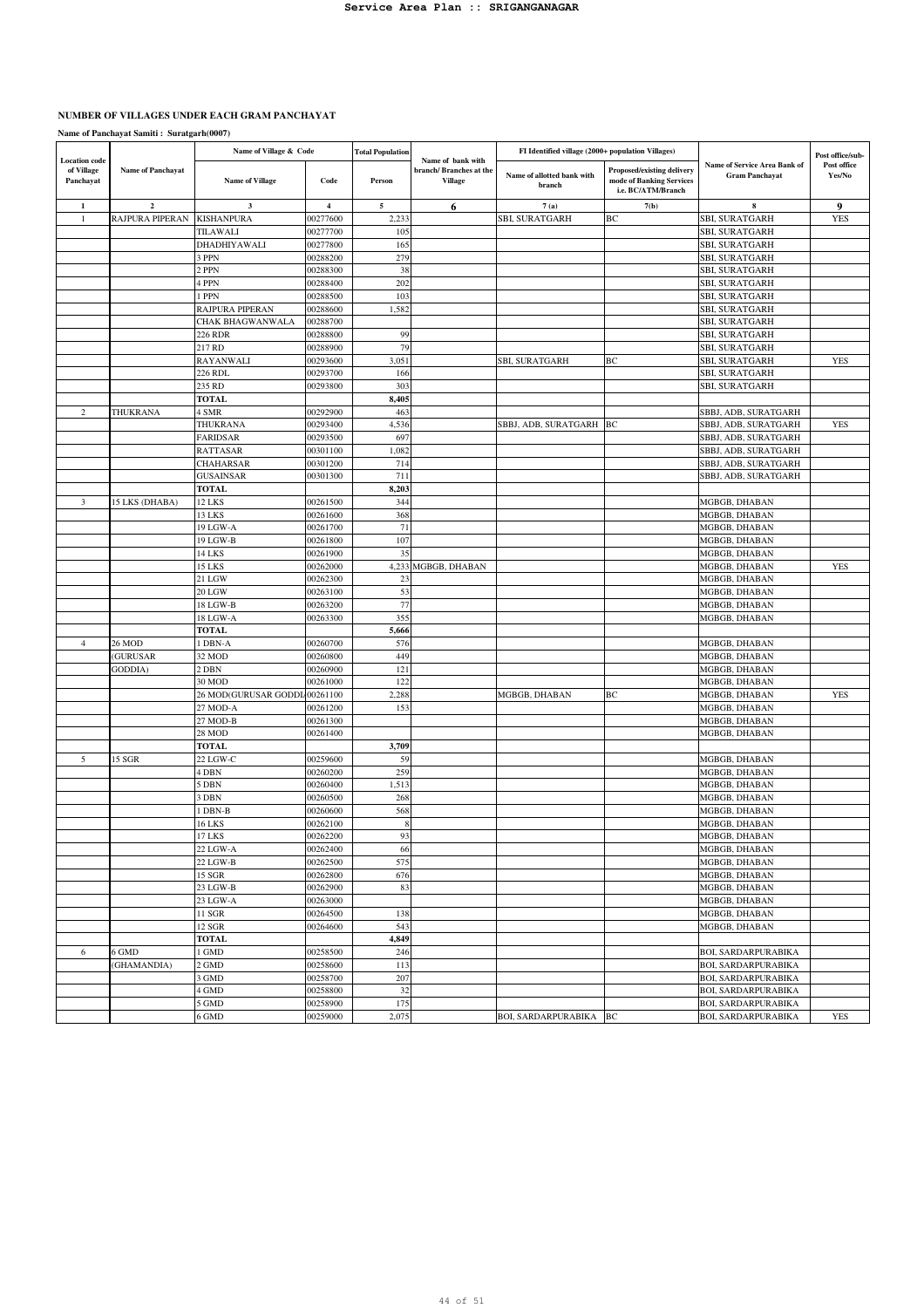# **NUMBER OF VILLAGES UNDER EACH GRAM PANCHAYAT**

|                                                 |                   | Name of Village & Code      |                         | <b>Total Population</b> |                                                               | FI Identified village (2000+ population Villages) |                                                                              |                                                       | Post office/sub-      |
|-------------------------------------------------|-------------------|-----------------------------|-------------------------|-------------------------|---------------------------------------------------------------|---------------------------------------------------|------------------------------------------------------------------------------|-------------------------------------------------------|-----------------------|
| <b>Location</b> code<br>of Village<br>Panchayat | Name of Panchayat | <b>Name of Village</b>      | Code                    | Person                  | Name of bank with<br>branch/Branches at the<br><b>Village</b> | Name of allotted bank with<br>branch              | Proposed/existing delivery<br>mode of Banking Services<br>i.e. BC/ATM/Branch | Name of Service Area Bank of<br><b>Gram Panchayat</b> | Post office<br>Yes/No |
| $\mathbf{1}$                                    | $\overline{2}$    | 3                           | $\overline{\mathbf{4}}$ | 5                       | 6                                                             | 7(a)                                              | 7(b)                                                                         |                                                       | 9                     |
| $\mathbf{1}$                                    | RAJPURA PIPERAN   | <b>KISHANPURA</b>           | 00277600                | 2,233                   |                                                               | <b>SBI, SURATGARH</b>                             | BC                                                                           | SBI, SURATGARH                                        | <b>YES</b>            |
|                                                 |                   | TILAWALI                    | 00277700                | 105                     |                                                               |                                                   |                                                                              | <b>SBI, SURATGARH</b>                                 |                       |
|                                                 |                   | DHADHIYAWALI                | 00277800                | 165                     |                                                               |                                                   |                                                                              | <b>SBI, SURATGARH</b>                                 |                       |
|                                                 |                   | <b>PPN</b>                  | 00288200                | 279                     |                                                               |                                                   |                                                                              | SBI, SURATGARH                                        |                       |
|                                                 |                   | ! PPN                       | 00288300                | 38                      |                                                               |                                                   |                                                                              | SBI, SURATGARH                                        |                       |
|                                                 |                   | 4 PPN                       | 00288400                | 202                     |                                                               |                                                   |                                                                              | <b>SBI, SURATGARH</b>                                 |                       |
|                                                 |                   | l PPN                       | 00288500                | 103                     |                                                               |                                                   |                                                                              | <b>SBI, SURATGARH</b>                                 |                       |
|                                                 |                   | RAJPURA PIPERAN             | 00288600                | 1,582                   |                                                               |                                                   |                                                                              | <b>SBI, SURATGARH</b>                                 |                       |
|                                                 |                   | CHAK BHAGWANWALA            | 00288700                |                         |                                                               |                                                   |                                                                              | SBI, SURATGARH                                        |                       |
|                                                 |                   | 226 RDR<br>217 RD           | 00288800<br>00288900    | 99<br>79                |                                                               |                                                   |                                                                              | <b>SBI, SURATGARH</b>                                 |                       |
|                                                 |                   |                             | 00293600                | 3,051                   |                                                               |                                                   | BС                                                                           | <b>SBI, SURATGARH</b>                                 | <b>YES</b>            |
|                                                 |                   | <b>RAYANWALI</b><br>226 RDL | 00293700                | 166                     |                                                               | SBI, SURATGARH                                    |                                                                              | SBI, SURATGARH<br>SBI, SURATGARH                      |                       |
|                                                 |                   | 235 RD                      | 00293800                | 303                     |                                                               |                                                   |                                                                              | SBI, SURATGARH                                        |                       |
|                                                 |                   | <b>TOTAL</b>                |                         | 8,405                   |                                                               |                                                   |                                                                              |                                                       |                       |
| $\overline{c}$                                  | THUKRANA          | 4 SMR                       | 00292900                | 463                     |                                                               |                                                   |                                                                              | SBBJ, ADB, SURATGARH                                  |                       |
|                                                 |                   | THUKRANA                    | 00293400                | 4,536                   |                                                               | SBBJ, ADB, SURATGARH                              | BC                                                                           | SBBJ, ADB, SURATGARH                                  | <b>YES</b>            |
|                                                 |                   | <b>FARIDSAR</b>             | 00293500                | 697                     |                                                               |                                                   |                                                                              | SBBJ, ADB, SURATGARH                                  |                       |
|                                                 |                   | <b>RATTASAR</b>             | 00301100                | 1,082                   |                                                               |                                                   |                                                                              | SBBJ, ADB, SURATGARH                                  |                       |
|                                                 |                   | CHAHARSAR                   | 00301200                | 714                     |                                                               |                                                   |                                                                              | SBBJ, ADB, SURATGARH                                  |                       |
|                                                 |                   | <b>GUSAINSAR</b>            | 00301300                | 711                     |                                                               |                                                   |                                                                              | SBBJ, ADB, SURATGARH                                  |                       |
|                                                 |                   | TOTAL                       |                         | 8,203                   |                                                               |                                                   |                                                                              |                                                       |                       |
| 3                                               | 15 LKS (DHABA)    | 12 LKS                      | 00261500                | 344                     |                                                               |                                                   |                                                                              | MGBGB, DHABAN                                         |                       |
|                                                 |                   | 13 LKS                      | 00261600                | 368                     |                                                               |                                                   |                                                                              | MGBGB, DHABAN                                         |                       |
|                                                 |                   | 19 LGW-A                    | 00261700                | 71                      |                                                               |                                                   |                                                                              | MGBGB, DHABAN                                         |                       |
|                                                 |                   | 19 LGW-B                    | 00261800                | 107                     |                                                               |                                                   |                                                                              | MGBGB, DHABAN                                         |                       |
|                                                 |                   | 14 LKS                      | 00261900                | 35                      |                                                               |                                                   |                                                                              | MGBGB, DHABAN                                         |                       |
|                                                 |                   | 15 LKS                      | 00262000                | 4,233                   | MGBGB, DHABAN                                                 |                                                   |                                                                              | MGBGB, DHABAN                                         | <b>YES</b>            |
|                                                 |                   | 21 LGW                      | 00262300                | 23                      |                                                               |                                                   |                                                                              | MGBGB, DHABAN                                         |                       |
|                                                 |                   | 20 LGW                      | 00263100                | 53                      |                                                               |                                                   |                                                                              | MGBGB, DHABAN                                         |                       |
|                                                 |                   | 18 LGW-B                    | 00263200                | 77                      |                                                               |                                                   |                                                                              | MGBGB, DHABAN                                         |                       |
|                                                 |                   | 18 LGW-A                    | 00263300                | 355                     |                                                               |                                                   |                                                                              | MGBGB, DHABAN                                         |                       |
|                                                 |                   | <b>TOTAL</b>                |                         | 5,666                   |                                                               |                                                   |                                                                              |                                                       |                       |
| $\overline{4}$                                  | 26 MOD            | I DBN-A                     | 00260700                | 576                     |                                                               |                                                   |                                                                              | MGBGB, DHABAN                                         |                       |
|                                                 | (GURUSAR          | 32 MOD                      | 00260800                | 449                     |                                                               |                                                   |                                                                              | MGBGB, DHABAN                                         |                       |
|                                                 | GODDIA)           | 2 DBN                       | 00260900                | 121                     |                                                               |                                                   |                                                                              | MGBGB, DHABAN                                         |                       |
|                                                 |                   | 30 MOD                      | 00261000                | 122                     |                                                               |                                                   |                                                                              | MGBGB, DHABAN                                         |                       |
|                                                 |                   | 26 MOD(GURUSAR GODDI        | 400261100               | 2,288                   |                                                               | MGBGB, DHABAN                                     | BC                                                                           | MGBGB, DHABAN                                         | <b>YES</b>            |
|                                                 |                   | 27 MOD-A                    | 00261200                | 153                     |                                                               |                                                   |                                                                              | MGBGB, DHABAN                                         |                       |
|                                                 |                   | 27 MOD-B<br>28 MOD          | 00261300<br>00261400    |                         |                                                               |                                                   |                                                                              | MGBGB, DHABAN<br>MGBGB, DHABAN                        |                       |
|                                                 |                   | <b>TOTAL</b>                |                         | 3,709                   |                                                               |                                                   |                                                                              |                                                       |                       |
| 5                                               | 15 SGR            | 22 LGW-C                    | 00259600                | 59                      |                                                               |                                                   |                                                                              | MGBGB, DHABAN                                         |                       |
|                                                 |                   | 4 DBN                       | 00260200                | 259                     |                                                               |                                                   |                                                                              | MGBGB, DHABAN                                         |                       |
|                                                 |                   | 5 DBN                       | 00260400                | 1,513                   |                                                               |                                                   |                                                                              | MGBGB, DHABAN                                         |                       |
|                                                 |                   | 3 DBN                       | 00260500                | 268                     |                                                               |                                                   |                                                                              | MGBGB, DHABAN                                         |                       |
|                                                 |                   | DBN-B                       | 00260600                | 568                     |                                                               |                                                   |                                                                              | MGBGB, DHABAN                                         |                       |
|                                                 |                   | 16 LKS                      | 00262100                | -8                      |                                                               |                                                   |                                                                              | MGBGB, DHABAN                                         |                       |
|                                                 |                   | <b>17 LKS</b>               | 00262200                | 93                      |                                                               |                                                   |                                                                              | MGBGB, DHABAN                                         |                       |
|                                                 |                   | 22 LGW-A                    | 00262400                | 66                      |                                                               |                                                   |                                                                              | MGBGB, DHABAN                                         |                       |
|                                                 |                   | 22 LGW-B                    | 00262500                | 575                     |                                                               |                                                   |                                                                              | MGBGB, DHABAN                                         |                       |
|                                                 |                   | 15 SGR                      | 00262800                | 676                     |                                                               |                                                   |                                                                              | MGBGB, DHABAN                                         |                       |
|                                                 |                   | 23 LGW-B                    | 00262900                | 83                      |                                                               |                                                   |                                                                              | MGBGB, DHABAN                                         |                       |
|                                                 |                   | 23 LGW-A                    | 00263000                |                         |                                                               |                                                   |                                                                              | MGBGB, DHABAN                                         |                       |
|                                                 |                   | 11 SGR                      | 00264500                | 138                     |                                                               |                                                   |                                                                              | MGBGB, DHABAN                                         |                       |
|                                                 |                   | <b>12 SGR</b>               | 00264600                | 543                     |                                                               |                                                   |                                                                              | MGBGB, DHABAN                                         |                       |
|                                                 |                   | <b>TOTAL</b>                |                         | 4,849                   |                                                               |                                                   |                                                                              |                                                       |                       |
| 6                                               | 6 GMD             | I GMD                       | 00258500                | 246                     |                                                               |                                                   |                                                                              | <b>BOI, SARDARPURABIKA</b>                            |                       |
|                                                 | (GHAMANDIA)       | 2 GMD                       | 00258600                | 113                     |                                                               |                                                   |                                                                              | <b>BOI, SARDARPURABIKA</b>                            |                       |
|                                                 |                   | 3 GMD                       | 00258700                | 207                     |                                                               |                                                   |                                                                              | <b>BOI, SARDARPURABIKA</b>                            |                       |
|                                                 |                   | 4 GMD                       | 00258800                | 32                      |                                                               |                                                   |                                                                              | <b>BOI, SARDARPURABIKA</b>                            |                       |
|                                                 |                   | GMD                         | 00258900                | 175                     |                                                               |                                                   |                                                                              | <b>BOI, SARDARPURABIKA</b>                            |                       |
|                                                 |                   | 6 GMD                       | 00259000                | 2,075                   |                                                               | <b>BOI, SARDARPURABIKA</b>                        | BC                                                                           | <b>BOI, SARDARPURABIKA</b>                            | <b>YES</b>            |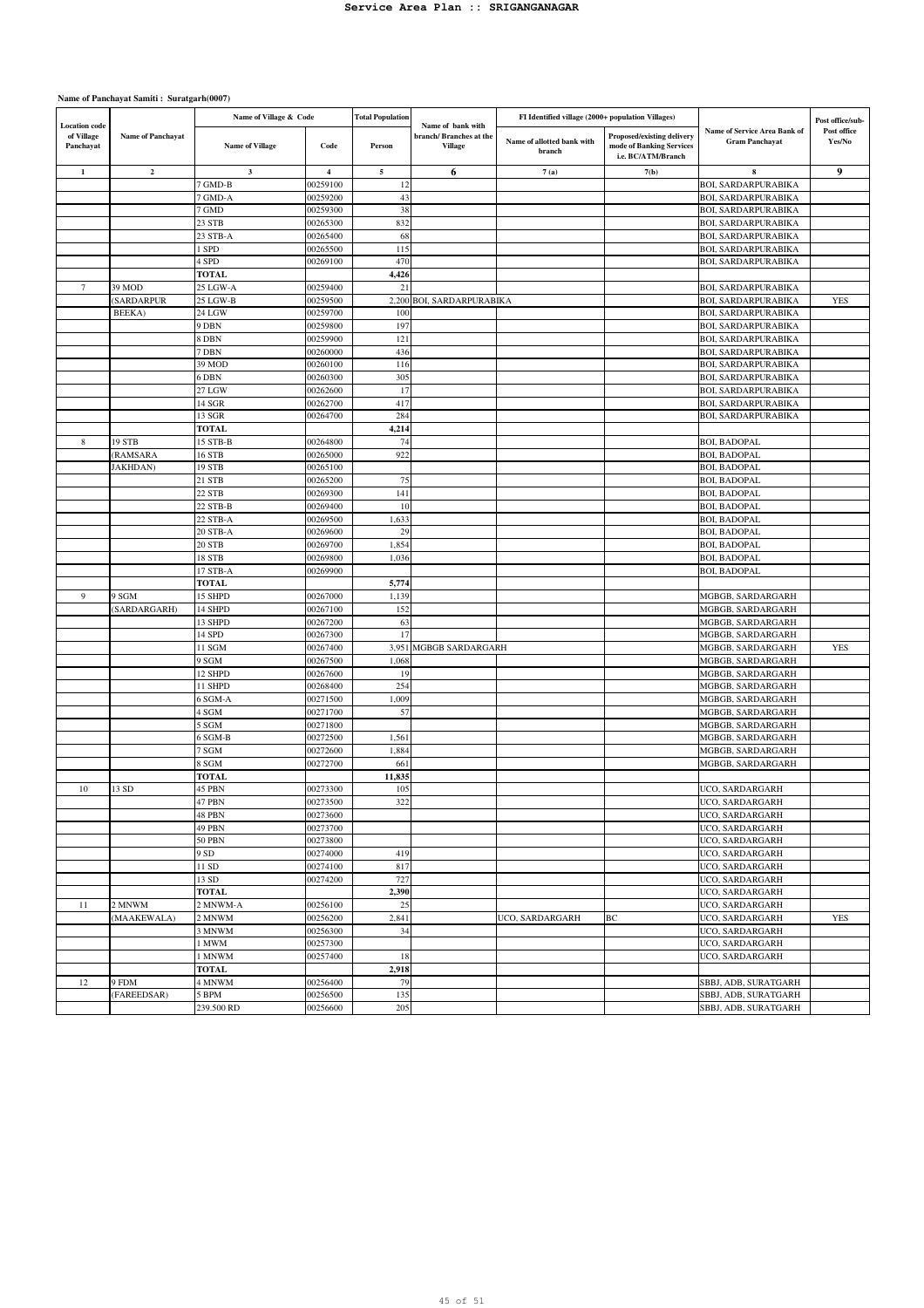| <b>Location</b> code    |                         | Name of Village & Code |                         | <b>Total Population</b> | Name of bank with                 | FI Identified village (2000+ population Villages) |                                                                              |                                                          | Post office/sub-      |
|-------------------------|-------------------------|------------------------|-------------------------|-------------------------|-----------------------------------|---------------------------------------------------|------------------------------------------------------------------------------|----------------------------------------------------------|-----------------------|
| of Village<br>Panchayat | Name of Panchayat       | <b>Name of Village</b> | Code                    | Person                  | branch/Branches at the<br>Village | Name of allotted bank with<br>branch              | Proposed/existing delivery<br>mode of Banking Services<br>i.e. BC/ATM/Branch | Name of Service Area Bank of<br><b>Gram Panchayat</b>    | Post office<br>Yes/No |
| 1                       | $\overline{\mathbf{2}}$ | $\mathbf{3}$           | $\overline{\mathbf{4}}$ | 5                       | 6                                 | 7(a)                                              | 7(b)                                                                         | 8                                                        | 9                     |
|                         |                         | 7 GMD-B                | 00259100                | 12                      |                                   |                                                   |                                                                              | <b>BOI, SARDARPURABIKA</b>                               |                       |
|                         |                         | 7 GMD-A                | 00259200                | 43                      |                                   |                                                   |                                                                              | <b>BOI, SARDARPURABIKA</b>                               |                       |
|                         |                         | 7 GMD                  | 00259300                | 38                      |                                   |                                                   |                                                                              | BOI, SARDARPURABIKA                                      |                       |
|                         |                         | 23 STB                 | 00265300                | 832                     |                                   |                                                   |                                                                              | BOI, SARDARPURABIKA                                      |                       |
|                         |                         | 23 STB-A               | 00265400                | 68                      |                                   |                                                   |                                                                              | <b>BOI, SARDARPURABIKA</b>                               |                       |
|                         |                         | 1 SPD                  | 00265500                | 115<br>470              |                                   |                                                   |                                                                              | <b>BOI, SARDARPURABIKA</b><br><b>BOI, SARDARPURABIKA</b> |                       |
|                         |                         | 4 SPD<br><b>TOTAL</b>  | 00269100                | 4,426                   |                                   |                                                   |                                                                              |                                                          |                       |
| 7                       | 39 MOD                  | 25 LGW-A               | 00259400                | 21                      |                                   |                                                   |                                                                              | BOI, SARDARPURABIKA                                      |                       |
|                         | SARDARPUR               | 25 LGW-B               | 00259500                | 2,200                   | BOI, SARDARPURABIKA               |                                                   |                                                                              | BOI, SARDARPURABIKA                                      | <b>YES</b>            |
|                         | BEEKA)                  | 24 LGW                 | 00259700                | 100                     |                                   |                                                   |                                                                              | <b>BOI, SARDARPURABIKA</b>                               |                       |
|                         |                         | 9 DBN                  | 00259800                | 197                     |                                   |                                                   |                                                                              | <b>BOI, SARDARPURABIKA</b>                               |                       |
|                         |                         | 8 DBN                  | 00259900                | 121                     |                                   |                                                   |                                                                              | <b>BOI, SARDARPURABIKA</b>                               |                       |
|                         |                         | 7 DBN                  | 00260000                | 436                     |                                   |                                                   |                                                                              | <b>BOI, SARDARPURABIKA</b>                               |                       |
|                         |                         | 39 MOD                 | 00260100                | 116                     |                                   |                                                   |                                                                              | <b>BOI, SARDARPURABIKA</b>                               |                       |
|                         |                         | 6 DBN                  | 00260300                | 305                     |                                   |                                                   |                                                                              | <b>BOI, SARDARPURABIKA</b>                               |                       |
|                         |                         | 27 LGW                 | 00262600                | 17                      |                                   |                                                   |                                                                              | <b>BOI, SARDARPURABIKA</b>                               |                       |
|                         |                         | 14 SGR                 | 00262700                | 417                     |                                   |                                                   |                                                                              | <b>BOI, SARDARPURABIKA</b>                               |                       |
|                         |                         | 13 SGR                 | 00264700                | 284                     |                                   |                                                   |                                                                              | <b>BOI, SARDARPURABIKA</b>                               |                       |
|                         |                         | <b>TOTAL</b>           |                         | 4,214                   |                                   |                                                   |                                                                              |                                                          |                       |
| 8                       | 19 STB                  | 15 STB-B               | 00264800                | 74                      |                                   |                                                   |                                                                              | <b>BOI, BADOPAL</b>                                      |                       |
|                         | (RAMSARA                | 16 STB                 | 00265000                | 922                     |                                   |                                                   |                                                                              | BOI, BADOPAL                                             |                       |
|                         | JAKHDAN)                | 19 STB                 | 00265100                |                         |                                   |                                                   |                                                                              | <b>BOI, BADOPAL</b>                                      |                       |
|                         |                         | 21 STB                 | 00265200                | 75                      |                                   |                                                   |                                                                              | <b>BOI, BADOPAL</b>                                      |                       |
|                         |                         | 22 STB                 | 00269300                | 141                     |                                   |                                                   |                                                                              | <b>BOI, BADOPAL</b>                                      |                       |
|                         |                         | 22 STB-B<br>22 STB-A   | 00269400                | 10<br>1,633             |                                   |                                                   |                                                                              | <b>BOI, BADOPAL</b>                                      |                       |
|                         |                         | 20 STB-A               | 00269500<br>00269600    | 29                      |                                   |                                                   |                                                                              | <b>BOI, BADOPAL</b><br><b>BOI, BADOPAL</b>               |                       |
|                         |                         | 20 STB                 | 00269700                | 1,854                   |                                   |                                                   |                                                                              | BOI, BADOPAL                                             |                       |
|                         |                         | 18 STB                 | 00269800                | 1,036                   |                                   |                                                   |                                                                              | BOI, BADOPAL                                             |                       |
|                         |                         | 17 STB-A               | 00269900                |                         |                                   |                                                   |                                                                              | BOI, BADOPAL                                             |                       |
|                         |                         | <b>TOTAL</b>           |                         | 5,774                   |                                   |                                                   |                                                                              |                                                          |                       |
| 9                       | 9 SGM                   | 15 SHPD                | 00267000                | 1,139                   |                                   |                                                   |                                                                              | MGBGB, SARDARGARH                                        |                       |
|                         | (SARDARGARH)            | 14 SHPD                | 00267100                | 152                     |                                   |                                                   |                                                                              | MGBGB, SARDARGARH                                        |                       |
|                         |                         | 13 SHPD                | 00267200                | 63                      |                                   |                                                   |                                                                              | MGBGB, SARDARGARH                                        |                       |
|                         |                         | 14 SPD                 | 00267300                | 17                      |                                   |                                                   |                                                                              | MGBGB, SARDARGARH                                        |                       |
|                         |                         | 11 SGM                 | 00267400                | 3,951                   | MGBGB SARDARGARH                  |                                                   |                                                                              | MGBGB, SARDARGARH                                        | <b>YES</b>            |
|                         |                         | 9 SGM                  | 00267500                | 1,068                   |                                   |                                                   |                                                                              | MGBGB, SARDARGARH                                        |                       |
|                         |                         | 12 SHPD                | 00267600                | 19                      |                                   |                                                   |                                                                              | MGBGB, SARDARGARH                                        |                       |
|                         |                         | 11 SHPD                | 00268400                | 254                     |                                   |                                                   |                                                                              | MGBGB, SARDARGARH                                        |                       |
|                         |                         | 6 SGM-A                | 00271500                | 1,009                   |                                   |                                                   |                                                                              | MGBGB, SARDARGARH                                        |                       |
|                         |                         | 4 SGM                  | 00271700                | 57                      |                                   |                                                   |                                                                              | MGBGB, SARDARGARH                                        |                       |
|                         |                         | 5 SGM                  | 00271800<br>00272500    |                         |                                   |                                                   |                                                                              | MGBGB, SARDARGARH                                        |                       |
|                         |                         | 6 SGM-B<br>7 SGM       | 00272600                | 1,561<br>1,884          |                                   |                                                   |                                                                              | MGBGB, SARDARGARH<br>MGBGB, SARDARGARH                   |                       |
|                         |                         | 8 SGM                  | 00272700                | 661                     |                                   |                                                   |                                                                              | MGBGB, SARDARGARH                                        |                       |
|                         |                         | <b>TOTAL</b>           |                         | 11,835                  |                                   |                                                   |                                                                              |                                                          |                       |
| 10                      | 13 SD                   | 45 PBN                 | 00273300                | 105                     |                                   |                                                   |                                                                              | UCO, SARDARGARH                                          |                       |
|                         |                         | 47 PBN                 | 00273500                | 322                     |                                   |                                                   |                                                                              | UCO, SARDARGARH                                          |                       |
|                         |                         | 48 PBN                 | 00273600                |                         |                                   |                                                   |                                                                              | UCO, SARDARGARH                                          |                       |
|                         |                         | 49 PBN                 | 00273700                |                         |                                   |                                                   |                                                                              | UCO, SARDARGARH                                          |                       |
|                         |                         | 50 PBN                 | 00273800                |                         |                                   |                                                   |                                                                              | UCO, SARDARGARH                                          |                       |
|                         |                         | 9 SD                   | 00274000                | 419                     |                                   |                                                   |                                                                              | UCO, SARDARGARH                                          |                       |
|                         |                         | 11 SD                  | 00274100                | 817                     |                                   |                                                   |                                                                              | UCO, SARDARGARH                                          |                       |
|                         |                         | 13 SD                  | 00274200                | 727                     |                                   |                                                   |                                                                              | UCO, SARDARGARH                                          |                       |
|                         |                         | <b>TOTAL</b>           |                         | 2,390                   |                                   |                                                   |                                                                              | UCO, SARDARGARH                                          |                       |
| 11                      | 2 MNWM                  | 2 MNWM-A               | 00256100                | 25                      |                                   |                                                   |                                                                              | UCO, SARDARGARH                                          |                       |
|                         | (MAAKEWALA)             | 2 MNWM                 | 00256200                | 2,841                   |                                   | UCO, SARDARGARH                                   | BC                                                                           | UCO, SARDARGARH                                          | YES                   |
|                         |                         | 3 MNWM                 | 00256300                | 34                      |                                   |                                                   |                                                                              | UCO, SARDARGARH                                          |                       |
|                         |                         | 1 MWM                  | 00257300                |                         |                                   |                                                   |                                                                              | UCO, SARDARGARH<br>UCO, SARDARGARH                       |                       |
|                         |                         | 1 MNWM<br><b>TOTAL</b> | 00257400                | 18<br>2,918             |                                   |                                                   |                                                                              |                                                          |                       |
| 12                      | 9 FDM                   | 4 MNWM                 | 00256400                | 79                      |                                   |                                                   |                                                                              | SBBJ, ADB, SURATGARH                                     |                       |
|                         | (FAREEDSAR)             | 5 BPM                  | 00256500                | 135                     |                                   |                                                   |                                                                              | SBBJ, ADB, SURATGARH                                     |                       |
|                         |                         | 239.500 RD             | 00256600                | 205                     |                                   |                                                   |                                                                              | SBBJ, ADB, SURATGARH                                     |                       |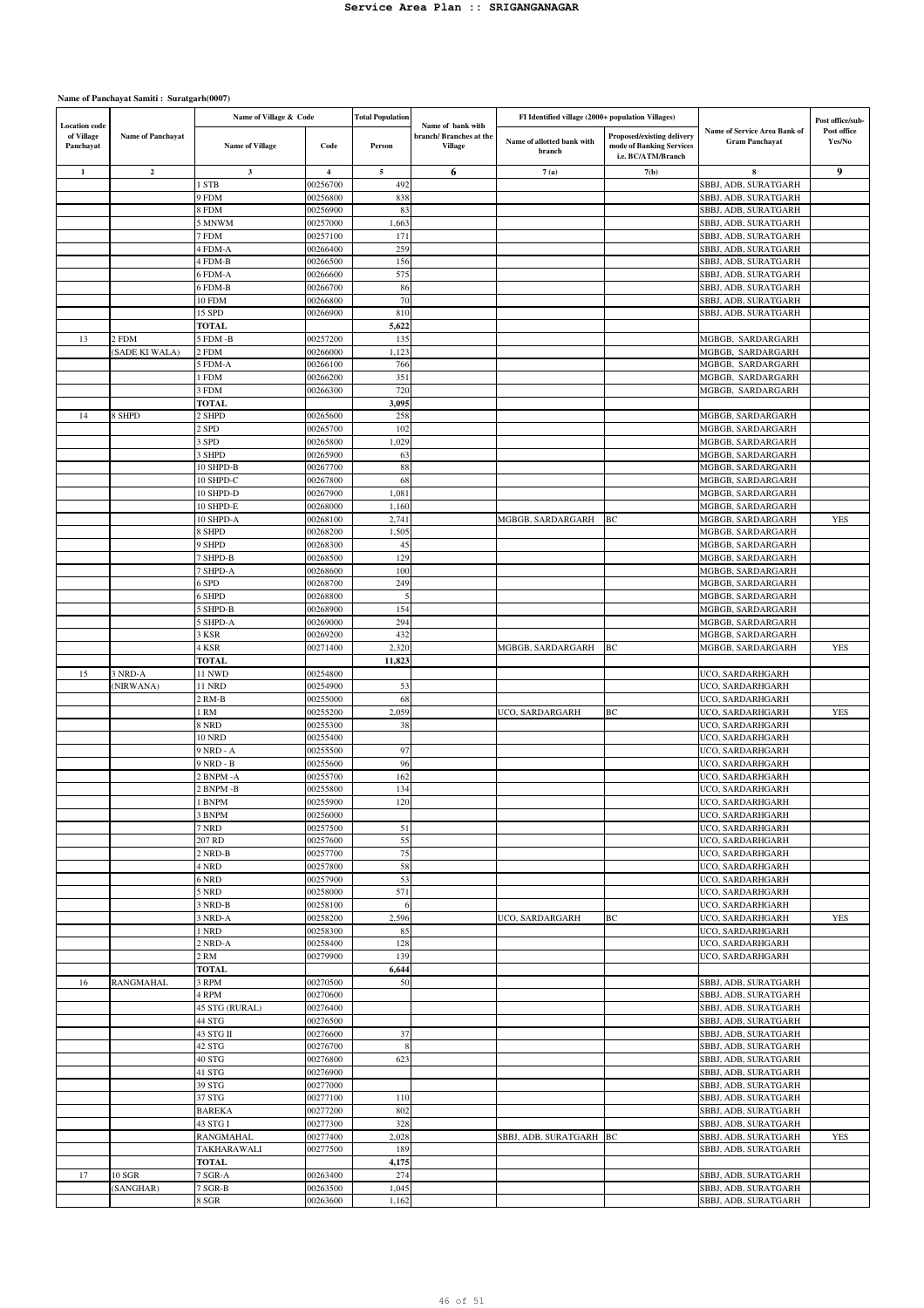|                                                 |                          | Name of Village & Code    |                      | <b>Total Population</b> |                                                               | FI Identified village (2000+ population Villages) |                                                                              |                                                              | Post office/sub-      |
|-------------------------------------------------|--------------------------|---------------------------|----------------------|-------------------------|---------------------------------------------------------------|---------------------------------------------------|------------------------------------------------------------------------------|--------------------------------------------------------------|-----------------------|
| <b>Location</b> code<br>of Village<br>Panchayat | <b>Name of Panchayat</b> | <b>Name of Village</b>    | Code                 | Person                  | Name of bank with<br>branch/Branches at the<br><b>Village</b> | Name of allotted bank with<br>branch              | Proposed/existing delivery<br>mode of Banking Services<br>i.e. BC/ATM/Branch | <b>Name of Service Area Bank of</b><br><b>Gram Panchayat</b> | Post office<br>Yes/No |
| $\mathbf{1}$                                    | $\mathbf 2$              | $\mathbf{3}$              | $\bf{4}$             | $\sim$                  | 6                                                             | 7(a)                                              | 7(b)                                                                         | 8                                                            | 9                     |
|                                                 |                          | <b>STB</b>                | 00256700             | 492                     |                                                               |                                                   |                                                                              | SBBJ, ADB, SURATGARH                                         |                       |
|                                                 |                          | 9 FDM                     | 00256800             | 838                     |                                                               |                                                   |                                                                              | SBBJ, ADB, SURATGARH                                         |                       |
|                                                 |                          | <b>B</b> FDM              | 00256900             | 83                      |                                                               |                                                   |                                                                              | SBBJ, ADB, SURATGARH                                         |                       |
|                                                 |                          | 5 MNWM                    | 00257000             | 1,663                   |                                                               |                                                   |                                                                              | SBBJ, ADB, SURATGARH                                         |                       |
|                                                 |                          | 7 FDM                     | 00257100             | 171                     |                                                               |                                                   |                                                                              | SBBJ, ADB, SURATGARH                                         |                       |
|                                                 |                          | 4 FDM-A                   | 00266400             | 259                     |                                                               |                                                   |                                                                              | SBBJ, ADB, SURATGARH                                         |                       |
|                                                 |                          | 4 FDM-B                   | 00266500             | 156                     |                                                               |                                                   |                                                                              | SBBJ, ADB, SURATGARH                                         |                       |
|                                                 |                          | 5 FDM-A                   | 00266600             | 575                     |                                                               |                                                   |                                                                              | SBBJ, ADB, SURATGARH                                         |                       |
|                                                 |                          | 5 FDM-B                   | 00266700             | 86                      |                                                               |                                                   |                                                                              | SBBJ, ADB, SURATGARH                                         |                       |
|                                                 |                          | 10 FDM                    | 00266800<br>00266900 | 70<br>810               |                                                               |                                                   |                                                                              | SBBJ, ADB, SURATGARH<br>SBBJ, ADB, SURATGARH                 |                       |
|                                                 |                          | 15 SPD<br><b>TOTAL</b>    |                      | 5,622                   |                                                               |                                                   |                                                                              |                                                              |                       |
| 13                                              | 2 FDM                    | 5 FDM -B                  | 00257200             | 135                     |                                                               |                                                   |                                                                              | MGBGB, SARDARGARH                                            |                       |
|                                                 | (SADE KI WALA)           | 2 FDM                     | 00266000             | 1,123                   |                                                               |                                                   |                                                                              | MGBGB, SARDARGARH                                            |                       |
|                                                 |                          | 5 FDM-A                   | 00266100             | 766                     |                                                               |                                                   |                                                                              | MGBGB, SARDARGARH                                            |                       |
|                                                 |                          | l FDM                     | 00266200             | 351                     |                                                               |                                                   |                                                                              | MGBGB, SARDARGARH                                            |                       |
|                                                 |                          | 3 FDM                     | 00266300             | 720                     |                                                               |                                                   |                                                                              | MGBGB, SARDARGARH                                            |                       |
|                                                 |                          | <b>TOTAL</b>              |                      | 3,095                   |                                                               |                                                   |                                                                              |                                                              |                       |
| 14                                              | 8 SHPD                   | 2 SHPD                    | 00265600             | 258                     |                                                               |                                                   |                                                                              | MGBGB, SARDARGARH                                            |                       |
|                                                 |                          | 2 SPD                     | 00265700             | 102                     |                                                               |                                                   |                                                                              | MGBGB, SARDARGARH<br>MGBGB, SARDARGARH                       |                       |
|                                                 |                          | 3 SPD<br>3 SHPD           | 00265800<br>00265900 | 1,029<br>63             |                                                               |                                                   |                                                                              | MGBGB, SARDARGARH                                            |                       |
|                                                 |                          | 10 SHPD-B                 | 00267700             | 88                      |                                                               |                                                   |                                                                              | MGBGB, SARDARGARH                                            |                       |
|                                                 |                          | 10 SHPD-C                 | 00267800             | 68                      |                                                               |                                                   |                                                                              | MGBGB, SARDARGARH                                            |                       |
|                                                 |                          | 10 SHPD-D                 | 00267900             | 1,081                   |                                                               |                                                   |                                                                              | MGBGB, SARDARGARH                                            |                       |
|                                                 |                          | 10 SHPD-E                 | 00268000             | 1,160                   |                                                               |                                                   |                                                                              | MGBGB, SARDARGARH                                            |                       |
|                                                 |                          | 10 SHPD-A                 | 00268100             | 2,741                   |                                                               | MGBGB, SARDARGARH                                 | BC                                                                           | MGBGB, SARDARGARH                                            | YES                   |
|                                                 |                          | 8 SHPD                    | 00268200             | 1,505                   |                                                               |                                                   |                                                                              | MGBGB, SARDARGARH                                            |                       |
|                                                 |                          | 9 SHPD                    | 00268300             | 45                      |                                                               |                                                   |                                                                              | MGBGB, SARDARGARH                                            |                       |
|                                                 |                          | 7 SHPD-B                  | 00268500             | 129                     |                                                               |                                                   |                                                                              | MGBGB, SARDARGARH                                            |                       |
|                                                 |                          | <b>SHPD-A</b>             | 00268600             | 100                     |                                                               |                                                   |                                                                              | MGBGB, SARDARGARH                                            |                       |
|                                                 |                          | 5 SPD<br>5 SHPD           | 00268700<br>00268800 | 249<br>5                |                                                               |                                                   |                                                                              | MGBGB, SARDARGARH<br>MGBGB, SARDARGARH                       |                       |
|                                                 |                          | SHPD-B                    | 00268900             | 154                     |                                                               |                                                   |                                                                              | MGBGB, SARDARGARH                                            |                       |
|                                                 |                          | SHPD-A                    | 00269000             | 294                     |                                                               |                                                   |                                                                              | MGBGB, SARDARGARH                                            |                       |
|                                                 |                          | 3 KSR                     | 00269200             | 432                     |                                                               |                                                   |                                                                              | MGBGB, SARDARGARH                                            |                       |
|                                                 |                          | KSR                       | 00271400             | 2,320                   |                                                               | MGBGB, SARDARGARH                                 | ВC                                                                           | MGBGB, SARDARGARH                                            | YES                   |
|                                                 |                          | <b>TOTAL</b>              |                      | 11,823                  |                                                               |                                                   |                                                                              |                                                              |                       |
| 15                                              | 3 NRD-A                  | 11 NWD                    | 00254800             |                         |                                                               |                                                   |                                                                              | UCO, SARDARHGARH                                             |                       |
|                                                 | (NIRWANA)                | 11 NRD                    | 00254900             | 53                      |                                                               |                                                   |                                                                              | UCO, SARDARHGARH                                             |                       |
|                                                 |                          | 2 RM-B                    | 00255000             | 68                      |                                                               |                                                   |                                                                              | UCO, SARDARHGARH                                             |                       |
|                                                 |                          | l RM<br>8 NRD             | 00255200<br>00255300 | 2,059<br>38             |                                                               | UCO, SARDARGARH                                   | BС                                                                           | UCO, SARDARHGARH<br>UCO, SARDARHGARH                         | <b>YES</b>            |
|                                                 |                          | <b>10 NRD</b>             | 00255400             |                         |                                                               |                                                   |                                                                              | UCO, SARDARHGARH                                             |                       |
|                                                 |                          | 9 NRD - A                 | 00255500             | 97                      |                                                               |                                                   |                                                                              | UCO, SARDARHGARH                                             |                       |
|                                                 |                          | 9 NRD - B                 | 00255600             | 96                      |                                                               |                                                   |                                                                              | UCO, SARDARHGARH                                             |                       |
|                                                 |                          | <b>BNPM-A</b>             | 00255700             | 162                     |                                                               |                                                   |                                                                              | UCO, SARDARHGARH                                             |                       |
|                                                 |                          | 2 BNPM -B                 | 00255800             | 134                     |                                                               |                                                   |                                                                              | UCO, SARDARHGARH                                             |                       |
|                                                 |                          | <b>BNPM</b>               | 00255900             | 120                     |                                                               |                                                   |                                                                              | UCO, SARDARHGARH                                             |                       |
|                                                 |                          | 3 BNPM                    | 00256000             |                         |                                                               |                                                   |                                                                              | UCO, SARDARHGARH                                             |                       |
|                                                 |                          | 7 NRD                     | 00257500             | 51                      |                                                               |                                                   |                                                                              | UCO, SARDARHGARH                                             |                       |
|                                                 |                          | 207 RD                    | 00257600             | 55                      |                                                               |                                                   |                                                                              | UCO, SARDARHGARH                                             |                       |
|                                                 |                          | 2 NRD-B<br>4 NRD          | 00257700<br>00257800 | 75<br>58                |                                                               |                                                   |                                                                              | UCO, SARDARHGARH<br>UCO, SARDARHGARH                         |                       |
|                                                 |                          | 6 NRD                     | 00257900             | 53                      |                                                               |                                                   |                                                                              | UCO, SARDARHGARH                                             |                       |
|                                                 |                          | 5 NRD                     | 00258000             | 571                     |                                                               |                                                   |                                                                              | UCO, SARDARHGARH                                             |                       |
|                                                 |                          | 3 NRD-B                   | 00258100             | 6                       |                                                               |                                                   |                                                                              | UCO, SARDARHGARH                                             |                       |
|                                                 |                          | 3 NRD-A                   | 00258200             | 2,596                   |                                                               | UCO, SARDARGARH                                   | BС                                                                           | UCO, SARDARHGARH                                             | <b>YES</b>            |
|                                                 |                          | l NRD                     | 00258300             | 85                      |                                                               |                                                   |                                                                              | UCO, SARDARHGARH                                             |                       |
|                                                 |                          | 2 NRD-A                   | 00258400             | 128                     |                                                               |                                                   |                                                                              | UCO, SARDARHGARH                                             |                       |
|                                                 |                          | 2 RM                      | 00279900             | 139                     |                                                               |                                                   |                                                                              | UCO, SARDARHGARH                                             |                       |
|                                                 |                          | <b>TOTAL</b>              |                      | 6,644                   |                                                               |                                                   |                                                                              |                                                              |                       |
| 16                                              | RANGMAHAL                | 3 RPM<br>4 RPM            | 00270500<br>00270600 | 50                      |                                                               |                                                   |                                                                              | SBBJ, ADB, SURATGARH<br>SBBJ, ADB, SURATGARH                 |                       |
|                                                 |                          | 45 STG (RURAL)            | 00276400             |                         |                                                               |                                                   |                                                                              | SBBJ, ADB, SURATGARH                                         |                       |
|                                                 |                          | 44 STG                    | 00276500             |                         |                                                               |                                                   |                                                                              | SBBJ, ADB, SURATGARH                                         |                       |
|                                                 |                          | 43 STG II                 | 00276600             | 37                      |                                                               |                                                   |                                                                              | SBBJ, ADB, SURATGARH                                         |                       |
|                                                 |                          | 42 STG                    | 00276700             | 8                       |                                                               |                                                   |                                                                              | SBBJ, ADB, SURATGARH                                         |                       |
|                                                 |                          | 40 STG                    | 00276800             | 623                     |                                                               |                                                   |                                                                              | SBBJ, ADB, SURATGARH                                         |                       |
|                                                 |                          | 41 STG                    | 00276900             |                         |                                                               |                                                   |                                                                              | SBBJ, ADB, SURATGARH                                         |                       |
|                                                 |                          | 39 STG                    | 00277000             |                         |                                                               |                                                   |                                                                              | SBBJ, ADB, SURATGARH                                         |                       |
|                                                 |                          | 37 STG                    | 00277100             | 110                     |                                                               |                                                   |                                                                              | SBBJ, ADB, SURATGARH                                         |                       |
|                                                 |                          | <b>BAREKA</b><br>43 STG I | 00277200<br>00277300 | 802<br>328              |                                                               |                                                   |                                                                              | SBBJ, ADB, SURATGARH<br>SBBJ, ADB, SURATGARH                 |                       |
|                                                 |                          | RANGMAHAL                 | 00277400             | 2,028                   |                                                               | SBBJ, ADB, SURATGARH                              | BC                                                                           | SBBJ, ADB, SURATGARH                                         | YES                   |
|                                                 |                          | TAKHARAWALI               | 00277500             | 189                     |                                                               |                                                   |                                                                              | SBBJ, ADB, SURATGARH                                         |                       |
|                                                 |                          | <b>TOTAL</b>              |                      | 4,175                   |                                                               |                                                   |                                                                              |                                                              |                       |
| 17                                              | <b>10 SGR</b>            | 7 SGR-A                   | 00263400             | 274                     |                                                               |                                                   |                                                                              | SBBJ, ADB, SURATGARH                                         |                       |
|                                                 | (SANGHAR)                | 7 SGR-B                   | 00263500             | 1,045                   |                                                               |                                                   |                                                                              | SBBJ, ADB, SURATGARH                                         |                       |
|                                                 |                          | 8 SGR                     | 00263600             | 1,162                   |                                                               |                                                   |                                                                              | SBBJ, ADB, SURATGARH                                         |                       |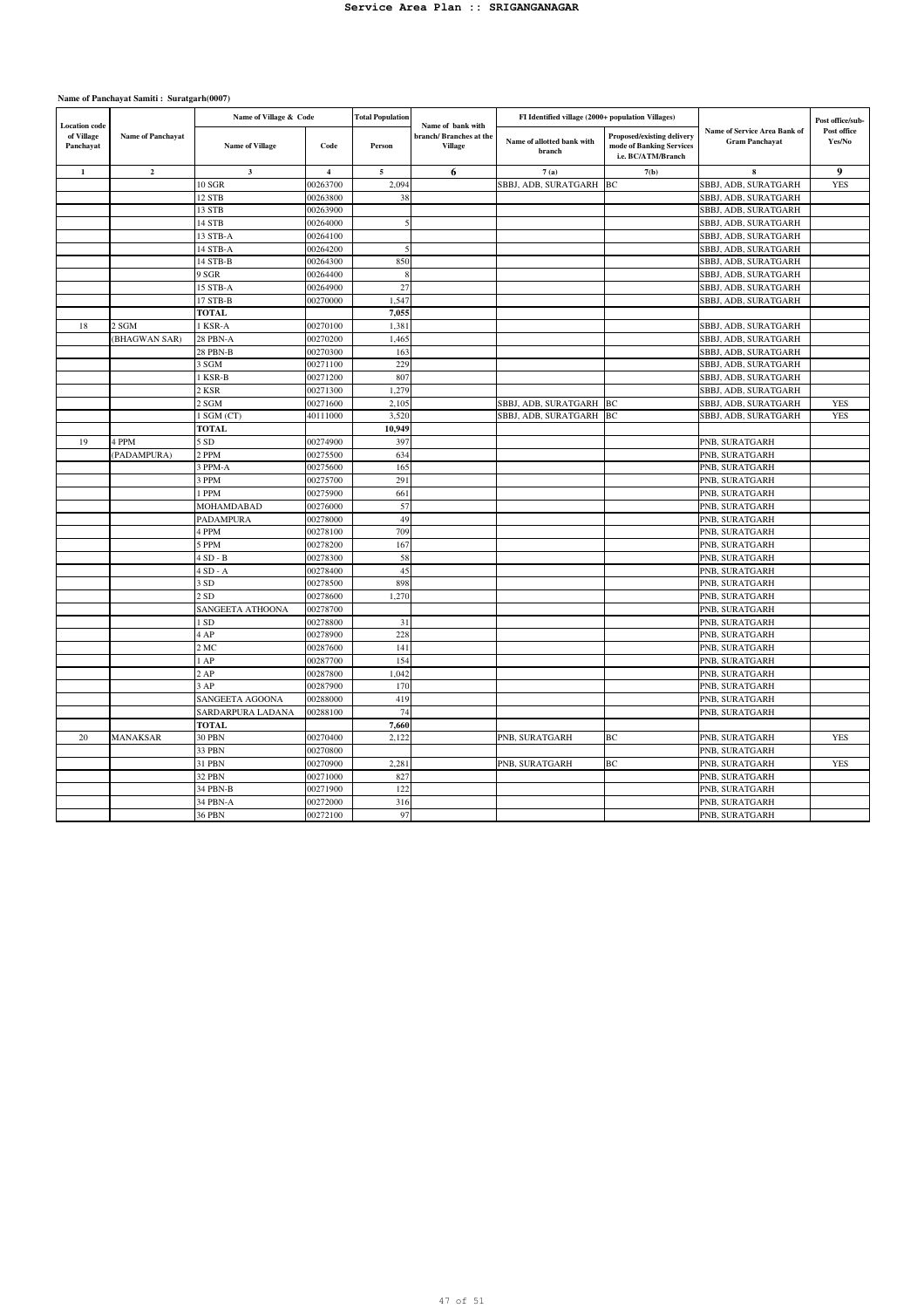| <b>Location</b> code    |                          | Name of Village & Code |                         | <b>Total Population</b> | Name of bank with                        | FI Identified village (2000+ population Villages) |                                                                              |                                                       | Post office/sub-      |
|-------------------------|--------------------------|------------------------|-------------------------|-------------------------|------------------------------------------|---------------------------------------------------|------------------------------------------------------------------------------|-------------------------------------------------------|-----------------------|
| of Village<br>Panchayat | <b>Name of Panchavat</b> | <b>Name of Village</b> | Code                    | Person                  | branch/Branches at the<br><b>Village</b> | Name of allotted bank with<br>branch              | Proposed/existing delivery<br>mode of Banking Services<br>i.e. BC/ATM/Branch | Name of Service Area Bank of<br><b>Gram Panchayat</b> | Post office<br>Yes/No |
| $\mathbf{1}$            | $\mathbf 2$              | $\mathbf{3}$           | $\overline{\mathbf{4}}$ | $\mathbf{5}$            | 6                                        | 7(a)                                              | 7(b)                                                                         | 8                                                     | $\boldsymbol{Q}$      |
|                         |                          | 10 SGR                 | 00263700                | 2,094                   |                                          | SBBJ, ADB, SURATGARH                              | BC                                                                           | SBBJ, ADB, SURATGARH                                  | <b>YES</b>            |
|                         |                          | 12 STB                 | 00263800                | 38                      |                                          |                                                   |                                                                              | SBBJ, ADB, SURATGARH                                  |                       |
|                         |                          | 13 STB                 | 00263900                |                         |                                          |                                                   |                                                                              | SBBJ, ADB, SURATGARH                                  |                       |
|                         |                          | 14 STB                 | 00264000                | 5                       |                                          |                                                   |                                                                              | SBBJ, ADB, SURATGARH                                  |                       |
|                         |                          | 13 STB-A               | 00264100                |                         |                                          |                                                   |                                                                              | SBBJ, ADB, SURATGARH                                  |                       |
|                         |                          | 14 STB-A               | 00264200                | 5                       |                                          |                                                   |                                                                              | SBBJ, ADB, SURATGARH                                  |                       |
|                         |                          | 14 STB-B               | 00264300                | 850                     |                                          |                                                   |                                                                              | SBBJ, ADB, SURATGARH                                  |                       |
|                         |                          | 9 SGR                  | 00264400                | 8                       |                                          |                                                   |                                                                              | SBBJ, ADB, SURATGARH                                  |                       |
|                         |                          | 15 STB-A               | 00264900                | 27                      |                                          |                                                   |                                                                              | SBBJ, ADB, SURATGARH                                  |                       |
|                         |                          | 17 STB-B               | 00270000                | 1,547                   |                                          |                                                   |                                                                              | SBBJ, ADB, SURATGARH                                  |                       |
|                         |                          | TOTAL                  |                         | 7,055                   |                                          |                                                   |                                                                              |                                                       |                       |
| 18                      | 2 SGM                    | I KSR-A                | 00270100                | 1,381                   |                                          |                                                   |                                                                              | SBBJ, ADB, SURATGARH                                  |                       |
|                         | (BHAGWAN SAR)            | 28 PBN-A               | 00270200                | 1,465                   |                                          |                                                   |                                                                              | SBBJ, ADB, SURATGARH                                  |                       |
|                         |                          | 28 PBN-B               | 00270300                | 163                     |                                          |                                                   |                                                                              | SBBJ, ADB, SURATGARH                                  |                       |
|                         |                          | 3 SGM                  | 00271100                | 229                     |                                          |                                                   |                                                                              | SBBJ, ADB, SURATGARH                                  |                       |
|                         |                          | KSR-B                  | 00271200                | 807                     |                                          |                                                   |                                                                              | SBBJ, ADB, SURATGARH                                  |                       |
|                         |                          | 2 KSR                  | 00271300                | 1,279                   |                                          |                                                   |                                                                              | SBBJ, ADB, SURATGARH                                  |                       |
|                         |                          | 2 SGM                  | 00271600                | 2,105                   |                                          | SBBJ, ADB, SURATGARH                              | BC                                                                           | SBBJ, ADB, SURATGARH                                  | <b>YES</b>            |
|                         |                          | I SGM (CT)             | 40111000                | 3,520                   |                                          | SBBJ, ADB, SURATGARH                              | BC                                                                           | SBBJ, ADB, SURATGARH                                  | <b>YES</b>            |
|                         |                          | <b>TOTAL</b>           |                         | 10,949                  |                                          |                                                   |                                                                              |                                                       |                       |
| 19                      | 4 PPM                    | 5 SD                   | 00274900                | 397                     |                                          |                                                   |                                                                              | PNB, SURATGARH                                        |                       |
|                         | (PADAMPURA)              | 2 PPM                  | 00275500                | 634                     |                                          |                                                   |                                                                              | PNB, SURATGARH                                        |                       |
|                         |                          | 3 PPM-A                | 00275600                | 165                     |                                          |                                                   |                                                                              | PNB, SURATGARH                                        |                       |
|                         |                          | 3 PPM                  | 00275700                | 291                     |                                          |                                                   |                                                                              | PNB, SURATGARH                                        |                       |
|                         |                          | PPM                    | 00275900                | 661                     |                                          |                                                   |                                                                              | PNB, SURATGARH                                        |                       |
|                         |                          | MOHAMDABAD             | 00276000                | 57                      |                                          |                                                   |                                                                              | PNB, SURATGARH                                        |                       |
|                         |                          | PADAMPURA              | 00278000                | 49                      |                                          |                                                   |                                                                              | PNB, SURATGARH                                        |                       |
|                         |                          | 4 PPM                  | 00278100                | 709<br>167              |                                          |                                                   |                                                                              | PNB, SURATGARH                                        |                       |
|                         |                          | 5 PPM                  | 00278200                |                         |                                          |                                                   |                                                                              | PNB, SURATGARH                                        |                       |
|                         |                          | $4SD - B$<br>$4SD - A$ | 00278300                | 58                      |                                          |                                                   |                                                                              | PNB, SURATGARH                                        |                       |
|                         |                          | 3 SD                   | 00278400                | 45<br>898               |                                          |                                                   |                                                                              | PNB, SURATGARH                                        |                       |
|                         |                          | 2 SD                   | 00278500<br>00278600    | 1,270                   |                                          |                                                   |                                                                              | PNB, SURATGARH<br>PNB, SURATGARH                      |                       |
|                         |                          |                        |                         |                         |                                          |                                                   |                                                                              |                                                       |                       |
|                         |                          | SANGEETA ATHOONA       | 00278700                |                         |                                          |                                                   |                                                                              | PNB, SURATGARH                                        |                       |
|                         |                          | l SD<br>4 AP           | 00278800<br>00278900    | 31<br>228               |                                          |                                                   |                                                                              | PNB, SURATGARH<br>PNB, SURATGARH                      |                       |
|                         |                          | 2MC                    | 00287600                | 141                     |                                          |                                                   |                                                                              | PNB, SURATGARH                                        |                       |
|                         |                          | l AP                   | 00287700                | 154                     |                                          |                                                   |                                                                              | PNB, SURATGARH                                        |                       |
|                         |                          | 2AP                    | 00287800                | 1,042                   |                                          |                                                   |                                                                              | PNB, SURATGARH                                        |                       |
|                         |                          | 3AP                    | 00287900                | 170                     |                                          |                                                   |                                                                              | PNB, SURATGARH                                        |                       |
|                         |                          | SANGEETA AGOONA        | 00288000                | 419                     |                                          |                                                   |                                                                              | PNB, SURATGARH                                        |                       |
|                         |                          | SARDARPURA LADANA      | 00288100                | 74                      |                                          |                                                   |                                                                              | PNB, SURATGARH                                        |                       |
|                         |                          | <b>TOTAL</b>           |                         | 7,660                   |                                          |                                                   |                                                                              |                                                       |                       |
| 20                      | <b>MANAKSAR</b>          | 30 PBN                 | 00270400                | 2,122                   |                                          | PNB, SURATGARH                                    | BC                                                                           | PNB, SURATGARH                                        | <b>YES</b>            |
|                         |                          | 33 PBN                 | 00270800                |                         |                                          |                                                   |                                                                              | PNB, SURATGARH                                        |                       |
|                         |                          | 31 PBN                 | 00270900                | 2,281                   |                                          | PNB, SURATGARH                                    | BC                                                                           | PNB, SURATGARH                                        | <b>YES</b>            |
|                         |                          | 32 PBN                 | 00271000                | 827                     |                                          |                                                   |                                                                              | PNB, SURATGARH                                        |                       |
|                         |                          | 34 PBN-B               | 00271900                | 122                     |                                          |                                                   |                                                                              | PNB, SURATGARH                                        |                       |
|                         |                          | 34 PBN-A               | 00272000                | 316                     |                                          |                                                   |                                                                              | PNB, SURATGARH                                        |                       |
|                         |                          | 36 PBN                 | 00272100                | 97                      |                                          |                                                   |                                                                              | PNB, SURATGARH                                        |                       |
|                         |                          |                        |                         |                         |                                          |                                                   |                                                                              |                                                       |                       |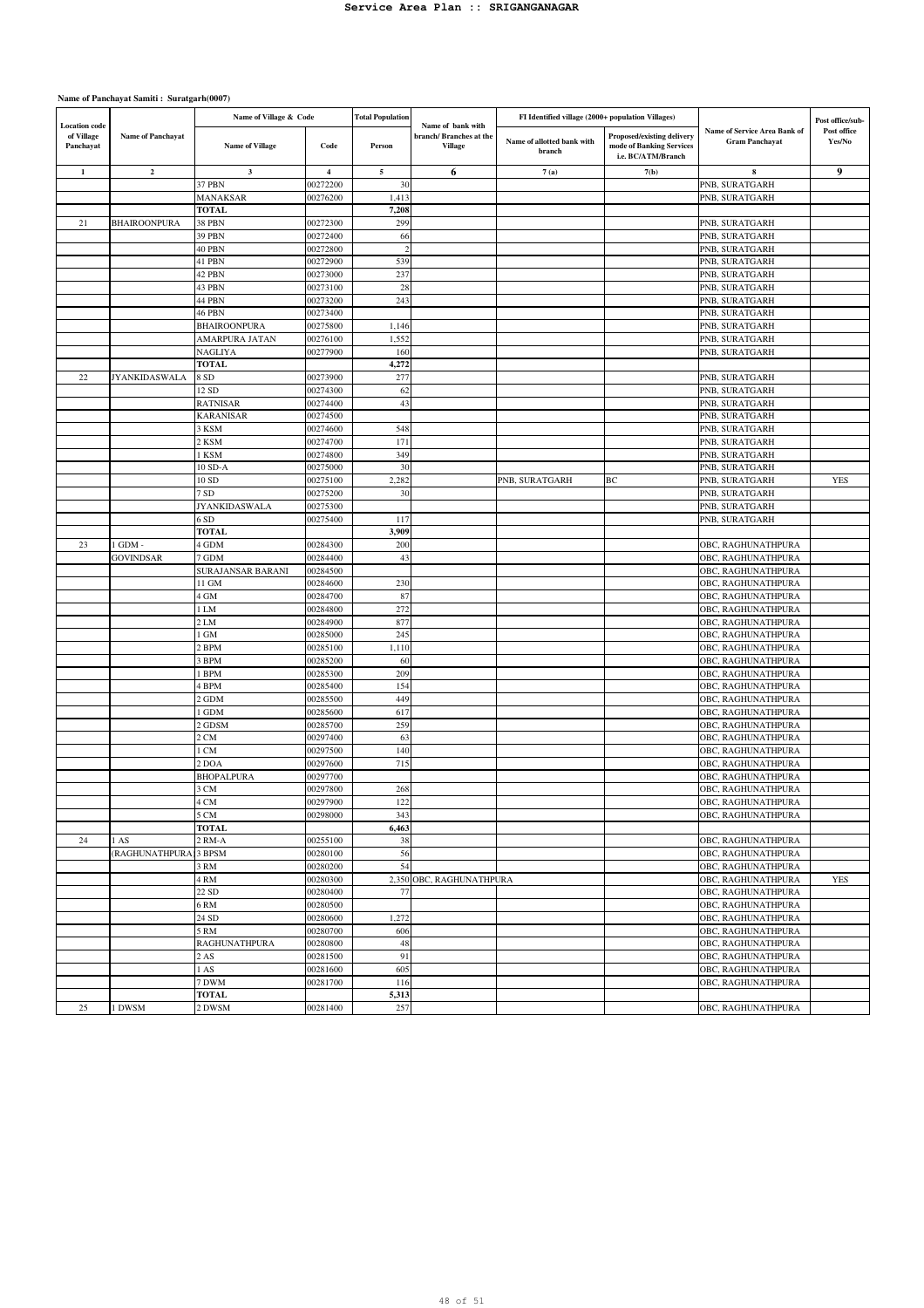|                                                 |                         | Name of Village & Code |                         | <b>Total Population</b> | Name of bank with                        | FI Identified village (2000+ population Villages) |                                                                              |                                                       | Post office/sub-      |
|-------------------------------------------------|-------------------------|------------------------|-------------------------|-------------------------|------------------------------------------|---------------------------------------------------|------------------------------------------------------------------------------|-------------------------------------------------------|-----------------------|
| <b>Location</b> code<br>of Village<br>Panchayat | Name of Panchayat       | <b>Name of Village</b> | Code                    | Person                  | branch/Branches at the<br><b>Village</b> | Name of allotted bank with<br>branch              | Proposed/existing delivery<br>mode of Banking Services<br>i.e. BC/ATM/Branch | Name of Service Area Bank of<br><b>Gram Panchayat</b> | Post office<br>Yes/No |
| 1                                               | $\overline{\mathbf{2}}$ | $\mathbf{3}$           | $\overline{\mathbf{4}}$ | 5                       | 6                                        | 7(a)                                              | 7(b)                                                                         | 8                                                     | 9                     |
|                                                 |                         | 37 PBN                 | 00272200                | 30                      |                                          |                                                   |                                                                              | PNB, SURATGARH                                        |                       |
|                                                 |                         | MANAKSAR               | 00276200                | 1,413                   |                                          |                                                   |                                                                              | PNB, SURATGARH                                        |                       |
|                                                 |                         | <b>TOTAL</b>           |                         | 7,208                   |                                          |                                                   |                                                                              |                                                       |                       |
| 21                                              | <b>BHAIROONPURA</b>     | 38 PBN                 | 00272300                | 299                     |                                          |                                                   |                                                                              | PNB, SURATGARH                                        |                       |
|                                                 |                         | 39 PBN                 | 00272400                | 66<br>$\overline{2}$    |                                          |                                                   |                                                                              | PNB, SURATGARH                                        |                       |
|                                                 |                         | 40 PBN<br>41 PBN       | 00272800<br>00272900    | 539                     |                                          |                                                   |                                                                              | PNB, SURATGARH                                        |                       |
|                                                 |                         | 42 PBN                 | 00273000                | 237                     |                                          |                                                   |                                                                              | PNB, SURATGARH<br>PNB, SURATGARH                      |                       |
|                                                 |                         | 43 PBN                 | 00273100                | 28                      |                                          |                                                   |                                                                              | PNB, SURATGARH                                        |                       |
|                                                 |                         | 44 PBN                 | 00273200                | 243                     |                                          |                                                   |                                                                              | PNB, SURATGARH                                        |                       |
|                                                 |                         | 46 PBN                 | 00273400                |                         |                                          |                                                   |                                                                              | PNB, SURATGARH                                        |                       |
|                                                 |                         | <b>BHAIROONPURA</b>    | 00275800                | 1,146                   |                                          |                                                   |                                                                              | PNB, SURATGARH                                        |                       |
|                                                 |                         | AMARPURA JATAN         | 00276100                | 1,552                   |                                          |                                                   |                                                                              | PNB, SURATGARH                                        |                       |
|                                                 |                         | NAGLIYA                | 00277900                | 160                     |                                          |                                                   |                                                                              | PNB, SURATGARH                                        |                       |
|                                                 |                         | <b>TOTAL</b>           |                         | 4,272                   |                                          |                                                   |                                                                              |                                                       |                       |
| 22                                              | <b>JYANKIDASWALA</b>    | 8 SD                   | 00273900                | 277                     |                                          |                                                   |                                                                              | PNB, SURATGARH                                        |                       |
|                                                 |                         | 12 SD                  | 00274300                | 62                      |                                          |                                                   |                                                                              | PNB, SURATGARH                                        |                       |
|                                                 |                         | RATNISAR               | 00274400                | 43                      |                                          |                                                   |                                                                              | PNB, SURATGARH                                        |                       |
|                                                 |                         | <b>KARANISAR</b>       | 00274500                |                         |                                          |                                                   |                                                                              | PNB, SURATGARH                                        |                       |
|                                                 |                         | 3 KSM                  | 00274600                | 548                     |                                          |                                                   |                                                                              | PNB, SURATGARH                                        |                       |
|                                                 |                         | 2 KSM                  | 00274700<br>00274800    | 171                     |                                          |                                                   |                                                                              | PNB, SURATGARH<br>PNB, SURATGARH                      |                       |
|                                                 |                         | 1 KSM<br>10 SD-A       | 00275000                | 349<br>30               |                                          |                                                   |                                                                              |                                                       |                       |
|                                                 |                         | 10 SD                  | 00275100                | 2,282                   |                                          | PNB, SURATGARH                                    | BC                                                                           | PNB, SURATGARH<br>PNB, SURATGARH                      | <b>YES</b>            |
|                                                 |                         | 7 SD                   | 00275200                | 30                      |                                          |                                                   |                                                                              | PNB, SURATGARH                                        |                       |
|                                                 |                         | JYANKIDASWALA          | 00275300                |                         |                                          |                                                   |                                                                              | PNB, SURATGARH                                        |                       |
|                                                 |                         | 6 <sub>SD</sub>        | 00275400                | 117                     |                                          |                                                   |                                                                              | PNB, SURATGARH                                        |                       |
|                                                 |                         | <b>TOTAL</b>           |                         | 3,909                   |                                          |                                                   |                                                                              |                                                       |                       |
| 23                                              | 1 GDM -                 | 4 GDM                  | 00284300                | 200                     |                                          |                                                   |                                                                              | OBC, RAGHUNATHPURA                                    |                       |
|                                                 | <b>GOVINDSAR</b>        | 7 GDM                  | 00284400                | 43                      |                                          |                                                   |                                                                              | OBC, RAGHUNATHPURA                                    |                       |
|                                                 |                         | SURAJANSAR BARANI      | 00284500                |                         |                                          |                                                   |                                                                              | OBC, RAGHUNATHPURA                                    |                       |
|                                                 |                         | 11 GM                  | 00284600                | 230                     |                                          |                                                   |                                                                              | OBC, RAGHUNATHPURA                                    |                       |
|                                                 |                         | 4 GM                   | 00284700                | 87                      |                                          |                                                   |                                                                              | OBC, RAGHUNATHPURA                                    |                       |
|                                                 |                         | 1 LM                   | 00284800                | 272                     |                                          |                                                   |                                                                              | OBC, RAGHUNATHPURA                                    |                       |
|                                                 |                         | 2LM                    | 00284900                | 877                     |                                          |                                                   |                                                                              | OBC, RAGHUNATHPURA                                    |                       |
|                                                 |                         | I GM                   | 00285000                | 245                     |                                          |                                                   |                                                                              | OBC, RAGHUNATHPURA                                    |                       |
|                                                 |                         | 2 BPM                  | 00285100                | 1,110                   |                                          |                                                   |                                                                              | OBC, RAGHUNATHPURA                                    |                       |
|                                                 |                         | 3 BPM<br><b>BPM</b>    | 00285200<br>00285300    | 60<br>209               |                                          |                                                   |                                                                              | OBC, RAGHUNATHPURA<br>OBC, RAGHUNATHPURA              |                       |
|                                                 |                         | 1 BPM                  | 00285400                | 154                     |                                          |                                                   |                                                                              | OBC, RAGHUNATHPURA                                    |                       |
|                                                 |                         | 2 GDM                  | 00285500                | 449                     |                                          |                                                   |                                                                              | OBC, RAGHUNATHPURA                                    |                       |
|                                                 |                         | GDM                    | 00285600                | 617                     |                                          |                                                   |                                                                              | OBC, RAGHUNATHPURA                                    |                       |
|                                                 |                         | 2 GDSM                 | 00285700                | 259                     |                                          |                                                   |                                                                              | OBC, RAGHUNATHPURA                                    |                       |
|                                                 |                         | 2 CM                   | 00297400                | 63                      |                                          |                                                   |                                                                              | OBC, RAGHUNATHPURA                                    |                       |
|                                                 |                         | l CM                   | 00297500                | 140                     |                                          |                                                   |                                                                              | OBC, RAGHUNATHPURA                                    |                       |
|                                                 |                         | 2 DOA                  | 00297600                | 715                     |                                          |                                                   |                                                                              | OBC, RAGHUNATHPURA                                    |                       |
|                                                 |                         | <b>BHOPALPURA</b>      | 00297700                |                         |                                          |                                                   |                                                                              | OBC, RAGHUNATHPURA                                    |                       |
|                                                 |                         | 3 CM                   | 00297800                | 268                     |                                          |                                                   |                                                                              | OBC, RAGHUNATHPURA                                    |                       |
|                                                 |                         | 4 CM                   | 00297900                | 122                     |                                          |                                                   |                                                                              | OBC, RAGHUNATHPURA                                    |                       |
|                                                 |                         | 5 CM                   | 00298000                | 343                     |                                          |                                                   |                                                                              | OBC, RAGHUNATHPURA                                    |                       |
|                                                 | 1 AS                    | <b>TOTAL</b><br>2 RM-A | 00255100                | 6,463<br>38             |                                          |                                                   |                                                                              |                                                       |                       |
| 24                                              | (RAGHUNATHPURA          | 3 BPSM                 | 00280100                | 56                      |                                          |                                                   |                                                                              | OBC, RAGHUNATHPURA<br>OBC, RAGHUNATHPURA              |                       |
|                                                 |                         | 3 RM                   | 00280200                | 54                      |                                          |                                                   |                                                                              | OBC, RAGHUNATHPURA                                    |                       |
|                                                 |                         | 4 RM                   | 00280300                |                         | 2,350 OBC, RAGHUNATHPURA                 |                                                   |                                                                              | OBC, RAGHUNATHPURA                                    | <b>YES</b>            |
|                                                 |                         | 22 SD                  | 00280400                | 77                      |                                          |                                                   |                                                                              | OBC, RAGHUNATHPURA                                    |                       |
|                                                 |                         | 6 <sub>RM</sub>        | 00280500                |                         |                                          |                                                   |                                                                              | OBC, RAGHUNATHPURA                                    |                       |
|                                                 |                         | 24 SD                  | 00280600                | 1,272                   |                                          |                                                   |                                                                              | OBC, RAGHUNATHPURA                                    |                       |
|                                                 |                         | 5 RM                   | 00280700                | 606                     |                                          |                                                   |                                                                              | OBC, RAGHUNATHPURA                                    |                       |
|                                                 |                         | RAGHUNATHPURA          | 00280800                | 48                      |                                          |                                                   |                                                                              | OBC, RAGHUNATHPURA                                    |                       |
|                                                 |                         | 2AS                    | 00281500                | 91                      |                                          |                                                   |                                                                              | OBC, RAGHUNATHPURA                                    |                       |
|                                                 |                         | 1AS                    | 00281600                | 605                     |                                          |                                                   |                                                                              | OBC, RAGHUNATHPURA                                    |                       |
|                                                 |                         | 7 DWM                  | 00281700                | 116                     |                                          |                                                   |                                                                              | OBC, RAGHUNATHPURA                                    |                       |
|                                                 |                         | <b>TOTAL</b>           |                         | 5,313                   |                                          |                                                   |                                                                              |                                                       |                       |
| 25                                              | 1 DWSM                  | 2 DWSM                 | 00281400                | 257                     |                                          |                                                   |                                                                              | OBC, RAGHUNATHPURA                                    |                       |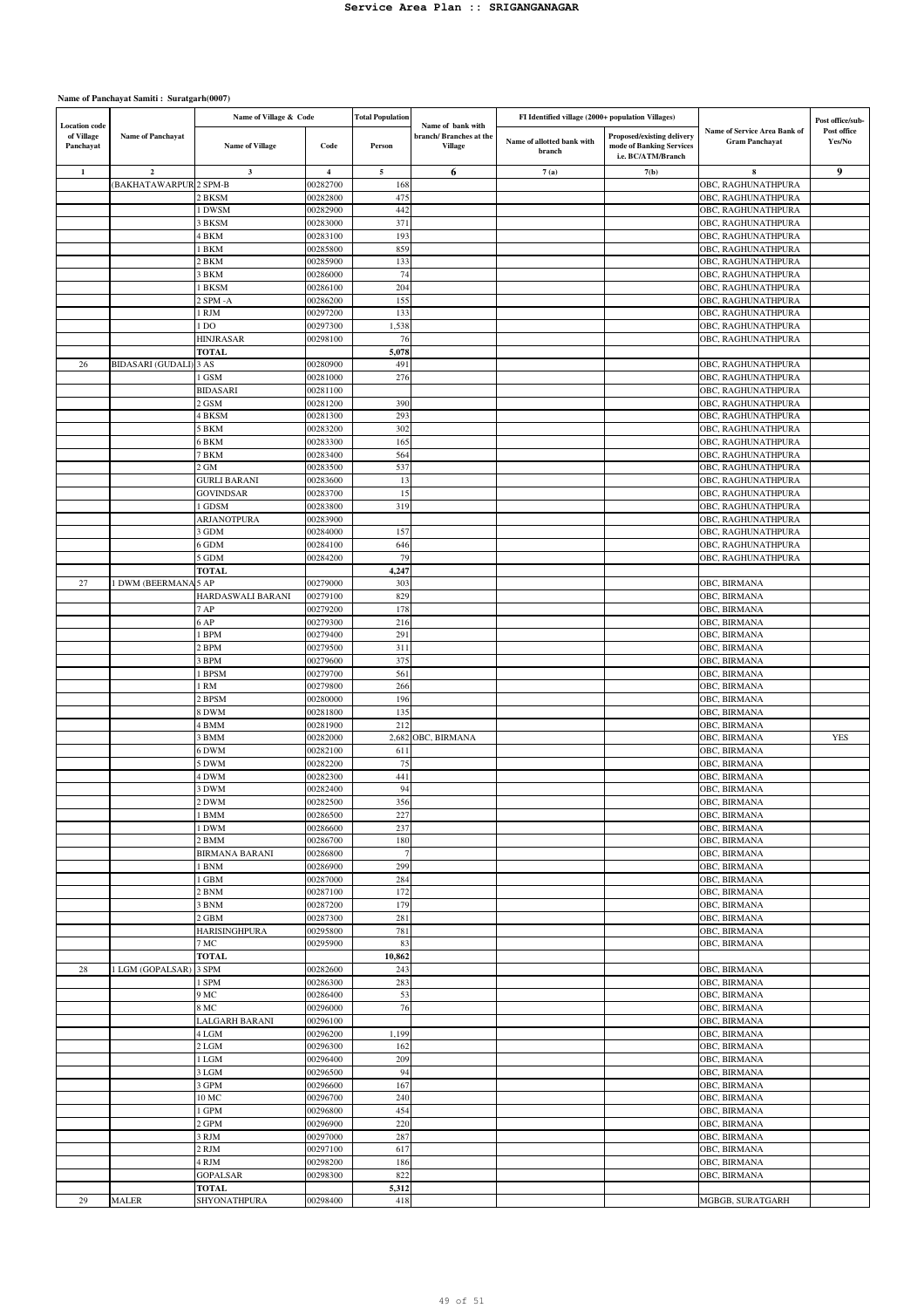|                                                 |                              | Name of Village & Code        |                         | <b>Total Population</b> |                                                               | FI Identified village (2000+ population Villages) |                                                                              |                                                       | Post office/sub-      |
|-------------------------------------------------|------------------------------|-------------------------------|-------------------------|-------------------------|---------------------------------------------------------------|---------------------------------------------------|------------------------------------------------------------------------------|-------------------------------------------------------|-----------------------|
| <b>Location</b> code<br>of Village<br>Panchayat | <b>Name of Panchayat</b>     | <b>Name of Village</b>        | Code                    | Person                  | Name of bank with<br>branch/Branches at the<br><b>Village</b> | Name of allotted bank with<br>branch              | Proposed/existing delivery<br>mode of Banking Services<br>i.e. BC/ATM/Branch | Name of Service Area Bank of<br><b>Gram Panchayat</b> | Post office<br>Yes/No |
| $\mathbf{1}$                                    | $\overline{\mathbf{2}}$      | $\mathbf{3}$                  | $\overline{\mathbf{4}}$ | $\sim$                  | 6                                                             | 7(a)                                              | 7(b)                                                                         | 8                                                     | 9                     |
|                                                 | <b>BAKHATAWARPUR 2 SPM-B</b> |                               | 00282700                | 168                     |                                                               |                                                   |                                                                              | OBC, RAGHUNATHPURA                                    |                       |
|                                                 |                              | 2 BKSM                        | 00282800                | 475                     |                                                               |                                                   |                                                                              | OBC, RAGHUNATHPURA                                    |                       |
|                                                 |                              | I DWSM                        | 00282900                | 442                     |                                                               |                                                   |                                                                              | OBC, RAGHUNATHPURA                                    |                       |
|                                                 |                              | 3 BKSM                        | 00283000                | 371                     |                                                               |                                                   |                                                                              | OBC, RAGHUNATHPURA                                    |                       |
|                                                 |                              | <b>BKM</b>                    | 00283100                | 193                     |                                                               |                                                   |                                                                              | OBC, RAGHUNATHPURA                                    |                       |
|                                                 |                              | <b>BKM</b>                    | 00285800                | 859                     |                                                               |                                                   |                                                                              | OBC, RAGHUNATHPURA                                    |                       |
|                                                 |                              | 2 BKM                         | 00285900                | 133                     |                                                               |                                                   |                                                                              | OBC, RAGHUNATHPURA                                    |                       |
|                                                 |                              | <b>BKM</b>                    | 00286000                | 74                      |                                                               |                                                   |                                                                              | OBC, RAGHUNATHPURA                                    |                       |
|                                                 |                              | <b>BKSM</b>                   | 00286100                | 204                     |                                                               |                                                   |                                                                              | OBC, RAGHUNATHPURA                                    |                       |
|                                                 |                              | SPM-A                         | 00286200                | 155                     |                                                               |                                                   |                                                                              | OBC, RAGHUNATHPURA<br>OBC, RAGHUNATHPURA              |                       |
|                                                 |                              | <b>RJM</b><br>l DO            | 00297200<br>00297300    | 133<br>1,538            |                                                               |                                                   |                                                                              | OBC, RAGHUNATHPURA                                    |                       |
|                                                 |                              | <b>HINJRASAR</b>              | 00298100                | 76                      |                                                               |                                                   |                                                                              | OBC, RAGHUNATHPURA                                    |                       |
|                                                 |                              | <b>TOTAL</b>                  |                         | 5,078                   |                                                               |                                                   |                                                                              |                                                       |                       |
| 26                                              | <b>BIDASARI</b> (GUDALI)     | 3 AS                          | 00280900                | 491                     |                                                               |                                                   |                                                                              | OBC, RAGHUNATHPURA                                    |                       |
|                                                 |                              | l GSM                         | 00281000                | 276                     |                                                               |                                                   |                                                                              | OBC, RAGHUNATHPURA                                    |                       |
|                                                 |                              | <b>BIDASARI</b>               | 00281100                |                         |                                                               |                                                   |                                                                              | OBC, RAGHUNATHPURA                                    |                       |
|                                                 |                              | 2 GSM                         | 00281200                | 390                     |                                                               |                                                   |                                                                              | OBC, RAGHUNATHPURA                                    |                       |
|                                                 |                              | 4 BKSM                        | 00281300                | 293                     |                                                               |                                                   |                                                                              | OBC, RAGHUNATHPURA                                    |                       |
|                                                 |                              | 5 BKM                         | 00283200                | 302                     |                                                               |                                                   |                                                                              | OBC, RAGHUNATHPURA                                    |                       |
|                                                 |                              | 5 BKM                         | 00283300                | 165                     |                                                               |                                                   |                                                                              | OBC, RAGHUNATHPURA                                    |                       |
|                                                 |                              | 7 BKM                         | 00283400                | 564                     |                                                               |                                                   |                                                                              | OBC, RAGHUNATHPURA                                    |                       |
|                                                 |                              | $2$ GM<br><b>GURLI BARANI</b> | 00283500<br>00283600    | 537<br>13               |                                                               |                                                   |                                                                              | OBC, RAGHUNATHPURA<br>OBC, RAGHUNATHPURA              |                       |
|                                                 |                              | <b>GOVINDSAR</b>              | 00283700                | 15                      |                                                               |                                                   |                                                                              | OBC, RAGHUNATHPURA                                    |                       |
|                                                 |                              | I GDSM                        | 00283800                | 319                     |                                                               |                                                   |                                                                              | OBC, RAGHUNATHPURA                                    |                       |
|                                                 |                              | ARJANOTPURA                   | 00283900                |                         |                                                               |                                                   |                                                                              | OBC, RAGHUNATHPURA                                    |                       |
|                                                 |                              | 3 GDM                         | 00284000                | 157                     |                                                               |                                                   |                                                                              | OBC, RAGHUNATHPURA                                    |                       |
|                                                 |                              | 6 GDM                         | 00284100                | 646                     |                                                               |                                                   |                                                                              | OBC, RAGHUNATHPURA                                    |                       |
|                                                 |                              | 5 GDM                         | 00284200                | 79                      |                                                               |                                                   |                                                                              | OBC, RAGHUNATHPURA                                    |                       |
| 27                                              | 1 DWM (BEERMANA              | <b>TOTAL</b><br>5AP           | 00279000                | 4,247<br>303            |                                                               |                                                   |                                                                              | OBC, BIRMANA                                          |                       |
|                                                 |                              | HARDASWALI BARANI             | 00279100                | 829                     |                                                               |                                                   |                                                                              | OBC, BIRMANA                                          |                       |
|                                                 |                              | 7 AP                          | 00279200                | 178                     |                                                               |                                                   |                                                                              | OBC, BIRMANA                                          |                       |
|                                                 |                              | 6 AP                          | 00279300                | 216                     |                                                               |                                                   |                                                                              | OBC, BIRMANA                                          |                       |
|                                                 |                              | <b>BPM</b>                    | 00279400                | 291                     |                                                               |                                                   |                                                                              | OBC, BIRMANA                                          |                       |
|                                                 |                              | <b>BPM</b>                    | 00279500                | 311                     |                                                               |                                                   |                                                                              | OBC, BIRMANA                                          |                       |
|                                                 |                              | <b>BPM</b>                    | 00279600                | 375                     |                                                               |                                                   |                                                                              | OBC, BIRMANA                                          |                       |
|                                                 |                              | <b>BPSM</b>                   | 00279700                | 561                     |                                                               |                                                   |                                                                              | OBC, BIRMANA                                          |                       |
|                                                 |                              | 1 RM<br>2 BPSM                | 00279800<br>00280000    | 266<br>196              |                                                               |                                                   |                                                                              | OBC, BIRMANA<br>OBC, BIRMANA                          |                       |
|                                                 |                              | 3 DWM                         | 00281800                | 135                     |                                                               |                                                   |                                                                              | OBC, BIRMANA                                          |                       |
|                                                 |                              | 4 BMM                         | 00281900                | 212                     |                                                               |                                                   |                                                                              | OBC, BIRMANA                                          |                       |
|                                                 |                              | 3 BMM                         | 00282000                |                         | 2,682 OBC, BIRMANA                                            |                                                   |                                                                              | OBC, BIRMANA                                          | <b>YES</b>            |
|                                                 |                              | 6 DWM                         | 00282100                | 61                      |                                                               |                                                   |                                                                              | OBC, BIRMANA                                          |                       |
|                                                 |                              | 5 DWM                         | 00282200                | 75                      |                                                               |                                                   |                                                                              | OBC, BIRMANA                                          |                       |
|                                                 |                              | 4 DWM                         | 00282300                | 441                     |                                                               |                                                   |                                                                              | OBC, BIRMANA                                          |                       |
|                                                 |                              | 3 DWM                         | 00282400                | 94                      |                                                               |                                                   |                                                                              | OBC, BIRMANA                                          |                       |
|                                                 |                              | 2 DWM                         | 00282500                | 356                     |                                                               |                                                   |                                                                              | OBC, BIRMANA                                          |                       |
|                                                 |                              | 1 BMM<br>l DWM                | 00286500<br>00286600    | 227<br>237              |                                                               |                                                   |                                                                              | OBC, BIRMANA<br>OBC, BIRMANA                          |                       |
|                                                 |                              | 2 BMM                         | 00286700                | 180                     |                                                               |                                                   |                                                                              | OBC, BIRMANA                                          |                       |
|                                                 |                              | BIRMANA BARANI                | 00286800                | -7                      |                                                               |                                                   |                                                                              | OBC, BIRMANA                                          |                       |
|                                                 |                              | l BNM                         | 00286900                | 299                     |                                                               |                                                   |                                                                              | OBC, BIRMANA                                          |                       |
|                                                 |                              | l GBM                         | 00287000                | 284                     |                                                               |                                                   |                                                                              | OBC, BIRMANA                                          |                       |
|                                                 |                              | 2 BNM                         | 00287100                | 172                     |                                                               |                                                   |                                                                              | OBC, BIRMANA                                          |                       |
|                                                 |                              | 3 BNM                         | 00287200                | 179                     |                                                               |                                                   |                                                                              | OBC, BIRMANA                                          |                       |
|                                                 |                              | 2 GBM                         | 00287300                | 281                     |                                                               |                                                   |                                                                              | OBC, BIRMANA                                          |                       |
|                                                 |                              | HARISINGHPURA<br>7 MC         | 00295800<br>00295900    | 781<br>83               |                                                               |                                                   |                                                                              | OBC, BIRMANA<br>OBC, BIRMANA                          |                       |
|                                                 |                              | <b>TOTAL</b>                  |                         | 10,862                  |                                                               |                                                   |                                                                              |                                                       |                       |
| 28                                              | 1 LGM (GOPALSAR)             | 3 SPM                         | 00282600                | 243                     |                                                               |                                                   |                                                                              | OBC, BIRMANA                                          |                       |
|                                                 |                              | 1 SPM                         | 00286300                | 283                     |                                                               |                                                   |                                                                              | OBC, BIRMANA                                          |                       |
|                                                 |                              | 9 MC                          | 00286400                | 53                      |                                                               |                                                   |                                                                              | OBC, BIRMANA                                          |                       |
|                                                 |                              | 8 MC                          | 00296000                | 76                      |                                                               |                                                   |                                                                              | OBC, BIRMANA                                          |                       |
|                                                 |                              | LALGARH BARANI                | 00296100                |                         |                                                               |                                                   |                                                                              | OBC, BIRMANA                                          |                       |
|                                                 |                              | 4 LGM                         | 00296200                | 1,199                   |                                                               |                                                   |                                                                              | OBC, BIRMANA                                          |                       |
|                                                 |                              | 2 LGM<br>1 LGM                | 00296300<br>00296400    | 162<br>209              |                                                               |                                                   |                                                                              | OBC, BIRMANA<br>OBC, BIRMANA                          |                       |
|                                                 |                              | 3 LGM                         | 00296500                | 94                      |                                                               |                                                   |                                                                              | OBC, BIRMANA                                          |                       |
|                                                 |                              | 3 GPM                         | 00296600                | 167                     |                                                               |                                                   |                                                                              | OBC, BIRMANA                                          |                       |
|                                                 |                              | $10\,\mathrm{MC}$             | 00296700                | 240                     |                                                               |                                                   |                                                                              | OBC, BIRMANA                                          |                       |
|                                                 |                              | 1 GPM                         | 00296800                | 454                     |                                                               |                                                   |                                                                              | OBC, BIRMANA                                          |                       |
|                                                 |                              | 2 GPM                         | 00296900                | 220                     |                                                               |                                                   |                                                                              | OBC, BIRMANA                                          |                       |
|                                                 |                              | 3 RJM                         | 00297000                | 287                     |                                                               |                                                   |                                                                              | OBC, BIRMANA                                          |                       |
|                                                 |                              | 2 RJM<br>4 RJM                | 00297100                | 617<br>186              |                                                               |                                                   |                                                                              | OBC, BIRMANA                                          |                       |
|                                                 |                              | <b>GOPALSAR</b>               | 00298200<br>00298300    | 822                     |                                                               |                                                   |                                                                              | OBC, BIRMANA<br>OBC, BIRMANA                          |                       |
|                                                 |                              | <b>TOTAL</b>                  |                         | 5,312                   |                                                               |                                                   |                                                                              |                                                       |                       |
| 29                                              | <b>MALER</b>                 | SHYONATHPURA                  | 00298400                | 418                     |                                                               |                                                   |                                                                              | MGBGB, SURATGARH                                      |                       |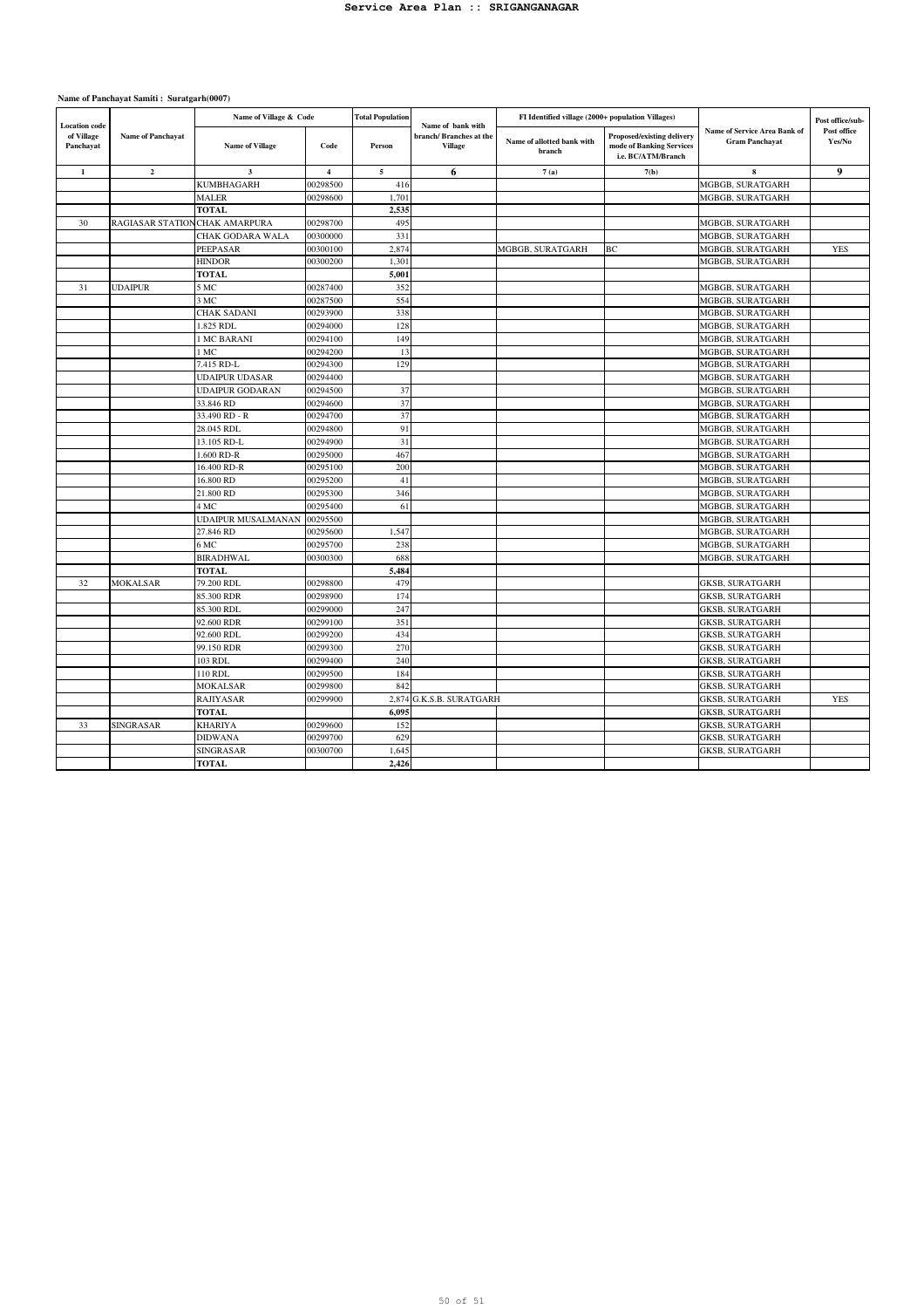| <b>Location</b> code<br>of Village<br>Panchayat | <b>Name of Panchayat</b>      | Name of Village & Code  |                | <b>Total Population</b> | Name of bank with                        | FI Identified village (2000+ population Villages) |                                                                              |                                                       | Post office/sub-      |
|-------------------------------------------------|-------------------------------|-------------------------|----------------|-------------------------|------------------------------------------|---------------------------------------------------|------------------------------------------------------------------------------|-------------------------------------------------------|-----------------------|
|                                                 |                               | <b>Name of Village</b>  | Code           | Person                  | branch/Branches at the<br><b>Village</b> | Name of allotted bank with<br>branch              | Proposed/existing delivery<br>mode of Banking Services<br>i.e. BC/ATM/Branch | Name of Service Area Bank of<br><b>Gram Panchayat</b> | Post office<br>Yes/No |
| $\mathbf 1$                                     | $\overline{2}$                | $\overline{\mathbf{3}}$ | $\overline{4}$ | 5                       | 6                                        | 7(a)                                              | 7(b)                                                                         | 8                                                     | 9                     |
|                                                 |                               | <b>KUMBHAGARH</b>       | 00298500       | 416                     |                                          |                                                   |                                                                              | MGBGB, SURATGARH                                      |                       |
|                                                 |                               | MALER                   | 00298600       | 1,701                   |                                          |                                                   |                                                                              | MGBGB, SURATGARH                                      |                       |
|                                                 |                               | <b>TOTAL</b>            |                | 2.535                   |                                          |                                                   |                                                                              |                                                       |                       |
| 30                                              | RAGIASAR STATIONCHAK AMARPURA |                         | 00298700       | 495                     |                                          |                                                   |                                                                              | MGBGB, SURATGARH                                      |                       |
|                                                 |                               | CHAK GODARA WALA        | 00300000       | 331                     |                                          |                                                   |                                                                              | MGBGB, SURATGARH                                      |                       |
|                                                 |                               | PEEPASAR                | 00300100       | 2.874                   |                                          | MGBGB, SURATGARH                                  | BC                                                                           | MGBGB, SURATGARH                                      | <b>YES</b>            |
|                                                 |                               | <b>HINDOR</b>           | 00300200       | 1,301                   |                                          |                                                   |                                                                              | MGBGB, SURATGARH                                      |                       |
|                                                 |                               | <b>TOTAL</b>            |                | 5,001                   |                                          |                                                   |                                                                              |                                                       |                       |
| 31                                              | <b>UDAIPUR</b>                | 5 MC                    | 00287400       | 352                     |                                          |                                                   |                                                                              | MGBGB, SURATGARH                                      |                       |
|                                                 |                               | 3 MC                    | 00287500       | 554                     |                                          |                                                   |                                                                              | MGBGB, SURATGARH                                      |                       |
|                                                 |                               | CHAK SADANI             | 00293900       | 338                     |                                          |                                                   |                                                                              | MGBGB, SURATGARH                                      |                       |
|                                                 |                               | 1.825 RDL               | 00294000       | 128                     |                                          |                                                   |                                                                              | MGBGB, SURATGARH                                      |                       |
|                                                 |                               | <b>I MC BARANI</b>      | 00294100       | 149                     |                                          |                                                   |                                                                              | MGBGB, SURATGARH                                      |                       |
|                                                 |                               | l MC                    | 00294200       | 13                      |                                          |                                                   |                                                                              | MGBGB, SURATGARH                                      |                       |
|                                                 |                               | 7.415 RD-L              | 00294300       | 129                     |                                          |                                                   |                                                                              | MGBGB, SURATGARH                                      |                       |
|                                                 |                               | <b>UDAIPUR UDASAR</b>   | 00294400       |                         |                                          |                                                   |                                                                              | MGBGB, SURATGARH                                      |                       |
|                                                 |                               | <b>UDAIPUR GODARAN</b>  | 00294500       | 37                      |                                          |                                                   |                                                                              | MGBGB, SURATGARH                                      |                       |
|                                                 |                               | 33.846 RD               | 00294600       | 37                      |                                          |                                                   |                                                                              | MGBGB, SURATGARH                                      |                       |
|                                                 |                               | 33.490 RD - R           | 00294700       | 37                      |                                          |                                                   |                                                                              | MGBGB, SURATGARH                                      |                       |
|                                                 |                               | 28.045 RDL              | 00294800       | 91                      |                                          |                                                   |                                                                              | MGBGB, SURATGARH                                      |                       |
|                                                 |                               | 13.105 RD-L             | 00294900       | 31                      |                                          |                                                   |                                                                              | MGBGB, SURATGARH                                      |                       |
|                                                 |                               | 1.600 RD-R              | 00295000       | 467                     |                                          |                                                   |                                                                              | MGBGB, SURATGARH                                      |                       |
|                                                 |                               | 16.400 RD-R             | 00295100       | 200                     |                                          |                                                   |                                                                              | MGBGB, SURATGARH                                      |                       |
|                                                 |                               | 16.800 RD               | 00295200       | 41                      |                                          |                                                   |                                                                              | MGBGB, SURATGARH                                      |                       |
|                                                 |                               | 21.800 RD               | 00295300       | 346                     |                                          |                                                   |                                                                              | MGBGB, SURATGARH                                      |                       |
|                                                 |                               | 4 MC                    | 00295400       | 61                      |                                          |                                                   |                                                                              | MGBGB, SURATGARH                                      |                       |
|                                                 |                               | UDAIPUR MUSALMANAN      | 00295500       |                         |                                          |                                                   |                                                                              | MGBGB, SURATGARH                                      |                       |
|                                                 |                               | 27.846 RD               | 00295600       | 1,547                   |                                          |                                                   |                                                                              | MGBGB, SURATGARH                                      |                       |
|                                                 |                               | 6 MC                    | 00295700       | 238                     |                                          |                                                   |                                                                              | MGBGB, SURATGARH                                      |                       |
|                                                 |                               | <b>BIRADHWAL</b>        | 00300300       | 688                     |                                          |                                                   |                                                                              | MGBGB, SURATGARH                                      |                       |
|                                                 |                               | TOTAL                   |                | 5,484                   |                                          |                                                   |                                                                              |                                                       |                       |
| 32                                              | MOKALSAR                      | 79.200 RDL              | 00298800       | 479                     |                                          |                                                   |                                                                              | <b>GKSB, SURATGARH</b>                                |                       |
|                                                 |                               | 85.300 RDR              | 00298900       | 174                     |                                          |                                                   |                                                                              | <b>GKSB, SURATGARH</b>                                |                       |
|                                                 |                               | 85.300 RDL              | 00299000       | 247                     |                                          |                                                   |                                                                              | <b>GKSB, SURATGARH</b>                                |                       |
|                                                 |                               | 92.600 RDR              | 00299100       | 351                     |                                          |                                                   |                                                                              | <b>GKSB, SURATGARH</b>                                |                       |
|                                                 |                               | 92.600 RDL              | 00299200       | 434                     |                                          |                                                   |                                                                              | <b>GKSB, SURATGARH</b>                                |                       |
|                                                 |                               | 99.150 RDR              | 00299300       | 270                     |                                          |                                                   |                                                                              | GKSB, SURATGARH                                       |                       |
|                                                 |                               | 103 RDL                 | 00299400       | 240                     |                                          |                                                   |                                                                              | <b>GKSB, SURATGARH</b>                                |                       |
|                                                 |                               | 110 RDL                 | 00299500       | 184                     |                                          |                                                   |                                                                              | <b>GKSB, SURATGARH</b>                                |                       |
|                                                 |                               | MOKALSAR                | 00299800       | 842                     |                                          |                                                   |                                                                              | <b>GKSB, SURATGARH</b>                                |                       |
|                                                 |                               | <b>RAJIYASAR</b>        | 00299900       | 2.874                   | <b>G.K.S.B. SURATGARH</b>                |                                                   |                                                                              | GKSB, SURATGARH                                       | <b>YES</b>            |
|                                                 |                               | <b>TOTAL</b>            |                | 6,095                   |                                          |                                                   |                                                                              | GKSB, SURATGARH                                       |                       |
| 33                                              | <b>SINGRASAR</b>              | <b>KHARIYA</b>          | 00299600       | 152                     |                                          |                                                   |                                                                              | <b>GKSB, SURATGARH</b>                                |                       |
|                                                 |                               | <b>DIDWANA</b>          | 00299700       | 629                     |                                          |                                                   |                                                                              | <b>GKSB, SURATGARH</b>                                |                       |
|                                                 |                               | SINGRASAR               | 00300700       | 1,645                   |                                          |                                                   |                                                                              | GKSB, SURATGARH                                       |                       |
|                                                 |                               | <b>TOTAL</b>            |                | 2,426                   |                                          |                                                   |                                                                              |                                                       |                       |